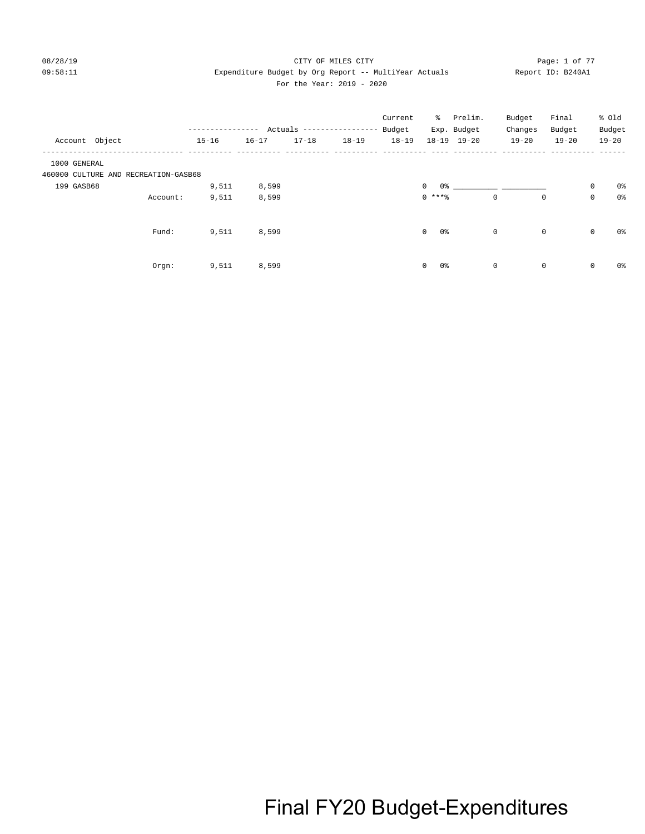### 08/28/19 CITY OF MILES CITY Page: 1 of 77 09:58:11 Expenditure Budget by Org Report -- MultiYear Actuals Report ID: B240A1 For the Year: 2019 - 2020

|                                      |          | -------------<br>$15 - 16$ | $16 - 17$ | $17 - 18$ | Actuals -----------------<br>$18 - 19$ | Current<br>Budget<br>$18 - 19$ | ိ                     | Prelim.<br>Exp. Budget<br>18-19 19-20 | Budget<br>Changes<br>$19 - 20$ | Final<br>Budget<br>$19 - 20$ |             | % old<br>Budget<br>$19 - 20$ |
|--------------------------------------|----------|----------------------------|-----------|-----------|----------------------------------------|--------------------------------|-----------------------|---------------------------------------|--------------------------------|------------------------------|-------------|------------------------------|
| Account Object                       |          |                            |           |           |                                        |                                |                       |                                       |                                |                              |             |                              |
| 1000 GENERAL                         |          |                            |           |           |                                        |                                |                       |                                       |                                |                              |             |                              |
| 460000 CULTURE AND RECREATION-GASB68 |          |                            |           |           |                                        |                                |                       |                                       |                                |                              |             |                              |
| 199 GASB68                           |          | 9,511                      | 8,599     |           |                                        |                                | $\circ$               | $0$ % 이 아이 아이에 이 아이에 있어요.             |                                |                              | $\mathsf 0$ | 0%                           |
|                                      | Account: | 9,511                      | 8,599     |           |                                        |                                | $0$ ****              |                                       | $\mathbf 0$                    | 0                            | $\mathsf 0$ | 0%                           |
|                                      | Fund:    | 9,511                      | 8,599     |           |                                        |                                | $0\,$<br>$\mathbf{0}$ |                                       | $\mathbf 0$                    | $\mathbf 0$                  | $\mathsf 0$ | 0%                           |
|                                      | Orgn:    | 9,511                      | 8,599     |           |                                        |                                | 0%<br>$\mathbf 0$     |                                       | $\mathbf 0$                    | $\mathbf 0$                  | $\mathbf 0$ | 0%                           |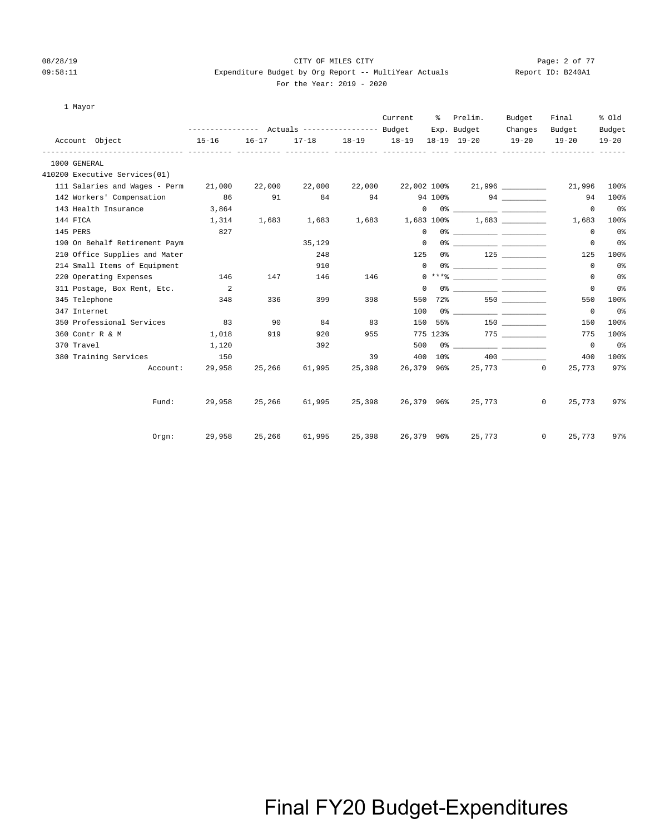### 08/28/19 CITY OF MILES CITY Page: 2 of 77 09:58:11 Expenditure Budget by Org Report -- MultiYear Actuals Report ID: B240A1 For the Year: 2019 - 2020

1 Mayor

|                               |                          |               |                                                 |           | Current    | ៖          | Prelim.                                                                                                                                                                                                                                                                                                                | Budget            | Final                  | % Old          |
|-------------------------------|--------------------------|---------------|-------------------------------------------------|-----------|------------|------------|------------------------------------------------------------------------------------------------------------------------------------------------------------------------------------------------------------------------------------------------------------------------------------------------------------------------|-------------------|------------------------|----------------|
|                               |                          |               | --------------- Actuals ---------------- Budget |           |            |            | Exp. Budget                                                                                                                                                                                                                                                                                                            | Changes           | Budget                 | Budget         |
| Account Object                | $15 - 16$                | $16 - 17$     | $17 - 18$                                       | $18 - 19$ | $18 - 19$  |            | 18-19 19-20                                                                                                                                                                                                                                                                                                            | $19 - 20$         | $19 - 20$              | $19 - 20$      |
| 1000 GENERAL                  |                          |               |                                                 |           |            |            |                                                                                                                                                                                                                                                                                                                        |                   |                        |                |
| 410200 Executive Services(01) |                          |               |                                                 |           |            |            |                                                                                                                                                                                                                                                                                                                        |                   |                        |                |
| 111 Salaries and Wages - Perm | 21,000                   | 22,000        | 22,000                                          | 22,000    |            |            | 22,002 100% 21,996 ________                                                                                                                                                                                                                                                                                            |                   | 21,996                 | 100%           |
| 142 Workers' Compensation     | 86                       | 91            | 84                                              | 94        |            |            | 94 100%                                                                                                                                                                                                                                                                                                                |                   | 94                     | 100%           |
| 143 Health Insurance          | 3,864                    |               |                                                 |           |            | $\circ$    |                                                                                                                                                                                                                                                                                                                        |                   | $\mathbf{0}$           | 0 <sup>o</sup> |
| 144 FICA                      | 1,314                    | 1,683         | 1,683                                           | 1,683     |            | 1,683 100% |                                                                                                                                                                                                                                                                                                                        | 1,683             | 1,683                  | 100%           |
| 145 PERS                      | 827                      |               |                                                 |           |            | $\Omega$   |                                                                                                                                                                                                                                                                                                                        |                   | $\mathbf 0$            | 0 <sub>8</sub> |
| 190 On Behalf Retirement Paym |                          |               | 35,129                                          |           |            | $\Omega$   |                                                                                                                                                                                                                                                                                                                        |                   | $\circ$                | 0 <sub>8</sub> |
| 210 Office Supplies and Mater |                          |               | 248                                             |           | 125        | 0%         |                                                                                                                                                                                                                                                                                                                        | 125               | 125                    | 100%           |
| 214 Small Items of Equipment  |                          |               | 910                                             |           |            | $\Omega$   | $0$ $\frac{1}{2}$ $\frac{1}{2}$ $\frac{1}{2}$ $\frac{1}{2}$ $\frac{1}{2}$ $\frac{1}{2}$ $\frac{1}{2}$ $\frac{1}{2}$ $\frac{1}{2}$ $\frac{1}{2}$ $\frac{1}{2}$ $\frac{1}{2}$ $\frac{1}{2}$ $\frac{1}{2}$ $\frac{1}{2}$ $\frac{1}{2}$ $\frac{1}{2}$ $\frac{1}{2}$ $\frac{1}{2}$ $\frac{1}{2}$ $\frac{1}{2}$ $\frac{1}{2$ |                   | $\Omega$               | 0 <sub>8</sub> |
| 220 Operating Expenses        | 146                      | 147           | 146                                             | 146       |            |            |                                                                                                                                                                                                                                                                                                                        |                   | 0                      | 0 <sub>8</sub> |
| 311 Postage, Box Rent, Etc.   | $\overline{\phantom{0}}$ |               |                                                 |           |            | $\Omega$   |                                                                                                                                                                                                                                                                                                                        |                   | 0                      | 0 <sup>°</sup> |
| 345 Telephone                 | 348                      | 336           | 399                                             | 398       | 550        | 72%        |                                                                                                                                                                                                                                                                                                                        | 550 350           | 550                    | 100%           |
| 347 Internet                  |                          |               |                                                 |           | 100        |            |                                                                                                                                                                                                                                                                                                                        |                   | $\mathbf{0}$           | 0 <sup>o</sup> |
| 350 Professional Services     | 83                       | 90            | 84                                              | 83        | 150        | 55%        |                                                                                                                                                                                                                                                                                                                        | 150 30            | 150                    | 100%           |
| 360 Contr R & M               | 1,018                    | 919           | 920                                             | 955       |            |            | 775 123%                                                                                                                                                                                                                                                                                                               | 775 _____________ | 775                    | 100%           |
| 370 Travel                    | 1,120                    |               | 392                                             |           | 500        |            | 0% _____________ ____________                                                                                                                                                                                                                                                                                          |                   | $\circ$                | 0%             |
| 380 Training Services         | 150                      |               |                                                 | 39        | 400        | 10%        |                                                                                                                                                                                                                                                                                                                        | 400 000           | 400                    | 100%           |
| Account:                      | 29,958                   | 25,266        | 61,995                                          | 25,398    | 26,379 96% |            |                                                                                                                                                                                                                                                                                                                        | 25,773 0          | 25,773                 | 97%            |
| Fund:                         | 29,958                   | 25,266        | 61,995                                          | 25,398    | 26,379 96% |            | 25,773                                                                                                                                                                                                                                                                                                                 |                   | $\mathbf{0}$<br>25,773 | 97%            |
|                               |                          |               |                                                 |           |            |            |                                                                                                                                                                                                                                                                                                                        |                   |                        |                |
| Orgn:                         |                          | 29,958 25,266 | 61,995                                          | 25,398    | 26,379 96% |            | 25,773                                                                                                                                                                                                                                                                                                                 |                   | $\circ$<br>25,773      | 97%            |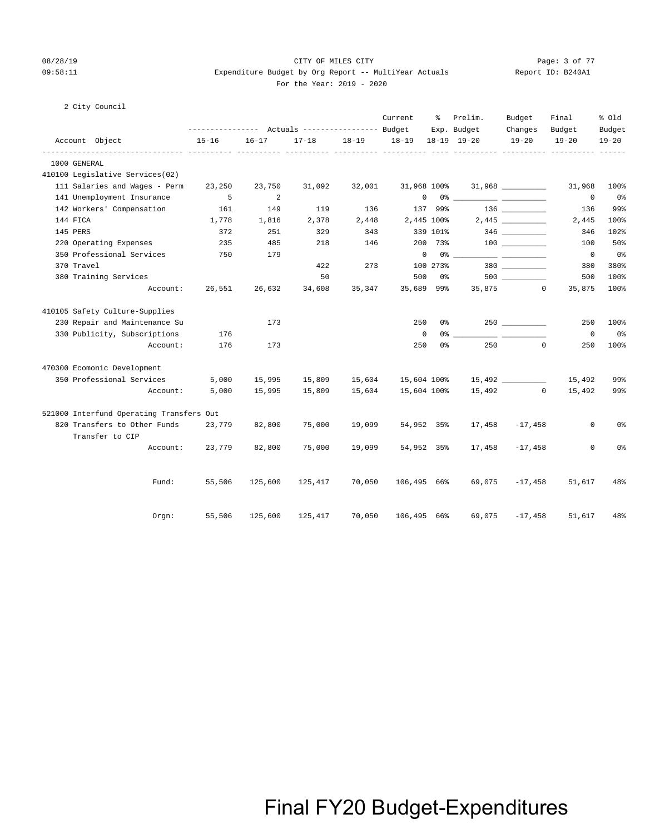### 08/28/19 CITY OF MILES CITY Page: 3 of 77 09:58:11 Expenditure Budget by Org Report -- MultiYear Actuals Report ID: B240A1 For the Year: 2019 - 2020

### 2 City Council

|                                                 |                                                              |           |           |        | Current                 | ៖          | Prelim.                                                                                                                                                                                                                                                                                                                                                            | Budget               | Final               | % old               |
|-------------------------------------------------|--------------------------------------------------------------|-----------|-----------|--------|-------------------------|------------|--------------------------------------------------------------------------------------------------------------------------------------------------------------------------------------------------------------------------------------------------------------------------------------------------------------------------------------------------------------------|----------------------|---------------------|---------------------|
| Account Object                                  | --------------- Actuals ---------------- Budget<br>$15 - 16$ | $16 - 17$ | $17 - 18$ |        | 18-19 18-19             |            | Exp. Budget<br>$18-19$ $19-20$                                                                                                                                                                                                                                                                                                                                     | Changes<br>$19 - 20$ | Budget<br>$19 - 20$ | Budget<br>$19 - 20$ |
| 1000 GENERAL                                    |                                                              |           |           |        | <u>----- ----------</u> |            |                                                                                                                                                                                                                                                                                                                                                                    |                      |                     |                     |
| 410100 Legislative Services(02)                 |                                                              |           |           |        |                         |            |                                                                                                                                                                                                                                                                                                                                                                    |                      |                     |                     |
| 111 Salaries and Wages - Perm                   | 23,250                                                       | 23,750    | 31,092    | 32,001 | 31,968 100%             |            |                                                                                                                                                                                                                                                                                                                                                                    | 31,968               | 31,968              | 100%                |
| 141 Unemployment Insurance                      | 5                                                            | 2         |           |        |                         |            | $\begin{picture}(150,10) \put(0,0){\vector(1,0){100}} \put(15,0){\vector(1,0){100}} \put(15,0){\vector(1,0){100}} \put(15,0){\vector(1,0){100}} \put(15,0){\vector(1,0){100}} \put(15,0){\vector(1,0){100}} \put(15,0){\vector(1,0){100}} \put(15,0){\vector(1,0){100}} \put(15,0){\vector(1,0){100}} \put(15,0){\vector(1,0){100}} \put(15,0){\vector(1,0){100}}$ |                      | $^{\circ}$          | 0%                  |
| 142 Workers' Compensation                       | 161                                                          | 149       | 119       | 136    |                         | 137 99%    |                                                                                                                                                                                                                                                                                                                                                                    |                      | 136                 | 99%                 |
| 144 FICA                                        | 1,778                                                        | 1,816     | 2,378     | 2,448  |                         | 2,445 100% |                                                                                                                                                                                                                                                                                                                                                                    | $2,445$ _________    | 2,445               | 100%                |
| 145 PERS                                        | 372                                                          | 251       | 329       | 343    |                         | 339 101%   |                                                                                                                                                                                                                                                                                                                                                                    |                      | 346                 | 102%                |
| 220 Operating Expenses                          | 235                                                          | 485       | 218       | 146    |                         | 200 73%    |                                                                                                                                                                                                                                                                                                                                                                    |                      | 100                 | 50%                 |
| 350 Professional Services                       | 750                                                          | 179       |           |        | $\mathbf 0$             |            |                                                                                                                                                                                                                                                                                                                                                                    |                      | $\overline{0}$      | 0%                  |
| 370 Travel                                      |                                                              |           | 422       | 273    |                         | 100 273%   |                                                                                                                                                                                                                                                                                                                                                                    | 380 380              | 380                 | 380%                |
| 380 Training Services                           |                                                              |           | 50        |        | 500                     | 0 %        |                                                                                                                                                                                                                                                                                                                                                                    |                      | 500                 | 100%                |
| Account:                                        | 26,551                                                       | 26,632    | 34,608    | 35,347 | 35,689 99%              |            |                                                                                                                                                                                                                                                                                                                                                                    | 35,875 0             | 35,875              | 100%                |
| 410105 Safety Culture-Supplies                  |                                                              |           |           |        |                         |            |                                                                                                                                                                                                                                                                                                                                                                    |                      |                     |                     |
| 230 Repair and Maintenance Su                   |                                                              | 173       |           |        | 250                     | 0 %        |                                                                                                                                                                                                                                                                                                                                                                    | 250                  | 250                 | 100%                |
| 330 Publicity, Subscriptions                    | 176                                                          |           |           |        | $\mathbf 0$             | 0 %        |                                                                                                                                                                                                                                                                                                                                                                    |                      | $\overline{0}$      | 0%                  |
| Account:                                        | 176                                                          | 173       |           |        | 250                     | 0%         | 250                                                                                                                                                                                                                                                                                                                                                                | $\mathbf 0$          | 250                 | 100%                |
| 470300 Ecomonic Development                     |                                                              |           |           |        |                         |            |                                                                                                                                                                                                                                                                                                                                                                    |                      |                     |                     |
| 350 Professional Services                       | 5,000                                                        | 15,995    | 15,809    | 15,604 | 15,604 100%             |            |                                                                                                                                                                                                                                                                                                                                                                    |                      | 15,492              | 99%                 |
| Account:                                        | 5,000                                                        | 15,995    | 15,809    | 15,604 | 15,604 100%             |            |                                                                                                                                                                                                                                                                                                                                                                    | 15,492 0             | 15,492              | 99%                 |
| 521000 Interfund Operating Transfers Out        |                                                              |           |           |        |                         |            |                                                                                                                                                                                                                                                                                                                                                                    |                      |                     |                     |
| 820 Transfers to Other Funds<br>Transfer to CIP | 23,779                                                       | 82,800    | 75,000    | 19,099 | 54,952 35%              |            | 17,458                                                                                                                                                                                                                                                                                                                                                             | $-17,458$            | $\mathbf 0$         | 0%                  |
| Account:                                        | 23,779                                                       | 82,800    | 75,000    | 19,099 | 54,952 35%              |            | 17,458                                                                                                                                                                                                                                                                                                                                                             | $-17,458$            | 0                   | 0%                  |
|                                                 |                                                              |           |           |        |                         |            |                                                                                                                                                                                                                                                                                                                                                                    |                      |                     |                     |
| Fund:                                           | 55,506                                                       | 125,600   | 125,417   | 70,050 | 106,495 66%             |            | 69,075                                                                                                                                                                                                                                                                                                                                                             | $-17,458$            | 51,617              | 48%                 |
| Orgn:                                           | 55,506                                                       | 125,600   | 125,417   | 70,050 | 106,495                 | 66%        | 69,075                                                                                                                                                                                                                                                                                                                                                             | $-17,458$            | 51,617              | 48%                 |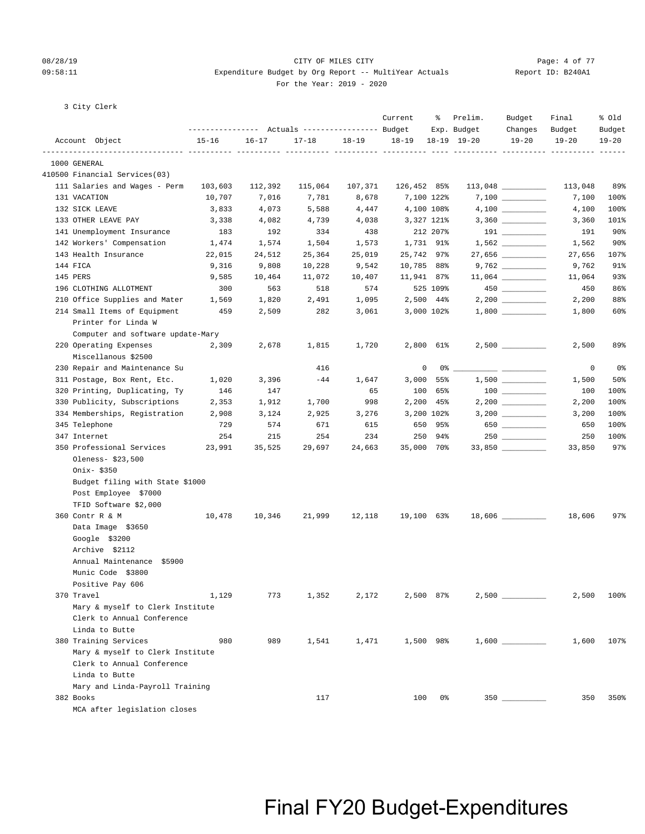### 08/28/19 CITY OF MILES CITY Page: 4 of 77 09:58:11 Expenditure Budget by Org Report -- MultiYear Actuals Report ID: B240A1 For the Year: 2019 - 2020

3 City Clerk

|                                                      |           |           | --------------- Actuals ---------------- Budget |           | Current     | ိ           | Prelim.<br>Exp. Budget | Budget<br>Changes                      | Final<br>Budget | % old<br>Budget   |
|------------------------------------------------------|-----------|-----------|-------------------------------------------------|-----------|-------------|-------------|------------------------|----------------------------------------|-----------------|-------------------|
| Account Object                                       | $15 - 16$ | $16 - 17$ | $17 - 18$                                       | $18 - 19$ | $18 - 19$   |             | $18-19$ $19-20$        | $19 - 20$                              | $19 - 20$       | $19 - 20$         |
| --------------- ---------- ---------<br>1000 GENERAL |           |           |                                                 |           |             |             |                        |                                        |                 |                   |
| 410500 Financial Services(03)                        |           |           |                                                 |           |             |             |                        |                                        |                 |                   |
| 111 Salaries and Wages - Perm                        | 103,603   | 112,392   | 115,064                                         | 107,371   | 126,452 85% |             |                        | $113,048$ _________                    | 113,048         | 89%               |
| 131 VACATION                                         | 10,707    | 7,016     | 7,781                                           | 8,678     |             | 7,100 122%  |                        |                                        | 7,100           | 100%              |
| 132 SICK LEAVE                                       | 3,833     | 4,073     | 5,588                                           | 4,447     | 4,100 108%  |             |                        | $4,100$ _________                      | 4,100           | 100%              |
| 133 OTHER LEAVE PAY                                  | 3,338     | 4,082     | 4,739                                           | 4,038     |             | 3,327 121%  |                        |                                        | 3,360           | 101%              |
| 141 Unemployment Insurance                           | 183       | 192       | 334                                             | 438       |             | 212 207%    |                        |                                        | 191             | $90\%$            |
| 142 Workers' Compensation                            | 1,474     | 1,574     | 1,504                                           | 1,573     | 1,731 91%   |             |                        |                                        | 1,562           | $90\%$            |
| 143 Health Insurance                                 | 22,015    | 24,512    | 25,364                                          | 25,019    | 25,742 97%  |             |                        |                                        | 27,656          | 107%              |
| 144 FICA                                             | 9,316     | 9,808     | 10,228                                          | 9,542     | 10,785 88%  |             |                        |                                        | 9,762           | 91%               |
| 145 PERS                                             | 9,585     | 10,464    | 11,072                                          | 10,407    | 11,941 87%  |             |                        | $11,064$ __________                    | 11,064          | 93%               |
| 196 CLOTHING ALLOTMENT                               | 300       | 563       | 518                                             | 574       |             | 525 109%    |                        | $450$ ________                         | 450             | 86%               |
| 210 Office Supplies and Mater                        | 1,569     | 1,820     | 2,491                                           | 1,095     |             | 2,500 44%   |                        | $2,200$ _________                      | 2,200           | 88%               |
| 214 Small Items of Equipment                         | 459       | 2,509     | 282                                             | 3,061     |             | 3,000 102%  |                        |                                        | 1,800           | 60%               |
| Printer for Linda W                                  |           |           |                                                 |           |             |             |                        |                                        |                 |                   |
| Computer and software update-Mary                    |           |           |                                                 |           |             |             |                        |                                        |                 |                   |
| 220 Operating Expenses                               | 2,309     | 2,678     | 1,815                                           | 1,720     |             | 2,800 61%   |                        | $2,500$ __________                     | 2,500           | 89%               |
| Miscellanous \$2500                                  |           |           |                                                 |           |             |             |                        |                                        |                 |                   |
| 230 Repair and Maintenance Su                        |           |           | 416                                             |           | 0           |             | $0\%$ __               |                                        | 0               | 0%                |
| 311 Postage, Box Rent, Etc.                          | 1,020     | 3,396     | $-44$                                           | 1,647     |             | $3,000$ 55% |                        | $1,500$ _________                      | 1,500           | 50%               |
| 320 Printing, Duplicating, Ty                        | 146       | 147       |                                                 | 65        | 100         | 65%         |                        | $\begin{tabular}{c} 100 \end{tabular}$ | 100             | 100%              |
| 330 Publicity, Subscriptions                         | 2,353     | 1,912     | 1,700                                           | 998       |             | $2,200$ 45% |                        |                                        | 2,200           | 100%              |
| 334 Memberships, Registration                        | 2,908     | 3,124     | 2,925                                           | 3,276     |             | 3,200 102%  |                        |                                        | 3,200           | 100%              |
| 345 Telephone                                        | 729       | 574       | 671                                             | 615       |             | 650 95%     |                        | 650                                    | 650             | 100%              |
| 347 Internet                                         | 254       | 215       | 254                                             | 234       |             | 250 94%     |                        | $250$ ________                         | 250             | 100%              |
| 350 Professional Services                            | 23,991    | 35,525    | 29,697                                          | 24,663    | 35,000 70%  |             |                        | $33,850$ __________                    | 33,850          | 97%               |
| Oleness- \$23,500                                    |           |           |                                                 |           |             |             |                        |                                        |                 |                   |
| Onix- \$350                                          |           |           |                                                 |           |             |             |                        |                                        |                 |                   |
| Budget filing with State \$1000                      |           |           |                                                 |           |             |             |                        |                                        |                 |                   |
| Post Employee \$7000                                 |           |           |                                                 |           |             |             |                        |                                        |                 |                   |
| TFID Software \$2,000                                |           |           |                                                 |           |             |             |                        |                                        |                 |                   |
| 360 Contr R & M                                      | 10,478    | 10,346    | 21,999                                          | 12,118    | 19,100 63%  |             |                        |                                        | 18,606          | $97$ <sup>8</sup> |
| Data Image \$3650                                    |           |           |                                                 |           |             |             |                        |                                        |                 |                   |
| Google \$3200                                        |           |           |                                                 |           |             |             |                        |                                        |                 |                   |
| Archive \$2112                                       |           |           |                                                 |           |             |             |                        |                                        |                 |                   |
| Annual Maintenance \$5900                            |           |           |                                                 |           |             |             |                        |                                        |                 |                   |
| Munic Code \$3800                                    |           |           |                                                 |           |             |             |                        |                                        |                 |                   |
| Positive Pay 606                                     |           |           |                                                 |           |             |             |                        |                                        |                 |                   |
| 370 Travel                                           | 1,129     | 773       | 1,352                                           | 2,172     |             | 2,500 87%   |                        |                                        | 2,500           | 100%              |
| Mary & myself to Clerk Institute                     |           |           |                                                 |           |             |             |                        |                                        |                 |                   |
| Clerk to Annual Conference                           |           |           |                                                 |           |             |             |                        |                                        |                 |                   |
| Linda to Butte                                       |           |           |                                                 |           |             |             |                        |                                        |                 |                   |
| 380 Training Services                                | 980       | 989       | 1,541                                           | 1,471     |             | 1,500 98%   |                        |                                        | 1,600           | 107%              |
| Mary & myself to Clerk Institute                     |           |           |                                                 |           |             |             |                        |                                        |                 |                   |
| Clerk to Annual Conference                           |           |           |                                                 |           |             |             |                        |                                        |                 |                   |
| Linda to Butte                                       |           |           |                                                 |           |             |             |                        |                                        |                 |                   |
| Mary and Linda-Payroll Training                      |           |           |                                                 |           |             |             |                        |                                        |                 |                   |
| 382 Books                                            |           |           | 117                                             |           | 100         | 0%          |                        | $350$ ________                         | 350             | 350%              |
| MCA after legislation closes                         |           |           |                                                 |           |             |             |                        |                                        |                 |                   |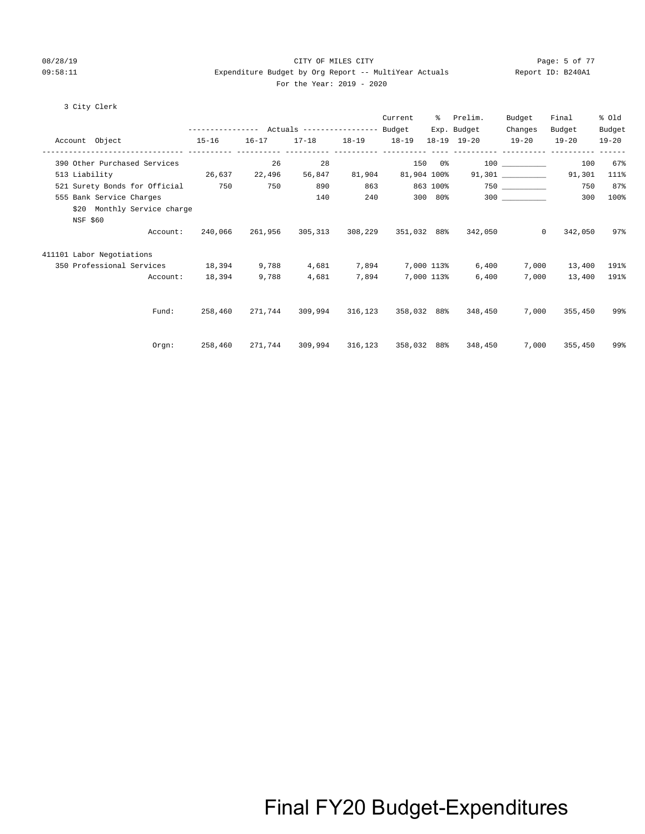### 08/28/19 CITY OF MILES CITY Page: 5 of 77 09:58:11 Expenditure Budget by Org Report -- MultiYear Actuals Report ID: B240A1 For the Year: 2019 - 2020

### 3 City Clerk

|                                   |                                                 |           |                                     |             | Current     | ႜႜ          | Prelim.                     | Budget       | Final                                | % old     |
|-----------------------------------|-------------------------------------------------|-----------|-------------------------------------|-------------|-------------|-------------|-----------------------------|--------------|--------------------------------------|-----------|
|                                   | --------------- Actuals ---------------- Budget |           |                                     |             |             |             | Exp. Budget                 | Changes      | Budget                               | Budget    |
| Account Object<br>$15-16$         |                                                 | $16 - 17$ | $17 - 18$                           | 18-19 18-19 |             |             | 18-19 19-20                 | $19 - 20$    | $19 - 20$                            | $19 - 20$ |
| 390 Other Purchased Services      |                                                 | 26        | 28                                  |             |             |             | 150 0%                      |              | ----------- ---------- ------<br>100 | 67%       |
| 513 Liability<br>26,637 22,496    |                                                 |           | 56,847                              | 81,904      |             | 81,904 100% |                             |              | 91,301                               | 111%      |
| 521 Surety Bonds for Official 750 |                                                 | 750       | 890                                 | 863         |             | 863 100%    |                             |              | 750                                  | 87%       |
| 555 Bank Service Charges          |                                                 |           | 140                                 | 240         |             |             | 300 80% 300                 |              | 300                                  | 100%      |
| \$20 Monthly Service charge       |                                                 |           |                                     |             |             |             |                             |              |                                      |           |
| NSF \$60                          |                                                 |           |                                     |             |             |             |                             |              |                                      |           |
| Account:                          | 240,066                                         |           | 261,956 305,313 308,229 351,032 88% |             |             |             | 342,050                     | $\mathbf{0}$ | 342,050                              | 97%       |
| 411101 Labor Negotiations         |                                                 |           |                                     |             |             |             |                             |              |                                      |           |
| 350 Professional Services 18,394  |                                                 | 9,788     | 4,681                               | 7,894       | 7,000 113%  |             | 6,400                       | 7,000        | 13,400                               | 191%      |
| Account:                          | 18,394                                          | 9,788     | 4,681                               | 7,894       |             | 7,000 113%  | 6,400                       | 7,000        | 13,400                               | 191%      |
|                                   |                                                 |           |                                     |             |             |             |                             |              |                                      |           |
| Fund:                             | 258,460                                         |           | 271,744 309,994                     |             |             |             | 316,123 358,032 88% 348,450 | 7,000        | 355,450                              | 99%       |
|                                   |                                                 |           |                                     |             |             |             |                             |              |                                      |           |
| Orgn:                             | 258,460                                         |           | 271,744 309,994                     | 316,123     | 358,032 88% |             | 348,450                     | 7,000        | 355,450                              | 99%       |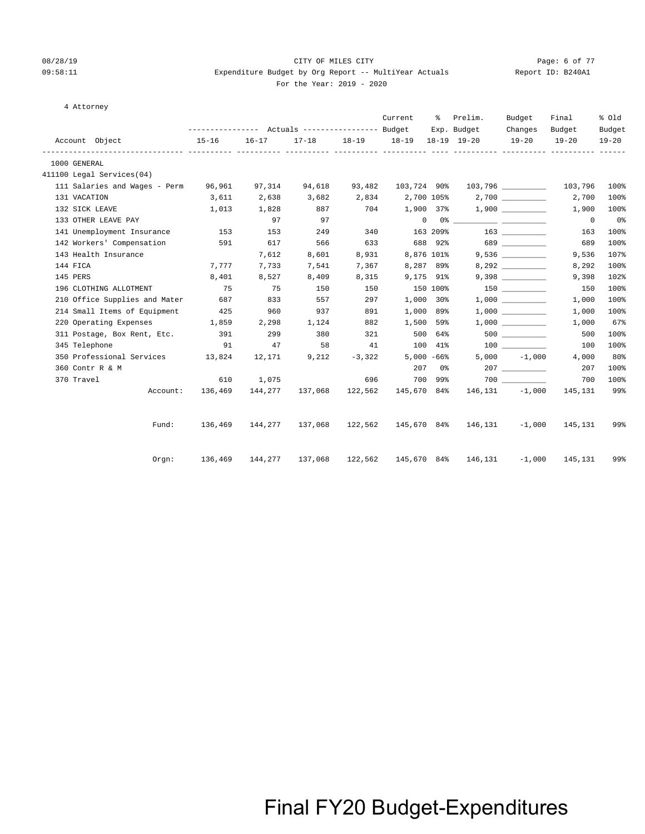$4$ 

#### 08/28/19 CITY OF MILES CITY Page: 6 of 77 09:58:11 Expenditure Budget by Org Report -- MultiYear Actuals Report ID: B240A1 For the Year: 2019 - 2020

| Attornev |  |
|----------|--|
|----------|--|

|                                      | --------------- Actuals ---------------- Budget                    |           |                         |       | Current                       | ႜၟ         | Prelim.                                                                                                                                                                                                                                                                                                                                                            | Budget               | Final               | % Old               |
|--------------------------------------|--------------------------------------------------------------------|-----------|-------------------------|-------|-------------------------------|------------|--------------------------------------------------------------------------------------------------------------------------------------------------------------------------------------------------------------------------------------------------------------------------------------------------------------------------------------------------------------------|----------------------|---------------------|---------------------|
| Account Object                       | $15 - 16$                                                          | $16 - 17$ |                         |       | 17-18 18-19 18-19 18-19 19-20 |            | Exp. Budget                                                                                                                                                                                                                                                                                                                                                        | Changes<br>$19 - 20$ | Budget<br>$19 - 20$ | Budget<br>$19 - 20$ |
| 1000 GENERAL                         |                                                                    |           |                         |       |                               |            |                                                                                                                                                                                                                                                                                                                                                                    |                      |                     |                     |
| 411100 Legal Services(04)            |                                                                    |           |                         |       |                               |            |                                                                                                                                                                                                                                                                                                                                                                    |                      |                     |                     |
| 111 Salaries and Wages - Perm 96,961 |                                                                    | 97,314    | 94,618                  |       | 93,482 103,724 90%            |            |                                                                                                                                                                                                                                                                                                                                                                    |                      | 103,796             | 100%                |
| 131 VACATION                         | 3,611                                                              | 2,638     | 3,682                   |       |                               |            | $2,834$ $2,700$ $105%$ $2,700$ $\_\_$                                                                                                                                                                                                                                                                                                                              |                      | 2,700               | 100%                |
| 132 SICK LEAVE                       | 1,013                                                              | 1,828     | 887                     | 704   |                               |            | $1,900$ 37% $1,900$ <u>_____________</u>                                                                                                                                                                                                                                                                                                                           |                      | 1,900               | 100%                |
| 133 OTHER LEAVE PAY                  |                                                                    | 97        | 97                      |       |                               |            | $\begin{picture}(180,10) \put(0,0){\vector(1,0){100}} \put(10,0){\vector(1,0){100}} \put(10,0){\vector(1,0){100}} \put(10,0){\vector(1,0){100}} \put(10,0){\vector(1,0){100}} \put(10,0){\vector(1,0){100}} \put(10,0){\vector(1,0){100}} \put(10,0){\vector(1,0){100}} \put(10,0){\vector(1,0){100}} \put(10,0){\vector(1,0){100}} \put(10,0){\vector(1,0){100}}$ |                      | $\overline{0}$      | 0%                  |
| 141 Unemployment Insurance           | 153                                                                | 153       | 249                     | 340   |                               |            | $163209$ $163$ $163$                                                                                                                                                                                                                                                                                                                                               |                      | 163                 | 100%                |
| 142 Workers' Compensation 591        |                                                                    | 617       | 566                     | 633   |                               |            | 688 92% 689                                                                                                                                                                                                                                                                                                                                                        |                      | 689                 | 100%                |
| 143 Health Insurance                 |                                                                    | 7,612     | 8,601                   | 8,931 |                               | 8,876 101% |                                                                                                                                                                                                                                                                                                                                                                    |                      | 9,536               | 107%                |
| 144 FICA                             | 7,777                                                              | 7,733     | 7,541                   | 7,367 | 8,287 89%                     |            |                                                                                                                                                                                                                                                                                                                                                                    |                      | 8,292               | 100%                |
| 145 PERS                             | 8,401                                                              | 8,527     | 8,409                   | 8,315 | 9,175 91%                     |            |                                                                                                                                                                                                                                                                                                                                                                    | 9,398                | 9,398               | 102%                |
| 196 CLOTHING ALLOTMENT               | 75                                                                 | 75        | 150                     | 150   | 150 100%                      |            |                                                                                                                                                                                                                                                                                                                                                                    |                      | 150                 | 100%                |
| 210 Office Supplies and Mater 687    |                                                                    | 833       | 557                     | 297   |                               | 1,000 30%  |                                                                                                                                                                                                                                                                                                                                                                    | 1,000                | 1,000               | 100%                |
| 214 Small Items of Equipment 425     |                                                                    | 960       | 937                     | 891   |                               | 1,000 89%  |                                                                                                                                                                                                                                                                                                                                                                    |                      | 1,000               | 100%                |
| 220 Operating Expenses 1,859         |                                                                    | 2,298     | 1,124                   | 882   | 1,500 59%                     |            |                                                                                                                                                                                                                                                                                                                                                                    |                      | 1,000               | 67%                 |
| 311 Postage, Box Rent, Etc. 391      |                                                                    | 299       | 380                     | 321   | 500 64%                       |            |                                                                                                                                                                                                                                                                                                                                                                    |                      | 500                 | 100%                |
| 345 Telephone                        | 91                                                                 | 47        | 58                      |       |                               |            |                                                                                                                                                                                                                                                                                                                                                                    |                      | 100                 | 100%                |
| 350 Professional Services 13,824     |                                                                    | 12,171    | 9,212                   |       | $-3,322$ 5,000 $-66\%$        |            |                                                                                                                                                                                                                                                                                                                                                                    | $5,000 -1,000$       | 4,000               | 80%                 |
| 360 Contr R & M                      |                                                                    |           |                         |       |                               | 207 0%     |                                                                                                                                                                                                                                                                                                                                                                    |                      | 207                 | 100%                |
| 370 Travel                           | 610                                                                | 1,075     |                         |       | 696 700                       |            | 700 99%                                                                                                                                                                                                                                                                                                                                                            |                      | 700                 | 100%                |
|                                      | Account: 136,469                                                   |           | 144,277 137,068 122,562 |       |                               |            | 145,670 84% 146,131 -1,000 145,131                                                                                                                                                                                                                                                                                                                                 |                      |                     | 99%                 |
| Fund:                                | 136,469                                                            |           |                         |       |                               |            | $144,277$ $137,068$ $122,562$ $145,670$ $84\%$ $146,131$ $-1,000$                                                                                                                                                                                                                                                                                                  |                      | 145,131             | 99%                 |
| $0$ rqn:                             | 136,469 144,277 137,068 122,562 145,670 84% 146,131 -1,000 145,131 |           |                         |       |                               |            |                                                                                                                                                                                                                                                                                                                                                                    |                      |                     | 99%                 |
|                                      |                                                                    |           |                         |       |                               |            |                                                                                                                                                                                                                                                                                                                                                                    |                      |                     |                     |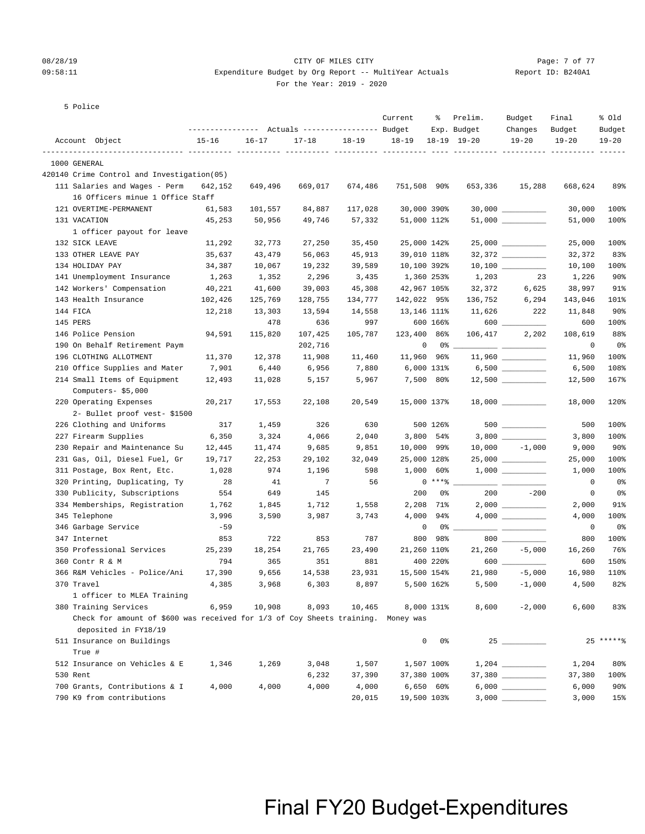### 08/28/19 CITY OF MILES CITY Page: 7 of 77 09:58:11 Expenditure Budget by Org Report -- MultiYear Actuals Report ID: B240A1

For the Year: 2019 - 2020

|          | 5 Police                                                                                                 |           |           |                                                 |           |             |                |                        |                      |                 |                 |
|----------|----------------------------------------------------------------------------------------------------------|-----------|-----------|-------------------------------------------------|-----------|-------------|----------------|------------------------|----------------------|-----------------|-----------------|
|          |                                                                                                          |           |           | --------------- Actuals ---------------- Budget |           | Current     | ႜ              | Prelim.<br>Exp. Budget | Budget<br>Changes    | Final<br>Budget | % old<br>Budget |
|          | Account Object                                                                                           | $15 - 16$ | $16 - 17$ | $17 - 18$                                       | $18 - 19$ | $18 - 19$   |                | $18-19$ $19-20$        | $19 - 20$            | $19 - 20$       | $19 - 20$       |
|          | 1000 GENERAL                                                                                             |           |           |                                                 |           |             |                |                        |                      |                 |                 |
|          | 420140 Crime Control and Investigation(05)                                                               |           |           |                                                 |           |             |                |                        |                      |                 |                 |
|          | 111 Salaries and Wages - Perm                                                                            | 642,152   | 649,496   | 669,017                                         | 674,486   | 751,508 90% |                | 653,336                | 15,288               | 668,624         | 89%             |
|          | 16 Officers minue 1 Office Staff                                                                         |           |           |                                                 |           |             |                |                        |                      |                 |                 |
|          | 121 OVERTIME-PERMANENT                                                                                   | 61,583    | 101,557   | 84,887                                          | 117,028   | 30,000 390% |                |                        | $30,000$ ___________ | 30,000          | 100%            |
|          | 131 VACATION                                                                                             | 45,253    | 50,956    | 49,746                                          | 57,332    | 51,000 112% |                |                        | 51,000               | 51,000          | 100%            |
|          | 1 officer payout for leave                                                                               |           |           |                                                 |           |             |                |                        |                      |                 |                 |
|          | 132 SICK LEAVE                                                                                           | 11,292    | 32,773    | 27,250                                          | 35,450    | 25,000 142% |                |                        | $25,000$ __________  | 25,000          | 100%            |
|          | 133 OTHER LEAVE PAY                                                                                      | 35,637    | 43,479    | 56,063                                          | 45,913    | 39,010 118% |                |                        | $32,372$ __________  | 32,372          | 83%             |
|          | 134 HOLIDAY PAY                                                                                          | 34,387    | 10,067    | 19,232                                          | 39,589    | 10,100 392% |                |                        | $10,100$ ________    | 10,100          | 100%            |
|          | 141 Unemployment Insurance                                                                               | 1,263     | 1,352     | 2,296                                           | 3,435     | 1,360 253%  |                | 1,203                  | 23                   | 1,226           | $90\%$          |
|          | 142 Workers' Compensation                                                                                | 40,221    | 41,600    | 39,003                                          | 45,308    | 42,967 105% |                | 32,372                 | 6,625                | 38,997          | 91%             |
|          | 143 Health Insurance                                                                                     | 102,426   | 125,769   | 128,755                                         | 134,777   | 142,022 95% |                | 136,752                | 6,294                | 143,046         | 101%            |
| 144 FICA |                                                                                                          | 12,218    | 13,303    | 13,594                                          | 14,558    | 13,146 111% |                |                        | 11,626 222           | 11,848          | $90\%$          |
| 145 PERS |                                                                                                          |           | 478       | 636                                             | 997       |             | 600 166%       |                        |                      | 600             | 100%            |
|          | 146 Police Pension                                                                                       | 94,591    | 115,820   | 107,425                                         | 105,787   | 123,400 86% |                | 106,417                | 2,202                | 108,619         | 88%             |
|          | 190 On Behalf Retirement Paym                                                                            |           |           | 202,716                                         |           |             | $\mathbf 0$    |                        |                      | 0               | 0%              |
|          | 196 CLOTHING ALLOTMENT                                                                                   | 11,370    | 12,378    | 11,908                                          | 11,460    | 11,960 96%  |                |                        | $11,960$ _________   | 11,960          | 100%            |
|          | 210 Office Supplies and Mater                                                                            | 7,901     | 6,440     | 6,956                                           | 7,880     |             | 6,000 131%     |                        |                      | 6,500           | 108%            |
|          | 214 Small Items of Equipment                                                                             | 12,493    | 11,028    | 5,157                                           | 5,967     |             | 7,500 80%      |                        |                      | 12,500          | 167%            |
|          | Computers-\$5,000                                                                                        |           |           |                                                 |           |             |                |                        |                      |                 |                 |
|          | 220 Operating Expenses                                                                                   | 20,217    | 17,553    | 22,108                                          | 20,549    | 15,000 137% |                |                        |                      | 18,000          | 120%            |
|          | 2- Bullet proof vest- \$1500                                                                             |           |           |                                                 |           |             |                |                        |                      |                 |                 |
|          | 226 Clothing and Uniforms                                                                                | 317       | 1,459     | 326                                             | 630       |             | 500 126%       |                        |                      | 500             | 100%            |
|          | 227 Firearm Supplies                                                                                     | 6,350     | 3,324     | 4,066                                           | 2,040     |             | 3,800 54%      |                        |                      | 3,800           | 100%            |
|          | 230 Repair and Maintenance Su                                                                            | 12,445    | 11,474    | 9,685                                           | 9,851     | 10,000 99%  |                |                        | $10,000 -1,000$      | 9,000           | $90\%$          |
|          | 231 Gas, Oil, Diesel Fuel, Gr                                                                            | 19,717    | 22,253    | 29,102                                          | 32,049    | 25,000 128% |                |                        | $25,000$ __________  | 25,000          | 100%            |
|          | 311 Postage, Box Rent, Etc.                                                                              | 1,028     | 974       | 1,196                                           | 598       |             | $1,000$ 60%    |                        |                      | 1,000           | 100%            |
|          | 320 Printing, Duplicating, Ty                                                                            | 28        | 41        | 7                                               | 56        |             | $0***8$        |                        |                      | 0               | 0%              |
|          | 330 Publicity, Subscriptions                                                                             | 554       | 649       | 145                                             |           | 200         | 0%             | 200                    | $-200$               | 0               | 0%              |
|          | 334 Memberships, Registration                                                                            | 1,762     | 1,845     | 1,712                                           | 1,558     |             | 2,208 71%      |                        |                      | 2,000           | 91%             |
|          | 345 Telephone                                                                                            | 3,996     | 3,590     | 3,987                                           | 3,743     | 4,000       | 94%            |                        |                      | 4,000           | 100%            |
|          | 346 Garbage Service                                                                                      | $-59$     |           |                                                 |           | 0           | 0%             |                        |                      | 0               | 0%              |
|          | 347 Internet                                                                                             | 853       | 722       | 853                                             | 787       | 800         | 98%            |                        |                      | 800             | 100%            |
|          | 350 Professional Services                                                                                | 25,239    | 18,254    | 21,765                                          | 23,490    | 21,260 110% |                | 21,260                 | $-5,000$             | 16,260          | 76%             |
|          | 360 Contr R & M                                                                                          | 794       | 365       | 351                                             | 881       |             | 400 220%       | 600                    |                      | 600             | 150%            |
|          | 366 R&M Vehicles - Police/Ani                                                                            | 17,390    | 9,656     | 14,538                                          | 23,931    | 15,500 154% |                |                        | $21,980 -5,000$      | 16,980          | 110%            |
|          | 370 Travel                                                                                               | 4,385     | 3,968     | 6,303                                           | 8,897     |             | 5,500 162%     | 5,500                  | $-1,000$             | 4,500           | 82%             |
|          | 1 officer to MLEA Training                                                                               |           |           |                                                 |           |             |                |                        |                      |                 |                 |
|          | 380 Training Services                                                                                    | 6,959     | 10,908    | 8,093                                           | 10,465    |             | 8,000 131%     | 8,600                  | $-2,000$             | 6,600           | 83%             |
|          | Check for amount of \$600 was received for 1/3 of Coy Sheets training. Money was<br>deposited in FY18/19 |           |           |                                                 |           |             |                |                        |                      |                 |                 |
|          | 511 Insurance on Buildings                                                                               |           |           |                                                 |           | 0           | 0%             |                        |                      |                 | $25*****$       |
|          | True #                                                                                                   |           |           |                                                 |           |             |                |                        |                      |                 |                 |
|          | 512 Insurance on Vehicles & E                                                                            | 1,346     | 1,269     | 3,048                                           | 1,507     |             | 1,507 100%     |                        |                      | 1,204           | 80%             |
| 530 Rent |                                                                                                          |           |           | 6,232                                           | 37,390    | 37,380 100% |                |                        |                      | 37,380          | 100%            |
|          | 700 Grants, Contributions & I                                                                            | 4,000     | 4,000     | 4,000                                           | 4,000     |             | $6,650$ $60\%$ |                        |                      | 6,000           | $90\%$          |
|          | 790 K9 from contributions                                                                                |           |           |                                                 | 20,015    | 19,500 103% |                |                        |                      | 3,000           | 15%             |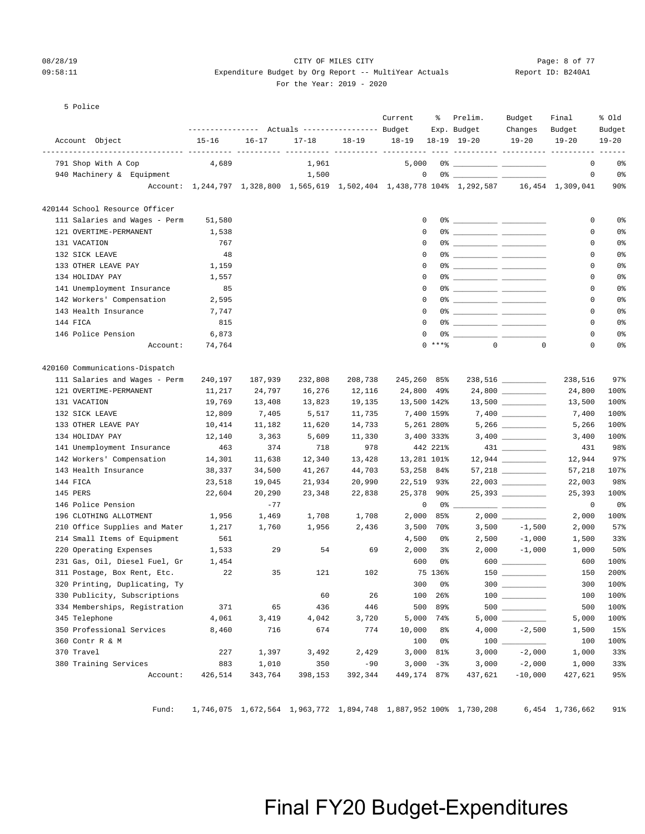5 Police

#### 08/28/19 CITY OF MILES CITY Page: 8 of 77 09:58:11 Expenditure Budget by Org Report -- MultiYear Actuals Report ID: B240A1 For the Year: 2019 - 2020

Account Object 15-16 16-17 17-18 18-19 18-19 18-19 19-20 19-20 19-20 19-20

---------------- Actuals ----------------- Budget Exp. Budget Changes Budget Budget

Current % Prelim. Budget Final % Old

| 791 Shop With A Cop<br>4,689<br>1,961<br>5,000<br>$\mathbf 0$<br>$0$ $\frac{1}{2}$ $\frac{1}{2}$ $\frac{1}{2}$ $\frac{1}{2}$ $\frac{1}{2}$ $\frac{1}{2}$ $\frac{1}{2}$ $\frac{1}{2}$ $\frac{1}{2}$ $\frac{1}{2}$ $\frac{1}{2}$ $\frac{1}{2}$ $\frac{1}{2}$ $\frac{1}{2}$ $\frac{1}{2}$ $\frac{1}{2}$ $\frac{1}{2}$ $\frac{1}{2}$ $\frac{1}{2}$ $\frac{1}{2}$ $\frac{1}{2}$ $\frac{1}{2$<br>940 Machinery & Equipment<br>1,500<br>$\mathsf 0$<br>$\circ$<br>Account: 1,244,797 1,328,800 1,565,619 1,502,404 1,438,778 104% 1,292,587 16,454 1,309,041<br>420144 School Resource Officer<br>111 Salaries and Wages - Perm<br>51,580<br>0<br>$\mathbf 0$<br>$\Omega$<br>121 OVERTIME-PERMANENT<br>1,538<br>$\mathbf 0$<br>$\Omega$<br>131 VACATION<br>767<br>0<br>132 SICK LEAVE<br>48<br>$\mathbf 0$<br>$\mathbf 0$<br>133 OTHER LEAVE PAY<br>1,159<br>$\Omega$<br>0<br>$\mathsf 0$<br>$\mathsf 0$<br>134 HOLIDAY PAY<br>1,557<br>141 Unemployment Insurance<br>85<br>$\mathbf 0$<br>0<br>142 Workers' Compensation<br>$\mathbf 0$<br>2,595<br>0<br>143 Health Insurance<br>$\mathbf 0$<br>$\mathbf 0$<br>7,747<br>144 FICA<br>815<br>$\mathbf 0$<br>$\mathbf 0$<br>146 Police Pension<br>6,873<br>$\mathbf 0$<br>$\mathsf 0$<br>$\mathbf{0}$<br>$0$ *** %<br>$\mathbf 0$<br>$\mathbf 0$<br>74,764<br>Account:<br>420160 Communications-Dispatch<br>111 Salaries and Wages - Perm<br>187,939<br>232,808<br>240,197<br>208,738<br>245,260 85%<br>238,516<br>121 OVERTIME-PERMANENT<br>24,797<br>24,800 49%<br>11,217<br>16,276<br>12,116<br>24,800<br>131 VACATION<br>19,769<br>13,500 142%<br>13,408<br>13,823<br>19,135<br>13,500<br>7,400 159%<br>132 SICK LEAVE<br>12,809<br>7,405<br>5,517<br>11,735<br>7,400<br>133 OTHER LEAVE PAY<br>10,414<br>11,182<br>11,620<br>14,733<br>5,261 280%<br>5,266<br>134 HOLIDAY PAY<br>3,363<br>5,609<br>3,400 333%<br>3,400<br>12,140<br>11,330<br>141 Unemployment Insurance<br>463<br>374<br>718<br>978<br>442 221%<br>431<br>142 Workers' Compensation<br>14,301<br>12,340<br>13,428<br>13,281 101%<br>$12,944$ __________<br>12,944<br>11,638<br>53,258 84%<br>143 Health Insurance<br>38,337<br>34,500<br>41,267<br>44,703<br>57,218<br>144 FICA<br>23,518<br>19,045<br>21,934<br>20,990<br>22,519 93%<br>$22,003$ __________<br>22,003<br>25,378 90%<br>25,393<br>145 PERS<br>22,604<br>20,290<br>23,348<br>22,838<br>25,393<br>$\mathsf 0$<br>146 Police Pension<br>$-77$<br>0%<br>$\mathbf 0$<br>للمساحد<br>196 CLOTHING ALLOTMENT<br>1,956<br>1,469<br>1,708<br>1,708<br>2,000<br>85%<br>2,000<br>210 Office Supplies and Mater<br>3,500<br>$-1,500$<br>1,217<br>1,760<br>1,956<br>2,436<br>3,500<br>70%<br>2,000<br>214 Small Items of Equipment<br>561<br>4,500<br>2,500<br>$-1,000$<br>0%<br>1,500<br>220 Operating Expenses<br>1,533<br>29<br>54<br>69<br>2,000<br>$3\%$<br>2,000<br>$-1,000$<br>1,000<br>1,454<br>600<br>0 <sup>8</sup><br>600<br>231 Gas, Oil, Diesel Fuel, Gr<br>600<br>150 30<br>311 Postage, Box Rent, Etc.<br>35<br>121<br>102<br>75 136%<br>22<br>150<br>320 Printing, Duplicating, Ty<br>300<br>0 <sup>8</sup><br>$300$<br>300<br>26<br>100<br>$100$<br>330 Publicity, Subscriptions<br>60<br>26%<br>100<br>334 Memberships, Registration<br>371<br>446<br>500<br>89%<br>500<br>65<br>436<br>4,061<br>3,419<br>4,042<br>3,720<br>5,000<br>74%<br>345 Telephone<br>5,000<br>774<br>$-2,500$<br>350 Professional Services<br>8,460<br>716<br>674<br>10,000<br>$8\,$<br>4,000<br>1,500<br>100<br>$100$ $-$<br>100<br>360 Contr R & M<br>0%<br>$-2,000$<br>370 Travel<br>227<br>1,397<br>3,492<br>2,429<br>3,000<br>81%<br>3,000<br>1,000<br>380 Training Services<br>883<br>350<br>$-90$<br>3,000<br>$-3%$<br>3,000<br>$-2,000$<br>1,000<br>1,010 |          |         |         |         |         |             |         |           |         |                 |
|----------------------------------------------------------------------------------------------------------------------------------------------------------------------------------------------------------------------------------------------------------------------------------------------------------------------------------------------------------------------------------------------------------------------------------------------------------------------------------------------------------------------------------------------------------------------------------------------------------------------------------------------------------------------------------------------------------------------------------------------------------------------------------------------------------------------------------------------------------------------------------------------------------------------------------------------------------------------------------------------------------------------------------------------------------------------------------------------------------------------------------------------------------------------------------------------------------------------------------------------------------------------------------------------------------------------------------------------------------------------------------------------------------------------------------------------------------------------------------------------------------------------------------------------------------------------------------------------------------------------------------------------------------------------------------------------------------------------------------------------------------------------------------------------------------------------------------------------------------------------------------------------------------------------------------------------------------------------------------------------------------------------------------------------------------------------------------------------------------------------------------------------------------------------------------------------------------------------------------------------------------------------------------------------------------------------------------------------------------------------------------------------------------------------------------------------------------------------------------------------------------------------------------------------------------------------------------------------------------------------------------------------------------------------------------------------------------------------------------------------------------------------------------------------------------------------------------------------------------------------------------------------------------------------------------------------------------------------------------------------------------------------------------------------------------------------------------------------------------------------------------------------------------------------------------------------------------------------------------------------------------------------------------------------------------------------------------------------------------------------------------------------------------------------------------------------------------------------------------------------------------------------------------------------------------------------------------------------------------------------------------------------------------------------------------------------------------------------------|----------|---------|---------|---------|---------|-------------|---------|-----------|---------|-----------------|
|                                                                                                                                                                                                                                                                                                                                                                                                                                                                                                                                                                                                                                                                                                                                                                                                                                                                                                                                                                                                                                                                                                                                                                                                                                                                                                                                                                                                                                                                                                                                                                                                                                                                                                                                                                                                                                                                                                                                                                                                                                                                                                                                                                                                                                                                                                                                                                                                                                                                                                                                                                                                                                                                                                                                                                                                                                                                                                                                                                                                                                                                                                                                                                                                                                                                                                                                                                                                                                                                                                                                                                                                                                                                                                                            |          |         |         |         |         |             |         |           |         | 0 <sub>8</sub>  |
|                                                                                                                                                                                                                                                                                                                                                                                                                                                                                                                                                                                                                                                                                                                                                                                                                                                                                                                                                                                                                                                                                                                                                                                                                                                                                                                                                                                                                                                                                                                                                                                                                                                                                                                                                                                                                                                                                                                                                                                                                                                                                                                                                                                                                                                                                                                                                                                                                                                                                                                                                                                                                                                                                                                                                                                                                                                                                                                                                                                                                                                                                                                                                                                                                                                                                                                                                                                                                                                                                                                                                                                                                                                                                                                            |          |         |         |         |         |             |         |           |         | 0 <sup>o</sup>  |
|                                                                                                                                                                                                                                                                                                                                                                                                                                                                                                                                                                                                                                                                                                                                                                                                                                                                                                                                                                                                                                                                                                                                                                                                                                                                                                                                                                                                                                                                                                                                                                                                                                                                                                                                                                                                                                                                                                                                                                                                                                                                                                                                                                                                                                                                                                                                                                                                                                                                                                                                                                                                                                                                                                                                                                                                                                                                                                                                                                                                                                                                                                                                                                                                                                                                                                                                                                                                                                                                                                                                                                                                                                                                                                                            |          |         |         |         |         |             |         |           |         | 90 <sup>°</sup> |
|                                                                                                                                                                                                                                                                                                                                                                                                                                                                                                                                                                                                                                                                                                                                                                                                                                                                                                                                                                                                                                                                                                                                                                                                                                                                                                                                                                                                                                                                                                                                                                                                                                                                                                                                                                                                                                                                                                                                                                                                                                                                                                                                                                                                                                                                                                                                                                                                                                                                                                                                                                                                                                                                                                                                                                                                                                                                                                                                                                                                                                                                                                                                                                                                                                                                                                                                                                                                                                                                                                                                                                                                                                                                                                                            |          |         |         |         |         |             |         |           |         |                 |
|                                                                                                                                                                                                                                                                                                                                                                                                                                                                                                                                                                                                                                                                                                                                                                                                                                                                                                                                                                                                                                                                                                                                                                                                                                                                                                                                                                                                                                                                                                                                                                                                                                                                                                                                                                                                                                                                                                                                                                                                                                                                                                                                                                                                                                                                                                                                                                                                                                                                                                                                                                                                                                                                                                                                                                                                                                                                                                                                                                                                                                                                                                                                                                                                                                                                                                                                                                                                                                                                                                                                                                                                                                                                                                                            |          |         |         |         |         |             |         |           |         | 0 <sub>8</sub>  |
|                                                                                                                                                                                                                                                                                                                                                                                                                                                                                                                                                                                                                                                                                                                                                                                                                                                                                                                                                                                                                                                                                                                                                                                                                                                                                                                                                                                                                                                                                                                                                                                                                                                                                                                                                                                                                                                                                                                                                                                                                                                                                                                                                                                                                                                                                                                                                                                                                                                                                                                                                                                                                                                                                                                                                                                                                                                                                                                                                                                                                                                                                                                                                                                                                                                                                                                                                                                                                                                                                                                                                                                                                                                                                                                            |          |         |         |         |         |             |         |           |         | 0 <sub>8</sub>  |
|                                                                                                                                                                                                                                                                                                                                                                                                                                                                                                                                                                                                                                                                                                                                                                                                                                                                                                                                                                                                                                                                                                                                                                                                                                                                                                                                                                                                                                                                                                                                                                                                                                                                                                                                                                                                                                                                                                                                                                                                                                                                                                                                                                                                                                                                                                                                                                                                                                                                                                                                                                                                                                                                                                                                                                                                                                                                                                                                                                                                                                                                                                                                                                                                                                                                                                                                                                                                                                                                                                                                                                                                                                                                                                                            |          |         |         |         |         |             |         |           |         | 0%              |
|                                                                                                                                                                                                                                                                                                                                                                                                                                                                                                                                                                                                                                                                                                                                                                                                                                                                                                                                                                                                                                                                                                                                                                                                                                                                                                                                                                                                                                                                                                                                                                                                                                                                                                                                                                                                                                                                                                                                                                                                                                                                                                                                                                                                                                                                                                                                                                                                                                                                                                                                                                                                                                                                                                                                                                                                                                                                                                                                                                                                                                                                                                                                                                                                                                                                                                                                                                                                                                                                                                                                                                                                                                                                                                                            |          |         |         |         |         |             |         |           |         | 0%              |
|                                                                                                                                                                                                                                                                                                                                                                                                                                                                                                                                                                                                                                                                                                                                                                                                                                                                                                                                                                                                                                                                                                                                                                                                                                                                                                                                                                                                                                                                                                                                                                                                                                                                                                                                                                                                                                                                                                                                                                                                                                                                                                                                                                                                                                                                                                                                                                                                                                                                                                                                                                                                                                                                                                                                                                                                                                                                                                                                                                                                                                                                                                                                                                                                                                                                                                                                                                                                                                                                                                                                                                                                                                                                                                                            |          |         |         |         |         |             |         |           |         | 0 <sub>8</sub>  |
|                                                                                                                                                                                                                                                                                                                                                                                                                                                                                                                                                                                                                                                                                                                                                                                                                                                                                                                                                                                                                                                                                                                                                                                                                                                                                                                                                                                                                                                                                                                                                                                                                                                                                                                                                                                                                                                                                                                                                                                                                                                                                                                                                                                                                                                                                                                                                                                                                                                                                                                                                                                                                                                                                                                                                                                                                                                                                                                                                                                                                                                                                                                                                                                                                                                                                                                                                                                                                                                                                                                                                                                                                                                                                                                            |          |         |         |         |         |             |         |           |         | 0%              |
|                                                                                                                                                                                                                                                                                                                                                                                                                                                                                                                                                                                                                                                                                                                                                                                                                                                                                                                                                                                                                                                                                                                                                                                                                                                                                                                                                                                                                                                                                                                                                                                                                                                                                                                                                                                                                                                                                                                                                                                                                                                                                                                                                                                                                                                                                                                                                                                                                                                                                                                                                                                                                                                                                                                                                                                                                                                                                                                                                                                                                                                                                                                                                                                                                                                                                                                                                                                                                                                                                                                                                                                                                                                                                                                            |          |         |         |         |         |             |         |           |         | 0 <sub>8</sub>  |
|                                                                                                                                                                                                                                                                                                                                                                                                                                                                                                                                                                                                                                                                                                                                                                                                                                                                                                                                                                                                                                                                                                                                                                                                                                                                                                                                                                                                                                                                                                                                                                                                                                                                                                                                                                                                                                                                                                                                                                                                                                                                                                                                                                                                                                                                                                                                                                                                                                                                                                                                                                                                                                                                                                                                                                                                                                                                                                                                                                                                                                                                                                                                                                                                                                                                                                                                                                                                                                                                                                                                                                                                                                                                                                                            |          |         |         |         |         |             |         |           |         | 0%              |
|                                                                                                                                                                                                                                                                                                                                                                                                                                                                                                                                                                                                                                                                                                                                                                                                                                                                                                                                                                                                                                                                                                                                                                                                                                                                                                                                                                                                                                                                                                                                                                                                                                                                                                                                                                                                                                                                                                                                                                                                                                                                                                                                                                                                                                                                                                                                                                                                                                                                                                                                                                                                                                                                                                                                                                                                                                                                                                                                                                                                                                                                                                                                                                                                                                                                                                                                                                                                                                                                                                                                                                                                                                                                                                                            |          |         |         |         |         |             |         |           |         | 0%              |
|                                                                                                                                                                                                                                                                                                                                                                                                                                                                                                                                                                                                                                                                                                                                                                                                                                                                                                                                                                                                                                                                                                                                                                                                                                                                                                                                                                                                                                                                                                                                                                                                                                                                                                                                                                                                                                                                                                                                                                                                                                                                                                                                                                                                                                                                                                                                                                                                                                                                                                                                                                                                                                                                                                                                                                                                                                                                                                                                                                                                                                                                                                                                                                                                                                                                                                                                                                                                                                                                                                                                                                                                                                                                                                                            |          |         |         |         |         |             |         |           |         | 0 <sub>8</sub>  |
|                                                                                                                                                                                                                                                                                                                                                                                                                                                                                                                                                                                                                                                                                                                                                                                                                                                                                                                                                                                                                                                                                                                                                                                                                                                                                                                                                                                                                                                                                                                                                                                                                                                                                                                                                                                                                                                                                                                                                                                                                                                                                                                                                                                                                                                                                                                                                                                                                                                                                                                                                                                                                                                                                                                                                                                                                                                                                                                                                                                                                                                                                                                                                                                                                                                                                                                                                                                                                                                                                                                                                                                                                                                                                                                            |          |         |         |         |         |             |         |           |         | 0%              |
|                                                                                                                                                                                                                                                                                                                                                                                                                                                                                                                                                                                                                                                                                                                                                                                                                                                                                                                                                                                                                                                                                                                                                                                                                                                                                                                                                                                                                                                                                                                                                                                                                                                                                                                                                                                                                                                                                                                                                                                                                                                                                                                                                                                                                                                                                                                                                                                                                                                                                                                                                                                                                                                                                                                                                                                                                                                                                                                                                                                                                                                                                                                                                                                                                                                                                                                                                                                                                                                                                                                                                                                                                                                                                                                            |          |         |         |         |         |             |         |           |         | 0%              |
|                                                                                                                                                                                                                                                                                                                                                                                                                                                                                                                                                                                                                                                                                                                                                                                                                                                                                                                                                                                                                                                                                                                                                                                                                                                                                                                                                                                                                                                                                                                                                                                                                                                                                                                                                                                                                                                                                                                                                                                                                                                                                                                                                                                                                                                                                                                                                                                                                                                                                                                                                                                                                                                                                                                                                                                                                                                                                                                                                                                                                                                                                                                                                                                                                                                                                                                                                                                                                                                                                                                                                                                                                                                                                                                            |          |         |         |         |         |             |         |           |         |                 |
|                                                                                                                                                                                                                                                                                                                                                                                                                                                                                                                                                                                                                                                                                                                                                                                                                                                                                                                                                                                                                                                                                                                                                                                                                                                                                                                                                                                                                                                                                                                                                                                                                                                                                                                                                                                                                                                                                                                                                                                                                                                                                                                                                                                                                                                                                                                                                                                                                                                                                                                                                                                                                                                                                                                                                                                                                                                                                                                                                                                                                                                                                                                                                                                                                                                                                                                                                                                                                                                                                                                                                                                                                                                                                                                            |          |         |         |         |         |             |         |           |         | 97%             |
|                                                                                                                                                                                                                                                                                                                                                                                                                                                                                                                                                                                                                                                                                                                                                                                                                                                                                                                                                                                                                                                                                                                                                                                                                                                                                                                                                                                                                                                                                                                                                                                                                                                                                                                                                                                                                                                                                                                                                                                                                                                                                                                                                                                                                                                                                                                                                                                                                                                                                                                                                                                                                                                                                                                                                                                                                                                                                                                                                                                                                                                                                                                                                                                                                                                                                                                                                                                                                                                                                                                                                                                                                                                                                                                            |          |         |         |         |         |             |         |           |         | 100%            |
|                                                                                                                                                                                                                                                                                                                                                                                                                                                                                                                                                                                                                                                                                                                                                                                                                                                                                                                                                                                                                                                                                                                                                                                                                                                                                                                                                                                                                                                                                                                                                                                                                                                                                                                                                                                                                                                                                                                                                                                                                                                                                                                                                                                                                                                                                                                                                                                                                                                                                                                                                                                                                                                                                                                                                                                                                                                                                                                                                                                                                                                                                                                                                                                                                                                                                                                                                                                                                                                                                                                                                                                                                                                                                                                            |          |         |         |         |         |             |         |           |         | 100%            |
|                                                                                                                                                                                                                                                                                                                                                                                                                                                                                                                                                                                                                                                                                                                                                                                                                                                                                                                                                                                                                                                                                                                                                                                                                                                                                                                                                                                                                                                                                                                                                                                                                                                                                                                                                                                                                                                                                                                                                                                                                                                                                                                                                                                                                                                                                                                                                                                                                                                                                                                                                                                                                                                                                                                                                                                                                                                                                                                                                                                                                                                                                                                                                                                                                                                                                                                                                                                                                                                                                                                                                                                                                                                                                                                            |          |         |         |         |         |             |         |           |         | 100%            |
|                                                                                                                                                                                                                                                                                                                                                                                                                                                                                                                                                                                                                                                                                                                                                                                                                                                                                                                                                                                                                                                                                                                                                                                                                                                                                                                                                                                                                                                                                                                                                                                                                                                                                                                                                                                                                                                                                                                                                                                                                                                                                                                                                                                                                                                                                                                                                                                                                                                                                                                                                                                                                                                                                                                                                                                                                                                                                                                                                                                                                                                                                                                                                                                                                                                                                                                                                                                                                                                                                                                                                                                                                                                                                                                            |          |         |         |         |         |             |         |           |         | 100%            |
|                                                                                                                                                                                                                                                                                                                                                                                                                                                                                                                                                                                                                                                                                                                                                                                                                                                                                                                                                                                                                                                                                                                                                                                                                                                                                                                                                                                                                                                                                                                                                                                                                                                                                                                                                                                                                                                                                                                                                                                                                                                                                                                                                                                                                                                                                                                                                                                                                                                                                                                                                                                                                                                                                                                                                                                                                                                                                                                                                                                                                                                                                                                                                                                                                                                                                                                                                                                                                                                                                                                                                                                                                                                                                                                            |          |         |         |         |         |             |         |           |         | 100%            |
|                                                                                                                                                                                                                                                                                                                                                                                                                                                                                                                                                                                                                                                                                                                                                                                                                                                                                                                                                                                                                                                                                                                                                                                                                                                                                                                                                                                                                                                                                                                                                                                                                                                                                                                                                                                                                                                                                                                                                                                                                                                                                                                                                                                                                                                                                                                                                                                                                                                                                                                                                                                                                                                                                                                                                                                                                                                                                                                                                                                                                                                                                                                                                                                                                                                                                                                                                                                                                                                                                                                                                                                                                                                                                                                            |          |         |         |         |         |             |         |           |         | 98%             |
|                                                                                                                                                                                                                                                                                                                                                                                                                                                                                                                                                                                                                                                                                                                                                                                                                                                                                                                                                                                                                                                                                                                                                                                                                                                                                                                                                                                                                                                                                                                                                                                                                                                                                                                                                                                                                                                                                                                                                                                                                                                                                                                                                                                                                                                                                                                                                                                                                                                                                                                                                                                                                                                                                                                                                                                                                                                                                                                                                                                                                                                                                                                                                                                                                                                                                                                                                                                                                                                                                                                                                                                                                                                                                                                            |          |         |         |         |         |             |         |           |         | 97%             |
|                                                                                                                                                                                                                                                                                                                                                                                                                                                                                                                                                                                                                                                                                                                                                                                                                                                                                                                                                                                                                                                                                                                                                                                                                                                                                                                                                                                                                                                                                                                                                                                                                                                                                                                                                                                                                                                                                                                                                                                                                                                                                                                                                                                                                                                                                                                                                                                                                                                                                                                                                                                                                                                                                                                                                                                                                                                                                                                                                                                                                                                                                                                                                                                                                                                                                                                                                                                                                                                                                                                                                                                                                                                                                                                            |          |         |         |         |         |             |         |           |         | 107%            |
|                                                                                                                                                                                                                                                                                                                                                                                                                                                                                                                                                                                                                                                                                                                                                                                                                                                                                                                                                                                                                                                                                                                                                                                                                                                                                                                                                                                                                                                                                                                                                                                                                                                                                                                                                                                                                                                                                                                                                                                                                                                                                                                                                                                                                                                                                                                                                                                                                                                                                                                                                                                                                                                                                                                                                                                                                                                                                                                                                                                                                                                                                                                                                                                                                                                                                                                                                                                                                                                                                                                                                                                                                                                                                                                            |          |         |         |         |         |             |         |           |         | 98%             |
|                                                                                                                                                                                                                                                                                                                                                                                                                                                                                                                                                                                                                                                                                                                                                                                                                                                                                                                                                                                                                                                                                                                                                                                                                                                                                                                                                                                                                                                                                                                                                                                                                                                                                                                                                                                                                                                                                                                                                                                                                                                                                                                                                                                                                                                                                                                                                                                                                                                                                                                                                                                                                                                                                                                                                                                                                                                                                                                                                                                                                                                                                                                                                                                                                                                                                                                                                                                                                                                                                                                                                                                                                                                                                                                            |          |         |         |         |         |             |         |           |         | 100%            |
|                                                                                                                                                                                                                                                                                                                                                                                                                                                                                                                                                                                                                                                                                                                                                                                                                                                                                                                                                                                                                                                                                                                                                                                                                                                                                                                                                                                                                                                                                                                                                                                                                                                                                                                                                                                                                                                                                                                                                                                                                                                                                                                                                                                                                                                                                                                                                                                                                                                                                                                                                                                                                                                                                                                                                                                                                                                                                                                                                                                                                                                                                                                                                                                                                                                                                                                                                                                                                                                                                                                                                                                                                                                                                                                            |          |         |         |         |         |             |         |           |         | 0 <sub>8</sub>  |
|                                                                                                                                                                                                                                                                                                                                                                                                                                                                                                                                                                                                                                                                                                                                                                                                                                                                                                                                                                                                                                                                                                                                                                                                                                                                                                                                                                                                                                                                                                                                                                                                                                                                                                                                                                                                                                                                                                                                                                                                                                                                                                                                                                                                                                                                                                                                                                                                                                                                                                                                                                                                                                                                                                                                                                                                                                                                                                                                                                                                                                                                                                                                                                                                                                                                                                                                                                                                                                                                                                                                                                                                                                                                                                                            |          |         |         |         |         |             |         |           |         | 100%            |
|                                                                                                                                                                                                                                                                                                                                                                                                                                                                                                                                                                                                                                                                                                                                                                                                                                                                                                                                                                                                                                                                                                                                                                                                                                                                                                                                                                                                                                                                                                                                                                                                                                                                                                                                                                                                                                                                                                                                                                                                                                                                                                                                                                                                                                                                                                                                                                                                                                                                                                                                                                                                                                                                                                                                                                                                                                                                                                                                                                                                                                                                                                                                                                                                                                                                                                                                                                                                                                                                                                                                                                                                                                                                                                                            |          |         |         |         |         |             |         |           |         | 57%             |
|                                                                                                                                                                                                                                                                                                                                                                                                                                                                                                                                                                                                                                                                                                                                                                                                                                                                                                                                                                                                                                                                                                                                                                                                                                                                                                                                                                                                                                                                                                                                                                                                                                                                                                                                                                                                                                                                                                                                                                                                                                                                                                                                                                                                                                                                                                                                                                                                                                                                                                                                                                                                                                                                                                                                                                                                                                                                                                                                                                                                                                                                                                                                                                                                                                                                                                                                                                                                                                                                                                                                                                                                                                                                                                                            |          |         |         |         |         |             |         |           |         | 33%             |
|                                                                                                                                                                                                                                                                                                                                                                                                                                                                                                                                                                                                                                                                                                                                                                                                                                                                                                                                                                                                                                                                                                                                                                                                                                                                                                                                                                                                                                                                                                                                                                                                                                                                                                                                                                                                                                                                                                                                                                                                                                                                                                                                                                                                                                                                                                                                                                                                                                                                                                                                                                                                                                                                                                                                                                                                                                                                                                                                                                                                                                                                                                                                                                                                                                                                                                                                                                                                                                                                                                                                                                                                                                                                                                                            |          |         |         |         |         |             |         |           |         | 50%             |
|                                                                                                                                                                                                                                                                                                                                                                                                                                                                                                                                                                                                                                                                                                                                                                                                                                                                                                                                                                                                                                                                                                                                                                                                                                                                                                                                                                                                                                                                                                                                                                                                                                                                                                                                                                                                                                                                                                                                                                                                                                                                                                                                                                                                                                                                                                                                                                                                                                                                                                                                                                                                                                                                                                                                                                                                                                                                                                                                                                                                                                                                                                                                                                                                                                                                                                                                                                                                                                                                                                                                                                                                                                                                                                                            |          |         |         |         |         |             |         |           |         | 100%            |
|                                                                                                                                                                                                                                                                                                                                                                                                                                                                                                                                                                                                                                                                                                                                                                                                                                                                                                                                                                                                                                                                                                                                                                                                                                                                                                                                                                                                                                                                                                                                                                                                                                                                                                                                                                                                                                                                                                                                                                                                                                                                                                                                                                                                                                                                                                                                                                                                                                                                                                                                                                                                                                                                                                                                                                                                                                                                                                                                                                                                                                                                                                                                                                                                                                                                                                                                                                                                                                                                                                                                                                                                                                                                                                                            |          |         |         |         |         |             |         |           |         | 200%            |
|                                                                                                                                                                                                                                                                                                                                                                                                                                                                                                                                                                                                                                                                                                                                                                                                                                                                                                                                                                                                                                                                                                                                                                                                                                                                                                                                                                                                                                                                                                                                                                                                                                                                                                                                                                                                                                                                                                                                                                                                                                                                                                                                                                                                                                                                                                                                                                                                                                                                                                                                                                                                                                                                                                                                                                                                                                                                                                                                                                                                                                                                                                                                                                                                                                                                                                                                                                                                                                                                                                                                                                                                                                                                                                                            |          |         |         |         |         |             |         |           |         | 100%            |
|                                                                                                                                                                                                                                                                                                                                                                                                                                                                                                                                                                                                                                                                                                                                                                                                                                                                                                                                                                                                                                                                                                                                                                                                                                                                                                                                                                                                                                                                                                                                                                                                                                                                                                                                                                                                                                                                                                                                                                                                                                                                                                                                                                                                                                                                                                                                                                                                                                                                                                                                                                                                                                                                                                                                                                                                                                                                                                                                                                                                                                                                                                                                                                                                                                                                                                                                                                                                                                                                                                                                                                                                                                                                                                                            |          |         |         |         |         |             |         |           |         | 100%            |
|                                                                                                                                                                                                                                                                                                                                                                                                                                                                                                                                                                                                                                                                                                                                                                                                                                                                                                                                                                                                                                                                                                                                                                                                                                                                                                                                                                                                                                                                                                                                                                                                                                                                                                                                                                                                                                                                                                                                                                                                                                                                                                                                                                                                                                                                                                                                                                                                                                                                                                                                                                                                                                                                                                                                                                                                                                                                                                                                                                                                                                                                                                                                                                                                                                                                                                                                                                                                                                                                                                                                                                                                                                                                                                                            |          |         |         |         |         |             |         |           |         | 100%            |
|                                                                                                                                                                                                                                                                                                                                                                                                                                                                                                                                                                                                                                                                                                                                                                                                                                                                                                                                                                                                                                                                                                                                                                                                                                                                                                                                                                                                                                                                                                                                                                                                                                                                                                                                                                                                                                                                                                                                                                                                                                                                                                                                                                                                                                                                                                                                                                                                                                                                                                                                                                                                                                                                                                                                                                                                                                                                                                                                                                                                                                                                                                                                                                                                                                                                                                                                                                                                                                                                                                                                                                                                                                                                                                                            |          |         |         |         |         |             |         |           |         | 100%            |
|                                                                                                                                                                                                                                                                                                                                                                                                                                                                                                                                                                                                                                                                                                                                                                                                                                                                                                                                                                                                                                                                                                                                                                                                                                                                                                                                                                                                                                                                                                                                                                                                                                                                                                                                                                                                                                                                                                                                                                                                                                                                                                                                                                                                                                                                                                                                                                                                                                                                                                                                                                                                                                                                                                                                                                                                                                                                                                                                                                                                                                                                                                                                                                                                                                                                                                                                                                                                                                                                                                                                                                                                                                                                                                                            |          |         |         |         |         |             |         |           |         | 15%             |
|                                                                                                                                                                                                                                                                                                                                                                                                                                                                                                                                                                                                                                                                                                                                                                                                                                                                                                                                                                                                                                                                                                                                                                                                                                                                                                                                                                                                                                                                                                                                                                                                                                                                                                                                                                                                                                                                                                                                                                                                                                                                                                                                                                                                                                                                                                                                                                                                                                                                                                                                                                                                                                                                                                                                                                                                                                                                                                                                                                                                                                                                                                                                                                                                                                                                                                                                                                                                                                                                                                                                                                                                                                                                                                                            |          |         |         |         |         |             |         |           |         | 100%            |
|                                                                                                                                                                                                                                                                                                                                                                                                                                                                                                                                                                                                                                                                                                                                                                                                                                                                                                                                                                                                                                                                                                                                                                                                                                                                                                                                                                                                                                                                                                                                                                                                                                                                                                                                                                                                                                                                                                                                                                                                                                                                                                                                                                                                                                                                                                                                                                                                                                                                                                                                                                                                                                                                                                                                                                                                                                                                                                                                                                                                                                                                                                                                                                                                                                                                                                                                                                                                                                                                                                                                                                                                                                                                                                                            |          |         |         |         |         |             |         |           |         | 33%             |
|                                                                                                                                                                                                                                                                                                                                                                                                                                                                                                                                                                                                                                                                                                                                                                                                                                                                                                                                                                                                                                                                                                                                                                                                                                                                                                                                                                                                                                                                                                                                                                                                                                                                                                                                                                                                                                                                                                                                                                                                                                                                                                                                                                                                                                                                                                                                                                                                                                                                                                                                                                                                                                                                                                                                                                                                                                                                                                                                                                                                                                                                                                                                                                                                                                                                                                                                                                                                                                                                                                                                                                                                                                                                                                                            |          |         |         |         |         |             |         |           |         | 33%             |
|                                                                                                                                                                                                                                                                                                                                                                                                                                                                                                                                                                                                                                                                                                                                                                                                                                                                                                                                                                                                                                                                                                                                                                                                                                                                                                                                                                                                                                                                                                                                                                                                                                                                                                                                                                                                                                                                                                                                                                                                                                                                                                                                                                                                                                                                                                                                                                                                                                                                                                                                                                                                                                                                                                                                                                                                                                                                                                                                                                                                                                                                                                                                                                                                                                                                                                                                                                                                                                                                                                                                                                                                                                                                                                                            | Account: | 426,514 | 343,764 | 398,153 | 392,344 | 449,174 87% | 437,621 | $-10,000$ | 427,621 | 95%             |

Fund: 1,746,075 1,672,564 1,963,772 1,894,748 1,887,952 100% 1,730,208 6,454 1,736,662 91%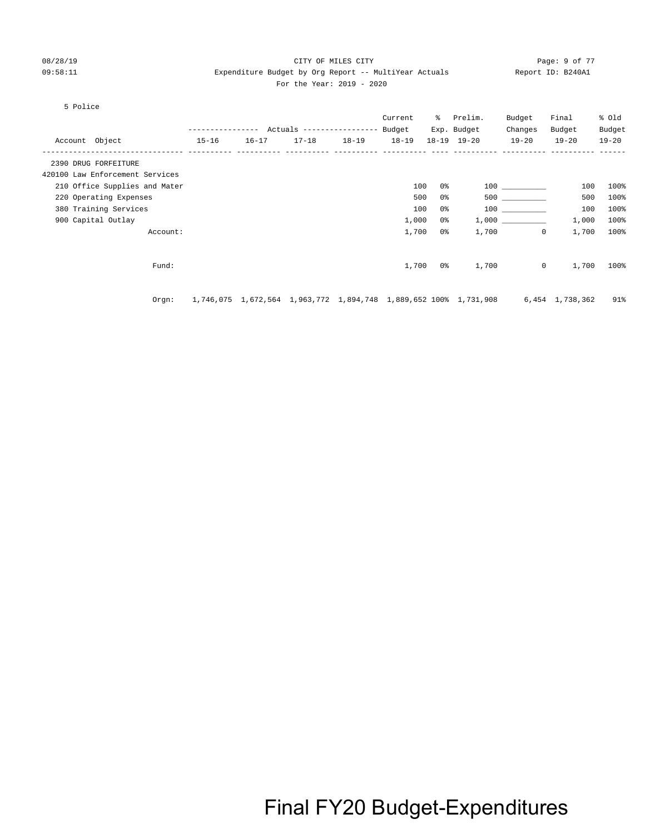### 08/28/19 CITY OF MILES CITY Page: 9 of 77 09:58:11 Expenditure Budget by Org Report -- MultiYear Actuals Report ID: B240A1 For the Year: 2019 - 2020

#### 5 Police

|                                 | ------------- |                                                                  | Actuals ----------------- Budget |           | Current   | ိ   | Prelim.<br>Exp. Budget | Budget<br>Changes       | Final<br>Budget | % Old<br>Budget |
|---------------------------------|---------------|------------------------------------------------------------------|----------------------------------|-----------|-----------|-----|------------------------|-------------------------|-----------------|-----------------|
| Account Object                  | $15 - 16$     | $16 - 17$                                                        | $17 - 18$                        | $18 - 19$ | $18 - 19$ |     | 18-19 19-20            | $19 - 20$               | $19 - 20$       | $19 - 20$       |
| 2390 DRUG FORFEITURE            |               |                                                                  |                                  |           |           |     |                        |                         |                 |                 |
| 420100 Law Enforcement Services |               |                                                                  |                                  |           |           |     |                        |                         |                 |                 |
| 210 Office Supplies and Mater   |               |                                                                  |                                  |           | 100       | 0%  |                        |                         | 100             | 100%            |
| 220 Operating Expenses          |               |                                                                  |                                  |           | 500       | 0%  |                        | 500 000                 | 500             | 100%            |
| 380 Training Services           |               |                                                                  |                                  |           | 100       | 0%  |                        | 100 000                 | 100             | 100%            |
| 900 Capital Outlay              |               |                                                                  |                                  |           | 1,000     | 0 % |                        | 1,000                   | 1,000           | 100%            |
| Account:                        |               |                                                                  |                                  |           | 1,700     | 0%  |                        | 1,700<br>$\overline{0}$ | 1,700           | 100%            |
|                                 |               |                                                                  |                                  |           |           |     |                        |                         |                 |                 |
| Fund:                           |               |                                                                  |                                  |           | 1,700     | 0 % | 1,700                  | $\circ$                 | 1,700           | 100%            |
|                                 |               |                                                                  |                                  |           |           |     |                        |                         |                 |                 |
| Orgn:                           |               | 1,746,075 1,672,564 1,963,772 1,894,748 1,889,652 100% 1,731,908 |                                  |           |           |     |                        |                         | 6,454 1,738,362 | 91%             |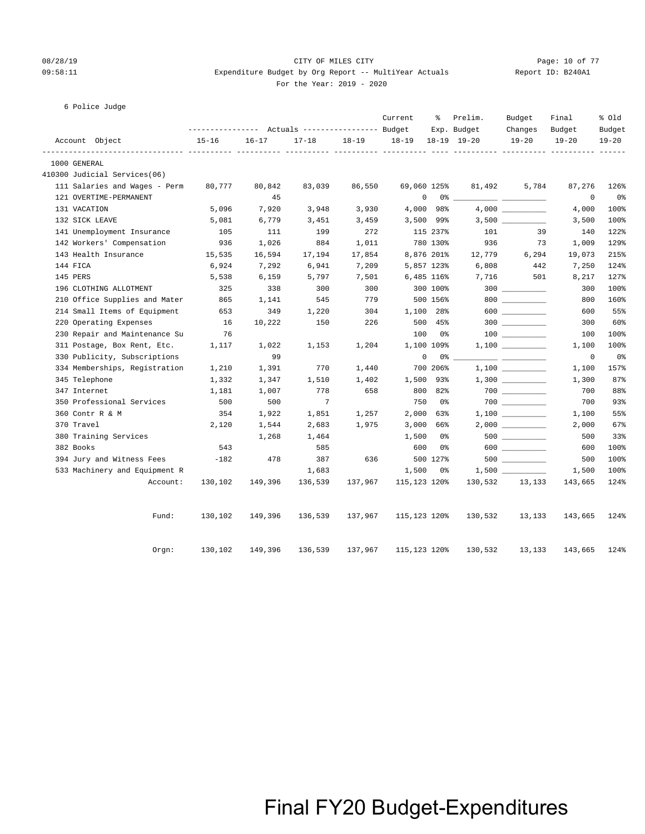### 08/28/19 CITY OF MILES CITY Page: 10 of 77 09:58:11 **Expenditure Budget by Org Report -- MultiYear Actuals** Report ID: B240A1 For the Year: 2019 - 2020

|  | For the Year: $2019 - 20$ |  |  |
|--|---------------------------|--|--|
|  |                           |  |  |

| 6 Police Judge |  |
|----------------|--|

|                               | --------------- Actuals ---------------- Budget |           |           |           | Current      | ႜ          | Prelim.<br>Exp. Budget | Budget<br>Changes | Final<br>Budget | % old<br>Budget |
|-------------------------------|-------------------------------------------------|-----------|-----------|-----------|--------------|------------|------------------------|-------------------|-----------------|-----------------|
| Account Object                | $15 - 16$                                       | $16 - 17$ | $17 - 18$ | $18 - 19$ | $18 - 19$    |            | 18-19 19-20            | $19 - 20$         | $19 - 20$       | $19 - 20$       |
| 1000 GENERAL                  | ------------ ---------- ----                    |           |           |           |              |            |                        |                   |                 | $- - - - - - -$ |
| 410300 Judicial Services(06)  |                                                 |           |           |           |              |            |                        |                   |                 |                 |
| 111 Salaries and Wages - Perm | 80,777                                          | 80,842    | 83,039    | 86,550    | 69,060 125%  |            | 81,492                 | 5,784             | 87,276          | 126%            |
| 121 OVERTIME-PERMANENT        |                                                 | 45        |           |           | 0            |            | $0\degree$ __          |                   | $\mathbf 0$     | 0 <sub>8</sub>  |
| 131 VACATION                  | 5,096                                           | 7,920     | 3,948     | 3,930     |              | 4,000 98%  |                        |                   | 4,000           | 100%            |
| 132 SICK LEAVE                | 5,081                                           | 6,779     | 3,451     | 3,459     |              | 3,500 99%  |                        |                   | 3,500           | 100%            |
| 141 Unemployment Insurance    | 105                                             | 111       | 199       | 272       |              | 115 237%   | 101                    | 39                | 140             | 122%            |
| 142 Workers' Compensation     | 936                                             | 1,026     | 884       | 1,011     |              | 780 130%   | 936                    | 73                | 1,009           | 129%            |
| 143 Health Insurance          | 15,535                                          | 16,594    | 17,194    | 17,854    |              | 8,876 201% | 12,779                 | 6,294             | 19,073          | 215%            |
| 144 FICA                      | 6,924                                           | 7,292     | 6,941     | 7,209     |              | 5,857 123% | 6,808                  | 442               | 7,250           | 124%            |
| 145 PERS                      | 5,538                                           | 6,159     | 5,797     | 7,501     |              | 6,485 116% | 7,716                  | 501               | 8,217           | 127%            |
| 196 CLOTHING ALLOTMENT        | 325                                             | 338       | 300       | 300       |              | 300 100%   |                        |                   | 300             | 100%            |
| 210 Office Supplies and Mater | 865                                             | 1,141     | 545       | 779       |              | 500 156%   |                        | 800               | 800             | 160%            |
| 214 Small Items of Equipment  | 653                                             | 349       | 1,220     | 304       |              | 1,100 28%  |                        | $600$             | 600             | 55%             |
| 220 Operating Expenses        | 16                                              | 10,222    | 150       | 226       |              | 500 45%    |                        |                   | 300             | 60%             |
| 230 Repair and Maintenance Su | 76                                              |           |           |           | 100          | 0 %        |                        |                   | 100             | 100%            |
| 311 Postage, Box Rent, Etc.   | 1,117                                           | 1,022     | 1,153     | 1,204     |              | 1,100 109% |                        |                   | 1,100           | 100%            |
| 330 Publicity, Subscriptions  |                                                 | 99        |           |           | $\mathbf 0$  | 0 %        |                        |                   | $\mathbf 0$     | 0 <sub>8</sub>  |
| 334 Memberships, Registration | 1,210                                           | 1,391     | 770       | 1,440     |              | 700 206%   |                        |                   | 1,100           | 157%            |
| 345 Telephone                 | 1,332                                           | 1,347     | 1,510     | 1,402     |              | 1,500 93%  |                        | $1,300$ _________ | 1,300           | 87%             |
| 347 Internet                  | 1,181                                           | 1,007     | 778       | 658       |              | 800 82%    |                        | $700$ ________    | 700             | 88%             |
| 350 Professional Services     | 500                                             | 500       | 7         |           | 750          | 0%         |                        | $700$             | 700             | 93%             |
| 360 Contr R & M               | 354                                             | 1,922     | 1,851     | 1,257     | 2,000        | 63%        |                        | $1,100$ _________ | 1,100           | 55%             |
| 370 Travel                    | 2,120                                           | 1,544     | 2,683     | 1,975     | 3,000        | 66%        |                        |                   | 2,000           | 67%             |
| 380 Training Services         |                                                 | 1,268     | 1,464     |           | 1,500        | 0%         |                        |                   | 500             | 33%             |
| 382 Books                     | 543                                             |           | 585       |           | 600          | 0%         |                        |                   | 600             | 100%            |
| 394 Jury and Witness Fees     | $-182$                                          | 478       | 387       | 636       |              | 500 127%   |                        |                   | 500             | 100%            |
| 533 Machinery and Equipment R |                                                 |           | 1,683     |           | 1,500        | 0 %        |                        |                   | 1,500           | 100%            |
| Account:                      | 130,102                                         | 149,396   | 136,539   | 137,967   | 115,123 120% |            | 130,532                | 13,133            | 143,665         | 124%            |
| Fund:                         | 130,102                                         | 149,396   | 136,539   | 137,967   | 115,123 120% |            | 130,532                | 13,133            | 143,665         | 124%            |
| Orgn:                         | 130,102                                         | 149,396   | 136,539   | 137,967   | 115,123 120% |            | 130,532                | 13,133            | 143,665         | 124%            |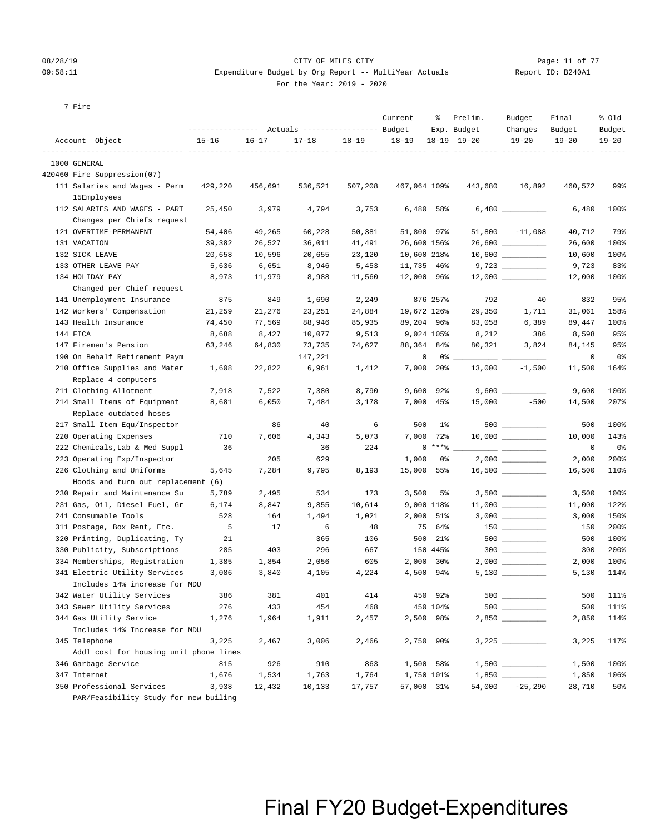7 Fire

### 08/28/19 Page: 11 of 77 CHTY OF MILES CITY CONTROL PAGE: 11 of 77 09:58:11 Expenditure Budget by Org Report -- MultiYear Actuals Report ID: B240A1

#### For the Year: 2019 - 2020

|                | ----------------- |           | Actuals ----------------- Budget |           |  | Exp. Budget       | Changes   | Budget    | Budget |
|----------------|-------------------|-----------|----------------------------------|-----------|--|-------------------|-----------|-----------|--------|
| Account Object | $15 - 16$         | $16 - 17$ | 17-18                            | $18 - 19$ |  | 18-19 18-19 19-20 | $19 - 20$ | $19 - 20$ | 19-20  |
|                |                   |           |                                  |           |  |                   |           |           |        |

Current % Prelim. Budget Final % Old

| 1000 GENERAL                                                  |         |              |              |              |                         |         |                     |                |              |
|---------------------------------------------------------------|---------|--------------|--------------|--------------|-------------------------|---------|---------------------|----------------|--------------|
| 420460 Fire Suppression(07)                                   |         |              |              |              |                         |         |                     |                |              |
| 111 Salaries and Wages - Perm                                 | 429,220 | 456,691      | 536,521      | 507,208      | 467,064 109%            | 443,680 | 16,892              | 460,572        | 99%          |
| 15Employees                                                   |         |              |              |              |                         |         |                     |                |              |
| 112 SALARIES AND WAGES - PART                                 | 25,450  | 3,979        | 4,794        | 3,753        | 6,480<br>58%            |         |                     | 6,480          | 100%         |
| Changes per Chiefs request                                    |         |              |              |              |                         |         |                     |                |              |
| 121 OVERTIME-PERMANENT                                        | 54,406  | 49,265       | 60,228       | 50,381       | 51,800 97%              |         | $51,800 -11,088$    | 40,712         | 79%          |
| 131 VACATION                                                  | 39,382  | 26,527       | 36,011       | 41,491       | 26,600 156%             |         | 26,600 _________    | 26,600         | 100%         |
| 132 SICK LEAVE                                                | 20,658  | 10,596       | 20,655       | 23,120       | 10,600 218%             |         |                     | 10,600         | 100%         |
| 133 OTHER LEAVE PAY                                           | 5,636   | 6,651        | 8,946        | 5,453        | 11,735 46%              |         | 9,723               | 9,723          | 83%          |
| 134 HOLIDAY PAY                                               | 8,973   | 11,979       | 8,988        | 11,560       | 12,000 96%              |         | $12,000$ _________  | 12,000         | 100%         |
| Changed per Chief request                                     |         |              |              |              |                         |         |                     |                |              |
| 141 Unemployment Insurance                                    | 875     | 849          | 1,690        | 2,249        | 876 257%                | 792     | 40                  | 832            | 95%          |
| 142 Workers' Compensation                                     | 21,259  | 21,276       | 23,251       | 24,884       | 19,672 126%             | 29,350  | 1,711               | 31,061         | 158%         |
| 143 Health Insurance                                          | 74,450  | 77,569       | 88,946       | 85,935       | 89,204 96%              | 83,058  | 6,389               | 89,447         | 100%         |
| 144 FICA                                                      | 8,688   | 8,427        | 10,077       | 9,513        | 9,024 105%              | 8,212   | 386                 | 8,598          | 95%          |
| 147 Firemen's Pension                                         | 63,246  | 64,830       | 73,735       | 74,627       | 88,364 84%              | 80,321  | 3,824               | 84,145         | 95%          |
| 190 On Behalf Retirement Paym                                 |         |              | 147,221      |              | 0<br>$0\%$ __           |         |                     | 0              | 0%           |
| 210 Office Supplies and Mater                                 | 1,608   | 22,822       | 6,961        | 1,412        | 7,000 20%               | 13,000  | $-1,500$            | 11,500         | 164%         |
| Replace 4 computers                                           |         |              |              |              |                         |         |                     |                |              |
| 211 Clothing Allotment                                        | 7,918   | 7,522        | 7,380        | 8,790        | 92%<br>9,600            |         |                     | 9,600          | 100%         |
| 214 Small Items of Equipment                                  | 8,681   | 6,050        | 7,484        | 3,178        | 7,000 45%               | 15,000  | $-500$              | 14,500         | 207%         |
| Replace outdated hoses                                        |         |              |              |              |                         |         |                     |                |              |
| 217 Small Item Equ/Inspector                                  |         | 86           | 40           | 6            | 500<br>1%               |         | 500                 | 500            | 100%         |
| 220 Operating Expenses                                        | 710     | 7,606        | 4,343        | 5,073        | 7,000<br>72%            |         |                     | 10,000         | 143%         |
| 222 Chemicals, Lab & Med Suppl                                | 36      |              | 36           | 224          | $0***$ $*$              |         |                     | 0              | 0%           |
| 223 Operating Exp/Inspector                                   |         | 205          | 629          |              | 1,000<br>0%             |         |                     | 2,000          | 200%         |
| 226 Clothing and Uniforms                                     | 5,645   | 7,284        | 9,795        | 8,193        | 15,000<br>55%           |         | $16,500$ __________ | 16,500         | 110%         |
| Hoods and turn out replacement (6)                            |         |              |              |              |                         |         |                     |                |              |
| 230 Repair and Maintenance Su                                 | 5,789   | 2,495        | 534          | 173          | 3,500<br>5%             |         |                     | 3,500          | 100%         |
| 231 Gas, Oil, Diesel Fuel, Gr                                 | 6,174   | 8,847        | 9,855        | 10,614       | 9,000 118%              |         |                     | 11,000         | 122%         |
| 241 Consumable Tools                                          | 528     | 164          | 1,494        | 1,021        | 2,000<br>51%            |         |                     | 3,000          | 150%         |
| 311 Postage, Box Rent, Etc.                                   | 5       | 17           | 6            | 48           | 75<br>64%               |         |                     | 150            | 200%         |
| 320 Printing, Duplicating, Ty                                 | 21      |              | 365          | 106          | 500<br>21%              |         |                     | 500            | 100%         |
| 330 Publicity, Subscriptions                                  | 285     | 403          | 296          | 667          | 150 445%                |         | $300$               | 300            | 200%         |
| 334 Memberships, Registration                                 | 1,385   | 1,854        | 2,056        | 605          | 2,000<br>30%            |         | $2,000$ __________  | 2,000          | 100%         |
| 341 Electric Utility Services                                 | 3,086   | 3,840        | 4,105        | 4,224        | 4,500 94%               |         |                     | 5,130          | 114%         |
| Includes 14% increase for MDU                                 |         |              |              |              |                         |         |                     |                |              |
| 342 Water Utility Services                                    | 386     | 381          | 401          | 414          | 450<br>92%              |         | 500                 | 500            | 111%         |
| 343 Sewer Utility Services                                    | 276     | 433          | 454          | 468          | 450 104%                |         |                     | 500            | 111%         |
| 344 Gas Utility Service                                       | 1,276   | 1,964        | 1,911        | 2,457        | 2,500 98%               |         |                     | 2,850 114%     |              |
| Includes 14% Increase for MDU                                 |         |              |              |              |                         |         |                     |                |              |
| 345 Telephone                                                 | 3,225   | 2,467        | 3,006        | 2,466        | 2,750 90%               |         |                     | 3,225          | 117%         |
| Addl cost for housing unit phone lines<br>346 Garbage Service | 815     |              |              |              |                         |         |                     |                |              |
| 347 Internet                                                  | 1,676   | 926<br>1,534 | 910<br>1,763 | 863<br>1,764 | 1,500 58%<br>1,750 101% |         |                     | 1,500<br>1,850 | 100%<br>106% |
| 350 Professional Services                                     | 3,938   | 12,432       | 10,133       | 17,757       | 57,000 31%              | 54,000  | $-25,290$           | 28,710         | 50%          |
| PAR/Feasibility Study for new builing                         |         |              |              |              |                         |         |                     |                |              |
|                                                               |         |              |              |              |                         |         |                     |                |              |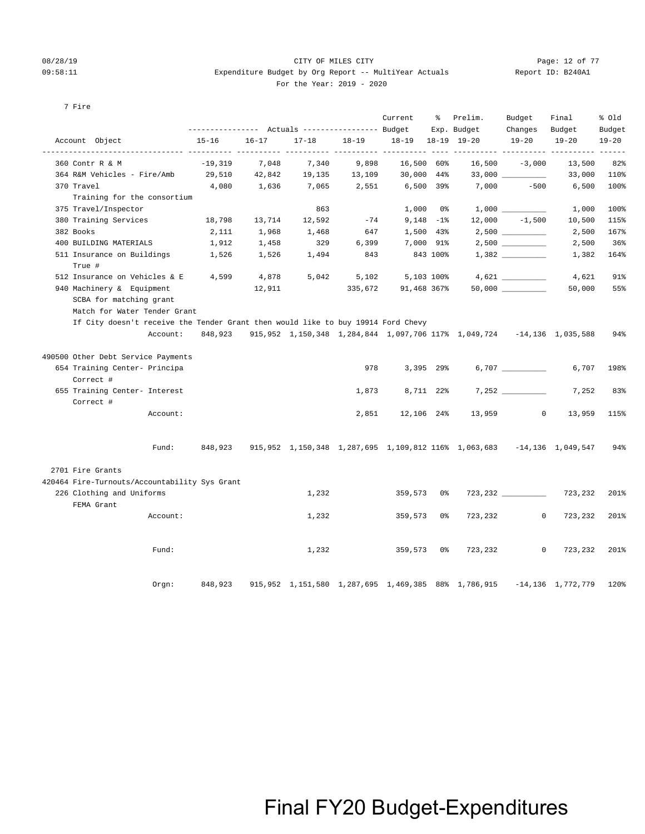### 08/28/19 CITY OF MILES CITY Page: 12 of 77 09:58:11 Expenditure Budget by Org Report -- MultiYear Actuals Report ID: B240A1 For the Year: 2019 - 2020

| Report ID: B240A |  |
|------------------|--|
|                  |  |

#### 7 Fire

|                                                                                  |          |           |           |           |                                      | Current           | % Prelim.<br>Exp. Budget                                                                | Budget<br>Changes | Final<br>Budget        | % Old<br>Budget |
|----------------------------------------------------------------------------------|----------|-----------|-----------|-----------|--------------------------------------|-------------------|-----------------------------------------------------------------------------------------|-------------------|------------------------|-----------------|
| Account Object                                                                   |          | $15 - 16$ | $16 - 17$ | $17 - 18$ | $18 - 19$                            | 18-19 18-19 19-20 |                                                                                         | $19 - 20$         | $19 - 20$              | $19 - 20$       |
| 360 Contr R & M                                                                  |          | $-19,319$ | 7,048     | 7,340     | ----------- ---------- ----<br>9,898 | 16,500 60%        |                                                                                         | $16,500 -3,000$   | 13,500                 | 82%             |
| 364 R&M Vehicles - Fire/Amb                                                      |          | 29,510    | 42,842    | 19,135    | 13,109                               | 30,000 44%        |                                                                                         |                   | 33,000                 | 110%            |
| 370 Travel                                                                       |          | 4,080     | 1,636     | 7,065     | 2,551                                | 6,500 39%         | 7,000                                                                                   | $-500$            | 6,500                  | 100%            |
| Training for the consortium<br>375 Travel/Inspector                              |          |           |           | 863       |                                      | $1,000$ 0%        |                                                                                         |                   | 1,000                  | 100%            |
| 380 Training Services                                                            |          | 18,798    | 13,714    | 12,592    | $-74$                                | 9,148 –1%         |                                                                                         | $12,000 -1,500$   | 10,500                 | 115%            |
| 382 Books                                                                        |          | 2,111     | 1,968     | 1,468     | 647                                  | 1,500 43%         |                                                                                         |                   | 2,500                  | 167%            |
| 400 BUILDING MATERIALS                                                           |          |           |           | 329       |                                      |                   |                                                                                         |                   |                        | 36%             |
|                                                                                  |          | 1,912     | 1,458     |           | 6,399                                | 7,000 91%         |                                                                                         |                   | 2,500                  |                 |
| 511 Insurance on Buildings<br>True #                                             |          | 1,526     | 1,526     | 1,494     | 843                                  | 843 100%          |                                                                                         |                   | 1,382                  | 164%            |
| 512 Insurance on Vehicles & E 4,599                                              |          |           | 4,878     | 5,042     | 5,102                                | 5,103 100%        |                                                                                         | 4,621             | 4,621                  | 91%             |
| 940 Machinery & Equipment                                                        |          |           | 12,911    |           |                                      |                   | $335,672$ 91,468 367% 50,000 ________                                                   |                   | 50,000                 | 55%             |
| SCBA for matching grant<br>Match for Water Tender Grant                          |          |           |           |           |                                      |                   |                                                                                         |                   |                        |                 |
| If City doesn't receive the Tender Grant then would like to buy 19914 Ford Chevy |          |           |           |           |                                      |                   |                                                                                         |                   |                        |                 |
|                                                                                  |          |           |           |           |                                      |                   | Account: 848,923 915,952 1,150,348 1,284,844 1,097,706 117% 1,049,724 -14,136 1,035,588 |                   |                        | 94%             |
| 490500 Other Debt Service Payments                                               |          |           |           |           |                                      |                   |                                                                                         |                   |                        |                 |
| 654 Training Center- Principa<br>Correct #                                       |          |           |           |           | 978                                  | 3,395 29%         |                                                                                         |                   | 6,707                  | 198%            |
| 655 Training Center- Interest<br>Correct #                                       |          |           |           |           | 1,873                                | 8,711 22%         |                                                                                         | 7,252             | 7,252                  | 83%             |
|                                                                                  | Account: |           |           |           | 2,851                                |                   | 12,106 24% 13,959                                                                       | $\overline{0}$    | 13,959                 | 115%            |
|                                                                                  | Fund:    |           |           |           |                                      |                   | 848,923 915,952 1,150,348 1,287,695 1,109,812 116% 1,063,683 -14,136 1,049,547          |                   |                        | 94%             |
| 2701 Fire Grants                                                                 |          |           |           |           |                                      |                   |                                                                                         |                   |                        |                 |
| 420464 Fire-Turnouts/Accountability Sys Grant                                    |          |           |           |           |                                      |                   |                                                                                         |                   |                        |                 |
| 226 Clothing and Uniforms<br>FEMA Grant                                          |          |           |           | 1,232     |                                      | 359,573 0%        |                                                                                         | 723, 232 723, 232 |                        | 201%            |
|                                                                                  | Account: |           |           | 1,232     |                                      | 359,573 0%        | 723,232                                                                                 | $\overline{0}$    | 723,232                | 201%            |
|                                                                                  | Fund:    |           |           | 1,232     |                                      | 359,573 0%        | 723,232                                                                                 | $\circ$           | 723,232 201%           |                 |
|                                                                                  | Orgn:    | 848,923   |           |           |                                      |                   | 915,952 1,151,580 1,287,695 1,469,385 88% 1,786,915                                     |                   | $-14, 136$ 1, 772, 779 | 120%            |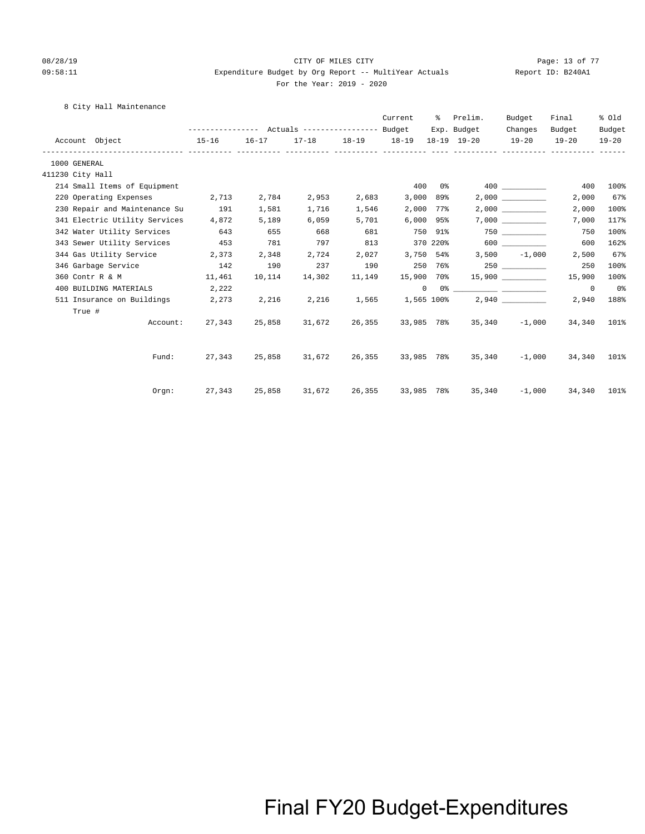### 08/28/19 Page: 13 of 77 CITY OF MILES CITY CONTROL PAGE: 13 of 77 09:58:11 Expenditure Budget by Org Report -- MultiYear Actuals Report ID: B240A1 For the Year: 2019 - 2020

8 City Hall Maintenance

|                  |        |                                |                            |        |        |        | Current                | ႜႜၟ            | Prelim.<br>Exp. Budget                                                                                                                                                                                                                                                                                                                                             | Budget<br>Changes | Final<br>Budget | % Old           |
|------------------|--------|--------------------------------|----------------------------|--------|--------|--------|------------------------|----------------|--------------------------------------------------------------------------------------------------------------------------------------------------------------------------------------------------------------------------------------------------------------------------------------------------------------------------------------------------------------------|-------------------|-----------------|-----------------|
|                  |        | Account Object                 | $15 - 16$                  |        |        |        |                        |                | 16-17 17-18 18-19 18-19 18-19 19-20 19-20 19-20                                                                                                                                                                                                                                                                                                                    |                   |                 | Budget<br>19-20 |
|                  |        |                                |                            |        |        |        |                        |                |                                                                                                                                                                                                                                                                                                                                                                    |                   |                 |                 |
| 1000 GENERAL     |        |                                |                            |        |        |        |                        |                |                                                                                                                                                                                                                                                                                                                                                                    |                   |                 |                 |
| 411230 City Hall |        |                                |                            |        |        |        |                        |                |                                                                                                                                                                                                                                                                                                                                                                    |                   |                 |                 |
|                  |        | 214 Small Items of Equipment   |                            |        |        |        | 400                    | 0 %            |                                                                                                                                                                                                                                                                                                                                                                    |                   | 400             | 100%            |
|                  |        | 220 Operating Expenses 2,713   |                            | 2,784  | 2,953  | 2,683  | 3,000                  | 89%            |                                                                                                                                                                                                                                                                                                                                                                    | 2,000             | 2,000           | 67%             |
|                  |        | 230 Repair and Maintenance Su  | 191                        | 1,581  | 1,716  | 1,546  |                        | 2,000 77%      |                                                                                                                                                                                                                                                                                                                                                                    |                   | 2,000           | 100%            |
|                  |        | 341 Electric Utility Services  | 4,872                      | 5,189  | 6,059  | 5,701  |                        | $6,000$ $95\%$ |                                                                                                                                                                                                                                                                                                                                                                    |                   | 7,000           | 117%            |
|                  |        | 342 Water Utility Services 643 |                            | 655    | 668    | 681    | 750 91%                |                |                                                                                                                                                                                                                                                                                                                                                                    | 750 300           | 750             | 100%            |
|                  |        | 343 Sewer Utility Services     | 453                        | 781    | 797    | 813    | 370 220%               |                |                                                                                                                                                                                                                                                                                                                                                                    | 600 000           | 600             | 162%            |
|                  |        | 344 Gas Utility Service        | 2,373                      | 2,348  | 2,724  | 2,027  | 3,750 54%              |                |                                                                                                                                                                                                                                                                                                                                                                    | $3,500 -1,000$    | 2,500           | 67%             |
|                  |        | 346 Garbage Service 142        |                            | 190    | 237    | 190    |                        | 250 76%        |                                                                                                                                                                                                                                                                                                                                                                    | 250               | 250             | 100%            |
|                  |        | 360 Contr R & M 11,461         |                            | 10,114 | 14,302 | 11,149 |                        |                | $15,900$ 70% $15,900$ _________                                                                                                                                                                                                                                                                                                                                    |                   | 15,900          | 100%            |
|                  |        | 400 BUILDING MATERIALS         | 2,222                      |        |        |        |                        |                | $\begin{picture}(150,10) \put(0,0){\vector(1,0){100}} \put(15,0){\vector(1,0){100}} \put(15,0){\vector(1,0){100}} \put(15,0){\vector(1,0){100}} \put(15,0){\vector(1,0){100}} \put(15,0){\vector(1,0){100}} \put(15,0){\vector(1,0){100}} \put(15,0){\vector(1,0){100}} \put(15,0){\vector(1,0){100}} \put(15,0){\vector(1,0){100}} \put(15,0){\vector(1,0){100}}$ |                   | $\circ$         | 0%              |
|                  |        | 511 Insurance on Buildings     | 2,273                      | 2,216  |        |        | 2,216 1,565 1,565 100% |                |                                                                                                                                                                                                                                                                                                                                                                    |                   | 2,940           | 188%            |
|                  |        |                                |                            |        |        |        |                        |                |                                                                                                                                                                                                                                                                                                                                                                    |                   |                 |                 |
|                  | True # | Account:                       | 27,343                     | 25,858 | 31,672 | 26,355 |                        |                | 33,985 78% 35,340 -1,000                                                                                                                                                                                                                                                                                                                                           |                   | 34,340          | 101%            |
|                  |        |                                |                            |        |        |        |                        |                |                                                                                                                                                                                                                                                                                                                                                                    |                   |                 |                 |
|                  |        |                                | Fund: 27,343 25,858 31,672 |        |        |        |                        |                | 26,355 33,985 78% 35,340                                                                                                                                                                                                                                                                                                                                           | $-1,000$          | 34,340          | 101%            |
|                  |        |                                |                            |        |        |        |                        |                |                                                                                                                                                                                                                                                                                                                                                                    |                   |                 |                 |
|                  |        | Orem:                          | 27,343                     | 25,858 | 31,672 | 26,355 |                        |                | 33,985 78% 35,340                                                                                                                                                                                                                                                                                                                                                  | $-1,000$          | 34,340          | 101%            |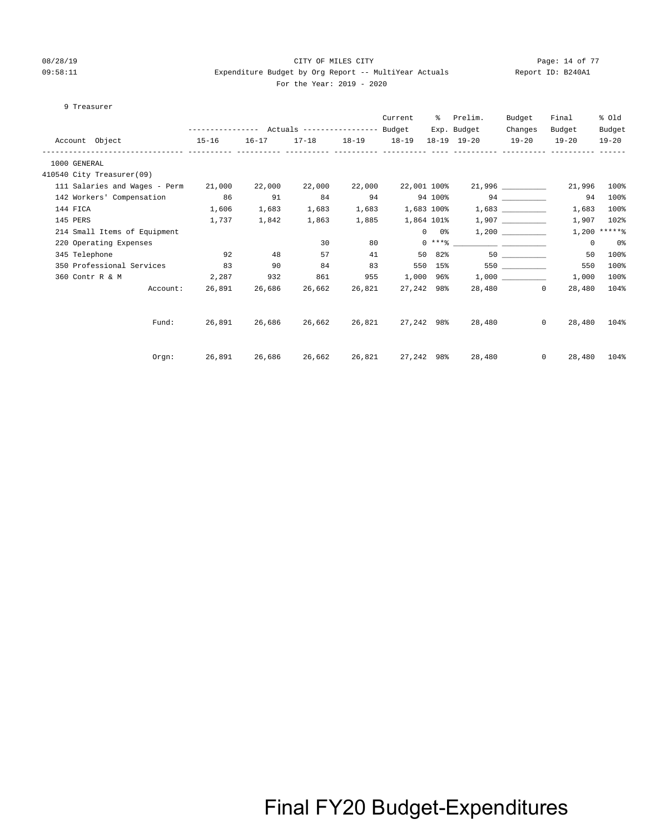### 08/28/19 CITY OF MILES CITY Page: 14 of 77 09:58:11 Expenditure Budget by Org Report -- MultiYear Actuals Report ID: B240A1 For the Year: 2019 - 2020

#### 9 Treasurer

|              |          |                               |        |               |                      |                 | Current     | ႜၟ            | Prelim.           | Budget    | Final              | % old          |
|--------------|----------|-------------------------------|--------|---------------|----------------------|-----------------|-------------|---------------|-------------------|-----------|--------------------|----------------|
|              |          |                               |        |               |                      |                 |             |               | Exp. Budget       | Changes   | Budget             | Budget         |
|              |          | Account Object<br>$15 - 16$   |        | $16 - 17$     | $17 - 18$            | $18-19$ $18-19$ |             |               | 18-19 19-20       | $19 - 20$ | $19 - 20$          | $19 - 20$      |
| 1000 GENERAL |          |                               |        |               |                      |                 |             |               |                   |           |                    |                |
|              |          | 410540 City Treasurer(09)     |        |               |                      |                 |             |               |                   |           |                    |                |
|              |          | 111 Salaries and Wages - Perm | 21,000 | 22,000        | 22,000               | 22,000          | 22,001 100% |               |                   |           | 21,996             | 100%           |
|              |          | 142 Workers' Compensation 86  |        | 91            | 84                   | 94              |             | 94 100%       | 94                |           | 94                 | 100%           |
|              | 144 FICA |                               | 1,606  | 1,683         | 1,683                | 1,683           | 1,683 100%  |               |                   |           | 1,683              | 100%           |
|              | 145 PERS |                               | 1,737  | 1,842         | 1,863                | 1,885           | 1,864 101%  |               |                   |           | 1,907              | 102%           |
|              |          | 214 Small Items of Equipment  |        |               |                      |                 |             | $0\qquad 0$ % |                   | 1,200     |                    | $1,200$ *****% |
|              |          | 220 Operating Expenses        |        |               | 30                   | 80              |             |               |                   |           | $^{\circ}$         | 0%             |
|              |          | 345 Telephone                 | 92     | 48            | 57                   | 41              |             | 50 82%        | 50                |           | 50                 | 100%           |
|              |          | 350 Professional Services     | 83     | 90            | 84                   | 83              |             | 550 15%       |                   | 550 350   | 550                | 100%           |
|              |          | 360 Contr R & M               | 2,287  | 932           | 861                  | 955             |             |               | $1,000$ 96% 1,000 |           | 1,000              | 100%           |
|              |          | Account:                      |        | 26,891 26,686 | 26,662               | 26,821          | 27,242 98%  |               |                   | 28,480 0  | 28,480             | 104%           |
|              |          |                               |        |               |                      |                 |             |               |                   |           |                    |                |
|              |          | Fund:                         |        |               | 26,891 26,686 26,662 | 26,821          |             |               | 27,242 98% 28,480 |           | $\Omega$<br>28,480 | 104%           |
|              |          |                               |        |               |                      |                 |             |               |                   |           |                    |                |
|              |          | Orem:                         |        |               | 26,891 26,686 26,662 | 26,821          | 27,242 98%  |               | 28,480            | $\Omega$  | 28,480             | 104%           |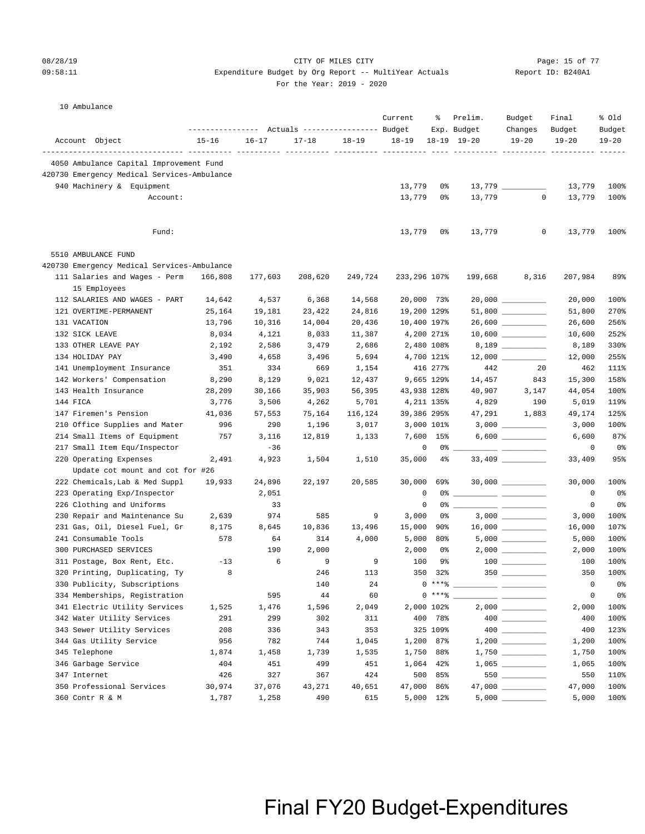### 08/28/19 CITY OF MILES CITY Page: 15 of 77 09:58:11 Expenditure Budget by Org Report -- MultiYear Actuals Report ID: B240A1

|  | For the Year: $2019 - 2020$ |  |  |
|--|-----------------------------|--|--|

#### 10 Ambulance

|                                               |           |           | Actuals ----------------- Budget |           | Current      | ႜ                   | Prelim.<br>Exp. Budget | Budget<br>Changes                                                                                                                                                                                                                                                                                                                                   | Final<br>Budget | % old<br>Budget |
|-----------------------------------------------|-----------|-----------|----------------------------------|-----------|--------------|---------------------|------------------------|-----------------------------------------------------------------------------------------------------------------------------------------------------------------------------------------------------------------------------------------------------------------------------------------------------------------------------------------------------|-----------------|-----------------|
| Account Object                                | $15 - 16$ | $16 - 17$ | $17 - 18$                        | $18 - 19$ | $18 - 19$    |                     | $18-19$ $19-20$        | $19 - 20$                                                                                                                                                                                                                                                                                                                                           | $19 - 20$       | $19 - 20$       |
| 4050 Ambulance Capital Improvement Fund       |           |           |                                  |           |              |                     |                        |                                                                                                                                                                                                                                                                                                                                                     |                 |                 |
| 420730 Emergency Medical Services-Ambulance   |           |           |                                  |           |              |                     |                        |                                                                                                                                                                                                                                                                                                                                                     |                 |                 |
| 940 Machinery & Equipment                     |           |           |                                  |           | 13,779       | 0%                  |                        |                                                                                                                                                                                                                                                                                                                                                     | 13,779          | 100%            |
| Account:                                      |           |           |                                  |           | 13,779       | 0%                  | 13,779                 | $\circ$                                                                                                                                                                                                                                                                                                                                             | 13,779          | 100%            |
|                                               |           |           |                                  |           |              |                     |                        |                                                                                                                                                                                                                                                                                                                                                     |                 |                 |
| Fund:                                         |           |           |                                  |           | 13,779       | 0%                  | 13,779                 | 0                                                                                                                                                                                                                                                                                                                                                   | 13,779          | 100%            |
| 5510 AMBULANCE FUND                           |           |           |                                  |           |              |                     |                        |                                                                                                                                                                                                                                                                                                                                                     |                 |                 |
| 420730 Emergency Medical Services-Ambulance   |           |           |                                  |           |              |                     |                        |                                                                                                                                                                                                                                                                                                                                                     |                 |                 |
| 111 Salaries and Wages - Perm<br>15 Employees | 166,808   | 177,603   | 208,620                          | 249,724   | 233,296 107% |                     | 199,668                | 8,316                                                                                                                                                                                                                                                                                                                                               | 207,984         | 89%             |
| 112 SALARIES AND WAGES - PART                 | 14,642    | 4,537     | 6,368                            | 14,568    |              | 20,000 73%          |                        |                                                                                                                                                                                                                                                                                                                                                     | 20,000          | 100%            |
| 121 OVERTIME-PERMANENT                        | 25,164    | 19,181    | 23,422                           | 24,816    |              | 19,200 129%         |                        |                                                                                                                                                                                                                                                                                                                                                     | 51,800          | 270%            |
| 131 VACATION                                  | 13,796    | 10,316    | 14,004                           | 20,436    |              | 10,400 197%         |                        | 26,600 _________                                                                                                                                                                                                                                                                                                                                    | 26,600          | 256%            |
| 132 SICK LEAVE                                | 8,034     | 4,121     | 8,033                            | 11,387    |              | 4,200 271%          |                        |                                                                                                                                                                                                                                                                                                                                                     | 10,600          | 252%            |
| 133 OTHER LEAVE PAY                           | 2,192     | 2,586     | 3,479                            | 2,686     |              | 2,480 108%          |                        |                                                                                                                                                                                                                                                                                                                                                     | 8,189           | 330%            |
| 134 HOLIDAY PAY                               | 3,490     | 4,658     | 3,496                            | 5,694     |              | 4,700 121%          |                        |                                                                                                                                                                                                                                                                                                                                                     | 12,000          | 255%            |
| 141 Unemployment Insurance                    | 351       | 334       | 669                              | 1,154     |              | 416 277%            | 442                    | 20                                                                                                                                                                                                                                                                                                                                                  | 462             | 111%            |
| 142 Workers' Compensation                     | 8,290     | 8,129     | 9,021                            | 12,437    |              | 9,665 129%          | 14,457                 | 843                                                                                                                                                                                                                                                                                                                                                 | 15,300          | 158%            |
| 143 Health Insurance                          | 28,209    | 30,166    | 35,903                           | 56,395    |              | 43,938 128%         | 40,907                 | 3,147                                                                                                                                                                                                                                                                                                                                               | 44,054          | 100%            |
| 144 FICA                                      | 3,776     | 3,506     | 4,262                            | 5,701     |              | 4,211 135%          | 4,829                  | 190                                                                                                                                                                                                                                                                                                                                                 | 5,019           | 119%            |
| 147 Firemen's Pension                         | 41,036    | 57,553    | 75,164                           | 116,124   |              | 39,386 295%         | 47,291                 | 1,883                                                                                                                                                                                                                                                                                                                                               | 49,174          | 125%            |
| 210 Office Supplies and Mater                 | 996       | 290       | 1,196                            | 3,017     |              | 3,000 101%          |                        |                                                                                                                                                                                                                                                                                                                                                     | 3,000           | 100%            |
| 214 Small Items of Equipment                  | 757       | 3,116     | 12,819                           | 1,133     |              | 7,600 15%           |                        |                                                                                                                                                                                                                                                                                                                                                     | 6,600           | 87%             |
| 217 Small Item Equ/Inspector                  |           | $-36$     |                                  |           |              | 0<br>$0\degree$ $-$ |                        |                                                                                                                                                                                                                                                                                                                                                     | 0               | 0%              |
| 220 Operating Expenses                        | 2,491     | 4,923     | 1,504                            | 1,510     | 35,000       | $4\%$               |                        |                                                                                                                                                                                                                                                                                                                                                     | 33,409          | 95%             |
| Update cot mount and cot for #26              |           |           |                                  |           |              |                     |                        |                                                                                                                                                                                                                                                                                                                                                     |                 |                 |
| 222 Chemicals, Lab & Med Suppl                | 19,933    | 24,896    | 22,197                           | 20,585    | 30,000       | 69%                 |                        |                                                                                                                                                                                                                                                                                                                                                     | 30,000          | 100%            |
| 223 Operating Exp/Inspector                   |           | 2,051     |                                  |           |              | 0                   |                        |                                                                                                                                                                                                                                                                                                                                                     | 0               | 0%              |
| 226 Clothing and Uniforms                     |           | 33        |                                  |           |              | 0<br>0%             |                        |                                                                                                                                                                                                                                                                                                                                                     | 0               | 0%              |
| 230 Repair and Maintenance Su                 | 2,639     | 974       | 585                              | 9         | 3,000        | 0%                  |                        |                                                                                                                                                                                                                                                                                                                                                     | 3,000           | 100%            |
| 231 Gas, Oil, Diesel Fuel, Gr                 | 8,175     | 8,645     | 10,836                           | 13,496    | 15,000       | 90%                 |                        | $16,000$ _________                                                                                                                                                                                                                                                                                                                                  | 16,000          | 107%            |
| 241 Consumable Tools                          | 578       | 64        | 314                              | 4,000     | 5,000        | 80%                 |                        |                                                                                                                                                                                                                                                                                                                                                     | 5,000           | 100%            |
| 300 PURCHASED SERVICES                        |           | 190       | 2,000                            |           | 2,000        | 0%                  |                        |                                                                                                                                                                                                                                                                                                                                                     | 2,000           | 100%            |
| 311 Postage, Box Rent, Etc.                   | $-13$     | 6         | 9                                | 9         | 100          | 9%                  |                        | $\begin{tabular}{c} 100 \end{tabular}$                                                                                                                                                                                                                                                                                                              | 100             | 100%            |
| 320 Printing, Duplicating, Ty                 | 8         |           | 246                              | 113       |              | 350 32%             |                        | 350                                                                                                                                                                                                                                                                                                                                                 | 350             | 100%            |
| 330 Publicity, Subscriptions                  |           |           | 140                              | 24        |              | $0***8$             |                        |                                                                                                                                                                                                                                                                                                                                                     | $\circ$         | 0%              |
| 334 Memberships, Registration                 |           | 595       | 44                               | 60        |              | $0***8$             |                        |                                                                                                                                                                                                                                                                                                                                                     | 0               | 0%              |
| 341 Electric Utility Services                 | 1,525     | 1,476     | 1,596                            | 2,049     |              | 2,000 102%          |                        |                                                                                                                                                                                                                                                                                                                                                     | 2,000           | 100%            |
| 342 Water Utility Services                    | 291       | 299       | 302                              | 311       | 400          | 78%                 |                        | $\begin{picture}(20,20) \put(0,0){\line(1,0){10}} \put(15,0){\line(1,0){10}} \put(15,0){\line(1,0){10}} \put(15,0){\line(1,0){10}} \put(15,0){\line(1,0){10}} \put(15,0){\line(1,0){10}} \put(15,0){\line(1,0){10}} \put(15,0){\line(1,0){10}} \put(15,0){\line(1,0){10}} \put(15,0){\line(1,0){10}} \put(15,0){\line(1,0){10}} \put(15,0){\line(1$ | 400             | 100%            |
| 343 Sewer Utility Services                    | 208       | 336       | 343                              | 353       |              | 325 109%            |                        |                                                                                                                                                                                                                                                                                                                                                     | 400             | 123%            |
| 344 Gas Utility Service                       | 956       | 782       | 744                              | 1,045     | 1,200        | 87%                 |                        |                                                                                                                                                                                                                                                                                                                                                     | 1,200           | 100%            |
| 345 Telephone                                 | 1,874     | 1,458     | 1,739                            | 1,535     | 1,750        | 88%                 |                        |                                                                                                                                                                                                                                                                                                                                                     | 1,750           | 100%            |
| 346 Garbage Service                           | 404       | 451       | 499                              | 451       | 1,064        | 42%                 |                        |                                                                                                                                                                                                                                                                                                                                                     | 1,065           | 100%            |
| 347 Internet                                  | 426       | 327       | 367                              | 424       | 500          | 85%                 |                        | 550                                                                                                                                                                                                                                                                                                                                                 | 550             | 110%            |
| 350 Professional Services                     | 30,974    | 37,076    | 43,271                           | 40,651    | 47,000       | 86%                 |                        | 47,000 _________                                                                                                                                                                                                                                                                                                                                    | 47,000          | 100%            |
| 360 Contr R & M                               | 1,787     | 1,258     | 490                              | 615       |              | 5,000 12%           | 5,000                  |                                                                                                                                                                                                                                                                                                                                                     | 5,000           | 100%            |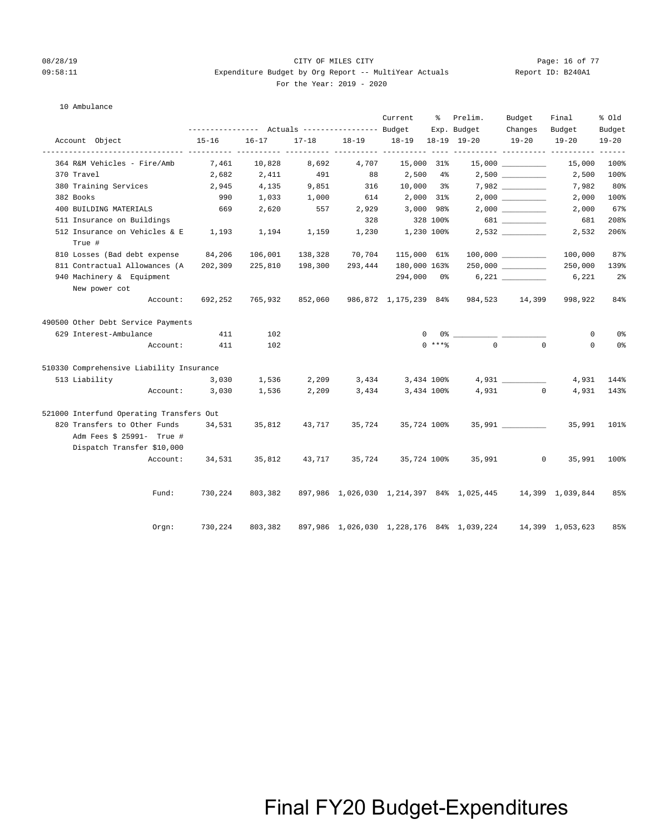### 08/28/19 CITY OF MILES CITY Page: 16 of 77 09:58:11 **Expenditure Budget by Org Report -- MultiYear Actuals** For the Year: 2019 - 2020

| Report ID: B240A1 |  |
|-------------------|--|
|                   |  |

### 10 Ambulance

|                                          |                                      |                              |         |                               | Current      |          | % Prelim.                                                                                                                                                                                                                                                                                                              | Budget                                        | Final            | % old          |
|------------------------------------------|--------------------------------------|------------------------------|---------|-------------------------------|--------------|----------|------------------------------------------------------------------------------------------------------------------------------------------------------------------------------------------------------------------------------------------------------------------------------------------------------------------------|-----------------------------------------------|------------------|----------------|
|                                          |                                      |                              |         |                               |              |          | Exp. Budget                                                                                                                                                                                                                                                                                                            | Changes                                       | Budget           | Budget         |
| Account Object                           | $15 - 16$<br>----------- ----------- | $16 - 17$                    |         | 17-18 18-19 18-19 18-19 19-20 |              |          |                                                                                                                                                                                                                                                                                                                        | $19 - 20$<br>----------- ---------- --------- | $19 - 20$        | $19 - 20$      |
| 364 R&M Vehicles - Fire/Amb              | 7,461                                | 10,828                       | 8,692   | 4,707                         | 15,000 31%   |          |                                                                                                                                                                                                                                                                                                                        |                                               | 15,000           | $100\%$        |
| 370 Travel                               | 2,682                                | 2,411                        | 491     | 88                            | 2,500 4%     |          |                                                                                                                                                                                                                                                                                                                        |                                               | 2,500            | $100\%$        |
| 380 Training Services                    | 2,945                                | 4,135                        | 9,851   | 316                           | $10,000$ 3%  |          |                                                                                                                                                                                                                                                                                                                        |                                               | 7,982            | $80\%$         |
| 382 Books                                | 990                                  | 1,033                        | 1,000   | 614                           | 2,000 31%    |          |                                                                                                                                                                                                                                                                                                                        |                                               | 2,000            | 100%           |
| 400 BUILDING MATERIALS                   | 669                                  | 2,620                        | 557     | 2,929                         | 3,000 98%    |          |                                                                                                                                                                                                                                                                                                                        |                                               | 2,000            | 67%            |
| 511 Insurance on Buildings               |                                      |                              |         | 328                           | 328 100%     |          |                                                                                                                                                                                                                                                                                                                        | 681                                           | 681              | 208%           |
| 512 Insurance on Vehicles & E<br>True #  | 1,193                                | 1,194                        | 1,159   | 1,230                         | 1,230 100%   |          |                                                                                                                                                                                                                                                                                                                        |                                               | 2,532            | 206%           |
| 810 Losses (Bad debt expense             | 84,206                               | 106,001                      | 138,328 | 70,704                        | 115,000 61%  |          |                                                                                                                                                                                                                                                                                                                        |                                               | 100,000          | 87%            |
| 811 Contractual Allowances (A            | 202,309                              | 225,810                      | 198,300 | 293,444                       | 180,000 163% |          |                                                                                                                                                                                                                                                                                                                        | $250,000$ __________                          | 250,000          | 139%           |
| 940 Machinery & Equipment                |                                      |                              |         |                               |              |          |                                                                                                                                                                                                                                                                                                                        |                                               | 6,221            | 2 <sup>8</sup> |
| New power cot                            |                                      |                              |         |                               |              |          |                                                                                                                                                                                                                                                                                                                        |                                               |                  |                |
| Account:                                 | 692,252                              |                              |         |                               |              |          | 765,932 852,060 986,872 1,175,239 84% 984,523 14,399                                                                                                                                                                                                                                                                   |                                               | 998,922          | 84%            |
| 490500 Other Debt Service Payments       |                                      |                              |         |                               |              |          |                                                                                                                                                                                                                                                                                                                        |                                               |                  |                |
| 629 Interest-Ambulance                   | 411                                  | 102                          |         |                               |              | $\Omega$ | $0$ $\frac{3}{2}$ $\frac{3}{2}$ $\frac{3}{2}$ $\frac{3}{2}$ $\frac{3}{2}$ $\frac{3}{2}$ $\frac{3}{2}$ $\frac{3}{2}$ $\frac{3}{2}$ $\frac{3}{2}$ $\frac{3}{2}$ $\frac{3}{2}$ $\frac{3}{2}$ $\frac{3}{2}$ $\frac{3}{2}$ $\frac{3}{2}$ $\frac{3}{2}$ $\frac{3}{2}$ $\frac{3}{2}$ $\frac{3}{2}$ $\frac{3}{2}$ $\frac{3}{2$ |                                               | $\mathbf 0$      | 0%             |
|                                          | Account: 411                         | 102                          |         |                               |              | $0$ **** |                                                                                                                                                                                                                                                                                                                        | $\Omega$<br>$\Omega$                          | $\Omega$         | 0%             |
| 510330 Comprehensive Liability Insurance |                                      |                              |         |                               |              |          |                                                                                                                                                                                                                                                                                                                        |                                               |                  |                |
| 513 Liability                            | 3,030                                | 1,536 2,209 3,434 3,434 100% |         |                               |              |          |                                                                                                                                                                                                                                                                                                                        | 4,931                                         | 4,931            | 144%           |
|                                          | Account: 3,030                       | 1,536                        | 2,209   | 3,434                         | 3,434 100%   |          |                                                                                                                                                                                                                                                                                                                        | $4,931$ 0                                     | 4,931            | 143%           |
| 521000 Interfund Operating Transfers Out |                                      |                              |         |                               |              |          |                                                                                                                                                                                                                                                                                                                        |                                               |                  |                |
| 820 Transfers to Other Funds 34,531      |                                      | 35,812                       | 43,717  | 35,724                        | 35,724 100%  |          |                                                                                                                                                                                                                                                                                                                        | 35,991 35,991 101%                            |                  |                |
| Adm Fees \$ 25991- True #                |                                      |                              |         |                               |              |          |                                                                                                                                                                                                                                                                                                                        |                                               |                  |                |
| Dispatch Transfer \$10,000               |                                      |                              |         |                               |              |          |                                                                                                                                                                                                                                                                                                                        |                                               |                  |                |
| Account:                                 |                                      | 34,531 35,812                | 43,717  | 35,724                        |              |          | 35,724 100% 35,991                                                                                                                                                                                                                                                                                                     | $^{\circ}$                                    | 35,991           | $100\%$        |
| Fund:                                    | 730,224                              |                              |         |                               |              |          | 803,382 897,986 1,026,030 1,214,397 84% 1,025,445 14,399 1,039,844                                                                                                                                                                                                                                                     |                                               |                  | 85%            |
| Orgn:                                    | 730,224                              | 803,382                      |         |                               |              |          | 897,986 1,026,030 1,228,176 84% 1,039,224                                                                                                                                                                                                                                                                              |                                               | 14,399 1,053,623 | 85%            |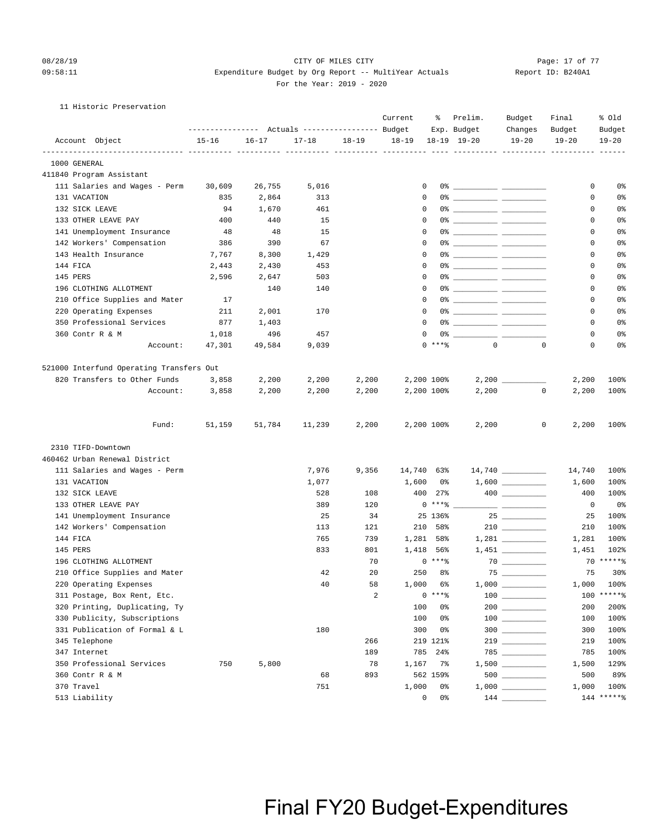### 11 Historic Preservation

| Account Object<br>$16 - 17$<br>$17 - 18$<br>$18 - 19$<br>$18 - 19$<br>18-19 19-20<br>$19 - 20$<br>$19 - 20$<br>$19 - 20$<br>$15 - 16$<br>1000 GENERAL<br>411840 Program Assistant<br>111 Salaries and Wages - Perm<br>30,609<br>26,755<br>5,016<br>0<br>0<br>131 VACATION<br>2,864<br>$\Omega$<br>$\mathbf 0$<br>835<br>313<br>132 SICK LEAVE<br>0<br>94<br>1,670<br>461<br>0<br>133 OTHER LEAVE PAY<br>400<br>15<br>0<br>440<br>0<br>141 Unemployment Insurance<br>48<br>48<br>15<br>0<br>0<br>142 Workers' Compensation<br>386<br>390<br>67<br>0<br>0<br>143 Health Insurance<br>7,767<br>8,300<br>1,429<br>$\Omega$<br>0% ____________ ___________<br>0<br>144 FICA<br>0<br>2,443<br>2,430<br>453<br>0<br>145 PERS<br>0<br>2,596<br>2,647<br>503<br>0<br>196 CLOTHING ALLOTMENT<br>0<br>0<br>140<br>140<br>210 Office Supplies and Mater<br>17<br>0<br>0<br>220 Operating Expenses<br>2,001<br>$\Omega$<br>0% ____________ ___________<br>211<br>170<br>0<br>350 Professional Services<br>$\Omega$<br>877<br>1,403<br>0<br>360 Contr R & M<br>496<br>457<br>0<br>1,018<br>0<br>$0$ *** $%$<br>$\Omega$<br>47,301<br>$\mathbf 0$<br>$\mathbf 0$<br>Account:<br>49,584<br>9,039<br>521000 Interfund Operating Transfers Out<br>820 Transfers to Other Funds<br>2,200<br>2,200<br>2,200 100%<br>3,858<br>2,200<br>2,200<br>Account:<br>2,200<br>2,200<br>2,200<br>2,200 100%<br>2,200<br>$\mathbf 0$<br>3,858<br>2,200<br>Fund:<br>51,159<br>51,784<br>11,239<br>2,200<br>2,200 100%<br>2,200<br>0<br>2,200<br>2310 TIFD-Downtown<br>460462 Urban Renewal District<br>$14,740$ _________<br>111 Salaries and Wages - Perm<br>7,976<br>9,356<br>14,740 63%<br>14,740<br>100%<br>131 VACATION<br>1,077<br>1,600<br>100%<br>0 %<br>1,600<br>132 SICK LEAVE<br>108<br>400<br>100%<br>528<br>$27\%$<br>400<br>$0***8$<br>133 OTHER LEAVE PAY<br>389<br>120<br>0<br>141 Unemployment Insurance<br>25<br>34<br>25 136%<br>100%<br>25<br>$210$ ________<br>142 Workers' Compensation<br>100%<br>113<br>121<br>210 58%<br>210<br>144 FICA<br>765<br>739<br>1,281 58%<br>100%<br>1,281<br>833<br>801<br>1,418 56%<br>102%<br>145 PERS<br>1,451<br>$70****$<br>$0***8$<br>196 CLOTHING ALLOTMENT<br>70<br>75<br>210 Office Supplies and Mater<br>20<br>250 8%<br>75<br>42<br>1,000 100%<br>220 Operating Expenses<br>40<br>58<br>1,000 6%<br>$\begin{tabular}{c} 100 \end{tabular}$<br>100 ******<br>$0***8$<br>311 Postage, Box Rent, Etc.<br>2<br>320 Printing, Duplicating, Ty<br>100<br>$200$<br>200%<br>0%<br>200<br>330 Publicity, Subscriptions<br>100<br>0%<br>$100$<br>100<br>$300$<br>331 Publication of Formal & L<br>180<br>300<br>0%<br>100%<br>300<br>100%<br>345 Telephone<br>266<br>219 121%<br>219<br>347 Internet<br>189<br>785<br>100%<br>$24\%$<br>785<br>350 Professional Services<br>5,800<br>78<br>750<br>1,167<br>7%<br>1,500<br>360 Contr R & M<br>893<br>68<br>562 159%<br>500 |            | ----------------- | Actuals ----------------- Budget | Current | ႜ  | Prelim.<br>Exp. Budget | Budget<br>Changes | Final<br>Budget | % old<br>Budget |
|-----------------------------------------------------------------------------------------------------------------------------------------------------------------------------------------------------------------------------------------------------------------------------------------------------------------------------------------------------------------------------------------------------------------------------------------------------------------------------------------------------------------------------------------------------------------------------------------------------------------------------------------------------------------------------------------------------------------------------------------------------------------------------------------------------------------------------------------------------------------------------------------------------------------------------------------------------------------------------------------------------------------------------------------------------------------------------------------------------------------------------------------------------------------------------------------------------------------------------------------------------------------------------------------------------------------------------------------------------------------------------------------------------------------------------------------------------------------------------------------------------------------------------------------------------------------------------------------------------------------------------------------------------------------------------------------------------------------------------------------------------------------------------------------------------------------------------------------------------------------------------------------------------------------------------------------------------------------------------------------------------------------------------------------------------------------------------------------------------------------------------------------------------------------------------------------------------------------------------------------------------------------------------------------------------------------------------------------------------------------------------------------------------------------------------------------------------------------------------------------------------------------------------------------------------------------------------------------------------------------------------------------------------------------------------------------------------------------------------------------------------------------------------------------------------------------------------------------------------------------------------------------------|------------|-------------------|----------------------------------|---------|----|------------------------|-------------------|-----------------|-----------------|
|                                                                                                                                                                                                                                                                                                                                                                                                                                                                                                                                                                                                                                                                                                                                                                                                                                                                                                                                                                                                                                                                                                                                                                                                                                                                                                                                                                                                                                                                                                                                                                                                                                                                                                                                                                                                                                                                                                                                                                                                                                                                                                                                                                                                                                                                                                                                                                                                                                                                                                                                                                                                                                                                                                                                                                                                                                                                                               |            |                   |                                  |         |    |                        |                   |                 |                 |
|                                                                                                                                                                                                                                                                                                                                                                                                                                                                                                                                                                                                                                                                                                                                                                                                                                                                                                                                                                                                                                                                                                                                                                                                                                                                                                                                                                                                                                                                                                                                                                                                                                                                                                                                                                                                                                                                                                                                                                                                                                                                                                                                                                                                                                                                                                                                                                                                                                                                                                                                                                                                                                                                                                                                                                                                                                                                                               |            |                   |                                  |         |    |                        |                   |                 |                 |
|                                                                                                                                                                                                                                                                                                                                                                                                                                                                                                                                                                                                                                                                                                                                                                                                                                                                                                                                                                                                                                                                                                                                                                                                                                                                                                                                                                                                                                                                                                                                                                                                                                                                                                                                                                                                                                                                                                                                                                                                                                                                                                                                                                                                                                                                                                                                                                                                                                                                                                                                                                                                                                                                                                                                                                                                                                                                                               |            |                   |                                  |         |    |                        |                   |                 |                 |
|                                                                                                                                                                                                                                                                                                                                                                                                                                                                                                                                                                                                                                                                                                                                                                                                                                                                                                                                                                                                                                                                                                                                                                                                                                                                                                                                                                                                                                                                                                                                                                                                                                                                                                                                                                                                                                                                                                                                                                                                                                                                                                                                                                                                                                                                                                                                                                                                                                                                                                                                                                                                                                                                                                                                                                                                                                                                                               |            |                   |                                  |         |    |                        |                   |                 | 0%              |
|                                                                                                                                                                                                                                                                                                                                                                                                                                                                                                                                                                                                                                                                                                                                                                                                                                                                                                                                                                                                                                                                                                                                                                                                                                                                                                                                                                                                                                                                                                                                                                                                                                                                                                                                                                                                                                                                                                                                                                                                                                                                                                                                                                                                                                                                                                                                                                                                                                                                                                                                                                                                                                                                                                                                                                                                                                                                                               |            |                   |                                  |         |    |                        |                   |                 | 0%              |
|                                                                                                                                                                                                                                                                                                                                                                                                                                                                                                                                                                                                                                                                                                                                                                                                                                                                                                                                                                                                                                                                                                                                                                                                                                                                                                                                                                                                                                                                                                                                                                                                                                                                                                                                                                                                                                                                                                                                                                                                                                                                                                                                                                                                                                                                                                                                                                                                                                                                                                                                                                                                                                                                                                                                                                                                                                                                                               |            |                   |                                  |         |    |                        |                   |                 | 0%              |
|                                                                                                                                                                                                                                                                                                                                                                                                                                                                                                                                                                                                                                                                                                                                                                                                                                                                                                                                                                                                                                                                                                                                                                                                                                                                                                                                                                                                                                                                                                                                                                                                                                                                                                                                                                                                                                                                                                                                                                                                                                                                                                                                                                                                                                                                                                                                                                                                                                                                                                                                                                                                                                                                                                                                                                                                                                                                                               |            |                   |                                  |         |    |                        |                   |                 | 0%              |
|                                                                                                                                                                                                                                                                                                                                                                                                                                                                                                                                                                                                                                                                                                                                                                                                                                                                                                                                                                                                                                                                                                                                                                                                                                                                                                                                                                                                                                                                                                                                                                                                                                                                                                                                                                                                                                                                                                                                                                                                                                                                                                                                                                                                                                                                                                                                                                                                                                                                                                                                                                                                                                                                                                                                                                                                                                                                                               |            |                   |                                  |         |    |                        |                   |                 | 0%              |
|                                                                                                                                                                                                                                                                                                                                                                                                                                                                                                                                                                                                                                                                                                                                                                                                                                                                                                                                                                                                                                                                                                                                                                                                                                                                                                                                                                                                                                                                                                                                                                                                                                                                                                                                                                                                                                                                                                                                                                                                                                                                                                                                                                                                                                                                                                                                                                                                                                                                                                                                                                                                                                                                                                                                                                                                                                                                                               |            |                   |                                  |         |    |                        |                   |                 | 0%              |
|                                                                                                                                                                                                                                                                                                                                                                                                                                                                                                                                                                                                                                                                                                                                                                                                                                                                                                                                                                                                                                                                                                                                                                                                                                                                                                                                                                                                                                                                                                                                                                                                                                                                                                                                                                                                                                                                                                                                                                                                                                                                                                                                                                                                                                                                                                                                                                                                                                                                                                                                                                                                                                                                                                                                                                                                                                                                                               |            |                   |                                  |         |    |                        |                   |                 | 0%              |
|                                                                                                                                                                                                                                                                                                                                                                                                                                                                                                                                                                                                                                                                                                                                                                                                                                                                                                                                                                                                                                                                                                                                                                                                                                                                                                                                                                                                                                                                                                                                                                                                                                                                                                                                                                                                                                                                                                                                                                                                                                                                                                                                                                                                                                                                                                                                                                                                                                                                                                                                                                                                                                                                                                                                                                                                                                                                                               |            |                   |                                  |         |    |                        |                   |                 | 0%              |
|                                                                                                                                                                                                                                                                                                                                                                                                                                                                                                                                                                                                                                                                                                                                                                                                                                                                                                                                                                                                                                                                                                                                                                                                                                                                                                                                                                                                                                                                                                                                                                                                                                                                                                                                                                                                                                                                                                                                                                                                                                                                                                                                                                                                                                                                                                                                                                                                                                                                                                                                                                                                                                                                                                                                                                                                                                                                                               |            |                   |                                  |         |    |                        |                   |                 | 0%              |
|                                                                                                                                                                                                                                                                                                                                                                                                                                                                                                                                                                                                                                                                                                                                                                                                                                                                                                                                                                                                                                                                                                                                                                                                                                                                                                                                                                                                                                                                                                                                                                                                                                                                                                                                                                                                                                                                                                                                                                                                                                                                                                                                                                                                                                                                                                                                                                                                                                                                                                                                                                                                                                                                                                                                                                                                                                                                                               |            |                   |                                  |         |    |                        |                   |                 | 0%              |
|                                                                                                                                                                                                                                                                                                                                                                                                                                                                                                                                                                                                                                                                                                                                                                                                                                                                                                                                                                                                                                                                                                                                                                                                                                                                                                                                                                                                                                                                                                                                                                                                                                                                                                                                                                                                                                                                                                                                                                                                                                                                                                                                                                                                                                                                                                                                                                                                                                                                                                                                                                                                                                                                                                                                                                                                                                                                                               |            |                   |                                  |         |    |                        |                   |                 | 0%              |
|                                                                                                                                                                                                                                                                                                                                                                                                                                                                                                                                                                                                                                                                                                                                                                                                                                                                                                                                                                                                                                                                                                                                                                                                                                                                                                                                                                                                                                                                                                                                                                                                                                                                                                                                                                                                                                                                                                                                                                                                                                                                                                                                                                                                                                                                                                                                                                                                                                                                                                                                                                                                                                                                                                                                                                                                                                                                                               |            |                   |                                  |         |    |                        |                   |                 | 0%              |
|                                                                                                                                                                                                                                                                                                                                                                                                                                                                                                                                                                                                                                                                                                                                                                                                                                                                                                                                                                                                                                                                                                                                                                                                                                                                                                                                                                                                                                                                                                                                                                                                                                                                                                                                                                                                                                                                                                                                                                                                                                                                                                                                                                                                                                                                                                                                                                                                                                                                                                                                                                                                                                                                                                                                                                                                                                                                                               |            |                   |                                  |         |    |                        |                   |                 | 0 <sup>°</sup>  |
|                                                                                                                                                                                                                                                                                                                                                                                                                                                                                                                                                                                                                                                                                                                                                                                                                                                                                                                                                                                                                                                                                                                                                                                                                                                                                                                                                                                                                                                                                                                                                                                                                                                                                                                                                                                                                                                                                                                                                                                                                                                                                                                                                                                                                                                                                                                                                                                                                                                                                                                                                                                                                                                                                                                                                                                                                                                                                               |            |                   |                                  |         |    |                        |                   |                 | 0 <sup>8</sup>  |
|                                                                                                                                                                                                                                                                                                                                                                                                                                                                                                                                                                                                                                                                                                                                                                                                                                                                                                                                                                                                                                                                                                                                                                                                                                                                                                                                                                                                                                                                                                                                                                                                                                                                                                                                                                                                                                                                                                                                                                                                                                                                                                                                                                                                                                                                                                                                                                                                                                                                                                                                                                                                                                                                                                                                                                                                                                                                                               |            |                   |                                  |         |    |                        |                   |                 | 0 <sup>8</sup>  |
|                                                                                                                                                                                                                                                                                                                                                                                                                                                                                                                                                                                                                                                                                                                                                                                                                                                                                                                                                                                                                                                                                                                                                                                                                                                                                                                                                                                                                                                                                                                                                                                                                                                                                                                                                                                                                                                                                                                                                                                                                                                                                                                                                                                                                                                                                                                                                                                                                                                                                                                                                                                                                                                                                                                                                                                                                                                                                               |            |                   |                                  |         |    |                        |                   |                 |                 |
|                                                                                                                                                                                                                                                                                                                                                                                                                                                                                                                                                                                                                                                                                                                                                                                                                                                                                                                                                                                                                                                                                                                                                                                                                                                                                                                                                                                                                                                                                                                                                                                                                                                                                                                                                                                                                                                                                                                                                                                                                                                                                                                                                                                                                                                                                                                                                                                                                                                                                                                                                                                                                                                                                                                                                                                                                                                                                               |            |                   |                                  |         |    |                        |                   |                 | 100%            |
|                                                                                                                                                                                                                                                                                                                                                                                                                                                                                                                                                                                                                                                                                                                                                                                                                                                                                                                                                                                                                                                                                                                                                                                                                                                                                                                                                                                                                                                                                                                                                                                                                                                                                                                                                                                                                                                                                                                                                                                                                                                                                                                                                                                                                                                                                                                                                                                                                                                                                                                                                                                                                                                                                                                                                                                                                                                                                               |            |                   |                                  |         |    |                        |                   |                 | 100%            |
|                                                                                                                                                                                                                                                                                                                                                                                                                                                                                                                                                                                                                                                                                                                                                                                                                                                                                                                                                                                                                                                                                                                                                                                                                                                                                                                                                                                                                                                                                                                                                                                                                                                                                                                                                                                                                                                                                                                                                                                                                                                                                                                                                                                                                                                                                                                                                                                                                                                                                                                                                                                                                                                                                                                                                                                                                                                                                               |            |                   |                                  |         |    |                        |                   |                 | 100%            |
|                                                                                                                                                                                                                                                                                                                                                                                                                                                                                                                                                                                                                                                                                                                                                                                                                                                                                                                                                                                                                                                                                                                                                                                                                                                                                                                                                                                                                                                                                                                                                                                                                                                                                                                                                                                                                                                                                                                                                                                                                                                                                                                                                                                                                                                                                                                                                                                                                                                                                                                                                                                                                                                                                                                                                                                                                                                                                               |            |                   |                                  |         |    |                        |                   |                 |                 |
|                                                                                                                                                                                                                                                                                                                                                                                                                                                                                                                                                                                                                                                                                                                                                                                                                                                                                                                                                                                                                                                                                                                                                                                                                                                                                                                                                                                                                                                                                                                                                                                                                                                                                                                                                                                                                                                                                                                                                                                                                                                                                                                                                                                                                                                                                                                                                                                                                                                                                                                                                                                                                                                                                                                                                                                                                                                                                               |            |                   |                                  |         |    |                        |                   |                 |                 |
|                                                                                                                                                                                                                                                                                                                                                                                                                                                                                                                                                                                                                                                                                                                                                                                                                                                                                                                                                                                                                                                                                                                                                                                                                                                                                                                                                                                                                                                                                                                                                                                                                                                                                                                                                                                                                                                                                                                                                                                                                                                                                                                                                                                                                                                                                                                                                                                                                                                                                                                                                                                                                                                                                                                                                                                                                                                                                               |            |                   |                                  |         |    |                        |                   |                 |                 |
|                                                                                                                                                                                                                                                                                                                                                                                                                                                                                                                                                                                                                                                                                                                                                                                                                                                                                                                                                                                                                                                                                                                                                                                                                                                                                                                                                                                                                                                                                                                                                                                                                                                                                                                                                                                                                                                                                                                                                                                                                                                                                                                                                                                                                                                                                                                                                                                                                                                                                                                                                                                                                                                                                                                                                                                                                                                                                               |            |                   |                                  |         |    |                        |                   |                 |                 |
|                                                                                                                                                                                                                                                                                                                                                                                                                                                                                                                                                                                                                                                                                                                                                                                                                                                                                                                                                                                                                                                                                                                                                                                                                                                                                                                                                                                                                                                                                                                                                                                                                                                                                                                                                                                                                                                                                                                                                                                                                                                                                                                                                                                                                                                                                                                                                                                                                                                                                                                                                                                                                                                                                                                                                                                                                                                                                               |            |                   |                                  |         |    |                        |                   |                 |                 |
|                                                                                                                                                                                                                                                                                                                                                                                                                                                                                                                                                                                                                                                                                                                                                                                                                                                                                                                                                                                                                                                                                                                                                                                                                                                                                                                                                                                                                                                                                                                                                                                                                                                                                                                                                                                                                                                                                                                                                                                                                                                                                                                                                                                                                                                                                                                                                                                                                                                                                                                                                                                                                                                                                                                                                                                                                                                                                               |            |                   |                                  |         |    |                        |                   |                 | 0%              |
|                                                                                                                                                                                                                                                                                                                                                                                                                                                                                                                                                                                                                                                                                                                                                                                                                                                                                                                                                                                                                                                                                                                                                                                                                                                                                                                                                                                                                                                                                                                                                                                                                                                                                                                                                                                                                                                                                                                                                                                                                                                                                                                                                                                                                                                                                                                                                                                                                                                                                                                                                                                                                                                                                                                                                                                                                                                                                               |            |                   |                                  |         |    |                        |                   |                 |                 |
|                                                                                                                                                                                                                                                                                                                                                                                                                                                                                                                                                                                                                                                                                                                                                                                                                                                                                                                                                                                                                                                                                                                                                                                                                                                                                                                                                                                                                                                                                                                                                                                                                                                                                                                                                                                                                                                                                                                                                                                                                                                                                                                                                                                                                                                                                                                                                                                                                                                                                                                                                                                                                                                                                                                                                                                                                                                                                               |            |                   |                                  |         |    |                        |                   |                 |                 |
|                                                                                                                                                                                                                                                                                                                                                                                                                                                                                                                                                                                                                                                                                                                                                                                                                                                                                                                                                                                                                                                                                                                                                                                                                                                                                                                                                                                                                                                                                                                                                                                                                                                                                                                                                                                                                                                                                                                                                                                                                                                                                                                                                                                                                                                                                                                                                                                                                                                                                                                                                                                                                                                                                                                                                                                                                                                                                               |            |                   |                                  |         |    |                        |                   |                 |                 |
|                                                                                                                                                                                                                                                                                                                                                                                                                                                                                                                                                                                                                                                                                                                                                                                                                                                                                                                                                                                                                                                                                                                                                                                                                                                                                                                                                                                                                                                                                                                                                                                                                                                                                                                                                                                                                                                                                                                                                                                                                                                                                                                                                                                                                                                                                                                                                                                                                                                                                                                                                                                                                                                                                                                                                                                                                                                                                               |            |                   |                                  |         |    |                        |                   |                 |                 |
|                                                                                                                                                                                                                                                                                                                                                                                                                                                                                                                                                                                                                                                                                                                                                                                                                                                                                                                                                                                                                                                                                                                                                                                                                                                                                                                                                                                                                                                                                                                                                                                                                                                                                                                                                                                                                                                                                                                                                                                                                                                                                                                                                                                                                                                                                                                                                                                                                                                                                                                                                                                                                                                                                                                                                                                                                                                                                               |            |                   |                                  |         |    |                        |                   |                 |                 |
|                                                                                                                                                                                                                                                                                                                                                                                                                                                                                                                                                                                                                                                                                                                                                                                                                                                                                                                                                                                                                                                                                                                                                                                                                                                                                                                                                                                                                                                                                                                                                                                                                                                                                                                                                                                                                                                                                                                                                                                                                                                                                                                                                                                                                                                                                                                                                                                                                                                                                                                                                                                                                                                                                                                                                                                                                                                                                               |            |                   |                                  |         |    |                        |                   |                 | 30 <sup>8</sup> |
|                                                                                                                                                                                                                                                                                                                                                                                                                                                                                                                                                                                                                                                                                                                                                                                                                                                                                                                                                                                                                                                                                                                                                                                                                                                                                                                                                                                                                                                                                                                                                                                                                                                                                                                                                                                                                                                                                                                                                                                                                                                                                                                                                                                                                                                                                                                                                                                                                                                                                                                                                                                                                                                                                                                                                                                                                                                                                               |            |                   |                                  |         |    |                        |                   |                 |                 |
|                                                                                                                                                                                                                                                                                                                                                                                                                                                                                                                                                                                                                                                                                                                                                                                                                                                                                                                                                                                                                                                                                                                                                                                                                                                                                                                                                                                                                                                                                                                                                                                                                                                                                                                                                                                                                                                                                                                                                                                                                                                                                                                                                                                                                                                                                                                                                                                                                                                                                                                                                                                                                                                                                                                                                                                                                                                                                               |            |                   |                                  |         |    |                        |                   |                 |                 |
|                                                                                                                                                                                                                                                                                                                                                                                                                                                                                                                                                                                                                                                                                                                                                                                                                                                                                                                                                                                                                                                                                                                                                                                                                                                                                                                                                                                                                                                                                                                                                                                                                                                                                                                                                                                                                                                                                                                                                                                                                                                                                                                                                                                                                                                                                                                                                                                                                                                                                                                                                                                                                                                                                                                                                                                                                                                                                               |            |                   |                                  |         |    |                        |                   |                 |                 |
|                                                                                                                                                                                                                                                                                                                                                                                                                                                                                                                                                                                                                                                                                                                                                                                                                                                                                                                                                                                                                                                                                                                                                                                                                                                                                                                                                                                                                                                                                                                                                                                                                                                                                                                                                                                                                                                                                                                                                                                                                                                                                                                                                                                                                                                                                                                                                                                                                                                                                                                                                                                                                                                                                                                                                                                                                                                                                               |            |                   |                                  |         |    |                        |                   |                 | 100%            |
|                                                                                                                                                                                                                                                                                                                                                                                                                                                                                                                                                                                                                                                                                                                                                                                                                                                                                                                                                                                                                                                                                                                                                                                                                                                                                                                                                                                                                                                                                                                                                                                                                                                                                                                                                                                                                                                                                                                                                                                                                                                                                                                                                                                                                                                                                                                                                                                                                                                                                                                                                                                                                                                                                                                                                                                                                                                                                               |            |                   |                                  |         |    |                        |                   |                 |                 |
|                                                                                                                                                                                                                                                                                                                                                                                                                                                                                                                                                                                                                                                                                                                                                                                                                                                                                                                                                                                                                                                                                                                                                                                                                                                                                                                                                                                                                                                                                                                                                                                                                                                                                                                                                                                                                                                                                                                                                                                                                                                                                                                                                                                                                                                                                                                                                                                                                                                                                                                                                                                                                                                                                                                                                                                                                                                                                               |            |                   |                                  |         |    |                        |                   |                 |                 |
|                                                                                                                                                                                                                                                                                                                                                                                                                                                                                                                                                                                                                                                                                                                                                                                                                                                                                                                                                                                                                                                                                                                                                                                                                                                                                                                                                                                                                                                                                                                                                                                                                                                                                                                                                                                                                                                                                                                                                                                                                                                                                                                                                                                                                                                                                                                                                                                                                                                                                                                                                                                                                                                                                                                                                                                                                                                                                               |            |                   |                                  |         |    |                        |                   |                 |                 |
|                                                                                                                                                                                                                                                                                                                                                                                                                                                                                                                                                                                                                                                                                                                                                                                                                                                                                                                                                                                                                                                                                                                                                                                                                                                                                                                                                                                                                                                                                                                                                                                                                                                                                                                                                                                                                                                                                                                                                                                                                                                                                                                                                                                                                                                                                                                                                                                                                                                                                                                                                                                                                                                                                                                                                                                                                                                                                               |            |                   |                                  |         |    |                        |                   |                 | 129%            |
|                                                                                                                                                                                                                                                                                                                                                                                                                                                                                                                                                                                                                                                                                                                                                                                                                                                                                                                                                                                                                                                                                                                                                                                                                                                                                                                                                                                                                                                                                                                                                                                                                                                                                                                                                                                                                                                                                                                                                                                                                                                                                                                                                                                                                                                                                                                                                                                                                                                                                                                                                                                                                                                                                                                                                                                                                                                                                               |            |                   |                                  |         |    |                        |                   |                 | 89%             |
|                                                                                                                                                                                                                                                                                                                                                                                                                                                                                                                                                                                                                                                                                                                                                                                                                                                                                                                                                                                                                                                                                                                                                                                                                                                                                                                                                                                                                                                                                                                                                                                                                                                                                                                                                                                                                                                                                                                                                                                                                                                                                                                                                                                                                                                                                                                                                                                                                                                                                                                                                                                                                                                                                                                                                                                                                                                                                               | 370 Travel |                   | 751                              | 1,000   | 0% |                        |                   | 1,000           | 100%            |
| 144 ******<br>513 Liability<br>0<br>0%                                                                                                                                                                                                                                                                                                                                                                                                                                                                                                                                                                                                                                                                                                                                                                                                                                                                                                                                                                                                                                                                                                                                                                                                                                                                                                                                                                                                                                                                                                                                                                                                                                                                                                                                                                                                                                                                                                                                                                                                                                                                                                                                                                                                                                                                                                                                                                                                                                                                                                                                                                                                                                                                                                                                                                                                                                                        |            |                   |                                  |         |    |                        |                   |                 |                 |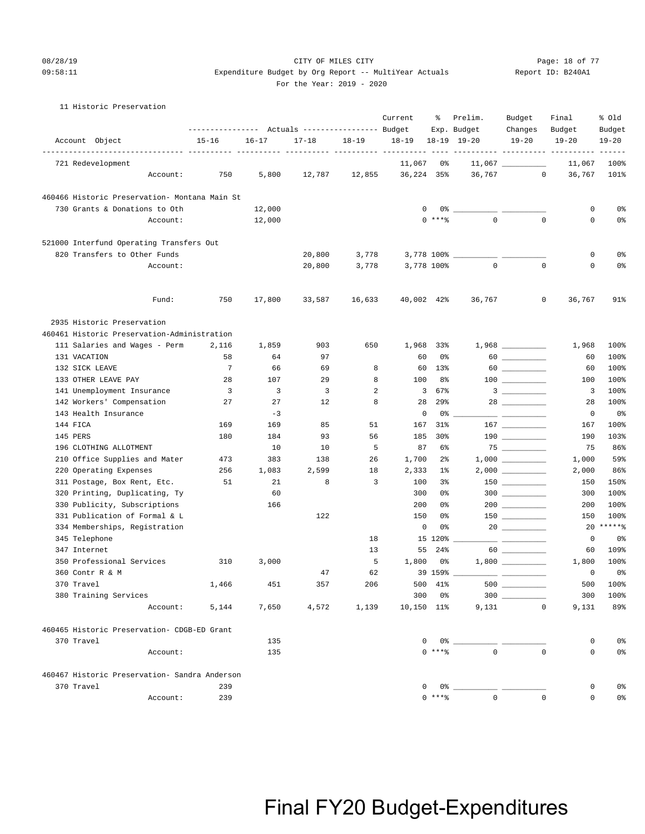#### 08/28/19 CITY OF MILES CITY Page: 18 of 77 09:58:11 Expenditure Budget by Org Report -- MultiYear Actuals Report ID: B240A1 For the Year: 2019 - 2020

#### 11 Historic Preservation

|                                                              | ---------------- |           | Actuals ----------------- Budget |           | Current                   | ႜ               | Prelim.<br>Exp. Budget                                                                                                                                                                                                                                                                                                                                             | Budget<br>Changes                                                                                                                                                                                                                                                                                                                                   | Final<br>Budget     | % old<br>Budget         |
|--------------------------------------------------------------|------------------|-----------|----------------------------------|-----------|---------------------------|-----------------|--------------------------------------------------------------------------------------------------------------------------------------------------------------------------------------------------------------------------------------------------------------------------------------------------------------------------------------------------------------------|-----------------------------------------------------------------------------------------------------------------------------------------------------------------------------------------------------------------------------------------------------------------------------------------------------------------------------------------------------|---------------------|-------------------------|
| Account Object<br>------------------------------- ----       | $15 - 16$        | $16 - 17$ | $17 - 18$                        | $18 - 19$ | $18 - 19$                 |                 | 18-19 19-20                                                                                                                                                                                                                                                                                                                                                        | $19 - 20$                                                                                                                                                                                                                                                                                                                                           | $19 - 20$           | $19 - 20$               |
| 721 Redevelopment                                            |                  |           |                                  |           | $- - - - - - -$<br>11,067 | 0%              |                                                                                                                                                                                                                                                                                                                                                                    |                                                                                                                                                                                                                                                                                                                                                     | 11,067              | $- - - - - - -$<br>100% |
| Account:                                                     | 750              | 5,800     | 12,787                           | 12,855    |                           | 36,224 35%      | 36,767                                                                                                                                                                                                                                                                                                                                                             | $\circ$                                                                                                                                                                                                                                                                                                                                             | 36,767              | 101%                    |
|                                                              |                  |           |                                  |           |                           |                 |                                                                                                                                                                                                                                                                                                                                                                    |                                                                                                                                                                                                                                                                                                                                                     |                     |                         |
| 460466 Historic Preservation- Montana Main St                |                  |           |                                  |           |                           |                 |                                                                                                                                                                                                                                                                                                                                                                    |                                                                                                                                                                                                                                                                                                                                                     |                     |                         |
| 730 Grants & Donations to Oth                                |                  | 12,000    |                                  |           |                           | 0               | 0% - 10%                                                                                                                                                                                                                                                                                                                                                           |                                                                                                                                                                                                                                                                                                                                                     | 0                   | 0 <sup>8</sup>          |
| Account:                                                     |                  | 12,000    |                                  |           |                           | $0$ ****        | $\Omega$                                                                                                                                                                                                                                                                                                                                                           | $\mathbf 0$                                                                                                                                                                                                                                                                                                                                         | $\mathbf 0$         | 0 <sup>8</sup>          |
| 521000 Interfund Operating Transfers Out                     |                  |           |                                  |           |                           |                 |                                                                                                                                                                                                                                                                                                                                                                    |                                                                                                                                                                                                                                                                                                                                                     |                     |                         |
| 820 Transfers to Other Funds                                 |                  |           | 20,800                           | 3,778     |                           |                 |                                                                                                                                                                                                                                                                                                                                                                    |                                                                                                                                                                                                                                                                                                                                                     | 0                   | 0%                      |
| Account:                                                     |                  |           | 20,800                           | 3,778     |                           | 3,778 100%      | $\mathbf 0$                                                                                                                                                                                                                                                                                                                                                        | $\mathbf 0$                                                                                                                                                                                                                                                                                                                                         | 0                   | 0%                      |
|                                                              |                  |           |                                  |           |                           |                 |                                                                                                                                                                                                                                                                                                                                                                    |                                                                                                                                                                                                                                                                                                                                                     |                     |                         |
| Fund:                                                        | 750              | 17,800    | 33,587                           | 16,633    |                           | 40,002 42%      | 36,767                                                                                                                                                                                                                                                                                                                                                             | 0                                                                                                                                                                                                                                                                                                                                                   | 36,767              | 91%                     |
| 2935 Historic Preservation                                   |                  |           |                                  |           |                           |                 |                                                                                                                                                                                                                                                                                                                                                                    |                                                                                                                                                                                                                                                                                                                                                     |                     |                         |
| 460461 Historic Preservation-Administration                  |                  |           |                                  |           |                           |                 |                                                                                                                                                                                                                                                                                                                                                                    |                                                                                                                                                                                                                                                                                                                                                     |                     |                         |
| 111 Salaries and Wages - Perm                                | 2,116            | 1,859     | 903                              | 650       |                           | 1,968 33%       |                                                                                                                                                                                                                                                                                                                                                                    | $1,968$ _________                                                                                                                                                                                                                                                                                                                                   | 1,968               | 100%                    |
| 131 VACATION                                                 | 58               | 64        | 97                               |           | 60                        | 0%              |                                                                                                                                                                                                                                                                                                                                                                    |                                                                                                                                                                                                                                                                                                                                                     | 60                  | 100%                    |
| 132 SICK LEAVE                                               | 7                | 66        | 69                               | 8         |                           | 60<br>$13\%$    |                                                                                                                                                                                                                                                                                                                                                                    |                                                                                                                                                                                                                                                                                                                                                     | 60                  | 100%                    |
| 133 OTHER LEAVE PAY                                          | 28               | 107       | 29                               | 8         | 100                       | 8%              |                                                                                                                                                                                                                                                                                                                                                                    |                                                                                                                                                                                                                                                                                                                                                     | 100                 | 100%                    |
| 141 Unemployment Insurance                                   | 3                | 3         | 3                                | 2         |                           | 67%<br>3        |                                                                                                                                                                                                                                                                                                                                                                    | $\overline{\mathbf{3}}$ $\overline{\mathbf{1}}$                                                                                                                                                                                                                                                                                                     | 3                   | 100%                    |
| 142 Workers' Compensation                                    | 27               | 27        | 12                               | 8         | 28                        | 29%             |                                                                                                                                                                                                                                                                                                                                                                    |                                                                                                                                                                                                                                                                                                                                                     | 28                  | 100%                    |
| 143 Health Insurance                                         |                  | $-3$      |                                  |           |                           | 0<br>0%         |                                                                                                                                                                                                                                                                                                                                                                    |                                                                                                                                                                                                                                                                                                                                                     | 0                   | 0%                      |
| 144 FICA                                                     | 169              | 169       | 85                               | 51        | 167                       | 31%             |                                                                                                                                                                                                                                                                                                                                                                    |                                                                                                                                                                                                                                                                                                                                                     | 167                 | 100%                    |
| 145 PERS                                                     | 180              | 184       | 93                               | 56        | 185                       | 30 <sub>8</sub> |                                                                                                                                                                                                                                                                                                                                                                    | $\begin{picture}(10,10) \put(0,0){\line(1,0){10}} \put(10,0){\line(1,0){10}} \put(10,0){\line(1,0){10}} \put(10,0){\line(1,0){10}} \put(10,0){\line(1,0){10}} \put(10,0){\line(1,0){10}} \put(10,0){\line(1,0){10}} \put(10,0){\line(1,0){10}} \put(10,0){\line(1,0){10}} \put(10,0){\line(1,0){10}} \put(10,0){\line(1,0){10}} \put(10,0){\line(1$ | 190                 | 103%                    |
| 196 CLOTHING ALLOTMENT                                       |                  | 10        | 10                               | 5         | 87                        | 6%              |                                                                                                                                                                                                                                                                                                                                                                    |                                                                                                                                                                                                                                                                                                                                                     | 75                  | 86%                     |
| 210 Office Supplies and Mater                                | 473              | 383       | 138                              | 26        | 1,700                     | $2\frac{6}{9}$  |                                                                                                                                                                                                                                                                                                                                                                    |                                                                                                                                                                                                                                                                                                                                                     | 1,000               | 59%                     |
| 220 Operating Expenses                                       | 256              | 1,083     | 2,599                            | 18        | 2,333                     | $1\%$           |                                                                                                                                                                                                                                                                                                                                                                    | $2,000$ __________                                                                                                                                                                                                                                                                                                                                  | 2,000               | 86%                     |
| 311 Postage, Box Rent, Etc.<br>320 Printing, Duplicating, Ty | 51               | 21<br>60  | 8                                | 3         | 100<br>300                | 3%<br>0%        |                                                                                                                                                                                                                                                                                                                                                                    |                                                                                                                                                                                                                                                                                                                                                     | 150<br>300          | 150%<br>100%            |
| 330 Publicity, Subscriptions                                 |                  | 166       |                                  |           | 200                       | 0%              |                                                                                                                                                                                                                                                                                                                                                                    | $300$                                                                                                                                                                                                                                                                                                                                               | 200                 | 100%                    |
| 331 Publication of Formal & L                                |                  |           | 122                              |           | 150                       | 0%              |                                                                                                                                                                                                                                                                                                                                                                    |                                                                                                                                                                                                                                                                                                                                                     | 150                 | 100%                    |
| 334 Memberships, Registration                                |                  |           |                                  |           |                           | 0<br>0%         |                                                                                                                                                                                                                                                                                                                                                                    |                                                                                                                                                                                                                                                                                                                                                     | 20                  | $*****$                 |
| 345 Telephone                                                |                  |           |                                  | 18        |                           | 15 120%         |                                                                                                                                                                                                                                                                                                                                                                    |                                                                                                                                                                                                                                                                                                                                                     | 0                   | 0%                      |
| 347 Internet                                                 |                  |           |                                  | 13        | 55                        | 24%             |                                                                                                                                                                                                                                                                                                                                                                    |                                                                                                                                                                                                                                                                                                                                                     | 60                  | 109%                    |
| 350 Professional Services                                    | 310              | 3,000     |                                  | 5         | 1,800                     | 0%              |                                                                                                                                                                                                                                                                                                                                                                    |                                                                                                                                                                                                                                                                                                                                                     | 1,800               | 100%                    |
| 360 Contr R & M                                              |                  |           | 47                               | 62        |                           | 39 159% _       |                                                                                                                                                                                                                                                                                                                                                                    |                                                                                                                                                                                                                                                                                                                                                     | 0                   | 0 <sup>8</sup>          |
| 370 Travel                                                   | 1,466            | 451       | 357                              | 206       |                           | 500 41%         | $500$ $-$                                                                                                                                                                                                                                                                                                                                                          |                                                                                                                                                                                                                                                                                                                                                     | 500                 | 100%                    |
| 380 Training Services                                        |                  |           |                                  |           |                           | 300 0%          |                                                                                                                                                                                                                                                                                                                                                                    | $300$                                                                                                                                                                                                                                                                                                                                               | 300                 | 100%                    |
| Account:                                                     | 5,144            | 7,650     | 4,572                            | 1,139     |                           | 10,150 11%      |                                                                                                                                                                                                                                                                                                                                                                    | 9,131<br>$\circ$                                                                                                                                                                                                                                                                                                                                    | 9,131               | 89%                     |
| 460465 Historic Preservation- CDGB-ED Grant                  |                  |           |                                  |           |                           |                 |                                                                                                                                                                                                                                                                                                                                                                    |                                                                                                                                                                                                                                                                                                                                                     |                     |                         |
| 370 Travel                                                   |                  | 135       |                                  |           |                           |                 | $\begin{picture}(150,10) \put(0,0){\vector(1,0){100}} \put(15,0){\vector(1,0){100}} \put(15,0){\vector(1,0){100}} \put(15,0){\vector(1,0){100}} \put(15,0){\vector(1,0){100}} \put(15,0){\vector(1,0){100}} \put(15,0){\vector(1,0){100}} \put(15,0){\vector(1,0){100}} \put(15,0){\vector(1,0){100}} \put(15,0){\vector(1,0){100}} \put(15,0){\vector(1,0){100}}$ |                                                                                                                                                                                                                                                                                                                                                     | 0                   | 0 <sup>°</sup>          |
| Account:                                                     |                  | 135       |                                  |           |                           |                 | $0***$ $8$ 0                                                                                                                                                                                                                                                                                                                                                       | $\Omega$                                                                                                                                                                                                                                                                                                                                            | 0                   | 0 <sup>°</sup>          |
| 460467 Historic Preservation- Sandra Anderson                |                  |           |                                  |           |                           |                 |                                                                                                                                                                                                                                                                                                                                                                    |                                                                                                                                                                                                                                                                                                                                                     |                     |                         |
| 370 Travel                                                   | 239              |           |                                  |           |                           |                 |                                                                                                                                                                                                                                                                                                                                                                    |                                                                                                                                                                                                                                                                                                                                                     | 0                   | 0 <sup>8</sup>          |
| Account:                                                     | 239              |           |                                  |           |                           | $0***8$         | $\overline{0}$                                                                                                                                                                                                                                                                                                                                                     | $\mathbf{0}$                                                                                                                                                                                                                                                                                                                                        | $\mathsf{O}\xspace$ | 0 <sup>°</sup>          |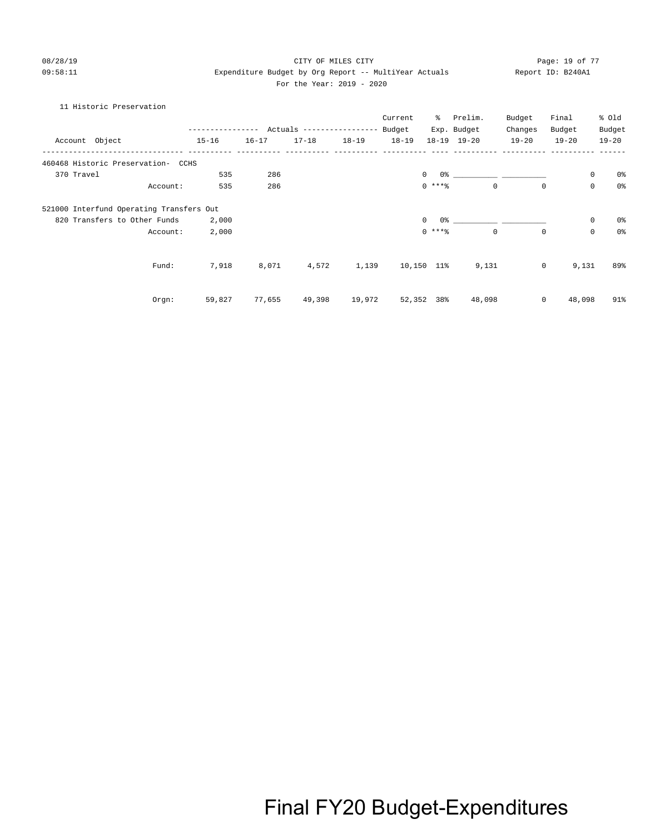### 08/28/19 **Page: 19 of 77** CITY OF MILES CITY **Page: 19 of 77** 09:58:11 Expenditure Budget by Org Report -- MultiYear Actuals Report ID: B240A1 For the Year: 2019 - 2020

### 11 Historic Preservation

|                                          |          |                                           |           |           |           | Current   | % $-$           | Prelim.     | Budget      | Final          |                     | % old          |
|------------------------------------------|----------|-------------------------------------------|-----------|-----------|-----------|-----------|-----------------|-------------|-------------|----------------|---------------------|----------------|
|                                          |          | --------------- Actuals ----------------- |           |           |           | Budget    |                 | Exp. Budget | Changes     | Budget         |                     | Budget         |
| Account Object                           |          | $15 - 16$                                 | $16 - 17$ | $17 - 18$ | $18 - 19$ | $18 - 19$ |                 | 18-19 19-20 | $19 - 20$   | $19 - 20$      |                     | $19 - 20$      |
| 460468 Historic Preservation- CCHS       |          |                                           |           |           |           |           |                 |             |             |                |                     |                |
| 370 Travel                               |          | 535                                       | 286       |           |           |           | $\Omega$        |             |             |                | $\mathbf 0$         | 0%             |
|                                          | Account: | 535                                       | 286       |           |           |           | $0$ ****        |             | $\mathbf 0$ | $\mathbf{0}$   | $\mathsf{O}\xspace$ | 0 <sup>°</sup> |
| 521000 Interfund Operating Transfers Out |          |                                           |           |           |           |           |                 |             |             |                |                     |                |
| 820 Transfers to Other Funds             |          | 2,000                                     |           |           |           |           | $\Omega$<br>0 % |             |             |                | 0                   | 0%             |
|                                          | Account: | 2,000                                     |           |           |           |           | $0$ ****        | $\Omega$    |             | $\mathbf 0$    | $\mathbf 0$         | 0 <sup>o</sup> |
|                                          | Fund:    | 7,918                                     | 8,071     | 4,572     | 1,139     |           | 10,150 11%      | 9,131       |             | $\overline{0}$ | 9,131               | 89%            |
|                                          |          |                                           |           |           |           |           |                 |             |             |                |                     |                |
|                                          | Orgn:    | 59,827                                    | 77,655    | 49,398    | 19,972    |           | 52,352 38%      | 48,098      |             | $\mathsf{O}$   | 48,098              | 91%            |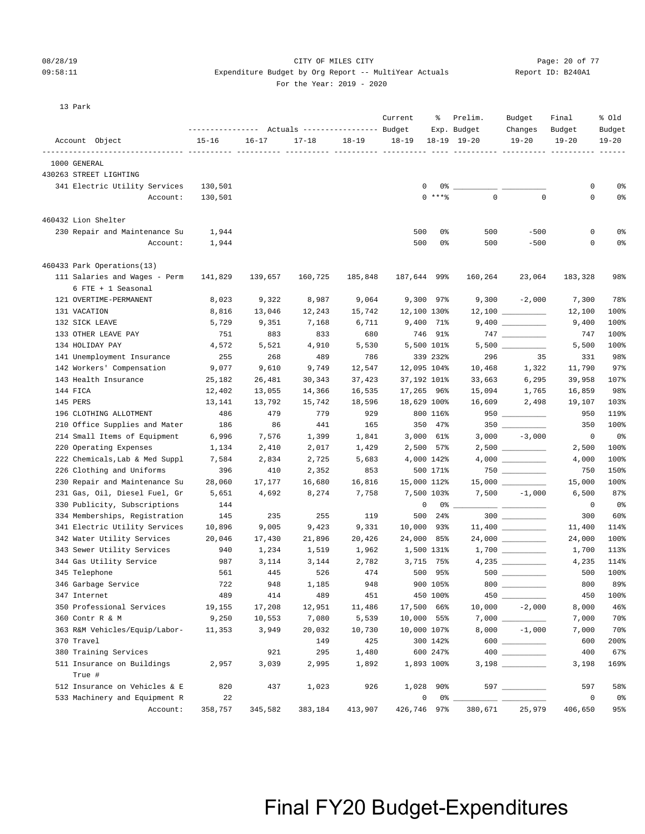### 08/28/19 Page: 20 of 77 CITY OF MILES CITY CONTROL PAGE: 20 of 77

### 09:58:11 Expenditure Budget by Org Report -- MultiYear Actuals Report ID: B240A1 For the Year: 2019 - 2020

| 13 Park |  |
|---------|--|
|         |  |

|                                                     | ----------------- |           | Actuals ----------------- Budget |           | Current     | ႜ          | Prelim.<br>Exp. Budget | Budget<br>Changes   | Final<br>Budget | % old<br>Budget |
|-----------------------------------------------------|-------------------|-----------|----------------------------------|-----------|-------------|------------|------------------------|---------------------|-----------------|-----------------|
| Account Object                                      | $15 - 16$         | $16 - 17$ | $17 - 18$                        | $18 - 19$ | $18 - 19$   |            | $18-19$ $19-20$        | $19 - 20$           | $19 - 20$       | $19 - 20$       |
| 1000 GENERAL                                        |                   |           |                                  |           |             |            |                        |                     |                 |                 |
| 430263 STREET LIGHTING                              |                   |           |                                  |           |             |            |                        |                     |                 |                 |
| 341 Electric Utility Services                       | 130,501           |           |                                  |           | 0           |            | $0\%$ _                |                     | 0               | 0%              |
| Account:                                            | 130,501           |           |                                  |           |             | $0$ ****   | $\mathbf 0$            | $\mathbf 0$         | $\mathbf 0$     | 0%              |
| 460432 Lion Shelter                                 |                   |           |                                  |           |             |            |                        |                     |                 |                 |
| 230 Repair and Maintenance Su                       | 1,944             |           |                                  |           | 500         | 0%         | 500                    | $-500$              | 0               | 0%              |
| Account:                                            | 1,944             |           |                                  |           | 500         | 0%         | 500                    | $-500$              | 0               | 0%              |
|                                                     |                   |           |                                  |           |             |            |                        |                     |                 |                 |
| 460433 Park Operations(13)                          |                   |           |                                  |           |             |            |                        |                     |                 |                 |
| 111 Salaries and Wages - Perm<br>6 FTE + 1 Seasonal | 141,829           | 139,657   | 160,725                          | 185,848   | 187,644 99% |            | 160,264                | 23,064              | 183,328         | 98%             |
| 121 OVERTIME-PERMANENT                              | 8,023             | 9,322     | 8,987                            | 9,064     |             | 9,300 97%  |                        | $9,300 -2,000$      | 7,300           | 78%             |
| 131 VACATION                                        | 8,816             | 13,046    | 12,243                           | 15,742    | 12,100 130% |            |                        | $12,100$ _________  | 12,100          | 100%            |
| 132 SICK LEAVE                                      | 5,729             | 9,351     | 7,168                            | 6,711     |             | 9,400 71%  |                        |                     | 9,400           | 100%            |
| 133 OTHER LEAVE PAY                                 | 751               | 883       | 833                              | 680       |             | 746 91%    |                        |                     | 747             | 100%            |
| 134 HOLIDAY PAY                                     | 4,572             | 5,521     | 4,910                            | 5,530     |             | 5,500 101% |                        |                     | 5,500           | 100%            |
| 141 Unemployment Insurance                          | 255               | 268       | 489                              | 786       |             | 339 232%   | 296                    | 35                  | 331             | 98%             |
| 142 Workers' Compensation                           | 9,077             | 9,610     | 9,749                            | 12,547    | 12,095 104% |            | 10,468                 | 1,322               | 11,790          | 97%             |
| 143 Health Insurance                                | 25,182            | 26,481    | 30,343                           | 37,423    | 37,192 101% |            | 33,663                 | 6,295               | 39,958          | 107%            |
| 144 FICA                                            | 12,402            | 13,055    | 14,366                           | 16,535    | 17,265 96%  |            | 15,094                 | 1,765               | 16,859          | 98%             |
| 145 PERS                                            | 13,141            | 13,792    | 15,742                           | 18,596    | 18,629 100% |            | 16,609                 | 2,498               | 19,107          | 103%            |
| 196 CLOTHING ALLOTMENT                              | 486               | 479       | 779                              | 929       |             | 800 116%   |                        | $950$ ________      | 950             | 119%            |
| 210 Office Supplies and Mater                       | 186               | 86        | 441                              | 165       |             | 350 47%    |                        |                     | 350             | 100%            |
| 214 Small Items of Equipment                        | 6,996             | 7,576     | 1,399                            | 1,841     |             | 3,000 61%  |                        | $3,000 -3,000$      | 0               | 0%              |
| 220 Operating Expenses                              | 1,134             | 2,410     | 2,017                            | 1,429     |             | 2,500 57%  |                        |                     | 2,500           | 100%            |
| 222 Chemicals, Lab & Med Suppl                      | 7,584             | 2,834     | 2,725                            | 5,683     |             | 4,000 142% |                        |                     | 4,000           | 100%            |
| 226 Clothing and Uniforms                           | 396               | 410       | 2,352                            | 853       |             | 500 171%   |                        | $750$ ________      | 750             | 150%            |
| 230 Repair and Maintenance Su                       | 28,060            | 17,177    | 16,680                           | 16,816    | 15,000 112% |            |                        | $15,000$ __________ | 15,000          | 100%            |
| 231 Gas, Oil, Diesel Fuel, Gr                       | 5,651             | 4,692     | 8,274                            | 7,758     |             | 7,500 103% |                        | $7,500 -1,000$      | 6,500           | 87%             |
| 330 Publicity, Subscriptions                        | 144               |           |                                  |           | 0           |            | 0 %                    |                     | 0               | 0%              |
| 334 Memberships, Registration                       | 145               | 235       | 255                              | 119       |             | 500 24%    |                        | $300$               | 300             | 60%             |
| 341 Electric Utility Services                       | 10,896            | 9,005     | 9,423                            | 9,331     | 10,000 93%  |            |                        | $11,400$ ________   | 11,400          | 114%            |
| 342 Water Utility Services                          | 20,046            | 17,430    | 21,896                           | 20,426    | 24,000 85%  |            |                        |                     | 24,000          | 100%            |
| 343 Sewer Utility Services                          | 940               | 1,234     | 1,519                            | 1,962     | 1,500 131%  |            |                        |                     | 1,700           | 113%            |
| 344 Gas Utility Service                             | 987               | 3,114     | 3,144                            | 2,782     |             | 3,715 75%  |                        |                     | 4,235           | 114%            |
| 345 Telephone                                       | 561               | 445       | 526                              | 474       |             | 500 95%    |                        |                     | 500             | 100%            |
| 346 Garbage Service                                 | 722               | 948       | 1,185                            | 948       |             | 900 105%   |                        | $800$               | 800             | 89%             |
| 347 Internet                                        | 489               | 414       | 489                              | 451       |             | 450 100%   |                        |                     | 450             | 100%            |
| 350 Professional Services                           | 19,155            | 17,208    | 12,951                           | 11,486    | 17,500 66%  |            | 10,000                 | $-2,000$            | 8,000           | 46%             |
| 360 Contr R & M                                     | 9,250             | 10,553    | 7,080                            | 5,539     | 10,000 55%  |            |                        |                     | 7,000           | 70%             |
| 363 R&M Vehicles/Equip/Labor-                       | 11,353            | 3,949     | 20,032                           | 10,730    | 10,000 107% |            | 8,000                  | $-1,000$            | 7,000           | 70%             |
| 370 Travel                                          |                   |           | 149                              | 425       |             | 300 142%   |                        | $600$               | 600             | 200%            |
| 380 Training Services                               |                   | 921       | 295                              | 1,480     |             | 600 247%   |                        |                     | 400             | 67%             |
| 511 Insurance on Buildings<br>True #                | 2,957             | 3,039     | 2,995                            | 1,892     |             | 1,893 100% |                        |                     | 3,198           | 169%            |
| 512 Insurance on Vehicles & E                       | 820               | 437       | 1,023                            | 926       |             | 1,028 90%  |                        | 597                 | 597             | 58%             |
| 533 Machinery and Equipment R                       | 22                |           |                                  |           | 0           | 0% _       |                        |                     | 0               | 0%              |
| Account:                                            | 358,757           | 345,582   | 383,184                          | 413,907   | 426,746 97% |            | 380,671                | 25,979              | 406,650         | 95%             |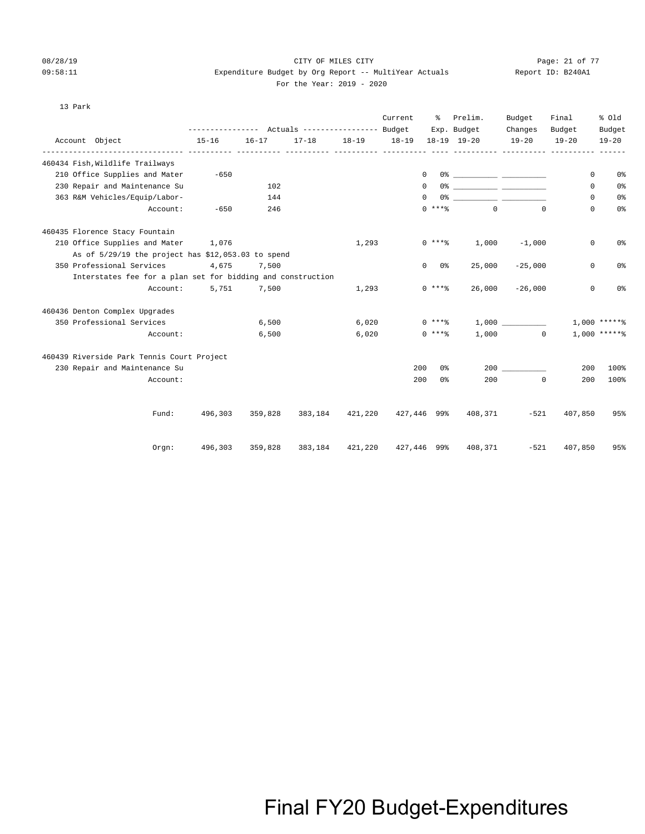$13$ 

### 08/28/19 CITY OF MILES CITY Page: 21 of 77 09:58:11 Expenditure Budget by Org Report -- MultiYear Actuals Report ID: B240A1 For the Year: 2019 - 2020

| Par |
|-----|
|     |
|     |
|     |
|     |
|     |

|                                                             | --------------- Actuals ---------------- Budget |           |           |                             | Current   | ႜႜႜၟ           | Prelim.<br>Exp. Budget              | Budget<br>Changes | Final<br>Budget | % old<br>Budget |
|-------------------------------------------------------------|-------------------------------------------------|-----------|-----------|-----------------------------|-----------|----------------|-------------------------------------|-------------------|-----------------|-----------------|
| Account Object                                              | $15 - 16$                                       | $16 - 17$ | $17 - 18$ | $18 - 19$                   | $18 - 19$ |                | 18-19 19-20                         | $19 - 20$         | $19 - 20$       | $19 - 20$       |
| ------------- ----------<br>460434 Fish, Wildlife Trailways |                                                 |           |           |                             |           |                |                                     |                   |                 |                 |
| 210 Office Supplies and Mater                               | $-650$                                          |           |           |                             |           | $^{\circ}$     |                                     |                   | 0               | 0%              |
| 230 Repair and Maintenance Su                               |                                                 | 102       |           |                             |           | $^{\circ}$     |                                     |                   | 0               | 0 <sup>8</sup>  |
| 363 R&M Vehicles/Equip/Labor-                               |                                                 | 144       |           |                             |           | 0              |                                     |                   | 0               | 0%              |
| Account:                                                    | $-650$                                          | 246       |           |                             |           | $0***$         | $\Omega$                            | $\Omega$          | $\Omega$        | 0 <sup>°</sup>  |
| 460435 Florence Stacy Fountain                              |                                                 |           |           |                             |           |                |                                     |                   |                 |                 |
| 210 Office Supplies and Mater                               | 1,076                                           |           |           | 1,293                       |           | $0***$         | 1,000                               | $-1,000$          | 0               | 0%              |
| As of 5/29/19 the project has \$12,053.03 to spend          |                                                 |           |           |                             |           |                |                                     |                   |                 |                 |
| 350 Professional Services                                   | 4,675                                           | 7,500     |           |                             |           | $0\qquad 0$ %  | 25,000                              | $-25,000$         | $\mathbf 0$     | 0%              |
| Interstates fee for a plan set for bidding and construction |                                                 |           |           |                             |           |                |                                     |                   |                 |                 |
| Account:                                                    | 5,751                                           | 7,500     |           | 1,293                       |           | $0$ ****       | 26,000                              | $-26,000$         | 0               | 0%              |
| 460436 Denton Complex Upgrades                              |                                                 |           |           |                             |           |                |                                     |                   |                 |                 |
| 350 Professional Services                                   |                                                 | 6,500     |           | 6,020                       |           | $0***$ $*$     |                                     | 1,000             |                 | $1.000$ ******  |
| Account:                                                    |                                                 | 6,500     |           | 6,020                       |           | 0 ****         |                                     | $1,000$ 0         |                 | $1.000$ ******  |
| 460439 Riverside Park Tennis Court Project                  |                                                 |           |           |                             |           |                |                                     |                   |                 |                 |
| 230 Repair and Maintenance Su                               |                                                 |           |           |                             | 200       | 0 ‱            |                                     | 200               | 200             | 100%            |
| Account:                                                    |                                                 |           |           |                             | 200       | 0 <sup>°</sup> | 200                                 | $^{\circ}$        | 200             | 100%            |
|                                                             |                                                 |           |           |                             |           |                |                                     |                   |                 |                 |
| Fund:                                                       | 496,303                                         | 359,828   |           | 383,184 421,220 427,446 99% |           |                | 408,371                             | $-521$            | 407,850         | 95%             |
| Orgn:                                                       | 496,303                                         | 359,828   |           |                             |           |                | 383,184 421,220 427,446 99% 408,371 | $-521$            | 407,850         | 95%             |
|                                                             |                                                 |           |           |                             |           |                |                                     |                   |                 |                 |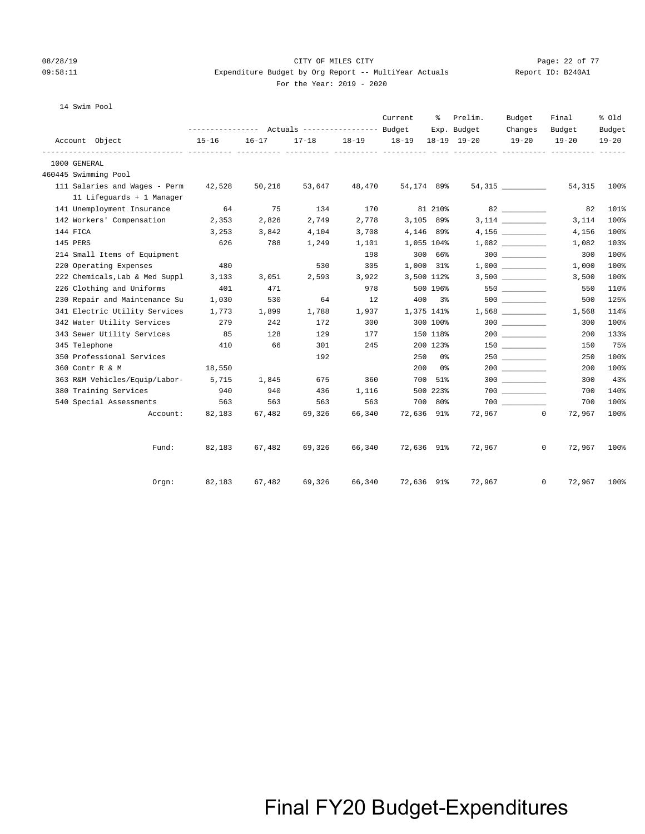### 08/28/19 Page: 22 of 77 CITY OF MILES CITY CONTROL PAGE: 22 of 77 09:58:11 Expenditure Budget by Org Report -- MultiYear Actuals Report ID: B240A1 For the Year: 2019 - 2020

| 14 Swim Pool                        |           |           |           |           |                   |                      |             |                       |                        |                     |
|-------------------------------------|-----------|-----------|-----------|-----------|-------------------|----------------------|-------------|-----------------------|------------------------|---------------------|
|                                     |           |           |           |           | Current           | ႜႜၟ                  | Prelim.     | Budget                | Final                  | % Old               |
| Account Object                      | $15 - 16$ | $16 - 17$ | $17 - 18$ | $18 - 19$ | 18-19 18-19 19-20 |                      | Exp. Budget | Changes<br>$19 - 20$  | Budget<br>$19 - 20$    | Budget<br>$19 - 20$ |
| 1000 GENERAL                        |           |           |           |           |                   |                      |             |                       |                        |                     |
| 460445 Swimming Pool                |           |           |           |           |                   |                      |             |                       |                        |                     |
| 111 Salaries and Wages - Perm       | 42,528    | 50,216    | 53,647    | 48,470    | 54,174 89%        |                      |             |                       | 54,315                 | 100%                |
| 11 Lifeguards + 1 Manager           |           |           |           |           |                   |                      |             |                       |                        |                     |
| 141 Unemployment Insurance          | 64        | 75        | 134       | 170       |                   | 81 210%              |             | 82 and $\overline{a}$ | 82                     | 101%                |
| 142 Workers' Compensation           | 2,353     | 2,826     | 2,749     | 2,778     | 3,105 89%         |                      |             |                       | 3,114                  | 100%                |
| 144 FICA                            | 3,253     | 3,842     | 4,104     | 3,708     | 4,146 89%         |                      |             |                       | 4,156                  | 100%                |
| 145 PERS                            | 626       | 788       | 1,249     | 1,101     | 1,055 104%        |                      |             |                       | 1,082                  | 103%                |
| 214 Small Items of Equipment        |           |           |           | 198       |                   | 300 66%              |             |                       | 300                    | 100%                |
| 220 Operating Expenses              | 480       |           | 530       | 305       | 1,000 31%         |                      |             |                       | 1,000                  | 100%                |
| 222 Chemicals, Lab & Med Suppl      | 3,133     | 3,051     | 2,593     | 3,922     | 3,500 112%        |                      |             |                       | 3,500                  | 100%                |
| 226 Clothing and Uniforms           | 401       | 471       |           | 978       |                   | 500 196%             |             | $550$ ________        | 550                    | 110%                |
| 230 Repair and Maintenance Su       | 1,030     | 530       | 64        | 12        |                   | $400$ 3%             |             | $500$ __________      | 500                    | 125%                |
| 341 Electric Utility Services       | 1,773     | 1,899     | 1,788     | 1,937     | 1,375 141%        |                      |             | 1,568                 | 1,568                  | 114%                |
| 342 Water Utility Services          | 279       | 242       | 172       | 300       |                   | 300 100%             |             |                       | 300                    | 100%                |
| 343 Sewer Utility Services          | 85        | 128       | 129       | 177       |                   | 150 118%             |             |                       | 200                    | 133%                |
| 345 Telephone                       | 410       | 66        | 301       | 245       |                   | 200 123%             |             | 150 000               | 150                    | 75%                 |
| 350 Professional Services           |           |           | 192       |           |                   | $250$ 0%             |             | $250$ _________       | 250                    | 100%                |
| 360 Contr R & M                     | 18,550    |           |           |           |                   | $200$ $0\frac{6}{3}$ |             |                       | 200                    | 100%                |
| 363 R&M Vehicles/Equip/Labor- 5,715 |           | 1,845     | 675       | 360       |                   | 700 51%              |             | 300                   | 300                    | 43%                 |
| 380 Training Services               | 940       | 940       | 436       | 1,116     |                   | 500 223%             |             |                       | 700                    | 140%                |
| 540 Special Assessments             | 563       | 563       | 563       | 563       |                   | 700 80%              |             |                       | 700                    | 100%                |
| Account:                            | 82,183    | 67,482    | 69,326    | 66,340    | 72,636 91%        |                      |             | 72,967 0              | 72,967                 | 100%                |
| Fund:                               | 82,183    | 67,482    | 69,326    | 66,340    | 72,636 91%        |                      | 72,967      |                       | $\mathbf{0}$<br>72,967 | 100%                |
| $0$ rgn:                            | 82,183    | 67,482    | 69,326    | 66,340    | 72,636 91%        |                      | 72,967      |                       | $\mathbf{0}$<br>72,967 | 100%                |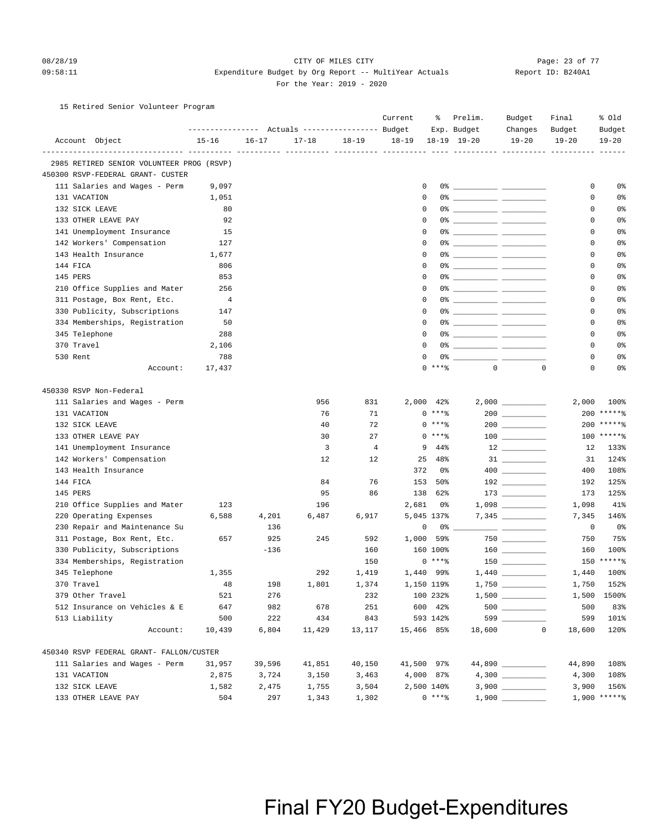#### 08/28/19 Page: 23 of 77 CITY OF MILES CITY CONTROL PAGE: 23 of 77 09:58:11 Expenditure Budget by Org Report -- MultiYear Actuals Report ID: B240A1 For the Year: 2019 - 2020

### 15 Retired Senior Volunteer Program

|                                           |           |           |           |                | Current     | ိင         | Prelim.                                                                                                                                                                                                                                                                                                                | Budget          | Final     | % old           |
|-------------------------------------------|-----------|-----------|-----------|----------------|-------------|------------|------------------------------------------------------------------------------------------------------------------------------------------------------------------------------------------------------------------------------------------------------------------------------------------------------------------------|-----------------|-----------|-----------------|
|                                           |           |           |           |                |             |            | Exp. Budget                                                                                                                                                                                                                                                                                                            | Changes         | Budget    | Budget          |
| Account Object                            | $15 - 16$ | $16 - 17$ | $17 - 18$ | $18 - 19$      | $18 - 19$   |            | $18-19$ $19-20$                                                                                                                                                                                                                                                                                                        | $19 - 20$       | $19 - 20$ | $19 - 20$       |
| -------------------------- ----           |           |           |           |                |             |            |                                                                                                                                                                                                                                                                                                                        |                 |           |                 |
| 2985 RETIRED SENIOR VOLUNTEER PROG (RSVP) |           |           |           |                |             |            |                                                                                                                                                                                                                                                                                                                        |                 |           |                 |
| 450300 RSVP-FEDERAL GRANT- CUSTER         |           |           |           |                |             |            |                                                                                                                                                                                                                                                                                                                        |                 |           |                 |
| 111 Salaries and Wages - Perm             | 9,097     |           |           |                | 0           |            |                                                                                                                                                                                                                                                                                                                        |                 | 0         | 0%              |
| 131 VACATION                              | 1,051     |           |           |                | $\mathbf 0$ |            |                                                                                                                                                                                                                                                                                                                        |                 | 0         | 0%              |
| 132 SICK LEAVE                            | 80        |           |           |                | $^{\circ}$  |            |                                                                                                                                                                                                                                                                                                                        |                 | 0         | 0%              |
| 133 OTHER LEAVE PAY                       | 92        |           |           |                | $^{\circ}$  |            |                                                                                                                                                                                                                                                                                                                        |                 | 0         | 0%              |
| 141 Unemployment Insurance                | 15        |           |           |                | $^{\circ}$  |            |                                                                                                                                                                                                                                                                                                                        |                 | 0         | 0%              |
| 142 Workers' Compensation                 | 127       |           |           |                | 0           |            |                                                                                                                                                                                                                                                                                                                        |                 | 0         | 0%              |
| 143 Health Insurance                      | 1,677     |           |           |                | $\mathbf 0$ |            |                                                                                                                                                                                                                                                                                                                        |                 | 0         | 0 <sup>°</sup>  |
| 144 FICA                                  | 806       |           |           |                | $^{\circ}$  |            |                                                                                                                                                                                                                                                                                                                        |                 | 0         | 0%              |
| 145 PERS                                  | 853       |           |           |                | $^{\circ}$  |            | 0% ____________ ____________                                                                                                                                                                                                                                                                                           |                 | 0         | 0%              |
| 210 Office Supplies and Mater             | 256       |           |           |                | 0           |            |                                                                                                                                                                                                                                                                                                                        |                 | 0         | 0%              |
| 311 Postage, Box Rent, Etc.               | 4         |           |           |                | 0           |            |                                                                                                                                                                                                                                                                                                                        |                 | 0         | 0%              |
| 330 Publicity, Subscriptions              | 147       |           |           |                | $\mathbf 0$ |            |                                                                                                                                                                                                                                                                                                                        |                 | 0         | 0 <sup>°</sup>  |
| 334 Memberships, Registration             | 50        |           |           |                | $^{\circ}$  |            |                                                                                                                                                                                                                                                                                                                        |                 | 0         | 0 <sup>°</sup>  |
| 345 Telephone                             | 288       |           |           |                | $^{\circ}$  |            |                                                                                                                                                                                                                                                                                                                        |                 | 0         | 0%              |
| 370 Travel                                | 2,106     |           |           |                | $\Omega$    |            |                                                                                                                                                                                                                                                                                                                        |                 | 0         | 0%              |
| 530 Rent                                  | 788       |           |           |                | 0           |            | $0$ $\frac{1}{2}$ $\frac{1}{2}$ $\frac{1}{2}$ $\frac{1}{2}$ $\frac{1}{2}$ $\frac{1}{2}$ $\frac{1}{2}$ $\frac{1}{2}$ $\frac{1}{2}$ $\frac{1}{2}$ $\frac{1}{2}$ $\frac{1}{2}$ $\frac{1}{2}$ $\frac{1}{2}$ $\frac{1}{2}$ $\frac{1}{2}$ $\frac{1}{2}$ $\frac{1}{2}$ $\frac{1}{2}$ $\frac{1}{2}$ $\frac{1}{2}$ $\frac{1}{2$ |                 | 0         | 0%              |
| Account:                                  | 17,437    |           |           |                |             | $0$ ****   | $\mathbf{0}$                                                                                                                                                                                                                                                                                                           | $\mathbf 0$     | 0         | 0%              |
| 450330 RSVP Non-Federal                   |           |           |           |                |             |            |                                                                                                                                                                                                                                                                                                                        |                 |           |                 |
| 111 Salaries and Wages - Perm             |           |           | 956       | 831            |             | 2,000 42%  |                                                                                                                                                                                                                                                                                                                        |                 | 2,000     | 100%            |
| 131 VACATION                              |           |           | 76        | 71             |             | $0$ ****   |                                                                                                                                                                                                                                                                                                                        | $200$           | 200       | $*****$         |
| 132 SICK LEAVE                            |           |           | 40        | 72             |             | $0***8$    |                                                                                                                                                                                                                                                                                                                        |                 |           | $200$ *****%    |
| 133 OTHER LEAVE PAY                       |           |           | 30        | 27             |             | $0***8$    |                                                                                                                                                                                                                                                                                                                        |                 |           | 100 ******      |
| 141 Unemployment Insurance                |           |           | 3         | $\overline{4}$ | 9           | 44%        |                                                                                                                                                                                                                                                                                                                        |                 | 12        | 133%            |
| 142 Workers' Compensation                 |           |           | 12        | 12             | 25          | 48%        |                                                                                                                                                                                                                                                                                                                        |                 | 31        | 124%            |
| 143 Health Insurance                      |           |           |           |                | 372         | 0%         |                                                                                                                                                                                                                                                                                                                        |                 | 400       | 108%            |
| 144 FICA                                  |           |           | 84        | 76             | 153         | 50%        |                                                                                                                                                                                                                                                                                                                        |                 | 192       | 125%            |
| 145 PERS                                  |           |           | 95        | 86             | 138         | 62%        |                                                                                                                                                                                                                                                                                                                        |                 | 173       | 125%            |
| 210 Office Supplies and Mater             | 123       |           | 196       |                | 2,681       | 0%         |                                                                                                                                                                                                                                                                                                                        |                 | 1,098     | 41%             |
| 220 Operating Expenses                    | 6,588     | 4,201     | 6,487     | 6,917          |             | 5,045 137% |                                                                                                                                                                                                                                                                                                                        |                 | 7,345     | 146%            |
| 230 Repair and Maintenance Su             |           | 136       |           |                |             | 0<br>0%    |                                                                                                                                                                                                                                                                                                                        |                 | 0         | 0%              |
| 311 Postage, Box Rent, Etc.               | 657       | 925       | 245       | 592            | 1,000       | 59%        |                                                                                                                                                                                                                                                                                                                        | 750             | 750       | 75%             |
| 330 Publicity, Subscriptions              |           | $-136$    |           | 160            |             | 160 100%   |                                                                                                                                                                                                                                                                                                                        |                 | 160       | 100%            |
| 334 Memberships, Registration             |           |           |           | 150            |             | $0***8$    |                                                                                                                                                                                                                                                                                                                        | $150$ _________ |           | 150 ******      |
| 345 Telephone                             | 1,355     |           | 292       | 1,419          |             | 1,440 99%  |                                                                                                                                                                                                                                                                                                                        |                 | 1,440     | 100%            |
| 370 Travel                                | 48        | 198       | 1,801     | 1,374          |             | 1,150 119% |                                                                                                                                                                                                                                                                                                                        | $1,750$         | 1,750     | 152%            |
| 379 Other Travel                          | 521       | 276       |           | 232            |             | 100 232%   |                                                                                                                                                                                                                                                                                                                        |                 |           | 1,500 1500%     |
| 512 Insurance on Vehicles & E             | 647       | 982       | 678       | 251            |             | 600 42%    |                                                                                                                                                                                                                                                                                                                        |                 | 500       | 83%             |
| 513 Liability                             | 500       | 222       | 434       | 843            |             | 593 142%   |                                                                                                                                                                                                                                                                                                                        | 599             | 599       | 101%            |
| Account:                                  | 10,439    | 6,804     | 11,429    | 13,117         | 15,466 85%  |            | 18,600                                                                                                                                                                                                                                                                                                                 | $\mathbf 0$     | 18,600    | 120%            |
| 450340 RSVP FEDERAL GRANT- FALLON/CUSTER  |           |           |           |                |             |            |                                                                                                                                                                                                                                                                                                                        |                 |           |                 |
| 111 Salaries and Wages - Perm             | 31,957    | 39,596    | 41,851    | 40,150         | 41,500 97%  |            |                                                                                                                                                                                                                                                                                                                        | 44,890          | 44,890    | 108%            |
| 131 VACATION                              | 2,875     | 3,724     | 3,150     | 3,463          |             | 4,000 87%  |                                                                                                                                                                                                                                                                                                                        |                 | 4,300     | 108%            |
| 132 SICK LEAVE                            | 1,582     | 2,475     | 1,755     | 3,504          |             | 2,500 140% |                                                                                                                                                                                                                                                                                                                        |                 | 3,900     | 156%            |
| 133 OTHER LEAVE PAY                       | 504       | 297       | 1,343     | 1,302          |             | $0***8$    |                                                                                                                                                                                                                                                                                                                        |                 |           | $1,900$ ***** % |
|                                           |           |           |           |                |             |            |                                                                                                                                                                                                                                                                                                                        |                 |           |                 |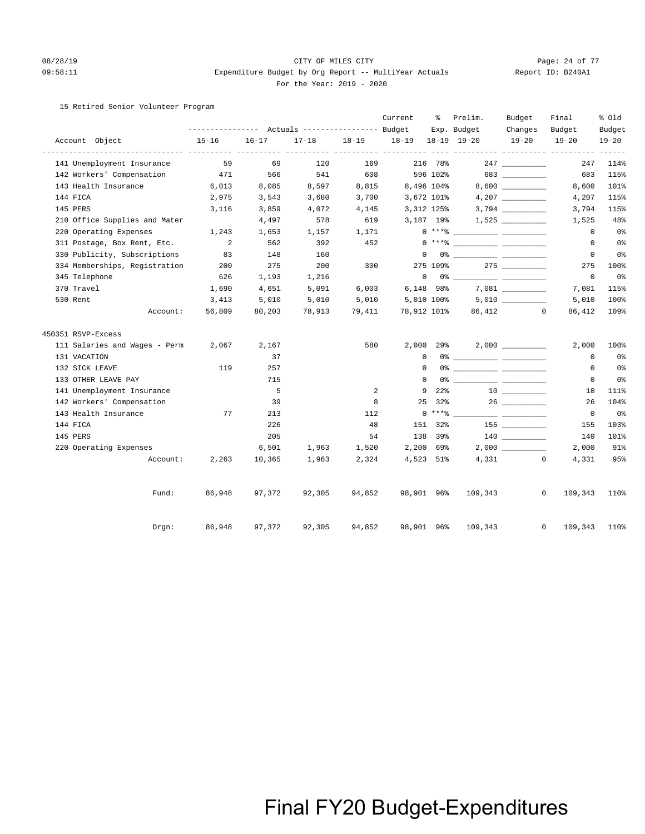### 08/28/19 Page: 24 of 77 CITY OF MILES CITY CHANGES ON Page: 24 of 77 09:58:11 Expenditure Budget by Org Report -- MultiYear Actuals Report ID: B240A1 For the Year: 2019 - 2020

### 15 Retired Senior Volunteer Program

|                               |                                                 |           |           |           | Current                                    | ႜ               | Prelim.                                                                                                                                                                                                                                                                                                                                                            | Budget            | Final                   | % Old          |
|-------------------------------|-------------------------------------------------|-----------|-----------|-----------|--------------------------------------------|-----------------|--------------------------------------------------------------------------------------------------------------------------------------------------------------------------------------------------------------------------------------------------------------------------------------------------------------------------------------------------------------------|-------------------|-------------------------|----------------|
|                               | --------------- Actuals ---------------- Budget |           |           |           |                                            |                 | Exp. Budget                                                                                                                                                                                                                                                                                                                                                        | Changes           | Budget                  | Budget         |
| Account Object                | $15 - 16$                                       | $16 - 17$ | $17 - 18$ | $18 - 19$ | 18-19 18-19 19-20<br>----- ---------- ---- |                 |                                                                                                                                                                                                                                                                                                                                                                    | $19 - 20$         | $19 - 20$               | $19 - 20$      |
| 141 Unemployment Insurance    | 59                                              | 69        | 120       | 169       |                                            | 216 78%         |                                                                                                                                                                                                                                                                                                                                                                    | 247               | 247                     | 114%           |
| 142 Workers' Compensation     | 471                                             | 566       | 541       | 608       |                                            | 596 102%        |                                                                                                                                                                                                                                                                                                                                                                    | 683               | 683                     | 115%           |
| 143 Health Insurance          | 6,013                                           | 8,085     | 8,597     | 8,815     | 8,496 104%                                 |                 |                                                                                                                                                                                                                                                                                                                                                                    |                   | 8,600                   | 101%           |
| 144 FICA                      | 2,975                                           | 3,543     | 3,680     | 3,700     | 3,672 101%                                 |                 |                                                                                                                                                                                                                                                                                                                                                                    |                   | 4,207                   | 115%           |
| 145 PERS                      | 3,116                                           | 3,859     | 4,072     | 4,145     | 3,312 125%                                 |                 |                                                                                                                                                                                                                                                                                                                                                                    |                   | 3,794                   | 115%           |
| 210 Office Supplies and Mater |                                                 | 4,497     | 578       | 619       | 3,187 19%                                  |                 |                                                                                                                                                                                                                                                                                                                                                                    |                   | 1,525                   | 48%            |
| 220 Operating Expenses        | 1,243                                           | 1,653     | 1,157     | 1,171     |                                            |                 | $0***$ $\frac{20}{10}$                                                                                                                                                                                                                                                                                                                                             |                   | $\circ$                 | 0 <sub>8</sub> |
| 311 Postage, Box Rent, Etc.   | $\overline{\phantom{0}}^2$                      | 562       | 392       | 452       |                                            |                 | $0***$ $\frac{20}{10}$                                                                                                                                                                                                                                                                                                                                             |                   | $^{\circ}$              | 0 <sub>8</sub> |
| 330 Publicity, Subscriptions  | 83                                              | 148       | 160       |           | $\Omega$                                   |                 |                                                                                                                                                                                                                                                                                                                                                                    |                   | $^{\circ}$              | 0 <sup>°</sup> |
| 334 Memberships, Registration | 200                                             | 275       | 200       | 300       |                                            | 275 109%        |                                                                                                                                                                                                                                                                                                                                                                    |                   | 275                     | 100%           |
| 345 Telephone                 | 626                                             | 1,193     | 1,216     |           |                                            |                 | $\begin{picture}(150,10) \put(0,0){\vector(1,0){100}} \put(15,0){\vector(1,0){100}} \put(15,0){\vector(1,0){100}} \put(15,0){\vector(1,0){100}} \put(15,0){\vector(1,0){100}} \put(15,0){\vector(1,0){100}} \put(15,0){\vector(1,0){100}} \put(15,0){\vector(1,0){100}} \put(15,0){\vector(1,0){100}} \put(15,0){\vector(1,0){100}} \put(15,0){\vector(1,0){100}}$ |                   | $\mathsf 0$             | 0 <sub>8</sub> |
| 370 Travel                    | 1,690                                           | 4,651     | 5,091     | 6,003     | 6,148 98%                                  |                 |                                                                                                                                                                                                                                                                                                                                                                    |                   | 7,081                   | 115%           |
| 530 Rent                      | 3,413                                           | 5,010     | 5,010     | 5,010     | 5,010 100%                                 |                 |                                                                                                                                                                                                                                                                                                                                                                    | $5,010$ _________ | 5,010                   | 100%           |
| Account:                      | 56,809                                          | 80,203    | 78,913    | 79,411    | 78,912 101%                                |                 |                                                                                                                                                                                                                                                                                                                                                                    | 86,412 0          | 86,412                  | 109%           |
| 450351 RSVP-Excess            |                                                 |           |           |           |                                            |                 |                                                                                                                                                                                                                                                                                                                                                                    |                   |                         |                |
| 111 Salaries and Wages - Perm | 2,067                                           | 2,167     |           | 580       | $2,000$ $29\%$                             |                 |                                                                                                                                                                                                                                                                                                                                                                    |                   | 2,000                   | 100%           |
| 131 VACATION                  |                                                 | 37        |           |           | $\Omega$                                   |                 |                                                                                                                                                                                                                                                                                                                                                                    |                   | $\Omega$                | 0 <sub>8</sub> |
| 132 SICK LEAVE                | 119                                             | 257       |           |           | $\Omega$                                   |                 |                                                                                                                                                                                                                                                                                                                                                                    |                   | 0                       | 0 <sub>8</sub> |
| 133 OTHER LEAVE PAY           |                                                 | 715       |           |           | $\Omega$                                   |                 |                                                                                                                                                                                                                                                                                                                                                                    |                   | $\mathbf 0$             | 0 <sub>8</sub> |
| 141 Unemployment Insurance    |                                                 | 5         |           | 2         | 9                                          | 22 <sup>8</sup> |                                                                                                                                                                                                                                                                                                                                                                    |                   | 10                      | 111%           |
| 142 Workers' Compensation     |                                                 | 39        |           | 8         | 25                                         | 32%             |                                                                                                                                                                                                                                                                                                                                                                    |                   | 26                      | 104%           |
| 143 Health Insurance          | 77                                              | 213       |           | 112       |                                            | $0***$ $****$   |                                                                                                                                                                                                                                                                                                                                                                    |                   | $\overline{0}$          | 0 <sub>8</sub> |
| 144 FICA                      |                                                 | 226       |           | 48        | 151                                        | 32%             |                                                                                                                                                                                                                                                                                                                                                                    | 155 700           | 155                     | 103%           |
| 145 PERS                      |                                                 | 205       |           | 54        |                                            | 138 39%         |                                                                                                                                                                                                                                                                                                                                                                    |                   | 140                     | 101%           |
| 220 Operating Expenses        |                                                 | 6,501     | 1,963     | 1,520     | 2,200 69%                                  |                 |                                                                                                                                                                                                                                                                                                                                                                    |                   | 2,000                   | 91%            |
| Account:                      | 2,263                                           | 10,365    | 1,963     | 2,324     | 4,523 51%                                  |                 |                                                                                                                                                                                                                                                                                                                                                                    | 4,331             | $\circ$<br>4,331        | 95%            |
| Fund:                         | 86,948                                          | 97,372    | 92,305    | 94,852    | 98,901 96%                                 |                 | 109,343                                                                                                                                                                                                                                                                                                                                                            |                   | $\circ$<br>109,343      | 110%           |
| Orgn:                         | 86,948                                          | 97,372    | 92,305    | 94,852    | 98,901 96%                                 |                 | 109,343                                                                                                                                                                                                                                                                                                                                                            |                   | 109,343<br>$\mathbf{0}$ | 110%           |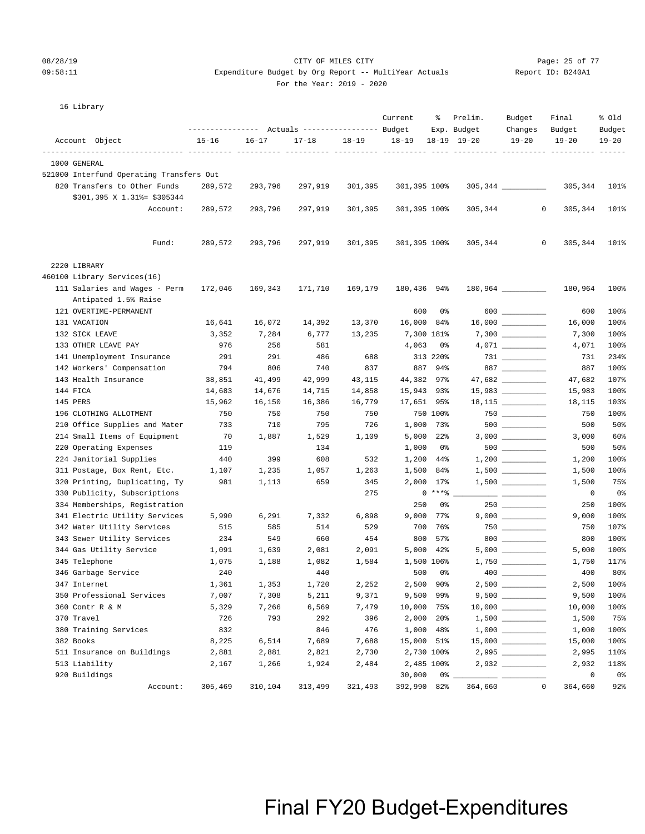### 08/28/19 Page: 25 of 77 CITY OF MILES CITY CONTROL PAGE: 25 of 77 09:58:11 Expenditure Budget by Org Report -- MultiYear Actuals Report ID: B240A1

 Account Object 15-16 16-17 17-18 18-19 18-19 18-19 19-20 19-20 19-20 19-20 -------------------------------- ---------- ---------- ---------- ---------- ---------- ---- ---------- ---------- ---------- ------

---------------- Actuals ----------------- Budget Exp. Budget Changes Budget Budget

Current % Prelim. Budget Final % Old

For the Year: 2019 - 2020

| 521000 Interfund Operating Transfers Out |         |         |         |         |                |          |                     |             |              |                |
|------------------------------------------|---------|---------|---------|---------|----------------|----------|---------------------|-------------|--------------|----------------|
| 820 Transfers to Other Funds             | 289,572 | 293,796 | 297,919 | 301,395 | 301,395 100%   |          |                     |             | 305,344      | 101%           |
| \$301,395 X 1.31% = \$305344             |         |         |         |         |                |          |                     |             |              |                |
| Account:                                 | 289,572 | 293,796 | 297,919 | 301,395 | 301,395 100%   |          | 305,344             | 0           | 305,344      | 101%           |
|                                          |         |         |         |         |                |          |                     |             |              |                |
|                                          |         |         |         |         |                |          |                     |             |              |                |
| Fund:                                    | 289,572 | 293,796 | 297,919 | 301,395 | 301,395 100%   |          | 305,344             | $\mathbf 0$ | 305,344      | 101%           |
|                                          |         |         |         |         |                |          |                     |             |              |                |
| 2220 LIBRARY                             |         |         |         |         |                |          |                     |             |              |                |
| 460100 Library Services(16)              |         |         |         |         |                |          |                     |             |              |                |
| 111 Salaries and Wages - Perm            | 172,046 | 169,343 | 171,710 | 169,179 | 180,436        | 94%      | $180,964$ _________ |             | 180,964      | 100%           |
| Antipated 1.5% Raise                     |         |         |         |         |                |          |                     |             |              |                |
| 121 OVERTIME-PERMANENT                   |         |         |         |         | 600            | 0%       |                     |             | 600          | 100%           |
| 131 VACATION                             | 16,641  | 16,072  | 14,392  | 13,370  | 16,000 84%     |          |                     |             | 16,000       | 100%           |
| 132 SICK LEAVE                           | 3,352   | 7,284   | 6,777   | 13,235  | 7,300 181%     |          |                     |             | 7,300        | 100%           |
| 133 OTHER LEAVE PAY                      | 976     | 256     | 581     |         | 4,063          | 0%       |                     |             | 4,071        | 100%           |
| 141 Unemployment Insurance               | 291     | 291     | 486     | 688     |                | 313 220% |                     |             | 731          | 234%           |
| 142 Workers' Compensation                | 794     | 806     | 740     | 837     |                | 887 94%  | 887 $\qquad$        |             | 887          | 100%           |
| 143 Health Insurance                     | 38,851  | 41,499  | 42,999  | 43,115  | 44,382 97%     |          |                     |             | 47,682       | 107%           |
| 144 FICA                                 | 14,683  | 14,676  | 14,715  | 14,858  | 15,943 93%     |          |                     |             | 15,983       | 100%           |
| 145 PERS                                 | 15,962  | 16,150  | 16,386  | 16,779  | 17,651 95%     |          |                     |             | 18,115       | 103%           |
| 196 CLOTHING ALLOTMENT                   | 750     | 750     | 750     | 750     |                | 750 100% |                     |             | 750          | 100%           |
| 210 Office Supplies and Mater            | 733     | 710     | 795     | 726     | 1,000 73%      |          | $500$ __________    |             | 500          | 50%            |
| 214 Small Items of Equipment             | 70      | 1,887   | 1,529   | 1,109   | $5,000$ $22\%$ |          |                     |             | 3,000        | 60%            |
| 220 Operating Expenses                   | 119     |         | 134     |         | 1,000          | 0 %      |                     |             | 500          | 50%            |
| 224 Janitorial Supplies                  | 440     | 399     | 608     | 532     | 1,200 44%      |          |                     |             | 1,200        | 100%           |
| 311 Postage, Box Rent, Etc.              | 1,107   | 1,235   | 1,057   | 1,263   | 1,500 84%      |          |                     |             | 1,500        | 100%           |
| 320 Printing, Duplicating, Ty            | 981     | 1,113   | 659     | 345     | 2,000 17%      |          |                     |             | 1,500        | 75%            |
| 330 Publicity, Subscriptions             |         |         |         | 275     |                | $0***8$  |                     |             | $\mathbf{0}$ | 0 <sub>8</sub> |
| 334 Memberships, Registration            |         |         |         |         | 250            | 0%       |                     |             | 250          | 100%           |
| 341 Electric Utility Services            | 5,990   | 6,291   | 7,332   | 6,898   | 9,000          | $77$ %   |                     |             | 9,000        | 100%           |
| 342 Water Utility Services               | 515     | 585     | 514     | 529     | 700            | 76%      |                     |             | 750          | 107%           |
| 343 Sewer Utility Services               | 234     | 549     | 660     | 454     | 800            | 57%      | $800$               |             | 800          | 100%           |
| 344 Gas Utility Service                  | 1,091   | 1,639   | 2,081   | 2,091   | 5,000 42%      |          | $5,000$             |             | 5,000        | 100%           |
| 345 Telephone                            | 1,075   | 1,188   | 1,082   | 1,584   | 1,500 106%     |          |                     |             | 1,750        | 117%           |
| 346 Garbage Service                      | 240     |         | 440     |         | 500            | 0%       |                     |             | 400          | 80%            |
| 347 Internet                             | 1,361   | 1,353   | 1,720   | 2,252   | 2,500 90%      |          |                     |             | 2,500        | 100%           |
| 350 Professional Services                | 7,007   | 7,308   | 5,211   | 9,371   | 9,500 99%      |          |                     |             | 9,500        | 100%           |
|                                          |         |         |         |         |                |          |                     |             |              |                |

 360 Contr R & M 5,329 7,266 6,569 7,479 10,000 75% 10,000 \_\_\_\_\_\_\_\_\_\_ 10,000 100% 370 Travel 726 793 292 396 2,000 20% 1,500 \_\_\_\_\_\_\_\_\_\_ 1,500 75% 380 Training Services 632 846 476 1,000 48% 1,000 1,000 1,000 100% 382 Books 8,225 6,514 7,689 7,688 15,000 51% 15,000 \_\_\_\_\_\_\_\_\_\_ 15,000 100% 511 Insurance on Buildings 2,881 2,881 2,821 2,730 2,730 100% 2,995 \_\_\_\_\_\_\_\_\_\_ 2,995 110% 513 Liability 2,167 1,266 1,924 2,484 2,485 100% 2,932 \_\_\_\_\_\_\_\_\_\_ 2,932 118% 920 Buildings 30,000 0% \_\_\_\_\_\_\_\_\_\_ \_\_\_\_\_\_\_\_\_\_ 0 0%

16 Library

1000 GENERAL

### Final FY20 Budget-Expenditures

Account: 305,469 310,104 313,499 321,493 392,990 82% 364,660 0 364,660 92%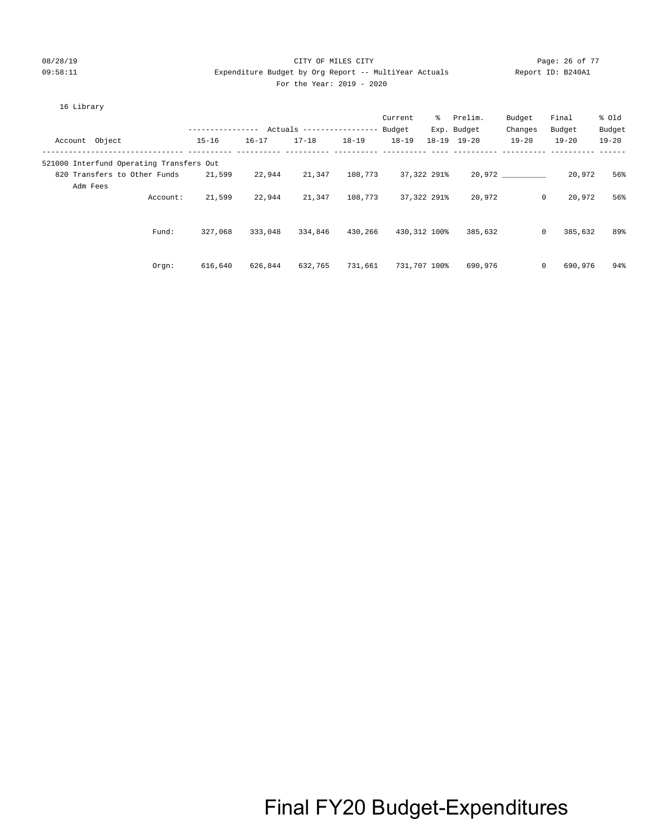### 08/28/19 CITY OF MILES CITY Page: 26 of 77 09:58:11 Expenditure Budget by Org Report -- MultiYear Actuals Report ID: B240A1 For the Year: 2019 - 2020

Orgn: 616,640 626,844 632,765 731,661 731,707 100% 690,976 0 690,976 94%

| 16 Library                               |                  |           |                          |           |           |              |                     |           |                         |           |
|------------------------------------------|------------------|-----------|--------------------------|-----------|-----------|--------------|---------------------|-----------|-------------------------|-----------|
|                                          |                  |           |                          |           | Current   | ွေ           | Prelim.             | Budget    | Final                   | % old     |
|                                          | ---------------- |           | Actuals ---------------- |           | Budget    |              | Exp. Budget         | Changes   | Budget                  | Budget    |
| Account Object                           | $15 - 16$        | $16 - 17$ | $17 - 18$                | $18 - 19$ | $18 - 19$ |              | $18 - 19$ $19 - 20$ | $19 - 20$ | $19 - 20$               | $19 - 20$ |
| 521000 Interfund Operating Transfers Out |                  |           |                          |           |           |              |                     |           |                         |           |
| 820 Transfers to Other Funds             | 21,599           | 22,944    | 21,347                   | 108,773   |           | 37,322 291%  |                     | 20,972    | 20,972                  | 56%       |
| Adm Fees                                 |                  |           |                          |           |           |              |                     |           |                         |           |
| Account:                                 | 21,599           | 22,944    | 21,347                   | 108,773   |           | 37,322 291%  | 20,972              |           | 0<br>20,972             | 56%       |
|                                          |                  |           |                          |           |           |              |                     |           |                         |           |
| Fund:                                    | 327,068          | 333,048   | 334,846                  | 430,266   |           | 430,312 100% | 385,632             |           | 385,632<br>$\mathbf{0}$ | 89%       |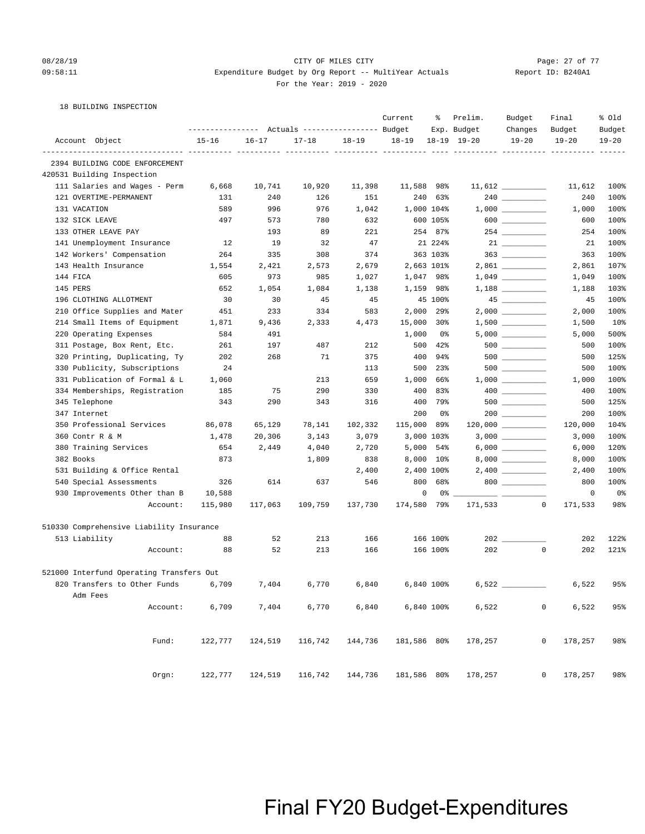### 08/28/19 Page: 27 of 77 CITY OF MILES CITY CONTROL PAGE: 27 of 77 09:58:11 Expenditure Budget by Org Report -- MultiYear Actuals Report ID: B240A1 For the Year: 2019 - 2020

18 BUILDING INSPECTION

|                        |                                                                         |           |           | ---------------    Actuals ----------------    Budget |           | Current     | နွ         | Prelim.<br>Exp. Budget | Budget<br>Changes   | Final<br>Budget           | % old<br>Budget |
|------------------------|-------------------------------------------------------------------------|-----------|-----------|-------------------------------------------------------|-----------|-------------|------------|------------------------|---------------------|---------------------------|-----------------|
| Account Object         |                                                                         | $15 - 16$ | $16 - 17$ | $17 - 18$                                             | $18 - 19$ | $18 - 19$   |            | $18 - 19$ $19 - 20$    | $19 - 20$           | $19 - 20$                 | $19 - 20$       |
|                        | --------------------------- ---------<br>2394 BUILDING CODE ENFORCEMENT |           |           |                                                       |           |             |            |                        |                     |                           |                 |
|                        | 420531 Building Inspection                                              |           |           |                                                       |           |             |            |                        |                     |                           |                 |
|                        | 111 Salaries and Wages - Perm                                           | 6,668     | 10,741    | 10,920                                                | 11,398    | 11,588 98%  |            |                        |                     | 11,612                    | 100%            |
| 121 OVERTIME-PERMANENT |                                                                         | 131       | 240       | 126                                                   | 151       | 240         | 63%        |                        | $11,612$ _________  | 240                       | 100%            |
| 131 VACATION           |                                                                         | 589       | 996       | 976                                                   | 1,042     |             | 1,000 104% |                        |                     | 1,000                     | 100%            |
| 132 SICK LEAVE         |                                                                         | 497       | 573       | 780                                                   | 632       |             | 600 105%   |                        | $600$ __________    | 600                       | 100%            |
| 133 OTHER LEAVE PAY    |                                                                         |           | 193       | 89                                                    | 221       |             | 254 87%    |                        |                     | 254                       | 100%            |
|                        | 141 Unemployment Insurance                                              | 12        | 19        | 32                                                    | 47        |             | 21 224%    |                        |                     | 21                        | 100%            |
|                        | 142 Workers' Compensation                                               | 264       | 335       | 308                                                   | 374       |             | 363 103%   |                        |                     | 363                       | 100%            |
| 143 Health Insurance   |                                                                         | 1,554     | 2,421     | 2,573                                                 | 2,679     |             | 2,663 101% |                        |                     | 2,861                     | 107%            |
| 144 FICA               |                                                                         | 605       | 973       | 985                                                   | 1,027     |             | 1,047 98%  |                        |                     | 1,049                     | 100%            |
| 145 PERS               |                                                                         | 652       | 1,054     | 1,084                                                 | 1,138     | 1,159       | 98%        |                        |                     | 1,188                     | 103%            |
| 196 CLOTHING ALLOTMENT |                                                                         | 30        | 30        | 45                                                    | 45        |             | 45 100%    |                        |                     | 45                        | 100%            |
|                        | 210 Office Supplies and Mater                                           | 451       | 233       | 334                                                   | 583       | 2,000       | 29%        |                        | $2,000$ _________   | 2,000                     | 100%            |
|                        | 214 Small Items of Equipment                                            | 1,871     | 9,436     | 2,333                                                 | 4,473     | 15,000      | 30%        |                        |                     | 1,500                     | 10%             |
|                        | 220 Operating Expenses                                                  | 584       | 491       |                                                       |           | 1,000       | 0%         |                        | $5,000$ __________  | 5,000                     | 500%            |
|                        | 311 Postage, Box Rent, Etc.                                             | 261       | 197       | 487                                                   | 212       | 500         | 42%        |                        |                     | 500                       | 100%            |
|                        | 320 Printing, Duplicating, Ty                                           | 202       | 268       | 71                                                    | 375       | 400         | 94%        |                        |                     | 500                       | 125%            |
|                        | 330 Publicity, Subscriptions                                            | 24        |           |                                                       | 113       | 500         | 23%        |                        |                     | 500                       | 100%            |
|                        | 331 Publication of Formal & L                                           | 1,060     |           | 213                                                   | 659       | 1,000       | 66%        |                        |                     | 1,000                     | 100%            |
|                        | 334 Memberships, Registration                                           | 185       | 75        | 290                                                   | 330       | 400         | 83%        |                        |                     | 400                       | 100%            |
| 345 Telephone          |                                                                         | 343       | 290       | 343                                                   | 316       | 400         | 79%        |                        |                     | 500                       | 125%            |
| 347 Internet           |                                                                         |           |           |                                                       |           | 200         | 0%         |                        |                     | 200                       | 100%            |
|                        | 350 Professional Services                                               | 86,078    | 65,129    | 78,141                                                | 102,332   | 115,000     | 89%        |                        | $120,000$ _________ | 120,000                   | 104%            |
| 360 Contr R & M        |                                                                         | 1,478     | 20,306    | 3,143                                                 | 3,079     |             | 3,000 103% |                        |                     | 3,000                     | 100%            |
| 380 Training Services  |                                                                         | 654       | 2,449     | 4,040                                                 | 2,720     | 5,000       | 54%        |                        |                     | 6,000                     | 120%            |
| 382 Books              |                                                                         | 873       |           | 1,809                                                 | 838       |             | 8,000 10%  |                        | 8,000               | 8,000                     | 100%            |
|                        | 531 Building & Office Rental                                            |           |           |                                                       | 2,400     |             | 2,400 100% |                        |                     | 2,400                     | 100%            |
|                        | 540 Special Assessments                                                 | 326       | 614       | 637                                                   | 546       | 800         | 68%        |                        | $800$               | 800                       | 100%            |
|                        | 930 Improvements Other than B                                           | 10,588    |           |                                                       |           | 0           | $0\%$ $-$  |                        |                     | 0                         | 0%              |
|                        | Account:                                                                | 115,980   | 117,063   | 109,759                                               | 137,730   | 174,580     | 79%        | 171,533                |                     | $\overline{0}$<br>171,533 | 98%             |
|                        | 510330 Comprehensive Liability Insurance                                |           |           |                                                       |           |             |            |                        |                     |                           |                 |
| 513 Liability          |                                                                         | 88        | 52        | 213                                                   | 166       |             | 166 100%   |                        | 202                 | 202                       | 122%            |
|                        | Account:                                                                | 88        | 52        | 213                                                   | 166       |             | 166 100%   | 202                    |                     | $\mathbf{0}$<br>202       | 121%            |
|                        | 521000 Interfund Operating Transfers Out                                |           |           |                                                       |           |             |            |                        |                     |                           |                 |
|                        | 820 Transfers to Other Funds                                            | 6,709     | 7,404     | 6,770                                                 | 6,840     |             | 6,840 100% | 6,522                  |                     | 6,522                     | 95%             |
| Adm Fees               |                                                                         |           |           |                                                       |           |             |            |                        |                     |                           |                 |
|                        | Account:                                                                | 6,709     | 7,404     | 6,770                                                 | 6,840     |             | 6,840 100% | 6,522                  |                     | 0<br>6,522                | 95%             |
|                        | Fund:                                                                   | 122,777   | 124,519   | 116,742                                               | 144,736   | 181,586 80% |            | 178,257                |                     | 0<br>178,257              | 98%             |
|                        | Orgn:                                                                   | 122,777   | 124,519   | 116,742                                               | 144,736   | 181,586 80% |            | 178,257                |                     | 178,257<br>0              | 98%             |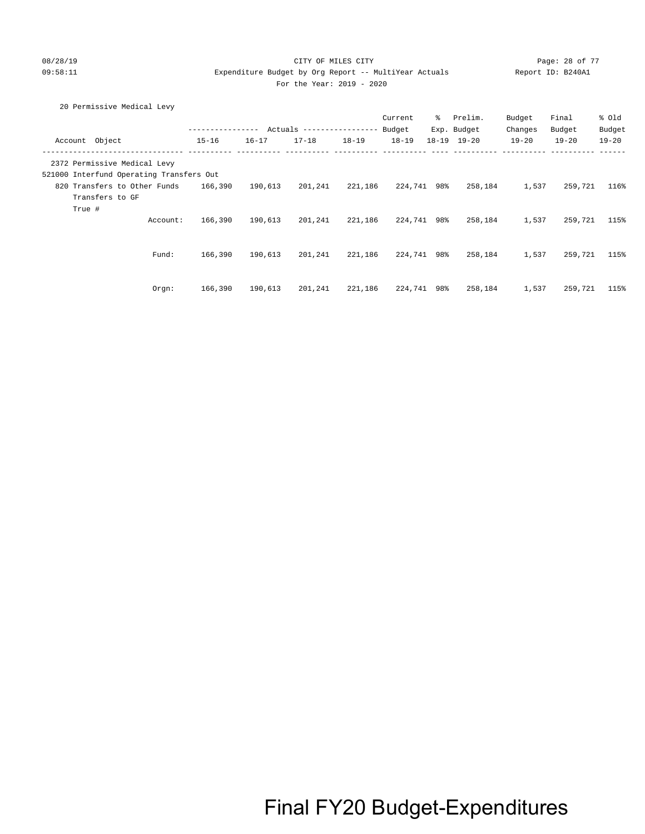### 08/28/19 Page: 28 of 77 CITY OF MILES CITY CONTROL PAGE: 28 of 77 09:58:11 Expenditure Budget by Org Report -- MultiYear Actuals Report ID: B240A1 For the Year: 2019 - 2020

20 Permissive Medical Levy

|                                                                          |                  |           |                            |           | Current   | ွေ  | Prelim.             | Budget    | Final     | % Old     |
|--------------------------------------------------------------------------|------------------|-----------|----------------------------|-----------|-----------|-----|---------------------|-----------|-----------|-----------|
|                                                                          | ---------------- |           | Actuals ------------------ |           | Budget    |     | Exp. Budget         | Changes   | Budget    | Budget    |
| Account Object                                                           | $15 - 16$        | $16 - 17$ | $17 - 18$                  | $18 - 19$ | $18 - 19$ |     | $18 - 19$ $19 - 20$ | $19 - 20$ | $19 - 20$ | $19 - 20$ |
| 2372 Permissive Medical Levy<br>521000 Interfund Operating Transfers Out |                  |           |                            |           |           |     |                     |           |           |           |
| 820 Transfers to Other Funds<br>Transfers to GF                          | 166,390          | 190,613   | 201,241                    | 221,186   | 224,741   | 98% | 258,184             | 1,537     | 259,721   | 116%      |
| True #<br>Account:                                                       | 166,390          | 190,613   | 201,241                    | 221,186   | 224,741   | 98% | 258,184             | 1,537     | 259,721   | 115%      |
| Fund:                                                                    | 166,390          | 190,613   | 201,241                    | 221,186   | 224,741   | 98% | 258,184             | 1,537     | 259,721   | 115%      |
| Orgn:                                                                    | 166,390          | 190,613   | 201,241                    | 221,186   | 224,741   | 98% | 258,184             | 1,537     | 259,721   | 115%      |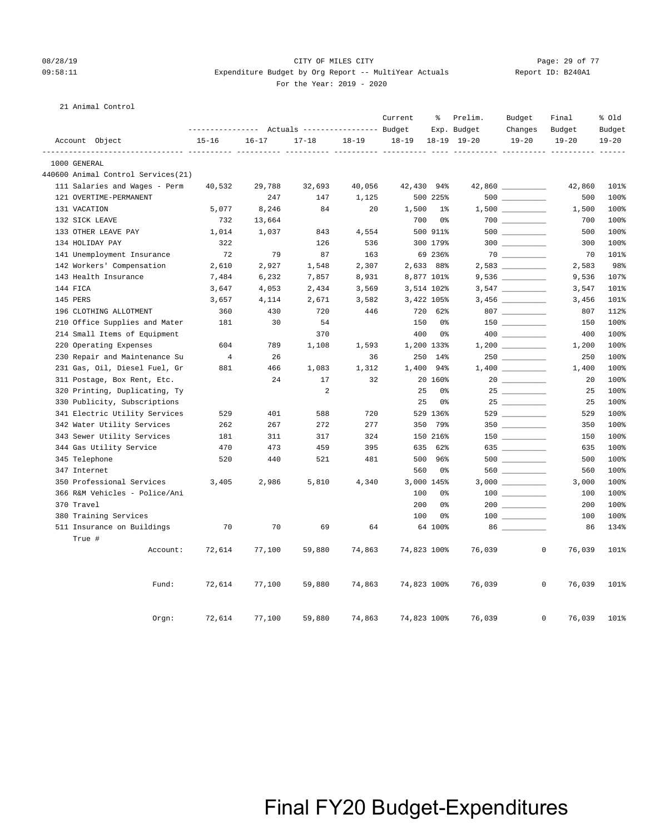### 08/28/19 Page: 29 of 77 CITY OF MILES CITY CONTROL PAGE: 29 of 77 09:58:11 Expenditure Budget by Org Report -- MultiYear Actuals Report ID: B240A1 For the Year: 2019 - 2020

#### 21 Animal Control

|                                    |                |           | Actuals ----------------- Budget |           | Current     | ႜ          | Prelim.<br>Exp. Budget | Budget<br>Changes                      | Final<br>Budget                  | % old<br>Budget |
|------------------------------------|----------------|-----------|----------------------------------|-----------|-------------|------------|------------------------|----------------------------------------|----------------------------------|-----------------|
| Account Object                     | $15 - 16$      | $16 - 17$ | $17 - 18$                        | $18 - 19$ | $18 - 19$   |            | 18-19 19-20            | $19 - 20$                              | $19 - 20$                        | $19 - 20$       |
| 1000 GENERAL                       |                |           |                                  |           |             |            |                        |                                        | ----------- ---------- --------- | $- - - - - - -$ |
| 440600 Animal Control Services(21) |                |           |                                  |           |             |            |                        |                                        |                                  |                 |
| 111 Salaries and Wages - Perm      | 40,532         | 29,788    | 32,693                           | 40,056    | 42,430 94%  |            |                        | $42,860$ _________                     | 42,860                           | 101%            |
| 121 OVERTIME-PERMANENT             |                | 247       | 147                              | 1,125     |             | 500 225%   |                        |                                        | 500                              | 100%            |
| 131 VACATION                       | 5,077          | 8,246     | 84                               | 20        | 1,500       | 1%         |                        | $1,500$ _________                      | 1,500                            | 100%            |
| 132 SICK LEAVE                     | 732            | 13,664    |                                  |           | 700         | 0%         |                        | $700$                                  | 700                              | 100%            |
| 133 OTHER LEAVE PAY                | 1,014          | 1,037     | 843                              | 4,554     |             | 500 911%   |                        |                                        | 500                              | 100%            |
| 134 HOLIDAY PAY                    | 322            |           | 126                              | 536       |             | 300 179%   |                        |                                        | 300                              | 100%            |
| 141 Unemployment Insurance         | 72             | 79        | 87                               | 163       |             | 69 236%    |                        |                                        | 70                               | 101%            |
| 142 Workers' Compensation          | 2,610          | 2,927     | 1,548                            | 2,307     |             | 2,633 88%  |                        |                                        | 2,583                            | 98%             |
| 143 Health Insurance               | 7,484          | 6,232     | 7,857                            | 8,931     |             | 8,877 101% |                        | $9,536$ ___________                    | 9,536                            | 107%            |
| 144 FICA                           | 3,647          | 4,053     | 2,434                            | 3,569     |             | 3,514 102% |                        |                                        | 3,547                            | 101%            |
| 145 PERS                           | 3,657          | 4,114     | 2,671                            | 3,582     |             | 3,422 105% |                        |                                        | 3,456                            | 101%            |
| 196 CLOTHING ALLOTMENT             | 360            | 430       | 720                              | 446       |             | 720 62%    |                        | $807 \ \ \underline{\hspace{1.5cm}}$   | 807                              | 112%            |
| 210 Office Supplies and Mater      | 181            | 30        | 54                               |           | 150         | 0%         |                        |                                        | 150                              | 100%            |
| 214 Small Items of Equipment       |                |           | 370                              |           | 400         | 0%         |                        |                                        | 400                              | 100%            |
| 220 Operating Expenses             | 604            | 789       | 1,108                            | 1,593     |             | 1,200 133% |                        |                                        | 1,200                            | 100%            |
| 230 Repair and Maintenance Su      | $\overline{4}$ | 26        |                                  | 36        |             | 250 14%    |                        |                                        | 250                              | 100%            |
| 231 Gas, Oil, Diesel Fuel, Gr      | 881            | 466       | 1,083                            | 1,312     |             | 1,400 94%  |                        |                                        | 1,400                            | 100%            |
| 311 Postage, Box Rent, Etc.        |                | 24        | 17                               | 32        |             | 20 160%    |                        |                                        | 20                               | 100%            |
| 320 Printing, Duplicating, Ty      |                |           | 2                                |           | 25          | 0%         |                        |                                        | 25                               | 100%            |
| 330 Publicity, Subscriptions       |                |           |                                  |           | 25          | 0%         |                        | $25 \ \_$                              | 25                               | 100%            |
| 341 Electric Utility Services      | 529            | 401       | 588                              | 720       |             | 529 136%   |                        | 529                                    | 529                              | 100%            |
| 342 Water Utility Services         | 262            | 267       | 272                              | 277       |             | 350 79%    |                        |                                        | 350                              | 100%            |
| 343 Sewer Utility Services         | 181            | 311       | 317                              | 324       |             | 150 216%   |                        |                                        | 150                              | 100%            |
| 344 Gas Utility Service            | 470            | 473       | 459                              | 395       |             | 635 62%    |                        | 635                                    | 635                              | 100%            |
| 345 Telephone                      | 520            | 440       | 521                              | 481       |             | 500 96%    |                        | $500$ _________                        | 500                              | 100%            |
| 347 Internet                       |                |           |                                  |           | 560         | 0%         |                        | 560                                    | 560                              | 100%            |
| 350 Professional Services          | 3,405          | 2,986     | 5,810                            | 4,340     |             | 3,000 145% |                        |                                        | 3,000                            | 100%            |
| 366 R&M Vehicles - Police/Ani      |                |           |                                  |           | 100         | 0%         |                        | $\begin{tabular}{c} 100 \end{tabular}$ | 100                              | 100%            |
| 370 Travel                         |                |           |                                  |           | 200         | 0%         |                        |                                        | 200                              | 100%            |
| 380 Training Services              |                |           |                                  |           | 100         | 0%         |                        |                                        | 100                              | 100%            |
| 511 Insurance on Buildings         | 70             | 70        | 69                               | 64        |             | 64 100%    |                        |                                        | 86                               | 134%            |
| True #<br>Account:                 | 72,614         | 77,100    | 59,880                           | 74,863    | 74,823 100% |            | 76,039                 |                                        | $\overline{0}$<br>76,039         | 101%            |
| Fund:                              | 72,614         | 77,100    | 59,880                           | 74,863    | 74,823 100% |            | 76,039                 |                                        | $\mathbf 0$<br>76,039            | 101%            |
| Orgn:                              | 72,614         | 77,100    | 59,880                           | 74,863    | 74,823 100% |            | 76,039                 |                                        | $\mathbf 0$<br>76,039            | 101%            |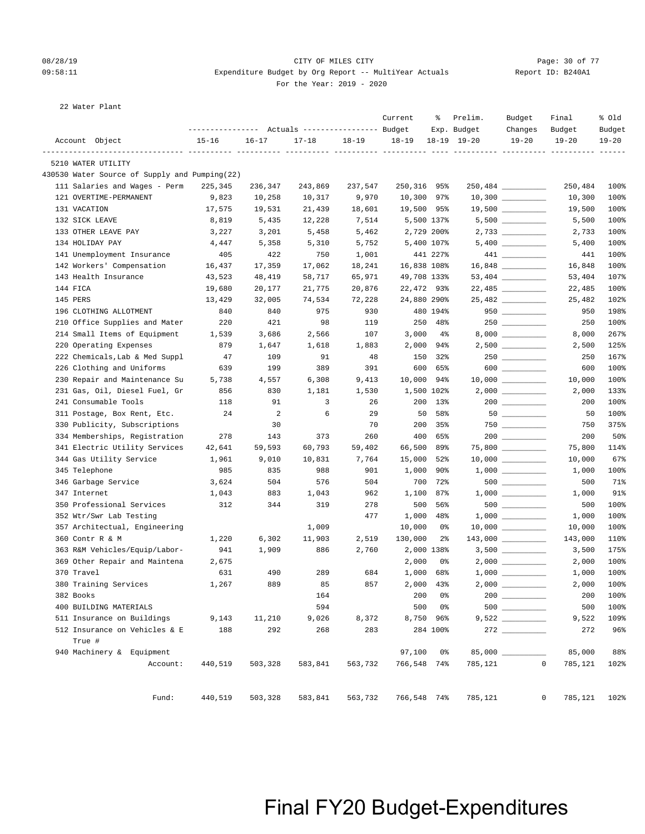### 08/28/19 Page: 30 of 77 CITY OF MILES CITY CONTROL PAGE: 30 of 77 09:58:11 Expenditure Budget by Org Report -- MultiYear Actuals Report ID: B240A1 For the Year: 2019 - 2020

22 Water Plant

| Account Object<br>$15 - 16$<br>$16 - 17$<br>$17 - 18$<br>$18 - 19$<br>$18 - 19$<br>18-19 19-20<br>$19 - 20$<br>$19 - 20$<br>5210 WATER UTILITY<br>430530 Water Source of Supply and Pumping(22)<br>111 Salaries and Wages - Perm<br>225,345<br>236,347<br>243,869<br>237,547<br>250,316<br>95%<br>$250,484$ __________<br>250,484<br>121 OVERTIME-PERMANENT<br>9,823<br>10,258<br>10,317<br>9,970<br>10,300<br>97%<br>$10,300$ __________<br>10,300<br>131 VACATION<br>17,575<br>19,531<br>21,439<br>18,601<br>19,500 95%<br>19,500<br>132 SICK LEAVE<br>8,819<br>12,228<br>7,514<br>5,500 137%<br>5,500<br>5,435<br>2,729 200%<br>133 OTHER LEAVE PAY<br>3,227<br>3,201<br>5,458<br>5,462<br>2,733<br>134 HOLIDAY PAY<br>4,447<br>5,358<br>5,310<br>5,752<br>5,400 107%<br>5,400<br>141 Unemployment Insurance<br>405<br>422<br>750<br>1,001<br>441 227%<br>441<br>142 Workers' Compensation<br>16,437<br>17,359<br>17,062<br>18,241<br>16,838 108%<br>16,848<br>143 Health Insurance<br>58,717<br>65,971<br>49,708 133%<br>43,523<br>48,419<br>53,404<br>$22,485$ ______________<br>144 FICA<br>19,680<br>21,775<br>20,876<br>22,472 93%<br>22,485<br>20,177<br>25,482<br>145 PERS<br>13,429<br>32,005<br>74,534<br>72,228<br>24,880 290%<br>25,482<br>$950$<br>196 CLOTHING ALLOTMENT<br>840<br>840<br>975<br>930<br>480 194%<br>950<br>98<br>250 48%<br>250<br>210 Office Supplies and Mater<br>220<br>421<br>119<br>214 Small Items of Equipment<br>3,000<br>3,686<br>2,566<br>107<br>$4\%$<br>8,000<br>1,539<br>$2,500$ __________<br>2,000<br>220 Operating Expenses<br>879<br>1,647<br>1,618<br>1,883<br>94%<br>2,500<br>222 Chemicals, Lab & Med Suppl<br>$250$ _________<br>47<br>109<br>91<br>48<br>150<br>32%<br>250<br>226 Clothing and Uniforms<br>389<br>391<br>600<br>$\begin{picture}(10,10) \put(0,0){\line(1,0){10}} \put(15,0){\line(1,0){10}} \put(15,0){\line(1,0){10}} \put(15,0){\line(1,0){10}} \put(15,0){\line(1,0){10}} \put(15,0){\line(1,0){10}} \put(15,0){\line(1,0){10}} \put(15,0){\line(1,0){10}} \put(15,0){\line(1,0){10}} \put(15,0){\line(1,0){10}} \put(15,0){\line(1,0){10}} \put(15,0){\line(1$<br>639<br>199<br>65%<br>600<br>10,000<br>230 Repair and Maintenance Su<br>5,738<br>4,557<br>6,308<br>9,413<br>94%<br>10,000<br>231 Gas, Oil, Diesel Fuel, Gr<br>856<br>830<br>1,500 102%<br>2,000<br>1,181<br>1,530<br>3<br>241 Consumable Tools<br>118<br>91<br>26<br>200<br>13%<br>200<br>311 Postage, Box Rent, Etc.<br>$\overline{2}$<br>6<br>50<br>24<br>29<br>58%<br>50<br>330 Publicity, Subscriptions<br>30<br>70<br>200<br>$750$ _________<br>35%<br>750<br>373<br>260<br>400<br>200<br>334 Memberships, Registration<br>278<br>143<br>65%<br>66,500<br>341 Electric Utility Services<br>59,593<br>60,793<br>59,402<br>89%<br>75,800<br>42,641<br>344 Gas Utility Service<br>1,961<br>9,010<br>10,831<br>7,764<br>15,000<br>52%<br>10,000<br>345 Telephone<br>901<br>1,000<br>985<br>835<br>988<br>90%<br>1,000<br>346 Garbage Service<br>504<br>700<br>3,624<br>504<br>576<br>72%<br>$500$ ___________<br>500<br>1,100<br>347 Internet<br>1,043<br>883<br>1,043<br>962<br>87%<br>1,000<br>312<br>278<br>500<br>350 Professional Services<br>344<br>319<br>56%<br>500<br>352 Wtr/Swr Lab Testing<br>477<br>1,000<br>48%<br>1,000<br>357 Architectual, Engineering<br>1,009<br>10,000<br>0%<br>10,000<br>130,000<br>360 Contr R & M<br>1,220<br>6,302<br>11,903<br>2,519<br>$2\frac{6}{9}$<br>$143,000$ _________<br>143,000<br>2,000 138%<br>$3,500$ __________<br>363 R&M Vehicles/Equip/Labor-<br>941<br>1,909<br>886<br>2,760<br>3,500<br>2,000<br>369 Other Repair and Maintena<br>2,675<br>0%<br>2,000<br>370 Travel<br>490<br>289<br>684<br>1,000<br>68%<br>631<br>1,000<br>1,267<br>889<br>857<br>2,000<br>2,000<br>380 Training Services<br>85<br>43%<br>2,000 __________<br>382 Books<br>164<br>200<br>0%<br>200<br>400 BUILDING MATERIALS<br>594<br>500<br>0%<br>500<br>9,522<br>8,750 96%<br>511 Insurance on Buildings<br>9,143<br>11,210<br>9,026<br>8,372<br>9,522<br>283<br>512 Insurance on Vehicles & E<br>188<br>292<br>268<br>284 100%<br>272<br>True # |                           | --------------- Actuals ---------------- Budget |  | Current | ႜ  | Prelim.<br>Exp. Budget | Budget<br>Changes | Final<br>Budget | % old<br>Budget |
|-------------------------------------------------------------------------------------------------------------------------------------------------------------------------------------------------------------------------------------------------------------------------------------------------------------------------------------------------------------------------------------------------------------------------------------------------------------------------------------------------------------------------------------------------------------------------------------------------------------------------------------------------------------------------------------------------------------------------------------------------------------------------------------------------------------------------------------------------------------------------------------------------------------------------------------------------------------------------------------------------------------------------------------------------------------------------------------------------------------------------------------------------------------------------------------------------------------------------------------------------------------------------------------------------------------------------------------------------------------------------------------------------------------------------------------------------------------------------------------------------------------------------------------------------------------------------------------------------------------------------------------------------------------------------------------------------------------------------------------------------------------------------------------------------------------------------------------------------------------------------------------------------------------------------------------------------------------------------------------------------------------------------------------------------------------------------------------------------------------------------------------------------------------------------------------------------------------------------------------------------------------------------------------------------------------------------------------------------------------------------------------------------------------------------------------------------------------------------------------------------------------------------------------------------------------------------------------------------------------------------------------------------------------------------------------------------------------------------------------------------------------------------------------------------------------------------------------------------------------------------------------------------------------------------------------------------------------------------------------------------------------------------------------------------------------------------------------------------------------------------------------------------------------------------------------------------------------------------------------------------------------------------------------------------------------------------------------------------------------------------------------------------------------------------------------------------------------------------------------------------------------------------------------------------------------------------------------------------------------------------------------------------------------------------------------------------------------------------------------------------------------------------------------------------------------------------------------------------------------------------------------------------------------------------------------------------------------------------------------------------------------------------------------------------------------------------------------------------------------------------------|---------------------------|-------------------------------------------------|--|---------|----|------------------------|-------------------|-----------------|-----------------|
|                                                                                                                                                                                                                                                                                                                                                                                                                                                                                                                                                                                                                                                                                                                                                                                                                                                                                                                                                                                                                                                                                                                                                                                                                                                                                                                                                                                                                                                                                                                                                                                                                                                                                                                                                                                                                                                                                                                                                                                                                                                                                                                                                                                                                                                                                                                                                                                                                                                                                                                                                                                                                                                                                                                                                                                                                                                                                                                                                                                                                                                                                                                                                                                                                                                                                                                                                                                                                                                                                                                                                                                                                                                                                                                                                                                                                                                                                                                                                                                                                                                                                                                               |                           |                                                 |  |         |    |                        |                   |                 | $19 - 20$       |
|                                                                                                                                                                                                                                                                                                                                                                                                                                                                                                                                                                                                                                                                                                                                                                                                                                                                                                                                                                                                                                                                                                                                                                                                                                                                                                                                                                                                                                                                                                                                                                                                                                                                                                                                                                                                                                                                                                                                                                                                                                                                                                                                                                                                                                                                                                                                                                                                                                                                                                                                                                                                                                                                                                                                                                                                                                                                                                                                                                                                                                                                                                                                                                                                                                                                                                                                                                                                                                                                                                                                                                                                                                                                                                                                                                                                                                                                                                                                                                                                                                                                                                                               |                           |                                                 |  |         |    |                        |                   |                 | -----           |
|                                                                                                                                                                                                                                                                                                                                                                                                                                                                                                                                                                                                                                                                                                                                                                                                                                                                                                                                                                                                                                                                                                                                                                                                                                                                                                                                                                                                                                                                                                                                                                                                                                                                                                                                                                                                                                                                                                                                                                                                                                                                                                                                                                                                                                                                                                                                                                                                                                                                                                                                                                                                                                                                                                                                                                                                                                                                                                                                                                                                                                                                                                                                                                                                                                                                                                                                                                                                                                                                                                                                                                                                                                                                                                                                                                                                                                                                                                                                                                                                                                                                                                                               |                           |                                                 |  |         |    |                        |                   |                 |                 |
|                                                                                                                                                                                                                                                                                                                                                                                                                                                                                                                                                                                                                                                                                                                                                                                                                                                                                                                                                                                                                                                                                                                                                                                                                                                                                                                                                                                                                                                                                                                                                                                                                                                                                                                                                                                                                                                                                                                                                                                                                                                                                                                                                                                                                                                                                                                                                                                                                                                                                                                                                                                                                                                                                                                                                                                                                                                                                                                                                                                                                                                                                                                                                                                                                                                                                                                                                                                                                                                                                                                                                                                                                                                                                                                                                                                                                                                                                                                                                                                                                                                                                                                               |                           |                                                 |  |         |    |                        |                   |                 | 100%            |
|                                                                                                                                                                                                                                                                                                                                                                                                                                                                                                                                                                                                                                                                                                                                                                                                                                                                                                                                                                                                                                                                                                                                                                                                                                                                                                                                                                                                                                                                                                                                                                                                                                                                                                                                                                                                                                                                                                                                                                                                                                                                                                                                                                                                                                                                                                                                                                                                                                                                                                                                                                                                                                                                                                                                                                                                                                                                                                                                                                                                                                                                                                                                                                                                                                                                                                                                                                                                                                                                                                                                                                                                                                                                                                                                                                                                                                                                                                                                                                                                                                                                                                                               |                           |                                                 |  |         |    |                        |                   |                 | 100%            |
|                                                                                                                                                                                                                                                                                                                                                                                                                                                                                                                                                                                                                                                                                                                                                                                                                                                                                                                                                                                                                                                                                                                                                                                                                                                                                                                                                                                                                                                                                                                                                                                                                                                                                                                                                                                                                                                                                                                                                                                                                                                                                                                                                                                                                                                                                                                                                                                                                                                                                                                                                                                                                                                                                                                                                                                                                                                                                                                                                                                                                                                                                                                                                                                                                                                                                                                                                                                                                                                                                                                                                                                                                                                                                                                                                                                                                                                                                                                                                                                                                                                                                                                               |                           |                                                 |  |         |    |                        |                   |                 | 100%            |
|                                                                                                                                                                                                                                                                                                                                                                                                                                                                                                                                                                                                                                                                                                                                                                                                                                                                                                                                                                                                                                                                                                                                                                                                                                                                                                                                                                                                                                                                                                                                                                                                                                                                                                                                                                                                                                                                                                                                                                                                                                                                                                                                                                                                                                                                                                                                                                                                                                                                                                                                                                                                                                                                                                                                                                                                                                                                                                                                                                                                                                                                                                                                                                                                                                                                                                                                                                                                                                                                                                                                                                                                                                                                                                                                                                                                                                                                                                                                                                                                                                                                                                                               |                           |                                                 |  |         |    |                        |                   |                 | 100%            |
|                                                                                                                                                                                                                                                                                                                                                                                                                                                                                                                                                                                                                                                                                                                                                                                                                                                                                                                                                                                                                                                                                                                                                                                                                                                                                                                                                                                                                                                                                                                                                                                                                                                                                                                                                                                                                                                                                                                                                                                                                                                                                                                                                                                                                                                                                                                                                                                                                                                                                                                                                                                                                                                                                                                                                                                                                                                                                                                                                                                                                                                                                                                                                                                                                                                                                                                                                                                                                                                                                                                                                                                                                                                                                                                                                                                                                                                                                                                                                                                                                                                                                                                               |                           |                                                 |  |         |    |                        |                   |                 | 100%            |
|                                                                                                                                                                                                                                                                                                                                                                                                                                                                                                                                                                                                                                                                                                                                                                                                                                                                                                                                                                                                                                                                                                                                                                                                                                                                                                                                                                                                                                                                                                                                                                                                                                                                                                                                                                                                                                                                                                                                                                                                                                                                                                                                                                                                                                                                                                                                                                                                                                                                                                                                                                                                                                                                                                                                                                                                                                                                                                                                                                                                                                                                                                                                                                                                                                                                                                                                                                                                                                                                                                                                                                                                                                                                                                                                                                                                                                                                                                                                                                                                                                                                                                                               |                           |                                                 |  |         |    |                        |                   |                 | 100%            |
|                                                                                                                                                                                                                                                                                                                                                                                                                                                                                                                                                                                                                                                                                                                                                                                                                                                                                                                                                                                                                                                                                                                                                                                                                                                                                                                                                                                                                                                                                                                                                                                                                                                                                                                                                                                                                                                                                                                                                                                                                                                                                                                                                                                                                                                                                                                                                                                                                                                                                                                                                                                                                                                                                                                                                                                                                                                                                                                                                                                                                                                                                                                                                                                                                                                                                                                                                                                                                                                                                                                                                                                                                                                                                                                                                                                                                                                                                                                                                                                                                                                                                                                               |                           |                                                 |  |         |    |                        |                   |                 | 100%            |
|                                                                                                                                                                                                                                                                                                                                                                                                                                                                                                                                                                                                                                                                                                                                                                                                                                                                                                                                                                                                                                                                                                                                                                                                                                                                                                                                                                                                                                                                                                                                                                                                                                                                                                                                                                                                                                                                                                                                                                                                                                                                                                                                                                                                                                                                                                                                                                                                                                                                                                                                                                                                                                                                                                                                                                                                                                                                                                                                                                                                                                                                                                                                                                                                                                                                                                                                                                                                                                                                                                                                                                                                                                                                                                                                                                                                                                                                                                                                                                                                                                                                                                                               |                           |                                                 |  |         |    |                        |                   |                 | 100%            |
|                                                                                                                                                                                                                                                                                                                                                                                                                                                                                                                                                                                                                                                                                                                                                                                                                                                                                                                                                                                                                                                                                                                                                                                                                                                                                                                                                                                                                                                                                                                                                                                                                                                                                                                                                                                                                                                                                                                                                                                                                                                                                                                                                                                                                                                                                                                                                                                                                                                                                                                                                                                                                                                                                                                                                                                                                                                                                                                                                                                                                                                                                                                                                                                                                                                                                                                                                                                                                                                                                                                                                                                                                                                                                                                                                                                                                                                                                                                                                                                                                                                                                                                               |                           |                                                 |  |         |    |                        |                   |                 | 107%            |
|                                                                                                                                                                                                                                                                                                                                                                                                                                                                                                                                                                                                                                                                                                                                                                                                                                                                                                                                                                                                                                                                                                                                                                                                                                                                                                                                                                                                                                                                                                                                                                                                                                                                                                                                                                                                                                                                                                                                                                                                                                                                                                                                                                                                                                                                                                                                                                                                                                                                                                                                                                                                                                                                                                                                                                                                                                                                                                                                                                                                                                                                                                                                                                                                                                                                                                                                                                                                                                                                                                                                                                                                                                                                                                                                                                                                                                                                                                                                                                                                                                                                                                                               |                           |                                                 |  |         |    |                        |                   |                 | 100%            |
|                                                                                                                                                                                                                                                                                                                                                                                                                                                                                                                                                                                                                                                                                                                                                                                                                                                                                                                                                                                                                                                                                                                                                                                                                                                                                                                                                                                                                                                                                                                                                                                                                                                                                                                                                                                                                                                                                                                                                                                                                                                                                                                                                                                                                                                                                                                                                                                                                                                                                                                                                                                                                                                                                                                                                                                                                                                                                                                                                                                                                                                                                                                                                                                                                                                                                                                                                                                                                                                                                                                                                                                                                                                                                                                                                                                                                                                                                                                                                                                                                                                                                                                               |                           |                                                 |  |         |    |                        |                   |                 | 102%            |
|                                                                                                                                                                                                                                                                                                                                                                                                                                                                                                                                                                                                                                                                                                                                                                                                                                                                                                                                                                                                                                                                                                                                                                                                                                                                                                                                                                                                                                                                                                                                                                                                                                                                                                                                                                                                                                                                                                                                                                                                                                                                                                                                                                                                                                                                                                                                                                                                                                                                                                                                                                                                                                                                                                                                                                                                                                                                                                                                                                                                                                                                                                                                                                                                                                                                                                                                                                                                                                                                                                                                                                                                                                                                                                                                                                                                                                                                                                                                                                                                                                                                                                                               |                           |                                                 |  |         |    |                        |                   |                 | 198%            |
|                                                                                                                                                                                                                                                                                                                                                                                                                                                                                                                                                                                                                                                                                                                                                                                                                                                                                                                                                                                                                                                                                                                                                                                                                                                                                                                                                                                                                                                                                                                                                                                                                                                                                                                                                                                                                                                                                                                                                                                                                                                                                                                                                                                                                                                                                                                                                                                                                                                                                                                                                                                                                                                                                                                                                                                                                                                                                                                                                                                                                                                                                                                                                                                                                                                                                                                                                                                                                                                                                                                                                                                                                                                                                                                                                                                                                                                                                                                                                                                                                                                                                                                               |                           |                                                 |  |         |    |                        |                   |                 | 100%            |
|                                                                                                                                                                                                                                                                                                                                                                                                                                                                                                                                                                                                                                                                                                                                                                                                                                                                                                                                                                                                                                                                                                                                                                                                                                                                                                                                                                                                                                                                                                                                                                                                                                                                                                                                                                                                                                                                                                                                                                                                                                                                                                                                                                                                                                                                                                                                                                                                                                                                                                                                                                                                                                                                                                                                                                                                                                                                                                                                                                                                                                                                                                                                                                                                                                                                                                                                                                                                                                                                                                                                                                                                                                                                                                                                                                                                                                                                                                                                                                                                                                                                                                                               |                           |                                                 |  |         |    |                        |                   |                 | 267%            |
|                                                                                                                                                                                                                                                                                                                                                                                                                                                                                                                                                                                                                                                                                                                                                                                                                                                                                                                                                                                                                                                                                                                                                                                                                                                                                                                                                                                                                                                                                                                                                                                                                                                                                                                                                                                                                                                                                                                                                                                                                                                                                                                                                                                                                                                                                                                                                                                                                                                                                                                                                                                                                                                                                                                                                                                                                                                                                                                                                                                                                                                                                                                                                                                                                                                                                                                                                                                                                                                                                                                                                                                                                                                                                                                                                                                                                                                                                                                                                                                                                                                                                                                               |                           |                                                 |  |         |    |                        |                   |                 | 125%            |
|                                                                                                                                                                                                                                                                                                                                                                                                                                                                                                                                                                                                                                                                                                                                                                                                                                                                                                                                                                                                                                                                                                                                                                                                                                                                                                                                                                                                                                                                                                                                                                                                                                                                                                                                                                                                                                                                                                                                                                                                                                                                                                                                                                                                                                                                                                                                                                                                                                                                                                                                                                                                                                                                                                                                                                                                                                                                                                                                                                                                                                                                                                                                                                                                                                                                                                                                                                                                                                                                                                                                                                                                                                                                                                                                                                                                                                                                                                                                                                                                                                                                                                                               |                           |                                                 |  |         |    |                        |                   |                 | 167%            |
|                                                                                                                                                                                                                                                                                                                                                                                                                                                                                                                                                                                                                                                                                                                                                                                                                                                                                                                                                                                                                                                                                                                                                                                                                                                                                                                                                                                                                                                                                                                                                                                                                                                                                                                                                                                                                                                                                                                                                                                                                                                                                                                                                                                                                                                                                                                                                                                                                                                                                                                                                                                                                                                                                                                                                                                                                                                                                                                                                                                                                                                                                                                                                                                                                                                                                                                                                                                                                                                                                                                                                                                                                                                                                                                                                                                                                                                                                                                                                                                                                                                                                                                               |                           |                                                 |  |         |    |                        |                   |                 | 100%            |
|                                                                                                                                                                                                                                                                                                                                                                                                                                                                                                                                                                                                                                                                                                                                                                                                                                                                                                                                                                                                                                                                                                                                                                                                                                                                                                                                                                                                                                                                                                                                                                                                                                                                                                                                                                                                                                                                                                                                                                                                                                                                                                                                                                                                                                                                                                                                                                                                                                                                                                                                                                                                                                                                                                                                                                                                                                                                                                                                                                                                                                                                                                                                                                                                                                                                                                                                                                                                                                                                                                                                                                                                                                                                                                                                                                                                                                                                                                                                                                                                                                                                                                                               |                           |                                                 |  |         |    |                        |                   |                 | 100%            |
|                                                                                                                                                                                                                                                                                                                                                                                                                                                                                                                                                                                                                                                                                                                                                                                                                                                                                                                                                                                                                                                                                                                                                                                                                                                                                                                                                                                                                                                                                                                                                                                                                                                                                                                                                                                                                                                                                                                                                                                                                                                                                                                                                                                                                                                                                                                                                                                                                                                                                                                                                                                                                                                                                                                                                                                                                                                                                                                                                                                                                                                                                                                                                                                                                                                                                                                                                                                                                                                                                                                                                                                                                                                                                                                                                                                                                                                                                                                                                                                                                                                                                                                               |                           |                                                 |  |         |    |                        |                   |                 | 133%            |
|                                                                                                                                                                                                                                                                                                                                                                                                                                                                                                                                                                                                                                                                                                                                                                                                                                                                                                                                                                                                                                                                                                                                                                                                                                                                                                                                                                                                                                                                                                                                                                                                                                                                                                                                                                                                                                                                                                                                                                                                                                                                                                                                                                                                                                                                                                                                                                                                                                                                                                                                                                                                                                                                                                                                                                                                                                                                                                                                                                                                                                                                                                                                                                                                                                                                                                                                                                                                                                                                                                                                                                                                                                                                                                                                                                                                                                                                                                                                                                                                                                                                                                                               |                           |                                                 |  |         |    |                        |                   |                 | 100%            |
|                                                                                                                                                                                                                                                                                                                                                                                                                                                                                                                                                                                                                                                                                                                                                                                                                                                                                                                                                                                                                                                                                                                                                                                                                                                                                                                                                                                                                                                                                                                                                                                                                                                                                                                                                                                                                                                                                                                                                                                                                                                                                                                                                                                                                                                                                                                                                                                                                                                                                                                                                                                                                                                                                                                                                                                                                                                                                                                                                                                                                                                                                                                                                                                                                                                                                                                                                                                                                                                                                                                                                                                                                                                                                                                                                                                                                                                                                                                                                                                                                                                                                                                               |                           |                                                 |  |         |    |                        |                   |                 | 100%            |
|                                                                                                                                                                                                                                                                                                                                                                                                                                                                                                                                                                                                                                                                                                                                                                                                                                                                                                                                                                                                                                                                                                                                                                                                                                                                                                                                                                                                                                                                                                                                                                                                                                                                                                                                                                                                                                                                                                                                                                                                                                                                                                                                                                                                                                                                                                                                                                                                                                                                                                                                                                                                                                                                                                                                                                                                                                                                                                                                                                                                                                                                                                                                                                                                                                                                                                                                                                                                                                                                                                                                                                                                                                                                                                                                                                                                                                                                                                                                                                                                                                                                                                                               |                           |                                                 |  |         |    |                        |                   |                 | 375%            |
|                                                                                                                                                                                                                                                                                                                                                                                                                                                                                                                                                                                                                                                                                                                                                                                                                                                                                                                                                                                                                                                                                                                                                                                                                                                                                                                                                                                                                                                                                                                                                                                                                                                                                                                                                                                                                                                                                                                                                                                                                                                                                                                                                                                                                                                                                                                                                                                                                                                                                                                                                                                                                                                                                                                                                                                                                                                                                                                                                                                                                                                                                                                                                                                                                                                                                                                                                                                                                                                                                                                                                                                                                                                                                                                                                                                                                                                                                                                                                                                                                                                                                                                               |                           |                                                 |  |         |    |                        |                   |                 | 50%             |
|                                                                                                                                                                                                                                                                                                                                                                                                                                                                                                                                                                                                                                                                                                                                                                                                                                                                                                                                                                                                                                                                                                                                                                                                                                                                                                                                                                                                                                                                                                                                                                                                                                                                                                                                                                                                                                                                                                                                                                                                                                                                                                                                                                                                                                                                                                                                                                                                                                                                                                                                                                                                                                                                                                                                                                                                                                                                                                                                                                                                                                                                                                                                                                                                                                                                                                                                                                                                                                                                                                                                                                                                                                                                                                                                                                                                                                                                                                                                                                                                                                                                                                                               |                           |                                                 |  |         |    |                        |                   |                 | 114%            |
|                                                                                                                                                                                                                                                                                                                                                                                                                                                                                                                                                                                                                                                                                                                                                                                                                                                                                                                                                                                                                                                                                                                                                                                                                                                                                                                                                                                                                                                                                                                                                                                                                                                                                                                                                                                                                                                                                                                                                                                                                                                                                                                                                                                                                                                                                                                                                                                                                                                                                                                                                                                                                                                                                                                                                                                                                                                                                                                                                                                                                                                                                                                                                                                                                                                                                                                                                                                                                                                                                                                                                                                                                                                                                                                                                                                                                                                                                                                                                                                                                                                                                                                               |                           |                                                 |  |         |    |                        |                   |                 | 67%             |
|                                                                                                                                                                                                                                                                                                                                                                                                                                                                                                                                                                                                                                                                                                                                                                                                                                                                                                                                                                                                                                                                                                                                                                                                                                                                                                                                                                                                                                                                                                                                                                                                                                                                                                                                                                                                                                                                                                                                                                                                                                                                                                                                                                                                                                                                                                                                                                                                                                                                                                                                                                                                                                                                                                                                                                                                                                                                                                                                                                                                                                                                                                                                                                                                                                                                                                                                                                                                                                                                                                                                                                                                                                                                                                                                                                                                                                                                                                                                                                                                                                                                                                                               |                           |                                                 |  |         |    |                        |                   |                 | 100%            |
|                                                                                                                                                                                                                                                                                                                                                                                                                                                                                                                                                                                                                                                                                                                                                                                                                                                                                                                                                                                                                                                                                                                                                                                                                                                                                                                                                                                                                                                                                                                                                                                                                                                                                                                                                                                                                                                                                                                                                                                                                                                                                                                                                                                                                                                                                                                                                                                                                                                                                                                                                                                                                                                                                                                                                                                                                                                                                                                                                                                                                                                                                                                                                                                                                                                                                                                                                                                                                                                                                                                                                                                                                                                                                                                                                                                                                                                                                                                                                                                                                                                                                                                               |                           |                                                 |  |         |    |                        |                   |                 | 71%             |
|                                                                                                                                                                                                                                                                                                                                                                                                                                                                                                                                                                                                                                                                                                                                                                                                                                                                                                                                                                                                                                                                                                                                                                                                                                                                                                                                                                                                                                                                                                                                                                                                                                                                                                                                                                                                                                                                                                                                                                                                                                                                                                                                                                                                                                                                                                                                                                                                                                                                                                                                                                                                                                                                                                                                                                                                                                                                                                                                                                                                                                                                                                                                                                                                                                                                                                                                                                                                                                                                                                                                                                                                                                                                                                                                                                                                                                                                                                                                                                                                                                                                                                                               |                           |                                                 |  |         |    |                        |                   |                 | 91%             |
|                                                                                                                                                                                                                                                                                                                                                                                                                                                                                                                                                                                                                                                                                                                                                                                                                                                                                                                                                                                                                                                                                                                                                                                                                                                                                                                                                                                                                                                                                                                                                                                                                                                                                                                                                                                                                                                                                                                                                                                                                                                                                                                                                                                                                                                                                                                                                                                                                                                                                                                                                                                                                                                                                                                                                                                                                                                                                                                                                                                                                                                                                                                                                                                                                                                                                                                                                                                                                                                                                                                                                                                                                                                                                                                                                                                                                                                                                                                                                                                                                                                                                                                               |                           |                                                 |  |         |    |                        |                   |                 | 100%            |
|                                                                                                                                                                                                                                                                                                                                                                                                                                                                                                                                                                                                                                                                                                                                                                                                                                                                                                                                                                                                                                                                                                                                                                                                                                                                                                                                                                                                                                                                                                                                                                                                                                                                                                                                                                                                                                                                                                                                                                                                                                                                                                                                                                                                                                                                                                                                                                                                                                                                                                                                                                                                                                                                                                                                                                                                                                                                                                                                                                                                                                                                                                                                                                                                                                                                                                                                                                                                                                                                                                                                                                                                                                                                                                                                                                                                                                                                                                                                                                                                                                                                                                                               |                           |                                                 |  |         |    |                        |                   |                 | 100%            |
|                                                                                                                                                                                                                                                                                                                                                                                                                                                                                                                                                                                                                                                                                                                                                                                                                                                                                                                                                                                                                                                                                                                                                                                                                                                                                                                                                                                                                                                                                                                                                                                                                                                                                                                                                                                                                                                                                                                                                                                                                                                                                                                                                                                                                                                                                                                                                                                                                                                                                                                                                                                                                                                                                                                                                                                                                                                                                                                                                                                                                                                                                                                                                                                                                                                                                                                                                                                                                                                                                                                                                                                                                                                                                                                                                                                                                                                                                                                                                                                                                                                                                                                               |                           |                                                 |  |         |    |                        |                   |                 | 100%            |
|                                                                                                                                                                                                                                                                                                                                                                                                                                                                                                                                                                                                                                                                                                                                                                                                                                                                                                                                                                                                                                                                                                                                                                                                                                                                                                                                                                                                                                                                                                                                                                                                                                                                                                                                                                                                                                                                                                                                                                                                                                                                                                                                                                                                                                                                                                                                                                                                                                                                                                                                                                                                                                                                                                                                                                                                                                                                                                                                                                                                                                                                                                                                                                                                                                                                                                                                                                                                                                                                                                                                                                                                                                                                                                                                                                                                                                                                                                                                                                                                                                                                                                                               |                           |                                                 |  |         |    |                        |                   |                 | 110%            |
|                                                                                                                                                                                                                                                                                                                                                                                                                                                                                                                                                                                                                                                                                                                                                                                                                                                                                                                                                                                                                                                                                                                                                                                                                                                                                                                                                                                                                                                                                                                                                                                                                                                                                                                                                                                                                                                                                                                                                                                                                                                                                                                                                                                                                                                                                                                                                                                                                                                                                                                                                                                                                                                                                                                                                                                                                                                                                                                                                                                                                                                                                                                                                                                                                                                                                                                                                                                                                                                                                                                                                                                                                                                                                                                                                                                                                                                                                                                                                                                                                                                                                                                               |                           |                                                 |  |         |    |                        |                   |                 | 175%            |
|                                                                                                                                                                                                                                                                                                                                                                                                                                                                                                                                                                                                                                                                                                                                                                                                                                                                                                                                                                                                                                                                                                                                                                                                                                                                                                                                                                                                                                                                                                                                                                                                                                                                                                                                                                                                                                                                                                                                                                                                                                                                                                                                                                                                                                                                                                                                                                                                                                                                                                                                                                                                                                                                                                                                                                                                                                                                                                                                                                                                                                                                                                                                                                                                                                                                                                                                                                                                                                                                                                                                                                                                                                                                                                                                                                                                                                                                                                                                                                                                                                                                                                                               |                           |                                                 |  |         |    |                        |                   |                 | 100%            |
|                                                                                                                                                                                                                                                                                                                                                                                                                                                                                                                                                                                                                                                                                                                                                                                                                                                                                                                                                                                                                                                                                                                                                                                                                                                                                                                                                                                                                                                                                                                                                                                                                                                                                                                                                                                                                                                                                                                                                                                                                                                                                                                                                                                                                                                                                                                                                                                                                                                                                                                                                                                                                                                                                                                                                                                                                                                                                                                                                                                                                                                                                                                                                                                                                                                                                                                                                                                                                                                                                                                                                                                                                                                                                                                                                                                                                                                                                                                                                                                                                                                                                                                               |                           |                                                 |  |         |    |                        |                   |                 | 100%            |
|                                                                                                                                                                                                                                                                                                                                                                                                                                                                                                                                                                                                                                                                                                                                                                                                                                                                                                                                                                                                                                                                                                                                                                                                                                                                                                                                                                                                                                                                                                                                                                                                                                                                                                                                                                                                                                                                                                                                                                                                                                                                                                                                                                                                                                                                                                                                                                                                                                                                                                                                                                                                                                                                                                                                                                                                                                                                                                                                                                                                                                                                                                                                                                                                                                                                                                                                                                                                                                                                                                                                                                                                                                                                                                                                                                                                                                                                                                                                                                                                                                                                                                                               |                           |                                                 |  |         |    |                        |                   |                 | 100%            |
|                                                                                                                                                                                                                                                                                                                                                                                                                                                                                                                                                                                                                                                                                                                                                                                                                                                                                                                                                                                                                                                                                                                                                                                                                                                                                                                                                                                                                                                                                                                                                                                                                                                                                                                                                                                                                                                                                                                                                                                                                                                                                                                                                                                                                                                                                                                                                                                                                                                                                                                                                                                                                                                                                                                                                                                                                                                                                                                                                                                                                                                                                                                                                                                                                                                                                                                                                                                                                                                                                                                                                                                                                                                                                                                                                                                                                                                                                                                                                                                                                                                                                                                               |                           |                                                 |  |         |    |                        |                   |                 | 100%            |
|                                                                                                                                                                                                                                                                                                                                                                                                                                                                                                                                                                                                                                                                                                                                                                                                                                                                                                                                                                                                                                                                                                                                                                                                                                                                                                                                                                                                                                                                                                                                                                                                                                                                                                                                                                                                                                                                                                                                                                                                                                                                                                                                                                                                                                                                                                                                                                                                                                                                                                                                                                                                                                                                                                                                                                                                                                                                                                                                                                                                                                                                                                                                                                                                                                                                                                                                                                                                                                                                                                                                                                                                                                                                                                                                                                                                                                                                                                                                                                                                                                                                                                                               |                           |                                                 |  |         |    |                        |                   |                 | 100%            |
|                                                                                                                                                                                                                                                                                                                                                                                                                                                                                                                                                                                                                                                                                                                                                                                                                                                                                                                                                                                                                                                                                                                                                                                                                                                                                                                                                                                                                                                                                                                                                                                                                                                                                                                                                                                                                                                                                                                                                                                                                                                                                                                                                                                                                                                                                                                                                                                                                                                                                                                                                                                                                                                                                                                                                                                                                                                                                                                                                                                                                                                                                                                                                                                                                                                                                                                                                                                                                                                                                                                                                                                                                                                                                                                                                                                                                                                                                                                                                                                                                                                                                                                               |                           |                                                 |  |         |    |                        |                   |                 | 109%            |
|                                                                                                                                                                                                                                                                                                                                                                                                                                                                                                                                                                                                                                                                                                                                                                                                                                                                                                                                                                                                                                                                                                                                                                                                                                                                                                                                                                                                                                                                                                                                                                                                                                                                                                                                                                                                                                                                                                                                                                                                                                                                                                                                                                                                                                                                                                                                                                                                                                                                                                                                                                                                                                                                                                                                                                                                                                                                                                                                                                                                                                                                                                                                                                                                                                                                                                                                                                                                                                                                                                                                                                                                                                                                                                                                                                                                                                                                                                                                                                                                                                                                                                                               |                           |                                                 |  |         |    |                        |                   |                 | 96%             |
|                                                                                                                                                                                                                                                                                                                                                                                                                                                                                                                                                                                                                                                                                                                                                                                                                                                                                                                                                                                                                                                                                                                                                                                                                                                                                                                                                                                                                                                                                                                                                                                                                                                                                                                                                                                                                                                                                                                                                                                                                                                                                                                                                                                                                                                                                                                                                                                                                                                                                                                                                                                                                                                                                                                                                                                                                                                                                                                                                                                                                                                                                                                                                                                                                                                                                                                                                                                                                                                                                                                                                                                                                                                                                                                                                                                                                                                                                                                                                                                                                                                                                                                               |                           |                                                 |  |         |    |                        |                   |                 |                 |
|                                                                                                                                                                                                                                                                                                                                                                                                                                                                                                                                                                                                                                                                                                                                                                                                                                                                                                                                                                                                                                                                                                                                                                                                                                                                                                                                                                                                                                                                                                                                                                                                                                                                                                                                                                                                                                                                                                                                                                                                                                                                                                                                                                                                                                                                                                                                                                                                                                                                                                                                                                                                                                                                                                                                                                                                                                                                                                                                                                                                                                                                                                                                                                                                                                                                                                                                                                                                                                                                                                                                                                                                                                                                                                                                                                                                                                                                                                                                                                                                                                                                                                                               | 940 Machinery & Equipment |                                                 |  | 97,100  | 0% |                        |                   | 85,000          | 88%             |
| 503,328<br>583,841<br>766,548 74%<br>785,121<br>$\mathbf 0$<br>785,121<br>Account:<br>440,519<br>563,732                                                                                                                                                                                                                                                                                                                                                                                                                                                                                                                                                                                                                                                                                                                                                                                                                                                                                                                                                                                                                                                                                                                                                                                                                                                                                                                                                                                                                                                                                                                                                                                                                                                                                                                                                                                                                                                                                                                                                                                                                                                                                                                                                                                                                                                                                                                                                                                                                                                                                                                                                                                                                                                                                                                                                                                                                                                                                                                                                                                                                                                                                                                                                                                                                                                                                                                                                                                                                                                                                                                                                                                                                                                                                                                                                                                                                                                                                                                                                                                                                      |                           |                                                 |  |         |    |                        |                   |                 | 102%            |
| Fund:<br>440,519<br>503,328<br>583,841<br>563,732<br>766,548 74%<br>785,121<br>785,121 102%<br>$\overline{0}$                                                                                                                                                                                                                                                                                                                                                                                                                                                                                                                                                                                                                                                                                                                                                                                                                                                                                                                                                                                                                                                                                                                                                                                                                                                                                                                                                                                                                                                                                                                                                                                                                                                                                                                                                                                                                                                                                                                                                                                                                                                                                                                                                                                                                                                                                                                                                                                                                                                                                                                                                                                                                                                                                                                                                                                                                                                                                                                                                                                                                                                                                                                                                                                                                                                                                                                                                                                                                                                                                                                                                                                                                                                                                                                                                                                                                                                                                                                                                                                                                 |                           |                                                 |  |         |    |                        |                   |                 |                 |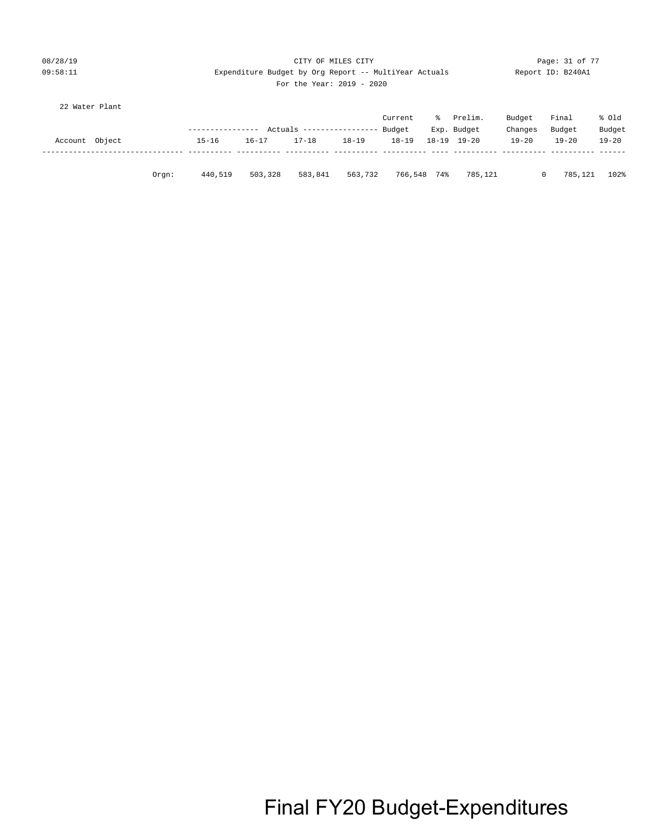### 08/28/19 Page: 31 of 77 CITY OF MILES CITY CONTROL PAGE: 31 of 77 09:58:11 Expenditure Budget by Org Report -- MultiYear Actuals Report ID: B240A1 For the Year: 2019 - 2020

| 22 Water Plant |       |                  |           |                          |           |           |     |             |           |           |           |
|----------------|-------|------------------|-----------|--------------------------|-----------|-----------|-----|-------------|-----------|-----------|-----------|
|                |       |                  |           |                          |           | Current   | %∹  | Prelim.     | Budget    | Final     | % old     |
|                |       | ---------------- |           | Actuals ---------------- |           | Budget    |     | Exp. Budget | Changes   | Budget    | Budget    |
| Account Object |       | $15 - 16$        | $16 - 17$ | $17 - 18$                | $18 - 19$ | $18 - 19$ |     | 18-19 19-20 | $19 - 20$ | $19 - 20$ | $19 - 20$ |
|                |       |                  |           |                          |           |           |     |             |           |           |           |
|                |       |                  |           |                          |           |           |     |             |           |           |           |
|                | Orgn: | 440,519          | 503,328   | 583,841                  | 563,732   | 766,548   | 74% | 785,121     | 0         | 785,121   | 102%      |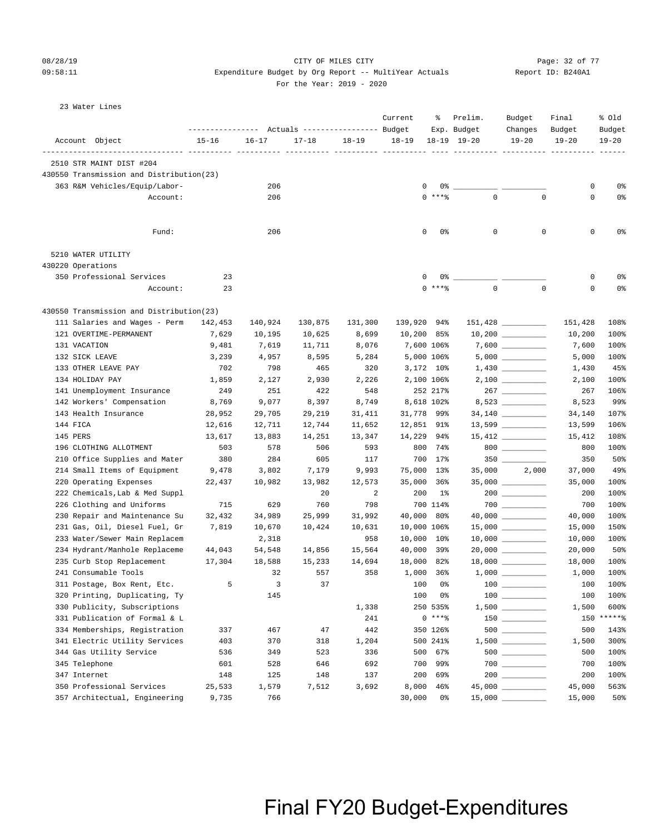### 08/28/19 CITY OF MILES CITY Page: 32 of 77 09:58:11 **Expenditure Budget by Org Report -- MultiYear Actuals**

For the Year: 2019 - 2020

|  | Report ID: B240A1 |  |  |
|--|-------------------|--|--|
|--|-------------------|--|--|

#### 23 Water Lines

|                                          |           |                          | Actuals ----------------- Budget |           | Current     | ႜ               | Prelim.<br>Exp. Budget | Budget<br>Changes   | Final<br>Budget | % old<br>Budget |
|------------------------------------------|-----------|--------------------------|----------------------------------|-----------|-------------|-----------------|------------------------|---------------------|-----------------|-----------------|
| Account Object                           | $15 - 16$ | $16 - 17$                | $17 - 18$                        | $18 - 19$ | $18 - 19$   | $18 - 19$       | $19 - 20$              | $19 - 20$           | $19 - 20$       | $19 - 20$       |
| -------------------------- ----          |           |                          |                                  |           |             |                 |                        |                     |                 |                 |
| 2510 STR MAINT DIST #204                 |           |                          |                                  |           |             |                 |                        |                     |                 |                 |
| 430550 Transmission and Distribution(23) |           |                          |                                  |           |             |                 |                        |                     |                 |                 |
| 363 R&M Vehicles/Equip/Labor-            |           | 206                      |                                  |           | 0           | 0%<br>$0$ *** % | $\mathbf 0$            | $\mathbf 0$         | 0<br>0          | 0%              |
| Account:                                 |           | 206                      |                                  |           |             |                 |                        |                     |                 | 0%              |
| Fund:                                    |           | 206                      |                                  |           | 0           | 0%              | $\mathbf 0$            | 0                   | 0               | 0%              |
| 5210 WATER UTILITY                       |           |                          |                                  |           |             |                 |                        |                     |                 |                 |
| 430220 Operations                        |           |                          |                                  |           |             |                 |                        |                     |                 |                 |
| 350 Professional Services                | 23        |                          |                                  |           |             | 0%              |                        |                     | 0               | 0%              |
| Account:                                 | 23        |                          |                                  |           | $\Omega$    | $***$ $%$       | $\Omega$               | $\mathbf 0$         | 0               | 0%              |
| 430550 Transmission and Distribution(23) |           |                          |                                  |           |             |                 |                        |                     |                 |                 |
| 111 Salaries and Wages - Perm            | 142,453   | 140,924                  | 130,875                          | 131,300   | 139,920 94% |                 |                        | $151,428$ _________ | 151,428         | 108%            |
| 121 OVERTIME-PERMANENT                   | 7,629     | 10,195                   | 10,625                           | 8,699     | 10,200 85%  |                 |                        |                     | 10,200          | 100%            |
| 131 VACATION                             | 9,481     | 7,619                    | 11,711                           | 8,076     |             | 7,600 106%      |                        |                     | 7,600           | 100%            |
| 132 SICK LEAVE                           | 3,239     | 4,957                    | 8,595                            | 5,284     |             | 5,000 106%      |                        |                     | 5,000           | 100%            |
| 133 OTHER LEAVE PAY                      | 702       | 798                      | 465                              | 320       |             | 3,172 10%       |                        |                     | 1,430           | 45%             |
| 134 HOLIDAY PAY                          | 1,859     | 2,127                    | 2,930                            | 2,226     |             | 2,100 106%      |                        |                     | 2,100           | 100%            |
| 141 Unemployment Insurance               | 249       | 251                      | 422                              | 548       |             | 252 217%        |                        | $267$ _________     | 267             | 106%            |
| 142 Workers' Compensation                | 8,769     | 9,077                    | 8,397                            | 8,749     |             | 8,618 102%      |                        | 8,523               | 8,523           | 99%             |
| 143 Health Insurance                     | 28,952    | 29,705                   | 29,219                           | 31,411    | 31,778 99%  |                 |                        | 34,140              | 34,140          | 107%            |
| 144 FICA                                 | 12,616    | 12,711                   | 12,744                           | 11,652    | 12,851 91%  |                 |                        |                     | 13,599          | 106%            |
| 145 PERS                                 | 13,617    | 13,883                   | 14,251                           | 13,347    | 14,229      | 94%             |                        | $15,412$ _________  | 15,412          | 108%            |
| 196 CLOTHING ALLOTMENT                   | 503       | 578                      | 506                              | 593       | 800         | 74%             |                        | $800$ _________     | 800             | 100%            |
| 210 Office Supplies and Mater            | 380       | 284                      | 605                              | 117       |             | 700 17%         |                        | 350                 | 350             | 50%             |
| 214 Small Items of Equipment             | 9,478     | 3,802                    | 7,179                            | 9,993     | 75,000 13%  |                 | 35,000                 | 2,000               | 37,000          | 49%             |
| 220 Operating Expenses                   | 22,437    | 10,982                   | 13,982                           | 12,573    | 35,000      | 36%             |                        |                     | 35,000          | 100%            |
| 222 Chemicals, Lab & Med Suppl           |           |                          | 20                               | 2         | 200         | 1%              |                        |                     | 200             | 100%            |
| 226 Clothing and Uniforms                | 715       | 629                      | 760                              | 798       |             | 700 114%        |                        | $700$ _________     | 700             | 100%            |
| 230 Repair and Maintenance Su            | 32,432    | 34,989                   | 25,999                           | 31,992    | 40,000 80%  |                 |                        |                     | 40,000          | 100%            |
| 231 Gas, Oil, Diesel Fuel, Gr            | 7,819     | 10,670                   | 10,424                           | 10,631    | 10,000 106% |                 |                        |                     | 15,000          | 150%            |
| 233 Water/Sewer Main Replacem            |           | 2,318                    |                                  | 958       | 10,000      | $10\%$          |                        |                     | 10,000          | 100%            |
| 234 Hydrant/Manhole Replaceme            | 44,043    | 54,548                   | 14,856                           | 15,564    | 40,000      | 39%             |                        |                     | 20,000          | 50%             |
| 235 Curb Stop Replacement                | 17,304    | 18,588                   | 15,233                           | 14,694    | 18,000      | 82%             |                        | $18,000$ _________  | 18,000          | 100%            |
| 241 Consumable Tools                     |           | 32                       | 557                              | 358       |             | 1,000 36%       |                        |                     | 1,000           | 100%            |
| 311 Postage, Box Rent, Etc.              | .5        | $\overline{\phantom{a}}$ | 37                               |           |             | 100 0%          | $100$ $\qquad$         |                     | 100             | 100%            |
| 320 Printing, Duplicating, Ty            |           | 145                      |                                  |           | 100         | 0%              |                        |                     | 100             | 100%            |
| 330 Publicity, Subscriptions             |           |                          |                                  | 1,338     |             | 250 535%        |                        |                     | 1,500           | 600%            |
| 331 Publication of Formal & L            |           |                          |                                  | 241       |             | $0***8$         |                        |                     |                 | 150 ******      |
| 334 Memberships, Registration            | 337       | 467                      | 47                               | 442       |             | 350 126%        |                        |                     | 500             | 143%            |
| 341 Electric Utility Services            | 403       | 370                      | 318                              | 1,204     |             | 500 241%        |                        |                     | 1,500           | 300%            |
| 344 Gas Utility Service                  | 536       | 349                      | 523                              | 336       | 500         | 67%             |                        |                     | 500             | 100%            |
| 345 Telephone                            | 601       | 528                      | 646                              | 692       | 700         | 99%             |                        |                     | 700             | 100%            |
| 347 Internet                             | 148       | 125                      | 148                              | 137       | 200         | 69%             |                        | 200 __________      | 200             | 100%            |
| 350 Professional Services                | 25,533    | 1,579                    | 7,512                            | 3,692     | 8,000       | $46\%$          |                        |                     | 45,000          | 563%            |
| 357 Architectual, Engineering            | 9,735     | 766                      |                                  |           | 30,000      | 0%              | 15,000                 |                     | 15,000          | 50%             |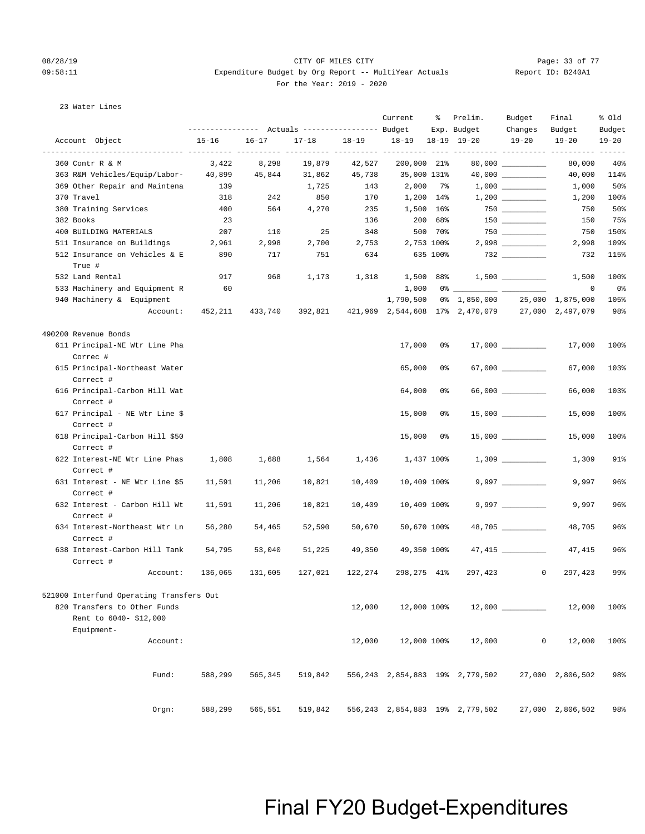### 08/28/19 Page: 33 of 77 CITY OF MILES CITY CONTROL PAGE: 33 of 77 09:58:11 Expenditure Budget by Org Report -- MultiYear Actuals Report ID: B240A1 For the Year: 2019 - 2020

### 23 Water Lines

|                                                       |           |           |           |           | Current           | ႜႜ         | Prelim.<br>Exp. Budget                           | Budget<br>Changes    | Final<br>Budget  | % old<br>Budget |
|-------------------------------------------------------|-----------|-----------|-----------|-----------|-------------------|------------|--------------------------------------------------|----------------------|------------------|-----------------|
| Account Object                                        | $15 - 16$ | $16 - 17$ | $17 - 18$ | $18 - 19$ | 18-19 18-19 19-20 |            |                                                  | $19 - 20$            | $19 - 20$        | $19 - 20$       |
| 360 Contr R & M                                       | 3,422     | 8,298     | 19,879    | 42,527    | 200,000 21%       |            |                                                  | $80,000$ _________   | 80,000           | 40%             |
| 363 R&M Vehicles/Equip/Labor- 40,899                  |           | 45,844    | 31,862    | 45,738    | 35,000 131%       |            |                                                  | $40,000$ __________  | 40,000           | 114%            |
| 369 Other Repair and Maintena                         | 139       |           | 1,725     | 143       | 2,000 7%          |            |                                                  |                      | 1,000            | 50%             |
| 370 Travel                                            | 318       | 242       | 850       | 170       | 1,200 14%         |            |                                                  |                      | 1,200            | 100%            |
| 380 Training Services                                 | 400       | 564       | 4,270     | 235       | 1,500 16%         |            |                                                  |                      | 750              | 50%             |
| 382 Books                                             | 23        |           |           | 136       |                   | 200 68%    |                                                  | $150$ _________      | 150              | 75%             |
| 400 BUILDING MATERIALS                                | 207       | 110       | 25        | 348       |                   | 500 70%    |                                                  | $750$ _________      | 750              | 150%            |
| 511 Insurance on Buildings                            | 2,961     | 2,998     | 2,700     |           | 2,753 2,753 100%  |            |                                                  |                      | 2,998            | 109%            |
| 512 Insurance on Vehicles & E                         | 890       | 717       | 751       | 634       | 635 100%          |            |                                                  | $732$ _________      | 732              | 115%            |
| True #                                                |           |           |           |           |                   |            |                                                  |                      |                  |                 |
| 532 Land Rental                                       | 917       | 968       | 1,173     | 1,318     | 1,500 88%         |            |                                                  | $1,500$ __________   | 1,500            | 100%            |
| 533 Machinery and Equipment R                         | 60        |           |           |           |                   |            |                                                  |                      | 0                | 0%              |
| 940 Machinery & Equipment                             |           |           |           |           |                   |            | 1,790,500 0% 1,850,000                           |                      | 25,000 1,875,000 | 105%            |
| Account:                                              | 452,211   | 433,740   | 392,821   |           |                   |            | 421,969 2,544,608 17% 2,470,079 27,000 2,497,079 |                      |                  | 98%             |
|                                                       |           |           |           |           |                   |            |                                                  |                      |                  |                 |
| 490200 Revenue Bonds<br>611 Principal-NE Wtr Line Pha |           |           |           |           | 17,000            | 0 %        |                                                  |                      | 17,000           | 100%            |
| Correc #                                              |           |           |           |           |                   |            |                                                  |                      |                  |                 |
| 615 Principal-Northeast Water                         |           |           |           |           | 65,000            | 0%         |                                                  | $67,000$ ___________ | 67,000           | 103%            |
| Correct #                                             |           |           |           |           |                   |            |                                                  |                      |                  |                 |
| 616 Principal-Carbon Hill Wat                         |           |           |           |           | 64,000            | 0%         |                                                  | $66,000$ __________  | 66,000           | 103%            |
| Correct #                                             |           |           |           |           |                   |            |                                                  |                      |                  |                 |
| 617 Principal - NE Wtr Line \$                        |           |           |           |           | 15,000            | 0%         |                                                  |                      | 15,000           | 100%            |
| Correct #                                             |           |           |           |           |                   |            |                                                  |                      |                  |                 |
| 618 Principal-Carbon Hill \$50                        |           |           |           |           | 15,000            | 0%         |                                                  |                      | 15,000           | 100%            |
| Correct #                                             |           |           |           |           |                   |            |                                                  |                      |                  |                 |
| 622 Interest-NE Wtr Line Phas                         | 1,808     | 1,688     | 1,564     | 1,436     |                   | 1,437 100% |                                                  |                      | 1,309            | 91%             |
| Correct #                                             |           |           |           |           |                   |            |                                                  |                      |                  |                 |
| 631 Interest - NE Wtr Line \$5                        | 11,591    | 11,206    | 10,821    | 10,409    | 10,409 100%       |            |                                                  |                      | 9,997            | 96%             |
| Correct #                                             |           |           |           |           |                   |            |                                                  |                      |                  |                 |
| 632 Interest - Carbon Hill Wt                         | 11,591    | 11,206    | 10,821    | 10,409    | 10,409 100%       |            |                                                  | $9,997$ __________   | 9,997            | 96%             |
| Correct #                                             |           |           |           |           |                   |            |                                                  |                      |                  |                 |
| 634 Interest-Northeast Wtr Ln                         | 56,280    | 54,465    | 52,590    | 50,670    | 50,670 100%       |            |                                                  | 48,705               | 48,705           | 96%             |
| Correct #                                             |           |           |           |           |                   |            |                                                  |                      |                  |                 |
| 638 Interest-Carbon Hill Tank                         | 54,795    | 53,040    | 51,225    | 49,350    | 49,350 100%       |            |                                                  |                      | 47,415           | 96%             |
| Correct #                                             |           |           |           |           |                   |            |                                                  |                      |                  |                 |
| Account:                                              | 136,065   | 131,605   | 127,021   | 122,274   | 298,275 41%       |            | 297,423                                          | $^{\circ}$           | 297,423          | 99%             |
| 521000 Interfund Operating Transfers Out              |           |           |           |           |                   |            |                                                  |                      |                  |                 |
| 820 Transfers to Other Funds                          |           |           |           | 12,000    | 12,000 100%       |            |                                                  | 12,000               | 12,000           | 100%            |
| Rent to 6040-\$12,000                                 |           |           |           |           |                   |            |                                                  |                      |                  |                 |
| Equipment-                                            |           |           |           |           |                   |            |                                                  |                      |                  |                 |
| Account:                                              |           |           |           | 12,000    | 12,000 100%       |            | 12,000                                           | $\mathbf 0$          | 12,000           | 100%            |
|                                                       |           |           |           |           |                   |            |                                                  |                      |                  |                 |
|                                                       |           |           |           |           |                   |            |                                                  |                      |                  |                 |
| Fund:                                                 | 588,299   | 565,345   | 519,842   |           |                   |            | 556,243 2,854,883 19% 2,779,502                  |                      | 27,000 2,806,502 | 98%             |
|                                                       |           |           |           |           |                   |            |                                                  |                      |                  |                 |
| Orgn:                                                 | 588,299   | 565,551   | 519,842   |           |                   |            | 556,243 2,854,883 19% 2,779,502                  |                      | 27,000 2,806,502 | 98%             |
|                                                       |           |           |           |           |                   |            |                                                  |                      |                  |                 |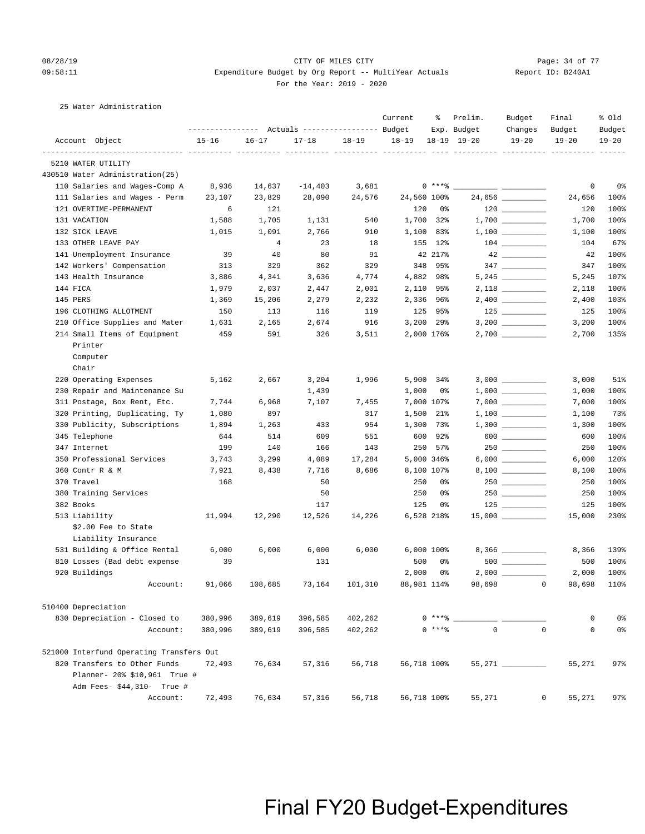### 08/28/19 Page: 34 of 77 CITY OF MILES CITY CHANGES ON Page: 34 of 77 09:58:11 Expenditure Budget by Org Report -- MultiYear Actuals Report ID: B240A1 For the Year: 2019 - 2020

25 Water Administration

|                                          |           |                | Actuals ----------------- Budget |                | Current     | ႜ          | Prelim.<br>Exp. Budget | Budget<br>Changes                                                                                                                                                                                                                                                                                                                                   | Final<br>Budget             | % old<br>Budget |
|------------------------------------------|-----------|----------------|----------------------------------|----------------|-------------|------------|------------------------|-----------------------------------------------------------------------------------------------------------------------------------------------------------------------------------------------------------------------------------------------------------------------------------------------------------------------------------------------------|-----------------------------|-----------------|
| Account Object                           | $15 - 16$ | $16 - 17$      | $17 - 18$                        | $18 - 19$      | $18 - 19$   |            | 18-19 19-20            | $19 - 20$                                                                                                                                                                                                                                                                                                                                           | $19 - 20$                   | $19 - 20$       |
| 5210 WATER UTILITY                       |           |                |                                  |                |             |            |                        |                                                                                                                                                                                                                                                                                                                                                     |                             |                 |
| 430510 Water Administration(25)          |           |                |                                  |                |             |            |                        |                                                                                                                                                                                                                                                                                                                                                     |                             |                 |
| 110 Salaries and Wages-Comp A            | 8,936     | 14,637         | $-14,403$                        | 3,681          |             | $0***8$    |                        |                                                                                                                                                                                                                                                                                                                                                     | 0                           | 0%              |
| 111 Salaries and Wages - Perm            | 23,107    | 23,829         | 28,090                           | 24,576         | 24,560 100% |            |                        | 24,656 _________                                                                                                                                                                                                                                                                                                                                    | 24,656                      | 100%            |
| 121 OVERTIME-PERMANENT                   | 6         | 121            |                                  |                | 120         | 0%         |                        | $\begin{tabular}{c} 120 \end{tabular} \begin{tabular}{c} \includegraphics[width=0.35\textwidth]{figs/120}\end{tabular}$                                                                                                                                                                                                                             | 120                         | 100%            |
| 131 VACATION                             | 1,588     | 1,705          | 1,131                            | 540            |             | 1,700 32%  |                        |                                                                                                                                                                                                                                                                                                                                                     | 1,700                       | 100%            |
| 132 SICK LEAVE                           | 1,015     | 1,091          | 2,766                            | 910            | 1,100       | 83%        |                        | $1,100$                                                                                                                                                                                                                                                                                                                                             | 1,100                       | 100%            |
| 133 OTHER LEAVE PAY                      |           | $\overline{4}$ | 23                               | 18             |             | 155 12%    |                        |                                                                                                                                                                                                                                                                                                                                                     | 104                         | 67%             |
| 141 Unemployment Insurance               | 39        | 40             | 80                               | 91             |             | 42 217%    |                        | $42 \overline{ }$                                                                                                                                                                                                                                                                                                                                   | 42                          | 100%            |
| 142 Workers' Compensation                | 313       | 329            | 362                              | 329            |             | 348 95%    |                        |                                                                                                                                                                                                                                                                                                                                                     | 347                         | 100%            |
| 143 Health Insurance                     | 3,886     | 4,341          | 3,636                            | 4,774          |             | 4,882 98%  |                        |                                                                                                                                                                                                                                                                                                                                                     | 5,245                       | 107%            |
| 144 FICA                                 | 1,979     | 2,037          | 2,447                            | 2,001          |             | 2,110 95%  |                        |                                                                                                                                                                                                                                                                                                                                                     | 2,118                       | 100%            |
| 145 PERS                                 | 1,369     | 15,206         | 2,279                            | 2,232          |             | 2,336 96%  |                        | $2,400$ _________                                                                                                                                                                                                                                                                                                                                   | 2,400                       | 103%            |
| 196 CLOTHING ALLOTMENT                   | 150       | 113            | 116                              | 119            |             | 125 95%    |                        |                                                                                                                                                                                                                                                                                                                                                     | 125                         | 100%            |
| 210 Office Supplies and Mater            | 1,631     | 2,165          | 2,674                            | 916            |             | 3,200 29%  |                        | 3,200 __________                                                                                                                                                                                                                                                                                                                                    | 3,200                       | 100%            |
| 214 Small Items of Equipment             | 459       | 591            | 326                              | 3,511          |             | 2,000 176% |                        |                                                                                                                                                                                                                                                                                                                                                     | 2,700                       | 135%            |
| Printer                                  |           |                |                                  |                |             |            |                        |                                                                                                                                                                                                                                                                                                                                                     |                             |                 |
| Computer                                 |           |                |                                  |                |             |            |                        |                                                                                                                                                                                                                                                                                                                                                     |                             |                 |
| Chair                                    |           |                |                                  |                |             |            |                        |                                                                                                                                                                                                                                                                                                                                                     |                             |                 |
| 220 Operating Expenses                   | 5,162     | 2,667          | 3,204                            | 1,996          | 5,900       | 34%        |                        |                                                                                                                                                                                                                                                                                                                                                     | 3,000                       | 51%             |
| 230 Repair and Maintenance Su            |           |                | 1,439                            |                | 1,000       | 0%         |                        |                                                                                                                                                                                                                                                                                                                                                     | 1,000                       | 100%            |
| 311 Postage, Box Rent, Etc.              | 7,744     | 6,968          | 7,107                            | 7,455          |             | 7,000 107% |                        |                                                                                                                                                                                                                                                                                                                                                     | 7,000                       | 100%            |
| 320 Printing, Duplicating, Ty            | 1,080     | 897            |                                  | 317            | 1,500       | $21\%$     |                        |                                                                                                                                                                                                                                                                                                                                                     | 1,100                       | 73%             |
| 330 Publicity, Subscriptions             | 1,894     | 1,263          | 433                              | 954            | 1,300       | 73%        |                        |                                                                                                                                                                                                                                                                                                                                                     | 1,300                       | 100%            |
| 345 Telephone                            | 644       | 514            | 609                              | 551            | 600         | 92%        |                        | $\begin{picture}(150,10) \put(0,0){\line(1,0){10}} \put(15,0){\line(1,0){10}} \put(15,0){\line(1,0){10}} \put(15,0){\line(1,0){10}} \put(15,0){\line(1,0){10}} \put(15,0){\line(1,0){10}} \put(15,0){\line(1,0){10}} \put(15,0){\line(1,0){10}} \put(15,0){\line(1,0){10}} \put(15,0){\line(1,0){10}} \put(15,0){\line(1,0){10}} \put(15,0){\line($ | 600                         | 100%            |
| 347 Internet                             | 199       | 140            | 166                              | 143            | 250         | 57%        |                        |                                                                                                                                                                                                                                                                                                                                                     | 250                         | 100%            |
| 350 Professional Services                | 3,743     | 3,299          | 4,089                            | 17,284         |             | 5,000 346% |                        | $6,000$                                                                                                                                                                                                                                                                                                                                             | 6,000                       | 120%            |
| 360 Contr R & M                          | 7,921     | 8,438          | 7,716                            | 8,686          |             | 8,100 107% |                        |                                                                                                                                                                                                                                                                                                                                                     | 8,100                       | 100%            |
| 370 Travel                               | 168       |                | 50                               |                | 250         | 0%         |                        |                                                                                                                                                                                                                                                                                                                                                     | 250                         | 100%            |
| 380 Training Services                    |           |                | 50                               |                | 250         | 0%         |                        | $250$                                                                                                                                                                                                                                                                                                                                               | 250                         | 100%            |
| 382 Books                                |           |                | 117                              |                | 125         | 0%         |                        | $125$                                                                                                                                                                                                                                                                                                                                               | 125                         | 100%            |
| 513 Liability                            | 11,994    | 12,290         | 12,526                           | 14,226         |             | 6,528 218% |                        | $15,000$ _________                                                                                                                                                                                                                                                                                                                                  | 15,000                      | 230%            |
| \$2.00 Fee to State                      |           |                |                                  |                |             |            |                        |                                                                                                                                                                                                                                                                                                                                                     |                             |                 |
| Liability Insurance                      |           |                |                                  |                |             |            |                        |                                                                                                                                                                                                                                                                                                                                                     |                             |                 |
| 531 Building & Office Rental             | 6,000     | 6,000          | 6,000                            | 6,000          |             | 6,000 100% |                        |                                                                                                                                                                                                                                                                                                                                                     | 8,366                       | 139%            |
| 810 Losses (Bad debt expense             | 39        |                | 131                              |                | 500         | 0%         |                        | $500$                                                                                                                                                                                                                                                                                                                                               | 500                         | 100%            |
| 920 Buildings                            |           |                |                                  |                | 2,000       | 0%         |                        |                                                                                                                                                                                                                                                                                                                                                     | 2,000                       | 100%            |
| Account:                                 | 91,066    | 108,685        |                                  | 73,164 101,310 | 88,981 114% |            |                        | 98,698 0                                                                                                                                                                                                                                                                                                                                            | 98,698                      | 110%            |
|                                          |           |                |                                  |                |             |            |                        |                                                                                                                                                                                                                                                                                                                                                     |                             |                 |
| 510400 Depreciation                      |           |                |                                  |                |             |            |                        |                                                                                                                                                                                                                                                                                                                                                     |                             |                 |
| 830 Depreciation - Closed to             | 380,996   | 389,619        | 396,585                          | 402,262        |             | $0***$ $-$ |                        |                                                                                                                                                                                                                                                                                                                                                     | 0                           | 0 <sup>°</sup>  |
| Account:                                 | 380,996   | 389,619        | 396,585                          | 402,262        |             | $0***8$    | $\mathbf{0}$           |                                                                                                                                                                                                                                                                                                                                                     | $\mathbf{0}$<br>$\mathbf 0$ | 0 <sup>°</sup>  |
| 521000 Interfund Operating Transfers Out |           |                |                                  |                |             |            |                        |                                                                                                                                                                                                                                                                                                                                                     |                             |                 |
| 820 Transfers to Other Funds             | 72,493    | 76,634         | 57,316                           | 56,718         | 56,718 100% |            |                        | 55,271 _________                                                                                                                                                                                                                                                                                                                                    | 55,271                      | 97%             |
| Planner- 20% \$10,961 True #             |           |                |                                  |                |             |            |                        |                                                                                                                                                                                                                                                                                                                                                     |                             |                 |
| Adm Fees- \$44,310- True #               |           |                |                                  |                |             |            |                        |                                                                                                                                                                                                                                                                                                                                                     |                             |                 |
| Account:                                 | 72,493    | 76,634         | 57,316                           | 56,718         | 56,718 100% |            | 55,271                 |                                                                                                                                                                                                                                                                                                                                                     | 0<br>55,271                 | 97%             |
|                                          |           |                |                                  |                |             |            |                        |                                                                                                                                                                                                                                                                                                                                                     |                             |                 |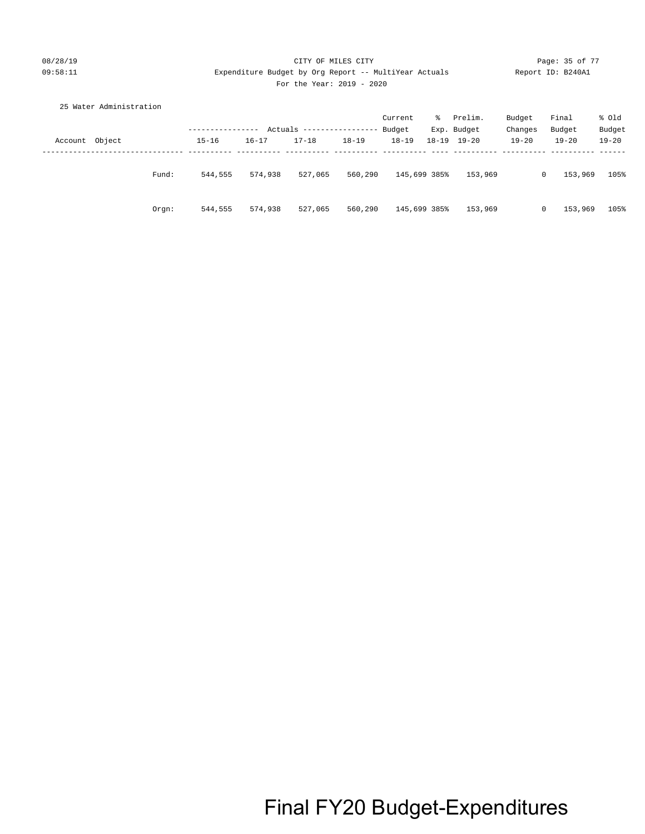### 08/28/19 Page: 35 of 77 CHTY OF MILES CITY CONTROL PAGE: 35 of 77 09:58:11 Expenditure Budget by Org Report -- MultiYear Actuals Report ID: B240A1 For the Year: 2019 - 2020

|         | 25 Water Administration |       |           |           |                 |           |              |           |             |           |                         |           |
|---------|-------------------------|-------|-----------|-----------|-----------------|-----------|--------------|-----------|-------------|-----------|-------------------------|-----------|
|         |                         |       |           |           |                 |           | Current      | ∻ະ        | Prelim.     | Budget    | Final                   | % Old     |
|         |                         |       |           | Actuals   | --------------- |           | Budget       |           | Exp. Budget | Changes   | Budget                  | Budget    |
| Account | Object                  |       | $15 - 16$ | $16 - 17$ | $17 - 18$       | $18 - 19$ | $18 - 19$    | $18 - 19$ | $19 - 20$   | $19 - 20$ | $19 - 20$               | $19 - 20$ |
|         |                         |       |           |           |                 |           |              |           |             |           |                         |           |
|         |                         |       |           |           |                 |           |              |           |             |           |                         |           |
|         |                         | Fund: | 544,555   | 574,938   | 527,065         | 560,290   | 145,699 385% |           | 153,969     |           | 153,969<br>$\mathbf{0}$ | 105%      |
|         |                         |       |           |           |                 |           |              |           |             |           |                         |           |
|         |                         |       |           |           |                 |           |              |           |             |           |                         |           |
|         |                         | Orgn: | 544,555   | 574,938   | 527,065         | 560,290   | 145,699 385% |           | 153,969     |           | 153,969<br>$\mathbf{0}$ | 105%      |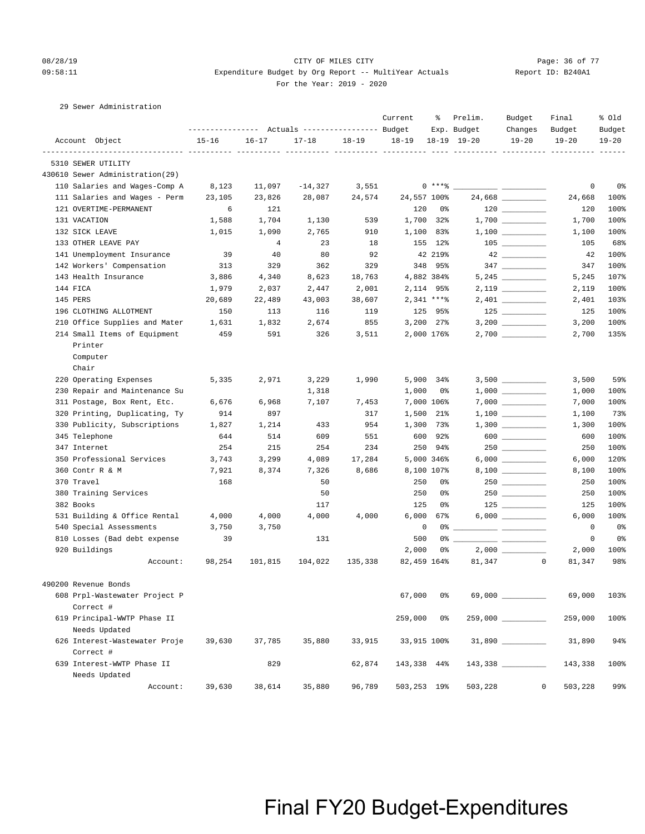### 08/28/19 Page: 36 of 77 CITY OF MILES CITY CONTROL PAGE: 36 of 77 09:58:11 Expenditure Budget by Org Report -- MultiYear Actuals Report ID: B240A1 For the Year: 2019 - 2020

29 Sewer Administration

|                                 | ---------------    Actuals ----------------    Budget |                |           |           | Current     | ႜ              | Prelim.<br>Exp. Budget | Budget<br>Changes                                                                                                                                                                                                                                                                                                                                   | Final<br>Budget       | % old<br>Budget |
|---------------------------------|-------------------------------------------------------|----------------|-----------|-----------|-------------|----------------|------------------------|-----------------------------------------------------------------------------------------------------------------------------------------------------------------------------------------------------------------------------------------------------------------------------------------------------------------------------------------------------|-----------------------|-----------------|
| Account Object                  | $15 - 16$                                             | $16 - 17$      | $17 - 18$ | $18 - 19$ | $18 - 19$   |                | 18-19 19-20            | $19 - 20$                                                                                                                                                                                                                                                                                                                                           | $19 - 20$             | $19 - 20$       |
| 5310 SEWER UTILITY              |                                                       |                |           |           |             |                | ----------- ---------- |                                                                                                                                                                                                                                                                                                                                                     |                       |                 |
| 430610 Sewer Administration(29) |                                                       |                |           |           |             |                |                        |                                                                                                                                                                                                                                                                                                                                                     |                       |                 |
| 110 Salaries and Wages-Comp A   | 8,123                                                 | 11,097         | $-14,327$ | 3,551     |             | $0***8$        |                        |                                                                                                                                                                                                                                                                                                                                                     | $\circ$               | 0 <sup>°</sup>  |
| 111 Salaries and Wages - Perm   | 23,105                                                | 23,826         | 28,087    | 24,574    | 24,557 100% |                |                        | 24,668                                                                                                                                                                                                                                                                                                                                              | 24,668                | 100%            |
| 121 OVERTIME-PERMANENT          | 6                                                     | 121            |           |           | 120         | 0%             |                        | $\begin{tabular}{c} 120 \end{tabular} \begin{tabular}{c} \includegraphics[width=0.35\textwidth]{figs/120}\end{tabular}$                                                                                                                                                                                                                             | 120                   | 100%            |
| 131 VACATION                    | 1,588                                                 | 1,704          | 1,130     | 539       | 1,700 32%   |                |                        |                                                                                                                                                                                                                                                                                                                                                     | 1,700                 | 100%            |
| 132 SICK LEAVE                  | 1,015                                                 | 1,090          | 2,765     | 910       | 1,100 83%   |                |                        | $1,100$ _________                                                                                                                                                                                                                                                                                                                                   | 1,100                 | 100%            |
| 133 OTHER LEAVE PAY             |                                                       | $\overline{4}$ | 23        | 18        |             | 155 12%        |                        |                                                                                                                                                                                                                                                                                                                                                     | 105                   | 68%             |
| 141 Unemployment Insurance      | 39                                                    | 40             | 80        | 92        |             | 42 219%        |                        | $42 \overbrace{\hspace{20mm}}$                                                                                                                                                                                                                                                                                                                      | 42                    | 100%            |
| 142 Workers' Compensation       | 313                                                   | 329            | 362       | 329       |             | 348 95%        |                        | $347 \ \ \underline{\hspace{1.5cm}}$                                                                                                                                                                                                                                                                                                                | 347                   | 100%            |
| 143 Health Insurance            | 3,886                                                 | 4,340          | 8,623     | 18,763    |             | 4,882 384%     |                        |                                                                                                                                                                                                                                                                                                                                                     | 5,245                 | 107%            |
| 144 FICA                        | 1,979                                                 | 2,037          | 2,447     | 2,001     |             | 2, 114 95%     |                        |                                                                                                                                                                                                                                                                                                                                                     | 2,119                 | 100%            |
| 145 PERS                        | 20,689                                                | 22,489         | 43,003    | 38,607    |             | $2,341$ ****   |                        |                                                                                                                                                                                                                                                                                                                                                     | 2,401                 | 103%            |
| 196 CLOTHING ALLOTMENT          | 150                                                   | 113            | 116       | 119       |             | 125 95%        |                        |                                                                                                                                                                                                                                                                                                                                                     | 125                   | 100%            |
| 210 Office Supplies and Mater   | 1,631                                                 | 1,832          | 2,674     | 855       |             | $3,200$ $27\%$ |                        |                                                                                                                                                                                                                                                                                                                                                     | 3,200                 | 100%            |
| 214 Small Items of Equipment    | 459                                                   | 591            | 326       | 3,511     |             | 2,000 176%     |                        | $2,700$ _________                                                                                                                                                                                                                                                                                                                                   | 2,700                 | 135%            |
| Printer                         |                                                       |                |           |           |             |                |                        |                                                                                                                                                                                                                                                                                                                                                     |                       |                 |
| Computer                        |                                                       |                |           |           |             |                |                        |                                                                                                                                                                                                                                                                                                                                                     |                       |                 |
| Chair                           |                                                       |                |           |           |             |                |                        |                                                                                                                                                                                                                                                                                                                                                     |                       |                 |
| 220 Operating Expenses          | 5,335                                                 | 2,971          | 3,229     | 1,990     |             | 5,900 34%      |                        |                                                                                                                                                                                                                                                                                                                                                     | 3,500                 | 59%             |
| 230 Repair and Maintenance Su   |                                                       |                | 1,318     |           | 1,000       | 0%             |                        |                                                                                                                                                                                                                                                                                                                                                     | 1,000                 | 100%            |
| 311 Postage, Box Rent, Etc.     | 6,676                                                 | 6,968          | 7,107     | 7,453     |             | 7,000 106%     |                        |                                                                                                                                                                                                                                                                                                                                                     | 7,000                 | 100%            |
| 320 Printing, Duplicating, Ty   | 914                                                   | 897            |           | 317       | 1,500 21%   |                |                        |                                                                                                                                                                                                                                                                                                                                                     | 1,100                 | 73%             |
| 330 Publicity, Subscriptions    | 1,827                                                 | 1,214          | 433       | 954       | 1,300 73%   |                |                        |                                                                                                                                                                                                                                                                                                                                                     | 1,300                 | 100%            |
| 345 Telephone                   | 644                                                   | 514            | 609       | 551       | 600         | 92%            |                        | $\begin{picture}(20,20) \put(0,0){\line(1,0){10}} \put(15,0){\line(1,0){10}} \put(15,0){\line(1,0){10}} \put(15,0){\line(1,0){10}} \put(15,0){\line(1,0){10}} \put(15,0){\line(1,0){10}} \put(15,0){\line(1,0){10}} \put(15,0){\line(1,0){10}} \put(15,0){\line(1,0){10}} \put(15,0){\line(1,0){10}} \put(15,0){\line(1,0){10}} \put(15,0){\line(1$ | 600                   | 100%            |
| 347 Internet                    | 254                                                   | 215            | 254       | 234       |             | 250 94%        |                        |                                                                                                                                                                                                                                                                                                                                                     | 250                   | 100%            |
| 350 Professional Services       | 3,743                                                 | 3,299          | 4,089     | 17,284    |             | 5,000 346%     |                        |                                                                                                                                                                                                                                                                                                                                                     | 6,000                 | 120%            |
| 360 Contr R & M                 | 7,921                                                 | 8,374          | 7,326     | 8,686     | 8,100 107%  |                |                        |                                                                                                                                                                                                                                                                                                                                                     | 8,100                 | 100%            |
| 370 Travel                      | 168                                                   |                | 50        |           | 250         | 0%             |                        | 250                                                                                                                                                                                                                                                                                                                                                 | 250                   | 100%            |
| 380 Training Services           |                                                       |                | 50        |           | 250         | 0%             |                        | 250                                                                                                                                                                                                                                                                                                                                                 | 250                   | 100%            |
| 382 Books                       |                                                       |                | 117       |           | 125         | 0%             |                        |                                                                                                                                                                                                                                                                                                                                                     | 125                   | 100%            |
| 531 Building & Office Rental    | 4,000                                                 | 4,000          | 4,000     | 4,000     | 6,000       | 67%            |                        | $6,000$ __________                                                                                                                                                                                                                                                                                                                                  | 6,000                 | 100%            |
| 540 Special Assessments         | 3,750                                                 | 3,750          |           |           | $\mathbf 0$ |                |                        |                                                                                                                                                                                                                                                                                                                                                     | 0                     | 0 <sup>°</sup>  |
| 810 Losses (Bad debt expense    | 39                                                    |                | 131       |           | 500         | 0 %            |                        |                                                                                                                                                                                                                                                                                                                                                     | 0                     | 0%              |
| 920 Buildings                   |                                                       |                |           |           | 2,000       | 0%             |                        |                                                                                                                                                                                                                                                                                                                                                     | 2,000                 | 100%            |
| Account:                        | 98,254                                                | 101,815        | 104,022   | 135,338   | 82,459 164% |                | 81,347                 |                                                                                                                                                                                                                                                                                                                                                     | $\mathbf 0$<br>81,347 | 98%             |
| 490200 Revenue Bonds            |                                                       |                |           |           |             |                |                        |                                                                                                                                                                                                                                                                                                                                                     |                       |                 |
| 608 Prpl-Wastewater Project P   |                                                       |                |           |           | 67,000      | 0%             |                        | 69,000 _________                                                                                                                                                                                                                                                                                                                                    | 69,000                | 103%            |
| Correct #                       |                                                       |                |           |           |             |                |                        |                                                                                                                                                                                                                                                                                                                                                     |                       |                 |
| 619 Principal-WWTP Phase II     |                                                       |                |           |           | 259,000     | 0 %            |                        |                                                                                                                                                                                                                                                                                                                                                     | 259,000               | 100%            |
| Needs Updated                   |                                                       |                |           |           |             |                |                        |                                                                                                                                                                                                                                                                                                                                                     |                       |                 |
| 626 Interest-Wastewater Proje   | 39,630                                                | 37,785         | 35,880    | 33,915    | 33,915 100% |                |                        |                                                                                                                                                                                                                                                                                                                                                     | 31,890                | 94%             |
| Correct #                       |                                                       |                |           |           |             |                |                        |                                                                                                                                                                                                                                                                                                                                                     |                       |                 |
| 639 Interest-WWTP Phase II      |                                                       | 829            |           | 62,874    | 143,338 44% |                |                        |                                                                                                                                                                                                                                                                                                                                                     | 143,338               | 100%            |
| Needs Updated                   |                                                       |                |           |           |             |                |                        |                                                                                                                                                                                                                                                                                                                                                     |                       |                 |
| Account:                        | 39,630                                                | 38,614         | 35,880    | 96,789    | 503,253 19% |                | 503,228                |                                                                                                                                                                                                                                                                                                                                                     | 503,228<br>$\circ$    | 99%             |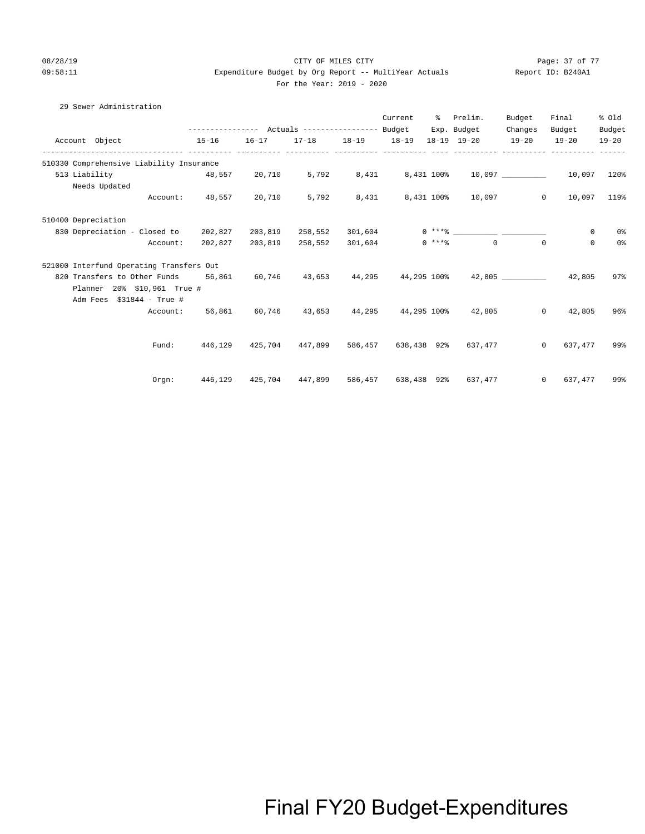#### 08/28/19 Page: 37 of 77 CITY OF MILES CITY CONTROL PAGE: 37 of 77 09:58:11 Expenditure Budget by Org Report -- MultiYear Actuals Report ID: B240A1 For the Year: 2019 - 2020

### 29 Sewer Administration

| Account Object 15-16                                                                              |                                                         | $16 - 17$ |                 | Current | % Prelim.<br>Exp. Budget<br>17-18  18-19  18-19  18-19  19-20  19-20 | Budget<br>Changes | Final<br>Budget<br>$19 - 20$                                          | % Old<br>Budget<br>$19 - 20$ |
|---------------------------------------------------------------------------------------------------|---------------------------------------------------------|-----------|-----------------|---------|----------------------------------------------------------------------|-------------------|-----------------------------------------------------------------------|------------------------------|
| 510330 Comprehensive Liability Insurance                                                          |                                                         |           |                 |         |                                                                      |                   |                                                                       |                              |
| $48,557$ $20,710$ $5,792$ $8,431$ $8,431$ $100\%$ $10,097$ $\rule{2.5cm}{0.6cm}$<br>513 Liability |                                                         |           |                 |         |                                                                      |                   | 10,097 120%                                                           |                              |
| Needs Updated                                                                                     |                                                         |           |                 |         |                                                                      |                   |                                                                       |                              |
|                                                                                                   | Account: 48,557 20,710                                  |           | 5,792           |         | 8,431 8,431 100% 10,097                                              |                   | 10,097 119%<br>$\overline{0}$                                         |                              |
| 510400 Depreciation                                                                               |                                                         |           |                 |         |                                                                      |                   |                                                                       |                              |
| 830 Depreciation - Closed to 202,827                                                              |                                                         | 203,819   |                 |         |                                                                      |                   | 0                                                                     | 0%                           |
| Account:                                                                                          | 202,827                                                 |           | 203,819 258,552 | 301,604 | $0***$ 8 0                                                           |                   | $\mathbf{0}$<br>$\Omega$                                              | 0 <sup>o</sup>               |
| 521000 Interfund Operating Transfers Out                                                          |                                                         |           |                 |         |                                                                      |                   |                                                                       |                              |
| 820 Transfers to Other Funds 56,861 60,746 43,653 44,295 44,295 100% 42,805 42,805 42,805         |                                                         |           |                 |         |                                                                      |                   |                                                                       | 97%                          |
| Planner 20% \$10,961 True #                                                                       |                                                         |           |                 |         |                                                                      |                   |                                                                       |                              |
| Adm Fees \$31844 - True #                                                                         |                                                         |           |                 |         |                                                                      |                   |                                                                       |                              |
|                                                                                                   | Account: 56,861 60,746 43,653 44,295 44,295 100% 42,805 |           |                 |         |                                                                      |                   | $\Omega$<br>42,805                                                    | 96%                          |
|                                                                                                   |                                                         |           |                 |         |                                                                      |                   |                                                                       |                              |
| Fund:                                                                                             |                                                         |           |                 |         | 446,129 425,704 447,899 586,457 638,438 92% 637,477                  |                   | 0 637,477                                                             | 99%                          |
|                                                                                                   |                                                         |           |                 |         |                                                                      |                   |                                                                       |                              |
| Orgn:                                                                                             |                                                         |           |                 |         |                                                                      |                   | 446,129  425,704  447,899  586,457  638,438  92%  637,477  0  637,477 | 99%                          |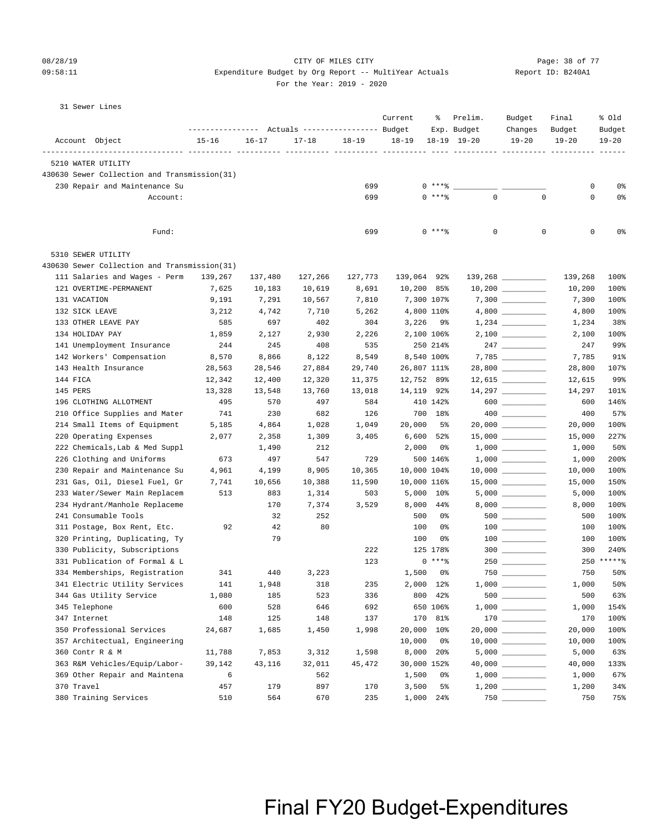### 08/28/19 Page: 38 of 77 CITY OF MILES CITY CONTROL PAGE: 38 of 77

### 09:58:11 Expenditure Budget by Org Report -- MultiYear Actuals Report ID: B240A1 For the Year: 2019 - 2020

| 31 | Sewer Lines |  |
|----|-------------|--|
|    |             |  |

|                                              | ---------------- |            | Actuals ----------------- Budget |                  | Current      | ႜ                   | Prelim.<br>Exp. Budget | Budget<br>Changes                                                       | Final<br>Budget  | % Old<br>Budget |
|----------------------------------------------|------------------|------------|----------------------------------|------------------|--------------|---------------------|------------------------|-------------------------------------------------------------------------|------------------|-----------------|
| Account Object                               | $15 - 16$        | $16 - 17$  | $17 - 18$                        | $18 - 19$        | $18 - 19$    |                     | $18-19$ $19-20$        | $19 - 20$                                                               | $19 - 20$        | $19 - 20$       |
| 5210 WATER UTILITY                           |                  |            |                                  |                  |              |                     |                        |                                                                         |                  |                 |
| 430630 Sewer Collection and Transmission(31) |                  |            |                                  |                  |              |                     |                        |                                                                         |                  |                 |
| 230 Repair and Maintenance Su                |                  |            |                                  | 699              |              | $0$ *** $8$         |                        |                                                                         | 0                | 0%              |
| Account:                                     |                  |            |                                  | 699              |              | $0$ ****            | $\mathbf{0}$           | $\mathbf 0$                                                             | 0                | 0%              |
|                                              |                  |            |                                  |                  |              |                     |                        |                                                                         |                  |                 |
| Fund:                                        |                  |            |                                  | 699              |              | 0 ****              | 0                      | $\mathbf 0$                                                             | 0                | 0%              |
| 5310 SEWER UTILITY                           |                  |            |                                  |                  |              |                     |                        |                                                                         |                  |                 |
| 430630 Sewer Collection and Transmission(31) |                  |            |                                  |                  |              |                     |                        |                                                                         |                  |                 |
| 111 Salaries and Wages - Perm                | 139,267          | 137,480    | 127,266                          | 127,773          | 139,064 92%  |                     |                        |                                                                         | 139,268          | 100%            |
| 121 OVERTIME-PERMANENT                       | 7,625            | 10,183     | 10,619                           | 8,691            | $10,200$ 85% |                     |                        |                                                                         | 10,200           | 100%            |
| 131 VACATION                                 | 9,191            | 7,291      | 10,567                           | 7,810            | 7,300 107%   |                     |                        |                                                                         | 7,300            | 100%            |
| 132 SICK LEAVE                               | 3,212            | 4,742      | 7,710                            | 5,262            | 4,800 110%   |                     |                        |                                                                         | 4,800            | 100%            |
| 133 OTHER LEAVE PAY                          | 585              | 697        | 402                              | 304              | 3,226        | 9%                  |                        |                                                                         | 1,234            | 38%             |
| 134 HOLIDAY PAY                              | 1,859            | 2,127      | 2,930                            | 2,226            | 2,100 106%   |                     |                        |                                                                         | 2,100            | 100%            |
| 141 Unemployment Insurance                   | 244              | 245        | 408                              | 535              |              | 250 214%            |                        | 247                                                                     | 247              | 99%             |
| 142 Workers' Compensation                    | 8,570            | 8,866      | 8,122                            | 8,549            | 8,540 100%   |                     |                        |                                                                         | 7,785            | 91%             |
| 143 Health Insurance                         | 28,563           | 28,546     | 27,884                           | 29,740           | 26,807 111%  |                     |                        | $28,800$ __________                                                     | 28,800           | 107%            |
| 144 FICA                                     | 12,342           | 12,400     | 12,320                           | 11,375<br>13,018 | 12,752 89%   |                     |                        |                                                                         | 12,615<br>14,297 | 99%             |
| 145 PERS<br>196 CLOTHING ALLOTMENT           | 13,328<br>495    | 13,548     | 13,760                           |                  | 14,119 92%   |                     |                        |                                                                         |                  | 101%            |
| 210 Office Supplies and Mater                | 741              | 570<br>230 | 497<br>682                       | 584<br>126       |              | 410 142%<br>700 18% |                        | $600$                                                                   | 600<br>400       | 146%<br>57%     |
| 214 Small Items of Equipment                 | 5,185            | 4,864      | 1,028                            | 1,049            | 20,000       | 5%                  |                        | $20,000$ __________                                                     | 20,000           | 100%            |
| 220 Operating Expenses                       | 2,077            | 2,358      | 1,309                            | 3,405            | 6,600        | 52%                 |                        | $15,000$ __________                                                     | 15,000           | 227%            |
| 222 Chemicals, Lab & Med Suppl               |                  | 1,490      | 212                              |                  | 2,000        | 0%                  |                        |                                                                         | 1,000            | 50%             |
| 226 Clothing and Uniforms                    | 673              | 497        | 547                              | 729              |              | 500 146%            |                        |                                                                         | 1,000            | 200%            |
| 230 Repair and Maintenance Su                | 4,961            | 4,199      | 8,905                            | 10,365           | 10,000 104%  |                     |                        |                                                                         | 10,000           | 100%            |
| 231 Gas, Oil, Diesel Fuel, Gr                | 7,741            | 10,656     | 10,388                           | 11,590           | 10,000 116%  |                     |                        | $15,000$ _________                                                      | 15,000           | 150%            |
| 233 Water/Sewer Main Replacem                | 513              | 883        | 1,314                            | 503              | 5,000 10%    |                     |                        |                                                                         | 5,000            | 100%            |
| 234 Hydrant/Manhole Replaceme                |                  | 170        | 7,374                            | 3,529            | 8,000        | 44%                 |                        |                                                                         | 8,000            | 100%            |
| 241 Consumable Tools                         |                  | 32         | 252                              |                  | 500          | 0%                  |                        | $500$ _________                                                         | 500              | 100%            |
| 311 Postage, Box Rent, Etc.                  | 92               | 42         | 80                               |                  | 100          | 0%                  |                        |                                                                         | 100              | 100%            |
| 320 Printing, Duplicating, Ty                |                  | 79         |                                  |                  | 100          | 0%                  |                        |                                                                         | 100              | 100%            |
| 330 Publicity, Subscriptions                 |                  |            |                                  | 222              |              | 125 178%            |                        | $300$ _________                                                         | 300              | 240%            |
| 331 Publication of Formal & L                |                  |            |                                  | 123              |              | $0***8$             |                        |                                                                         |                  | 250 ******      |
| 334 Memberships, Registration                | 341              | 440        | 3,223                            |                  | 1,500        | 0%                  |                        |                                                                         | 750              | 50%             |
| 341 Electric Utility Services                | 141              | 1,948      | 318                              | 235              | 2,000 12%    |                     |                        |                                                                         | 1,000            | $50\%$          |
| 344 Gas Utility Service                      | 1,080            | 185        | 523                              | 336              |              | 800 42%             |                        |                                                                         | 500              | 63%             |
| 345 Telephone                                | 600              | 528        | 646                              | 692              |              | 650 106%            |                        | $1\, , \, 0\, 0\, 0 \quad \underline{\hspace{1cm}} \rule{2.5cm}{0.4cm}$ | 1,000            | 154%            |
| 347 Internet                                 | 148              | 125        | 148                              | 137              |              | 170 81%             |                        |                                                                         | 170              | 100%            |
| 350 Professional Services                    | 24,687           | 1,685      | 1,450                            | 1,998            | 20,000 10%   |                     |                        |                                                                         | 20,000           | 100%            |
| 357 Architectual, Engineering                |                  |            |                                  |                  | 10,000       | 0%                  |                        | $10,000$ __________                                                     | 10,000           | 100%            |
| 360 Contr R & M                              | 11,788           | 7,853      | 3,312                            | 1,598            | 8,000 20%    |                     |                        |                                                                         | 5,000            | 63%             |
| 363 R&M Vehicles/Equip/Labor-                | 39,142           | 43,116     | 32,011                           | 45,472           | 30,000 152%  |                     |                        |                                                                         | 40,000           | 133%            |
| 369 Other Repair and Maintena                | 6                |            | 562                              |                  | 1,500        | 0%                  |                        |                                                                         | 1,000            | 67%             |
| 370 Travel                                   | 457              | 179        | 897                              | 170              | 3,500        | 5%                  |                        |                                                                         | 1,200            | 34%             |
| 380 Training Services                        | 510              | 564        | 670                              | 235              | 1,000        | 24%                 |                        |                                                                         | 750              | 75%             |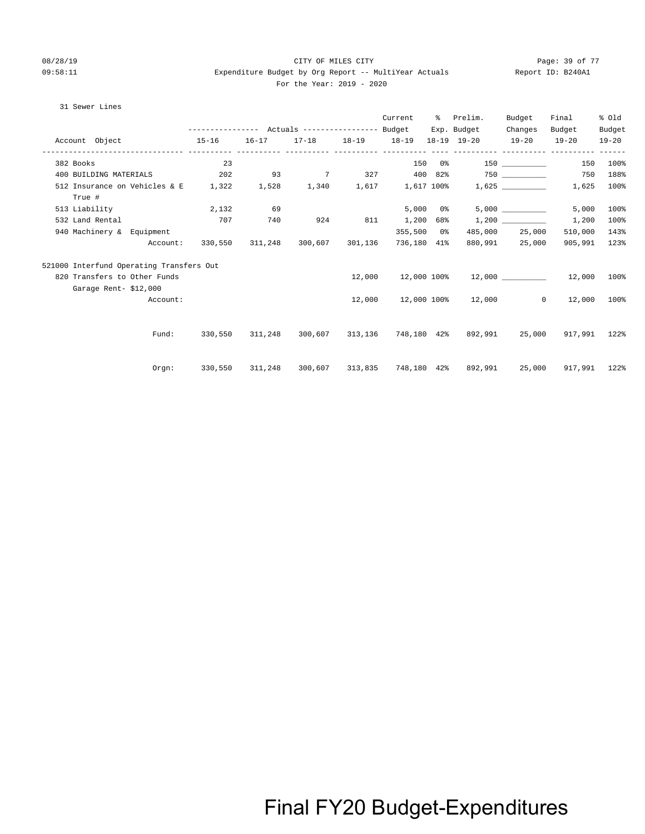#### 08/28/19 Page: 39 of 77 CITY OF MILES CITY CONTROL PAGE: 39 of 77 09:58:11 Expenditure Budget by Org Report -- MultiYear Actuals Report ID: B240A1 For the Year: 2019 - 2020

#### 31 Sewer Lines

|                                                                        |                                              |     |                                 |     | Current      | ႜႜႜၟ          | Prelim.                                                         | Budget         | Final                       | % Old     |
|------------------------------------------------------------------------|----------------------------------------------|-----|---------------------------------|-----|--------------|---------------|-----------------------------------------------------------------|----------------|-----------------------------|-----------|
|                                                                        |                                              |     |                                 |     |              |               | Exp. Budget                                                     | Changes        | Budget                      | Budget    |
| Account Object                                                         | $15 - 16$                                    |     |                                 |     |              |               | 16-17 17-18 18-19 18-19 18-19 19-20 19-20 19-20                 |                |                             | $19 - 20$ |
| 382 Books                                                              | 23                                           |     |                                 |     |              |               | $150 \t 0$ % $150$                                              |                | 150                         | 100%      |
| 400 BUILDING MATERIALS                                                 | $202$ $93$ $7$ $327$ $400$ $82\%$ $750$ $\_$ |     |                                 |     |              |               |                                                                 |                | 750                         | 188%      |
| 512 Insurance on Vehicles & E 1,322 1,528 1,340 1,617 1,617 100% 1,625 |                                              |     |                                 |     |              |               |                                                                 |                | 1,625                       | 100%      |
| True #                                                                 |                                              |     |                                 |     |              |               |                                                                 |                |                             |           |
| 513 Liability                                                          | 2,132                                        | 69  |                                 |     |              | $5,000$ $0$ % |                                                                 | 5,000          | 5,000                       | 100%      |
| 532 Land Rental                                                        | 707                                          | 740 | 924                             | 811 | 1,200 68%    |               |                                                                 |                | 1,200                       | 100%      |
| 940 Machinery & Equipment                                              |                                              |     |                                 |     | $355,500$ 0% |               |                                                                 | 485,000 25,000 | 510,000                     | 143%      |
| Account:                                                               |                                              |     | 330,550 311,248 300,607 301,136 |     | 736,180 41%  |               |                                                                 | 880,991 25,000 | 905,991                     | 123%      |
| 521000 Interfund Operating Transfers Out                               |                                              |     |                                 |     |              |               |                                                                 |                |                             |           |
| 820 Transfers to Other Funds                                           |                                              |     |                                 |     |              |               | $12,000$ $12,000$ $100\%$ $12,000$ $12,000$ $12,000$            |                |                             | 100%      |
| Garage Rent-\$12,000                                                   |                                              |     |                                 |     |              |               |                                                                 |                |                             |           |
| Account:                                                               |                                              |     |                                 |     |              |               | $12,000$ $12,000$ $100$ % $12,000$                              |                | 12,000<br>$0 \qquad \qquad$ | 100%      |
|                                                                        |                                              |     |                                 |     |              |               |                                                                 |                |                             |           |
| Fund:                                                                  | 330,550                                      |     |                                 |     |              |               | 311,248 300,607 313,136 748,180 42% 892,991 25,000 917,991 122% |                |                             |           |
|                                                                        |                                              |     |                                 |     |              |               |                                                                 |                |                             |           |
|                                                                        | Orgn: 330,550 311,248                        |     |                                 |     |              |               | 300,607 313,835 748,180 42% 892,991 25,000 917,991 122%         |                |                             |           |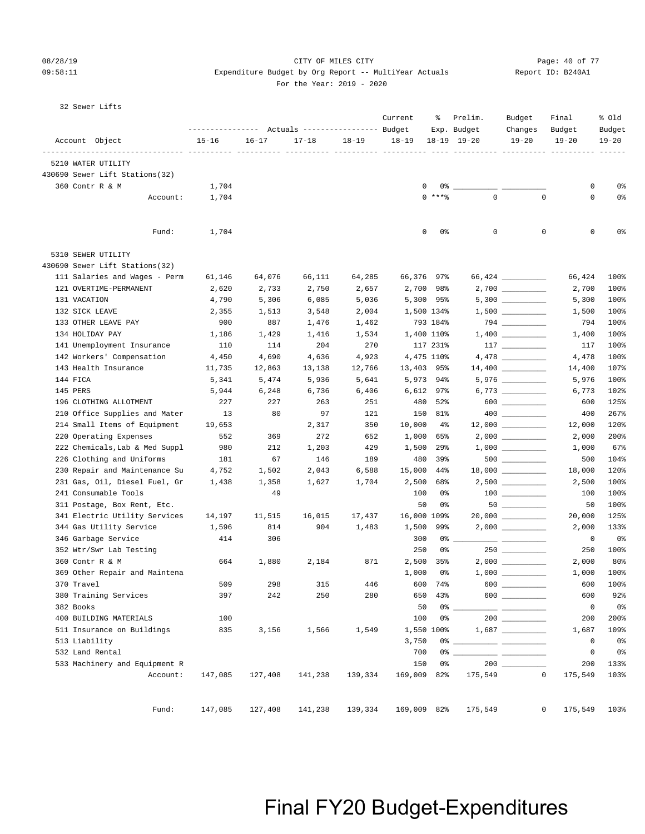#### 08/28/19 Page: 40 of 77 CITY OF MILES CITY CONTROL PAGE: 40 of 77 09:58:11 Expenditure Budget by Org Report -- MultiYear Actuals Report ID: B240A1 For the Year: 2019 - 2020

|  | $ -$ |  |  |  |  |  |  |
|--|------|--|--|--|--|--|--|
|  |      |  |  |  |  |  |  |
|  |      |  |  |  |  |  |  |
|  |      |  |  |  |  |  |  |
|  |      |  |  |  |  |  |  |
|  |      |  |  |  |  |  |  |

32 Sewer Lifts

| $18 - 19$<br>$18-19$ $19-20$<br>Account Object<br>$15 - 16$<br>$16 - 17$<br>$17 - 18$<br>$18 - 19$<br>$19 - 20$<br>$19 - 20$<br>---------------- ---------- -------<br>5210 WATER UTILITY<br>430690 Sewer Lift Stations(32)<br>360 Contr R & M<br>1,704<br>0<br>0%<br>0<br>$0***$<br>$\Omega$<br>$\Omega$<br>0<br>Account:<br>1,704<br>$\mathbf 0$<br>0<br>0<br>Fund:<br>1,704<br>0<br>0%<br>5310 SEWER UTILITY<br>430690 Sewer Lift Stations(32)<br>111 Salaries and Wages - Perm<br>64,076<br>66,111<br>64,285<br>66,376 97%<br>61,146<br>66,424<br>121 OVERTIME-PERMANENT<br>2,750<br>2,700 98%<br>2,620<br>2,733<br>2,657<br>2,700<br>$5,300$ __________<br>5,300 95%<br>131 VACATION<br>4,790<br>5,306<br>6,085<br>5,036<br>5,300<br>132 SICK LEAVE<br>2,355<br>1,513<br>3,548<br>2,004<br>1,500 134%<br>1,500<br>$794 \ \ \underline{\hspace{1.5cm}}$<br>133 OTHER LEAVE PAY<br>900<br>887<br>1,476<br>1,462<br>793 184%<br>794<br>134 HOLIDAY PAY<br>1,186<br>1,429<br>1,416<br>1,534<br>1,400 110%<br>1,400<br>204<br>270<br>$117$ ________<br>141 Unemployment Insurance<br>110<br>114<br>117 231%<br>117<br>142 Workers' Compensation<br>4,475 110%<br>$4,478$ __________<br>4,450<br>4,690<br>4,636<br>4,923<br>4,478<br>14,400 _________<br>143 Health Insurance<br>12,766<br>13,403 95%<br>11,735<br>12,863<br>13,138<br>14,400<br>$5,976$ __________<br>144 FICA<br>5,341<br>5,474<br>5,936<br>5,641<br>5,973 94%<br>5,976<br>6,612 97%<br>145 PERS<br>5,944<br>6,248<br>6,736<br>6,406<br>6,773<br>$600$<br>196 CLOTHING ALLOTMENT<br>227<br>227<br>263<br>251<br>480 52%<br>600<br>210 Office Supplies and Mater<br>13<br>80<br>97<br>121<br>150 81%<br>400<br>$12,000$ _________<br>214 Small Items of Equipment<br>10,000<br>19,653<br>2,317<br>350<br>$4\%$<br>12,000<br>220 Operating Expenses<br>552<br>369<br>272<br>652<br>1,000<br>65%<br>2,000<br>429<br>1,500<br>222 Chemicals, Lab & Med Suppl<br>980<br>212<br>1,203<br>29%<br>1,000<br>$500$<br>226 Clothing and Uniforms<br>67<br>480<br>181<br>146<br>189<br>39%<br>500<br>230 Repair and Maintenance Su<br>4,752<br>1,502<br>2,043<br>6,588<br>15,000<br>44%<br>18,000<br>$2,500$ __________<br>231 Gas, Oil, Diesel Fuel, Gr<br>2,500<br>1,438<br>1,358<br>1,627<br>1,704<br>68%<br>2,500<br>241 Consumable Tools<br>$\begin{tabular}{c} 100 \end{tabular} \begin{tabular}{c} \includegraphics[width=0.35\textwidth]{figs/1000}} \end{tabular}$<br>49<br>100<br>0%<br>100<br>$50$ __________<br>311 Postage, Box Rent, Etc.<br>50<br>0%<br>50<br>$20,000$ __________<br>341 Electric Utility Services<br>11,515<br>16,000 109%<br>14,197<br>16,015<br>17,437<br>20,000<br>$2,000$ _________<br>344 Gas Utility Service<br>1,596<br>814<br>904<br>1,483<br>1,500<br>99%<br>2,000<br>346 Garbage Service<br>306<br>300<br>414<br>0%<br>0<br>250<br>352 Wtr/Swr Lab Testing<br>0%<br>250<br>871<br>2,500<br>360 Contr R & M<br>664<br>1,880<br>2,184<br>35%<br>2,000<br>1,000<br>369 Other Repair and Maintena<br>0%<br>1,000 | % Old<br>Budget |
|-------------------------------------------------------------------------------------------------------------------------------------------------------------------------------------------------------------------------------------------------------------------------------------------------------------------------------------------------------------------------------------------------------------------------------------------------------------------------------------------------------------------------------------------------------------------------------------------------------------------------------------------------------------------------------------------------------------------------------------------------------------------------------------------------------------------------------------------------------------------------------------------------------------------------------------------------------------------------------------------------------------------------------------------------------------------------------------------------------------------------------------------------------------------------------------------------------------------------------------------------------------------------------------------------------------------------------------------------------------------------------------------------------------------------------------------------------------------------------------------------------------------------------------------------------------------------------------------------------------------------------------------------------------------------------------------------------------------------------------------------------------------------------------------------------------------------------------------------------------------------------------------------------------------------------------------------------------------------------------------------------------------------------------------------------------------------------------------------------------------------------------------------------------------------------------------------------------------------------------------------------------------------------------------------------------------------------------------------------------------------------------------------------------------------------------------------------------------------------------------------------------------------------------------------------------------------------------------------------------------------------------------------------------------------------------------------------------------------------------------------------------------------------------------------------------------------------------------------------------------------------------------------------------------------------------------------------------------------------------------------------------|-----------------|
|                                                                                                                                                                                                                                                                                                                                                                                                                                                                                                                                                                                                                                                                                                                                                                                                                                                                                                                                                                                                                                                                                                                                                                                                                                                                                                                                                                                                                                                                                                                                                                                                                                                                                                                                                                                                                                                                                                                                                                                                                                                                                                                                                                                                                                                                                                                                                                                                                                                                                                                                                                                                                                                                                                                                                                                                                                                                                                                                                                                                             | $19 - 20$       |
|                                                                                                                                                                                                                                                                                                                                                                                                                                                                                                                                                                                                                                                                                                                                                                                                                                                                                                                                                                                                                                                                                                                                                                                                                                                                                                                                                                                                                                                                                                                                                                                                                                                                                                                                                                                                                                                                                                                                                                                                                                                                                                                                                                                                                                                                                                                                                                                                                                                                                                                                                                                                                                                                                                                                                                                                                                                                                                                                                                                                             |                 |
|                                                                                                                                                                                                                                                                                                                                                                                                                                                                                                                                                                                                                                                                                                                                                                                                                                                                                                                                                                                                                                                                                                                                                                                                                                                                                                                                                                                                                                                                                                                                                                                                                                                                                                                                                                                                                                                                                                                                                                                                                                                                                                                                                                                                                                                                                                                                                                                                                                                                                                                                                                                                                                                                                                                                                                                                                                                                                                                                                                                                             |                 |
|                                                                                                                                                                                                                                                                                                                                                                                                                                                                                                                                                                                                                                                                                                                                                                                                                                                                                                                                                                                                                                                                                                                                                                                                                                                                                                                                                                                                                                                                                                                                                                                                                                                                                                                                                                                                                                                                                                                                                                                                                                                                                                                                                                                                                                                                                                                                                                                                                                                                                                                                                                                                                                                                                                                                                                                                                                                                                                                                                                                                             | 0%              |
|                                                                                                                                                                                                                                                                                                                                                                                                                                                                                                                                                                                                                                                                                                                                                                                                                                                                                                                                                                                                                                                                                                                                                                                                                                                                                                                                                                                                                                                                                                                                                                                                                                                                                                                                                                                                                                                                                                                                                                                                                                                                                                                                                                                                                                                                                                                                                                                                                                                                                                                                                                                                                                                                                                                                                                                                                                                                                                                                                                                                             | 0%              |
|                                                                                                                                                                                                                                                                                                                                                                                                                                                                                                                                                                                                                                                                                                                                                                                                                                                                                                                                                                                                                                                                                                                                                                                                                                                                                                                                                                                                                                                                                                                                                                                                                                                                                                                                                                                                                                                                                                                                                                                                                                                                                                                                                                                                                                                                                                                                                                                                                                                                                                                                                                                                                                                                                                                                                                                                                                                                                                                                                                                                             | 0%              |
|                                                                                                                                                                                                                                                                                                                                                                                                                                                                                                                                                                                                                                                                                                                                                                                                                                                                                                                                                                                                                                                                                                                                                                                                                                                                                                                                                                                                                                                                                                                                                                                                                                                                                                                                                                                                                                                                                                                                                                                                                                                                                                                                                                                                                                                                                                                                                                                                                                                                                                                                                                                                                                                                                                                                                                                                                                                                                                                                                                                                             |                 |
|                                                                                                                                                                                                                                                                                                                                                                                                                                                                                                                                                                                                                                                                                                                                                                                                                                                                                                                                                                                                                                                                                                                                                                                                                                                                                                                                                                                                                                                                                                                                                                                                                                                                                                                                                                                                                                                                                                                                                                                                                                                                                                                                                                                                                                                                                                                                                                                                                                                                                                                                                                                                                                                                                                                                                                                                                                                                                                                                                                                                             |                 |
|                                                                                                                                                                                                                                                                                                                                                                                                                                                                                                                                                                                                                                                                                                                                                                                                                                                                                                                                                                                                                                                                                                                                                                                                                                                                                                                                                                                                                                                                                                                                                                                                                                                                                                                                                                                                                                                                                                                                                                                                                                                                                                                                                                                                                                                                                                                                                                                                                                                                                                                                                                                                                                                                                                                                                                                                                                                                                                                                                                                                             | 100%            |
|                                                                                                                                                                                                                                                                                                                                                                                                                                                                                                                                                                                                                                                                                                                                                                                                                                                                                                                                                                                                                                                                                                                                                                                                                                                                                                                                                                                                                                                                                                                                                                                                                                                                                                                                                                                                                                                                                                                                                                                                                                                                                                                                                                                                                                                                                                                                                                                                                                                                                                                                                                                                                                                                                                                                                                                                                                                                                                                                                                                                             | 100%            |
|                                                                                                                                                                                                                                                                                                                                                                                                                                                                                                                                                                                                                                                                                                                                                                                                                                                                                                                                                                                                                                                                                                                                                                                                                                                                                                                                                                                                                                                                                                                                                                                                                                                                                                                                                                                                                                                                                                                                                                                                                                                                                                                                                                                                                                                                                                                                                                                                                                                                                                                                                                                                                                                                                                                                                                                                                                                                                                                                                                                                             | 100%            |
|                                                                                                                                                                                                                                                                                                                                                                                                                                                                                                                                                                                                                                                                                                                                                                                                                                                                                                                                                                                                                                                                                                                                                                                                                                                                                                                                                                                                                                                                                                                                                                                                                                                                                                                                                                                                                                                                                                                                                                                                                                                                                                                                                                                                                                                                                                                                                                                                                                                                                                                                                                                                                                                                                                                                                                                                                                                                                                                                                                                                             | 100%            |
|                                                                                                                                                                                                                                                                                                                                                                                                                                                                                                                                                                                                                                                                                                                                                                                                                                                                                                                                                                                                                                                                                                                                                                                                                                                                                                                                                                                                                                                                                                                                                                                                                                                                                                                                                                                                                                                                                                                                                                                                                                                                                                                                                                                                                                                                                                                                                                                                                                                                                                                                                                                                                                                                                                                                                                                                                                                                                                                                                                                                             | 100%            |
|                                                                                                                                                                                                                                                                                                                                                                                                                                                                                                                                                                                                                                                                                                                                                                                                                                                                                                                                                                                                                                                                                                                                                                                                                                                                                                                                                                                                                                                                                                                                                                                                                                                                                                                                                                                                                                                                                                                                                                                                                                                                                                                                                                                                                                                                                                                                                                                                                                                                                                                                                                                                                                                                                                                                                                                                                                                                                                                                                                                                             | 100%            |
|                                                                                                                                                                                                                                                                                                                                                                                                                                                                                                                                                                                                                                                                                                                                                                                                                                                                                                                                                                                                                                                                                                                                                                                                                                                                                                                                                                                                                                                                                                                                                                                                                                                                                                                                                                                                                                                                                                                                                                                                                                                                                                                                                                                                                                                                                                                                                                                                                                                                                                                                                                                                                                                                                                                                                                                                                                                                                                                                                                                                             | 100%            |
|                                                                                                                                                                                                                                                                                                                                                                                                                                                                                                                                                                                                                                                                                                                                                                                                                                                                                                                                                                                                                                                                                                                                                                                                                                                                                                                                                                                                                                                                                                                                                                                                                                                                                                                                                                                                                                                                                                                                                                                                                                                                                                                                                                                                                                                                                                                                                                                                                                                                                                                                                                                                                                                                                                                                                                                                                                                                                                                                                                                                             | 100%            |
|                                                                                                                                                                                                                                                                                                                                                                                                                                                                                                                                                                                                                                                                                                                                                                                                                                                                                                                                                                                                                                                                                                                                                                                                                                                                                                                                                                                                                                                                                                                                                                                                                                                                                                                                                                                                                                                                                                                                                                                                                                                                                                                                                                                                                                                                                                                                                                                                                                                                                                                                                                                                                                                                                                                                                                                                                                                                                                                                                                                                             | 107%            |
|                                                                                                                                                                                                                                                                                                                                                                                                                                                                                                                                                                                                                                                                                                                                                                                                                                                                                                                                                                                                                                                                                                                                                                                                                                                                                                                                                                                                                                                                                                                                                                                                                                                                                                                                                                                                                                                                                                                                                                                                                                                                                                                                                                                                                                                                                                                                                                                                                                                                                                                                                                                                                                                                                                                                                                                                                                                                                                                                                                                                             | 100%            |
|                                                                                                                                                                                                                                                                                                                                                                                                                                                                                                                                                                                                                                                                                                                                                                                                                                                                                                                                                                                                                                                                                                                                                                                                                                                                                                                                                                                                                                                                                                                                                                                                                                                                                                                                                                                                                                                                                                                                                                                                                                                                                                                                                                                                                                                                                                                                                                                                                                                                                                                                                                                                                                                                                                                                                                                                                                                                                                                                                                                                             | 102%            |
|                                                                                                                                                                                                                                                                                                                                                                                                                                                                                                                                                                                                                                                                                                                                                                                                                                                                                                                                                                                                                                                                                                                                                                                                                                                                                                                                                                                                                                                                                                                                                                                                                                                                                                                                                                                                                                                                                                                                                                                                                                                                                                                                                                                                                                                                                                                                                                                                                                                                                                                                                                                                                                                                                                                                                                                                                                                                                                                                                                                                             | 125%            |
|                                                                                                                                                                                                                                                                                                                                                                                                                                                                                                                                                                                                                                                                                                                                                                                                                                                                                                                                                                                                                                                                                                                                                                                                                                                                                                                                                                                                                                                                                                                                                                                                                                                                                                                                                                                                                                                                                                                                                                                                                                                                                                                                                                                                                                                                                                                                                                                                                                                                                                                                                                                                                                                                                                                                                                                                                                                                                                                                                                                                             | 267%            |
|                                                                                                                                                                                                                                                                                                                                                                                                                                                                                                                                                                                                                                                                                                                                                                                                                                                                                                                                                                                                                                                                                                                                                                                                                                                                                                                                                                                                                                                                                                                                                                                                                                                                                                                                                                                                                                                                                                                                                                                                                                                                                                                                                                                                                                                                                                                                                                                                                                                                                                                                                                                                                                                                                                                                                                                                                                                                                                                                                                                                             | 120%            |
|                                                                                                                                                                                                                                                                                                                                                                                                                                                                                                                                                                                                                                                                                                                                                                                                                                                                                                                                                                                                                                                                                                                                                                                                                                                                                                                                                                                                                                                                                                                                                                                                                                                                                                                                                                                                                                                                                                                                                                                                                                                                                                                                                                                                                                                                                                                                                                                                                                                                                                                                                                                                                                                                                                                                                                                                                                                                                                                                                                                                             | 200%            |
|                                                                                                                                                                                                                                                                                                                                                                                                                                                                                                                                                                                                                                                                                                                                                                                                                                                                                                                                                                                                                                                                                                                                                                                                                                                                                                                                                                                                                                                                                                                                                                                                                                                                                                                                                                                                                                                                                                                                                                                                                                                                                                                                                                                                                                                                                                                                                                                                                                                                                                                                                                                                                                                                                                                                                                                                                                                                                                                                                                                                             | 67%             |
|                                                                                                                                                                                                                                                                                                                                                                                                                                                                                                                                                                                                                                                                                                                                                                                                                                                                                                                                                                                                                                                                                                                                                                                                                                                                                                                                                                                                                                                                                                                                                                                                                                                                                                                                                                                                                                                                                                                                                                                                                                                                                                                                                                                                                                                                                                                                                                                                                                                                                                                                                                                                                                                                                                                                                                                                                                                                                                                                                                                                             | 104%            |
|                                                                                                                                                                                                                                                                                                                                                                                                                                                                                                                                                                                                                                                                                                                                                                                                                                                                                                                                                                                                                                                                                                                                                                                                                                                                                                                                                                                                                                                                                                                                                                                                                                                                                                                                                                                                                                                                                                                                                                                                                                                                                                                                                                                                                                                                                                                                                                                                                                                                                                                                                                                                                                                                                                                                                                                                                                                                                                                                                                                                             | 120%            |
|                                                                                                                                                                                                                                                                                                                                                                                                                                                                                                                                                                                                                                                                                                                                                                                                                                                                                                                                                                                                                                                                                                                                                                                                                                                                                                                                                                                                                                                                                                                                                                                                                                                                                                                                                                                                                                                                                                                                                                                                                                                                                                                                                                                                                                                                                                                                                                                                                                                                                                                                                                                                                                                                                                                                                                                                                                                                                                                                                                                                             | 100%            |
|                                                                                                                                                                                                                                                                                                                                                                                                                                                                                                                                                                                                                                                                                                                                                                                                                                                                                                                                                                                                                                                                                                                                                                                                                                                                                                                                                                                                                                                                                                                                                                                                                                                                                                                                                                                                                                                                                                                                                                                                                                                                                                                                                                                                                                                                                                                                                                                                                                                                                                                                                                                                                                                                                                                                                                                                                                                                                                                                                                                                             | 100%            |
|                                                                                                                                                                                                                                                                                                                                                                                                                                                                                                                                                                                                                                                                                                                                                                                                                                                                                                                                                                                                                                                                                                                                                                                                                                                                                                                                                                                                                                                                                                                                                                                                                                                                                                                                                                                                                                                                                                                                                                                                                                                                                                                                                                                                                                                                                                                                                                                                                                                                                                                                                                                                                                                                                                                                                                                                                                                                                                                                                                                                             | 100%            |
|                                                                                                                                                                                                                                                                                                                                                                                                                                                                                                                                                                                                                                                                                                                                                                                                                                                                                                                                                                                                                                                                                                                                                                                                                                                                                                                                                                                                                                                                                                                                                                                                                                                                                                                                                                                                                                                                                                                                                                                                                                                                                                                                                                                                                                                                                                                                                                                                                                                                                                                                                                                                                                                                                                                                                                                                                                                                                                                                                                                                             | 125%            |
|                                                                                                                                                                                                                                                                                                                                                                                                                                                                                                                                                                                                                                                                                                                                                                                                                                                                                                                                                                                                                                                                                                                                                                                                                                                                                                                                                                                                                                                                                                                                                                                                                                                                                                                                                                                                                                                                                                                                                                                                                                                                                                                                                                                                                                                                                                                                                                                                                                                                                                                                                                                                                                                                                                                                                                                                                                                                                                                                                                                                             | 133%            |
|                                                                                                                                                                                                                                                                                                                                                                                                                                                                                                                                                                                                                                                                                                                                                                                                                                                                                                                                                                                                                                                                                                                                                                                                                                                                                                                                                                                                                                                                                                                                                                                                                                                                                                                                                                                                                                                                                                                                                                                                                                                                                                                                                                                                                                                                                                                                                                                                                                                                                                                                                                                                                                                                                                                                                                                                                                                                                                                                                                                                             | 0%              |
|                                                                                                                                                                                                                                                                                                                                                                                                                                                                                                                                                                                                                                                                                                                                                                                                                                                                                                                                                                                                                                                                                                                                                                                                                                                                                                                                                                                                                                                                                                                                                                                                                                                                                                                                                                                                                                                                                                                                                                                                                                                                                                                                                                                                                                                                                                                                                                                                                                                                                                                                                                                                                                                                                                                                                                                                                                                                                                                                                                                                             | 100%            |
|                                                                                                                                                                                                                                                                                                                                                                                                                                                                                                                                                                                                                                                                                                                                                                                                                                                                                                                                                                                                                                                                                                                                                                                                                                                                                                                                                                                                                                                                                                                                                                                                                                                                                                                                                                                                                                                                                                                                                                                                                                                                                                                                                                                                                                                                                                                                                                                                                                                                                                                                                                                                                                                                                                                                                                                                                                                                                                                                                                                                             | 80%             |
|                                                                                                                                                                                                                                                                                                                                                                                                                                                                                                                                                                                                                                                                                                                                                                                                                                                                                                                                                                                                                                                                                                                                                                                                                                                                                                                                                                                                                                                                                                                                                                                                                                                                                                                                                                                                                                                                                                                                                                                                                                                                                                                                                                                                                                                                                                                                                                                                                                                                                                                                                                                                                                                                                                                                                                                                                                                                                                                                                                                                             | 100%            |
| 370 Travel<br>509<br>298<br>446<br>600 74%<br>600<br>315                                                                                                                                                                                                                                                                                                                                                                                                                                                                                                                                                                                                                                                                                                                                                                                                                                                                                                                                                                                                                                                                                                                                                                                                                                                                                                                                                                                                                                                                                                                                                                                                                                                                                                                                                                                                                                                                                                                                                                                                                                                                                                                                                                                                                                                                                                                                                                                                                                                                                                                                                                                                                                                                                                                                                                                                                                                                                                                                                    | 100%            |
| $600$<br>380 Training Services<br>397<br>280<br>600<br>242<br>250<br>650<br>43%                                                                                                                                                                                                                                                                                                                                                                                                                                                                                                                                                                                                                                                                                                                                                                                                                                                                                                                                                                                                                                                                                                                                                                                                                                                                                                                                                                                                                                                                                                                                                                                                                                                                                                                                                                                                                                                                                                                                                                                                                                                                                                                                                                                                                                                                                                                                                                                                                                                                                                                                                                                                                                                                                                                                                                                                                                                                                                                             | 92%             |
| 382 Books<br>50<br>0% -<br>0                                                                                                                                                                                                                                                                                                                                                                                                                                                                                                                                                                                                                                                                                                                                                                                                                                                                                                                                                                                                                                                                                                                                                                                                                                                                                                                                                                                                                                                                                                                                                                                                                                                                                                                                                                                                                                                                                                                                                                                                                                                                                                                                                                                                                                                                                                                                                                                                                                                                                                                                                                                                                                                                                                                                                                                                                                                                                                                                                                                | 0 <sup>o</sup>  |
| 100<br>400 BUILDING MATERIALS<br>100<br>0%<br>200                                                                                                                                                                                                                                                                                                                                                                                                                                                                                                                                                                                                                                                                                                                                                                                                                                                                                                                                                                                                                                                                                                                                                                                                                                                                                                                                                                                                                                                                                                                                                                                                                                                                                                                                                                                                                                                                                                                                                                                                                                                                                                                                                                                                                                                                                                                                                                                                                                                                                                                                                                                                                                                                                                                                                                                                                                                                                                                                                           | 200%            |
| 511 Insurance on Buildings<br>835<br>1,550 100%<br>3,156<br>1,566<br>1,549<br>1,687                                                                                                                                                                                                                                                                                                                                                                                                                                                                                                                                                                                                                                                                                                                                                                                                                                                                                                                                                                                                                                                                                                                                                                                                                                                                                                                                                                                                                                                                                                                                                                                                                                                                                                                                                                                                                                                                                                                                                                                                                                                                                                                                                                                                                                                                                                                                                                                                                                                                                                                                                                                                                                                                                                                                                                                                                                                                                                                         | 109%            |
| 513 Liability<br>3,750<br>$\circ$                                                                                                                                                                                                                                                                                                                                                                                                                                                                                                                                                                                                                                                                                                                                                                                                                                                                                                                                                                                                                                                                                                                                                                                                                                                                                                                                                                                                                                                                                                                                                                                                                                                                                                                                                                                                                                                                                                                                                                                                                                                                                                                                                                                                                                                                                                                                                                                                                                                                                                                                                                                                                                                                                                                                                                                                                                                                                                                                                                           | 0%              |
| 532 Land Rental<br>700<br>0%<br>0                                                                                                                                                                                                                                                                                                                                                                                                                                                                                                                                                                                                                                                                                                                                                                                                                                                                                                                                                                                                                                                                                                                                                                                                                                                                                                                                                                                                                                                                                                                                                                                                                                                                                                                                                                                                                                                                                                                                                                                                                                                                                                                                                                                                                                                                                                                                                                                                                                                                                                                                                                                                                                                                                                                                                                                                                                                                                                                                                                           | 0%              |
| 533 Machinery and Equipment R<br>150<br>0%<br>200                                                                                                                                                                                                                                                                                                                                                                                                                                                                                                                                                                                                                                                                                                                                                                                                                                                                                                                                                                                                                                                                                                                                                                                                                                                                                                                                                                                                                                                                                                                                                                                                                                                                                                                                                                                                                                                                                                                                                                                                                                                                                                                                                                                                                                                                                                                                                                                                                                                                                                                                                                                                                                                                                                                                                                                                                                                                                                                                                           | 133%            |
| $\mathbf 0$<br>141,238<br>169,009 82%<br>175,549<br>175,549<br>Account:<br>147,085<br>127,408<br>139,334                                                                                                                                                                                                                                                                                                                                                                                                                                                                                                                                                                                                                                                                                                                                                                                                                                                                                                                                                                                                                                                                                                                                                                                                                                                                                                                                                                                                                                                                                                                                                                                                                                                                                                                                                                                                                                                                                                                                                                                                                                                                                                                                                                                                                                                                                                                                                                                                                                                                                                                                                                                                                                                                                                                                                                                                                                                                                                    | 103%            |
| Fund:<br>147,085<br>127,408<br>141,238<br>139,334 169,009 82% 175,549<br>175,549 103%<br>$\overline{0}$                                                                                                                                                                                                                                                                                                                                                                                                                                                                                                                                                                                                                                                                                                                                                                                                                                                                                                                                                                                                                                                                                                                                                                                                                                                                                                                                                                                                                                                                                                                                                                                                                                                                                                                                                                                                                                                                                                                                                                                                                                                                                                                                                                                                                                                                                                                                                                                                                                                                                                                                                                                                                                                                                                                                                                                                                                                                                                     |                 |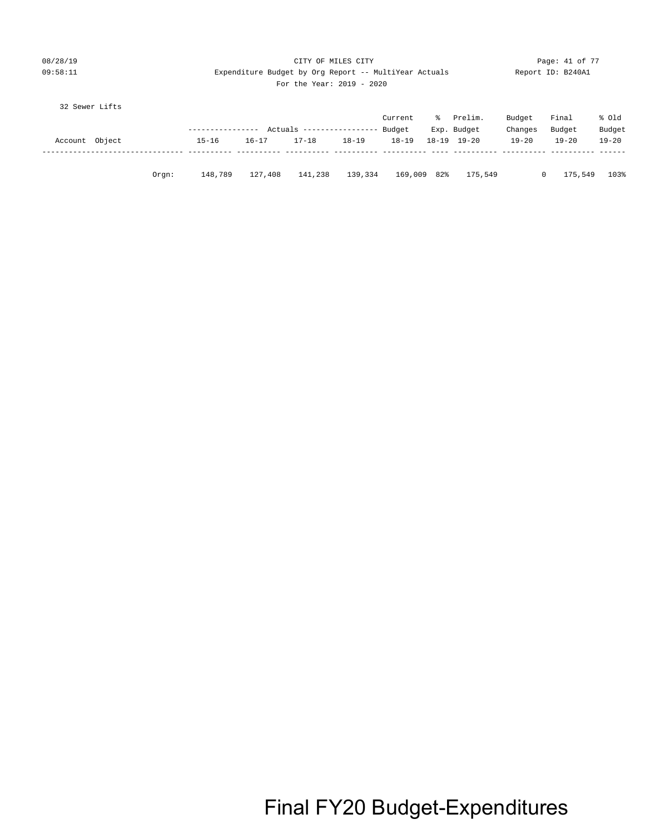| 08/28/19 | CITY OF MILES CITY                                    | Page: 41 of 77    |
|----------|-------------------------------------------------------|-------------------|
| 09:58:11 | Expenditure Budget by Org Report -- MultiYear Actuals | Report ID: B240A1 |
|          | For the Year: $2019 - 2020$                           |                   |

|  | 32 Sewer Lifts |  |
|--|----------------|--|
|--|----------------|--|

|                |          |                  |           |                            |         | Current     | ៖ | Prelim.     | Budget       | Final     | % old     |
|----------------|----------|------------------|-----------|----------------------------|---------|-------------|---|-------------|--------------|-----------|-----------|
|                |          | ---------------- |           | Actuals ------------------ |         | Budget      |   | Exp. Budget | Changes      | Budget    | Budget    |
| Account Object |          | $15 - 16$        | $16 - 17$ | 17-18                      | 18-19   | $18 - 19$   |   | 18-19 19-20 | $19 - 20$    | $19 - 20$ | $19 - 20$ |
|                |          |                  |           |                            |         |             |   |             |              |           |           |
|                |          |                  |           |                            |         |             |   |             |              |           |           |
|                | $0$ rqn: | 148,789          | 127,408   | 141,238                    | 139,334 | 169,009 82% |   | 175,549     | $\mathbf{0}$ | 175,549   | 103%      |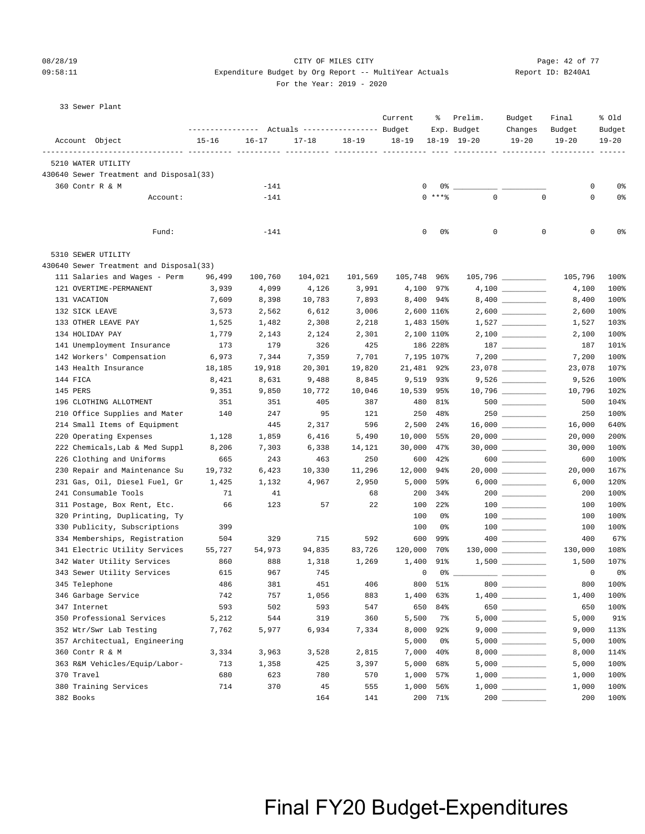### 08/28/19 Page: 42 of 77 CITY OF MILES CITY 09:58:11 Expenditure Budget by Org Report -- MultiYear Actuals Report ID: B240A1

#### For the Year: 2019 - 2020

| 33 Sewer Plant                                             |                                                 |           |           |           |                          |          |                 |                                                                                                                                                                                                                                                                                                                                                                                             |                          |           |
|------------------------------------------------------------|-------------------------------------------------|-----------|-----------|-----------|--------------------------|----------|-----------------|---------------------------------------------------------------------------------------------------------------------------------------------------------------------------------------------------------------------------------------------------------------------------------------------------------------------------------------------------------------------------------------------|--------------------------|-----------|
|                                                            |                                                 |           |           |           | Current                  | ႜ        | Prelim.         | Budget                                                                                                                                                                                                                                                                                                                                                                                      | Final                    | % old     |
|                                                            | --------------- Actuals ---------------- Budget |           |           |           |                          |          | Exp. Budget     | Changes                                                                                                                                                                                                                                                                                                                                                                                     | Budget                   | Budget    |
| Account Object                                             | $15 - 16$                                       | $16 - 17$ | $17 - 18$ | $18 - 19$ | $18 - 19$                |          | $18-19$ $19-20$ | $19 - 20$                                                                                                                                                                                                                                                                                                                                                                                   | $19 - 20$                | $19 - 20$ |
| --------------- ---------- ---------<br>5210 WATER UTILITY |                                                 |           |           |           |                          |          |                 |                                                                                                                                                                                                                                                                                                                                                                                             |                          |           |
| 430640 Sewer Treatment and Disposal(33)                    |                                                 |           |           |           |                          |          |                 |                                                                                                                                                                                                                                                                                                                                                                                             |                          |           |
| 360 Contr R & M                                            |                                                 | $-141$    |           |           | 0                        | 0 %      |                 |                                                                                                                                                                                                                                                                                                                                                                                             | 0                        | 0%        |
| Account:                                                   |                                                 | $-141$    |           |           |                          | $0***$   | $\mathbf 0$     | $\mathbf 0$                                                                                                                                                                                                                                                                                                                                                                                 | 0                        | 0%        |
|                                                            |                                                 |           |           |           |                          |          |                 |                                                                                                                                                                                                                                                                                                                                                                                             |                          |           |
| Fund:                                                      |                                                 | $-141$    |           |           | 0                        | 0%       | 0               | $\mathbf 0$                                                                                                                                                                                                                                                                                                                                                                                 | $\mathbf 0$              | 0%        |
| 5310 SEWER UTILITY                                         |                                                 |           |           |           |                          |          |                 |                                                                                                                                                                                                                                                                                                                                                                                             |                          |           |
| 430640 Sewer Treatment and Disposal(33)                    |                                                 |           |           |           |                          |          |                 |                                                                                                                                                                                                                                                                                                                                                                                             |                          |           |
| 111 Salaries and Wages - Perm                              | 96,499                                          | 100,760   | 104,021   | 101,569   | 105,748 96%              |          |                 |                                                                                                                                                                                                                                                                                                                                                                                             | 105,796                  | 100%      |
| 121 OVERTIME-PERMANENT                                     | 3,939                                           | 4,099     | 4,126     | 3,991     | 4,100 97%                |          |                 |                                                                                                                                                                                                                                                                                                                                                                                             | 4,100                    | 100%      |
| 131 VACATION                                               | 7,609                                           | 8,398     | 10,783    | 7,893     | 8,400 94%                |          |                 |                                                                                                                                                                                                                                                                                                                                                                                             | 8,400                    | 100%      |
| 132 SICK LEAVE                                             | 3,573                                           | 2,562     | 6,612     | 3,006     | 2,600 116%               |          |                 | $2,600$                                                                                                                                                                                                                                                                                                                                                                                     | 2,600                    | 100%      |
| 133 OTHER LEAVE PAY                                        | 1,525                                           | 1,482     | 2,308     | 2,218     | 1,483 150%               |          |                 | $1,527$ __________                                                                                                                                                                                                                                                                                                                                                                          | 1,527                    | 103%      |
| 134 HOLIDAY PAY                                            | 1,779                                           | 2,143     | 2,124     | 2,301     | 2,100 110%               |          |                 |                                                                                                                                                                                                                                                                                                                                                                                             | 2,100                    | 100%      |
| 141 Unemployment Insurance                                 | 173                                             | 179       | 326       | 425       |                          | 186 228% |                 | $187 \begin{tabular}{l} \textbf{---} \end{tabular}$                                                                                                                                                                                                                                                                                                                                         | 187                      | 101%      |
| 142 Workers' Compensation                                  | 6,973                                           | 7,344     | 7,359     | 7,701     | 7,195 107%               |          |                 |                                                                                                                                                                                                                                                                                                                                                                                             | 7,200                    | 100%      |
| 143 Health Insurance                                       | 18,185                                          | 19,918    | 20,301    | 19,820    | 21,481 92%               |          |                 |                                                                                                                                                                                                                                                                                                                                                                                             | 23,078                   | 107%      |
| 144 FICA                                                   | 8,421                                           | 8,631     | 9,488     | 8,845     | 9,519 93%                |          |                 | $9,526 \ \ \underline{\hspace{1cm}}$                                                                                                                                                                                                                                                                                                                                                        | 9,526                    | 100%      |
| 145 PERS                                                   | 9,351                                           | 9,850     | 10,772    | 10,046    | 10,539 95%               |          |                 |                                                                                                                                                                                                                                                                                                                                                                                             | 10,796                   | 102%      |
| 196 CLOTHING ALLOTMENT                                     | 351                                             | 351       | 405       | 387       | 480                      | 81%      |                 | $500$ ________                                                                                                                                                                                                                                                                                                                                                                              | 500                      | 104%      |
| 210 Office Supplies and Mater                              | 140                                             | 247       | 95        | 121       | 250                      | 48%      |                 |                                                                                                                                                                                                                                                                                                                                                                                             | 250                      | 100%      |
| 214 Small Items of Equipment                               |                                                 | 445       | 2,317     | 596       | 2,500                    | $24\%$   |                 | $16,000$ __________                                                                                                                                                                                                                                                                                                                                                                         | 16,000                   | 640%      |
| 220 Operating Expenses                                     | 1,128                                           | 1,859     | 6,416     | 5,490     | 10,000                   | 55%      |                 | $20,000$ __________                                                                                                                                                                                                                                                                                                                                                                         | 20,000                   | 200%      |
| 222 Chemicals, Lab & Med Suppl                             | 8,206                                           | 7,303     | 6,338     | 14,121    | 30,000 47%               |          |                 | $30,000$ __________                                                                                                                                                                                                                                                                                                                                                                         | 30,000                   | 100%      |
| 226 Clothing and Uniforms                                  | 665                                             | 243       | 463       | 250       | 600                      | $42\%$   |                 | $600$                                                                                                                                                                                                                                                                                                                                                                                       | 600                      | 100%      |
| 230 Repair and Maintenance Su                              | 19,732                                          | 6,423     | 10,330    | 11,296    | 12,000                   | 94%      |                 |                                                                                                                                                                                                                                                                                                                                                                                             | 20,000                   | 167%      |
| 231 Gas, Oil, Diesel Fuel, Gr                              | 1,425                                           | 1,132     | 4,967     | 2,950     | 5,000                    | 59%      |                 | $6,000$                                                                                                                                                                                                                                                                                                                                                                                     | 6,000                    | 120%      |
| 241 Consumable Tools                                       | 71                                              | 41        |           | 68        | 200                      | 34%      |                 | $200$ _________                                                                                                                                                                                                                                                                                                                                                                             | 200                      | 100%      |
| 311 Postage, Box Rent, Etc.                                | 66                                              | 123       | 57        | 22        | 100                      | $22$ $%$ |                 | $\begin{array}{c} 100 \\ - \end{array}$                                                                                                                                                                                                                                                                                                                                                     | 100                      | 100%      |
| 320 Printing, Duplicating, Ty                              |                                                 |           |           |           | 100                      | 0%       |                 | $100$ ________                                                                                                                                                                                                                                                                                                                                                                              | 100                      | 100%      |
| 330 Publicity, Subscriptions                               | 399                                             |           |           |           | 100                      | 0%       |                 |                                                                                                                                                                                                                                                                                                                                                                                             | 100                      | 100%      |
| 334 Memberships, Registration                              | 504                                             | 329       | 715       | 592       | 600                      | 99%      |                 |                                                                                                                                                                                                                                                                                                                                                                                             | 400                      | 67%       |
| 341 Electric Utility Services                              | 55,727                                          | 54,973    | 94,835    | 83,726    | 120,000                  | 70%      |                 | $130,000$ _________                                                                                                                                                                                                                                                                                                                                                                         | 130,000                  | 108%      |
| 342 Water Utility Services                                 | 860                                             | 888       | 1,318     | 1,269     | 1,400 91%                |          |                 | $1,500$ _________                                                                                                                                                                                                                                                                                                                                                                           | 1,500                    | 107%      |
| 343 Sewer Utility Services                                 | 615                                             | 967       | 745       |           | $\overline{\phantom{0}}$ | 0 %      |                 |                                                                                                                                                                                                                                                                                                                                                                                             | $\overline{\phantom{0}}$ | 0%        |
| 345 Telephone                                              | 486                                             | 381       | 451       | 406       | 800                      | 51%      |                 | $800$                                                                                                                                                                                                                                                                                                                                                                                       | 800                      | 100%      |
| 346 Garbage Service                                        | 742                                             | 757       | 1,056     | 883       | 1,400                    | 63%      |                 |                                                                                                                                                                                                                                                                                                                                                                                             | 1,400                    | 100%      |
| 347 Internet                                               | 593                                             | 502       | 593       | 547       | 650                      | 84%      |                 | $\begin{picture}(20,20) \put(0,0){\dashbox{0.5}(5,0){ }} \put(15,0){\circle{10}} \put(15,0){\circle{10}} \put(15,0){\circle{10}} \put(15,0){\circle{10}} \put(15,0){\circle{10}} \put(15,0){\circle{10}} \put(15,0){\circle{10}} \put(15,0){\circle{10}} \put(15,0){\circle{10}} \put(15,0){\circle{10}} \put(15,0){\circle{10}} \put(15,0){\circle{10}} \put(15,0){\circle{10}} \put(15,0$ | 650                      | 100%      |
| 350 Professional Services                                  | 5,212                                           | 544       | 319       | 360       | 5,500                    | 7%       |                 |                                                                                                                                                                                                                                                                                                                                                                                             | 5,000                    | 91%       |
| 352 Wtr/Swr Lab Testing                                    | 7,762                                           | 5,977     | 6,934     | 7,334     | 8,000                    | 92%      |                 | $9,000$ __________                                                                                                                                                                                                                                                                                                                                                                          | 9,000                    | 113%      |
| 357 Architectual, Engineering                              |                                                 |           |           |           | 5,000                    | 0%       |                 |                                                                                                                                                                                                                                                                                                                                                                                             | 5,000                    | 100%      |
| 360 Contr R & M                                            | 3,334                                           | 3,963     | 3,528     | 2,815     | 7,000                    | 40%      |                 |                                                                                                                                                                                                                                                                                                                                                                                             | 8,000                    | 114%      |
| 363 R&M Vehicles/Equip/Labor-                              | 713                                             | 1,358     | 425       | 3,397     | 5,000                    | 68%      |                 |                                                                                                                                                                                                                                                                                                                                                                                             | 5,000                    | 100%      |
| 370 Travel                                                 | 680                                             | 623       | 780       | 570       | 1,000                    | 57%      |                 |                                                                                                                                                                                                                                                                                                                                                                                             | 1,000                    | 100%      |
| 380 Training Services                                      | 714                                             | 370       | 45        | 555       | 1,000                    | 56%      |                 | $1,000$ _________                                                                                                                                                                                                                                                                                                                                                                           | 1,000                    | 100%      |
| 382 Books                                                  |                                                 |           | 164       | 141       |                          | 200 71%  |                 |                                                                                                                                                                                                                                                                                                                                                                                             | 200                      | 100%      |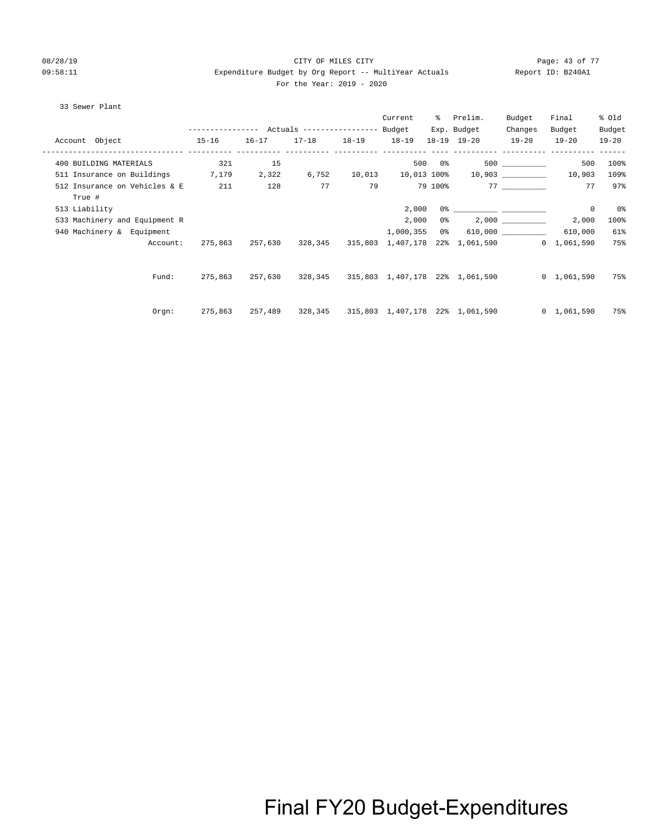#### 08/28/19 Page: 43 of 77 CITY OF MILES CITY CONTROL PAGE: 43 of 77 09:58:11 Expenditure Budget by Org Report -- MultiYear Actuals Report ID: B240A1 For the Year: 2019 - 2020

#### 33 Sewer Plant

|                                         |           |           |                                                       |           | Current      |        | % Prelim.                                           | Budget    | Final               | % Old     |
|-----------------------------------------|-----------|-----------|-------------------------------------------------------|-----------|--------------|--------|-----------------------------------------------------|-----------|---------------------|-----------|
|                                         |           |           | ---------------    Actuals ----------------    Budget |           |              |        | Exp. Budget                                         | Changes   | Budget              | Budget    |
| Account Object                          | $15 - 16$ | $16 - 17$ | $17 - 18$                                             | $18 - 19$ | $18 - 19$    |        | $18 - 19$ $19 - 20$                                 | $19 - 20$ | $19 - 20$           | $19 - 20$ |
| 400 BUILDING MATERIALS                  | 321       | 15        |                                                       |           |              | 500 0% |                                                     |           | 500                 | 100%      |
| 511 Insurance on Buildings              | 7,179     | 2,322     | 6,752                                                 | 10,013    |              |        | $10,013$ $100\%$ $10,903$ _________                 |           | 10,903              | 109%      |
| 512 Insurance on Vehicles & E<br>True # | 211       | 128       | 77                                                    | 79        |              |        | 79 100%                                             | 77        | 77                  | 97%       |
| 513 Liability                           |           |           |                                                       |           | 2,000        |        |                                                     |           | 0                   | 0%        |
| 533 Machinery and Equipment R           |           |           |                                                       |           | 2,000        | 0 %    |                                                     |           | 2,000               | 100%      |
| 940 Machinery & Equipment               |           |           |                                                       |           | 1,000,355 0% |        |                                                     |           | 610,000             | 61%       |
| Account:                                | 275,863   | 257,630   |                                                       |           |              |        | 328,345 315,803 1,407,178 22% 1,061,590 0 1,061,590 |           |                     | 75%       |
| Fund:                                   | 275,863   | 257,630   |                                                       |           |              |        |                                                     |           | $0 \quad 1,061,590$ | 75%       |
| Orgn:                                   | 275,863   | 257,489   |                                                       |           |              |        | 328,345 315,803 1,407,178 22% 1,061,590             |           | $0\quad 1,061,590$  | 75%       |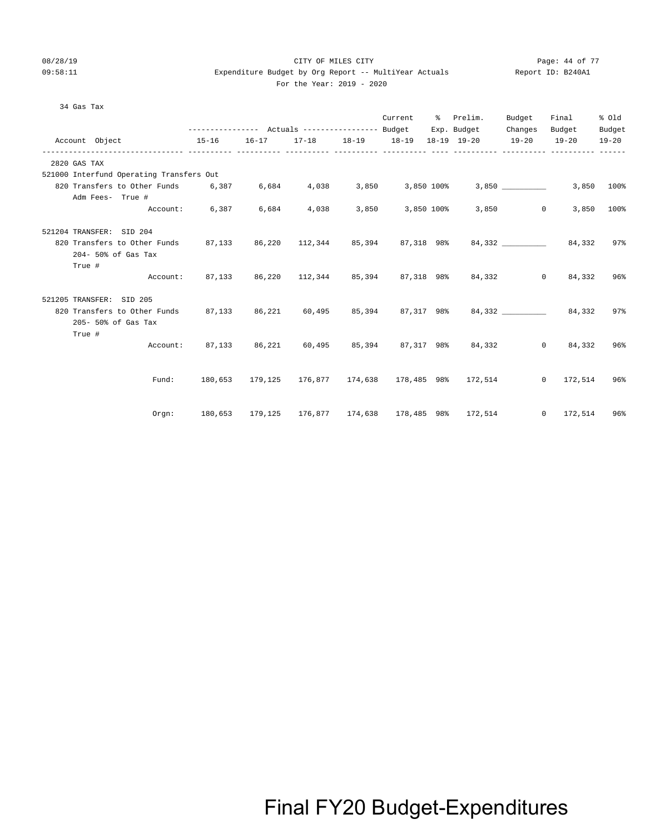### 08/28/19 Page: 44 of 77 CHTY OF MILES CITY 09:58:11 Expenditure Budget by Org Report -- MultiYear Actuals Report ID: B240A1

| For the Year: 2019 - 2020 |
|---------------------------|
|---------------------------|

| 34 Gas Tax                                                                            |                                                                            |       |       |  |                                                                   |                  |            |
|---------------------------------------------------------------------------------------|----------------------------------------------------------------------------|-------|-------|--|-------------------------------------------------------------------|------------------|------------|
|                                                                                       |                                                                            |       |       |  | Current % Prelim. Budget                                          | Final            | % Old      |
|                                                                                       | --------------- Actuals ---------------- Budget Exp. Budget Changes Budget |       |       |  |                                                                   |                  | Budget     |
| Account Object                                                                        | 15-16 16-17 17-18 18-19 18-19 18-19 19-20 19-20 19-20 19-20                |       |       |  |                                                                   |                  |            |
| 2820 GAS TAX                                                                          |                                                                            |       |       |  |                                                                   |                  |            |
| 521000 Interfund Operating Transfers Out                                              |                                                                            |       |       |  |                                                                   |                  |            |
| 820 Transfers to Other Funds 6,387 6,684 4,038 3,850 3,850 100%                       |                                                                            |       |       |  |                                                                   | 3,850 3,850 100% |            |
| Adm Fees- True #                                                                      |                                                                            |       |       |  |                                                                   |                  |            |
|                                                                                       | Account: 6,387 6,684                                                       | 4,038 | 3,850 |  | 3,850 100% 3,850 0                                                | 3,850            | $100\%$    |
| 521204 TRANSFER: SID 204                                                              |                                                                            |       |       |  |                                                                   |                  |            |
| 820 Transfers to Other Funds 87,133 86,220 112,344 85,394 87,318 98% 84,332 _________ |                                                                            |       |       |  |                                                                   |                  | 84,332 97% |
| 204- 50% of Gas Tax                                                                   |                                                                            |       |       |  |                                                                   |                  |            |
| True #                                                                                |                                                                            |       |       |  |                                                                   |                  |            |
|                                                                                       | Account: 87,133 86,220 112,344 85,394 87,318 98% 84,332 0 84,332 96%       |       |       |  |                                                                   |                  |            |
| 521205 TRANSFER: SID 205                                                              |                                                                            |       |       |  |                                                                   |                  |            |
| 820 Transfers to Other Funds 87,133 86,221 60,495 85,394 87,317 98% 84,332 84,332 97% |                                                                            |       |       |  |                                                                   |                  |            |
| 205- 50% of Gas Tax                                                                   |                                                                            |       |       |  |                                                                   |                  |            |
| True #                                                                                |                                                                            |       |       |  |                                                                   |                  |            |
|                                                                                       | Account: 87,133 86,221 60,495 85,394 87,317 98% 84,332 0 84,332 96%        |       |       |  |                                                                   |                  |            |
|                                                                                       |                                                                            |       |       |  |                                                                   |                  |            |
|                                                                                       | Fund: 180,653 179,125 176,877 174,638 178,485 98% 172,514 0 172,514 96%    |       |       |  |                                                                   |                  |            |
|                                                                                       |                                                                            |       |       |  |                                                                   |                  |            |
| Oran:                                                                                 |                                                                            |       |       |  | 180,653 179,125 176,877 174,638 178,485 98% 172,514 0 172,514 96% |                  |            |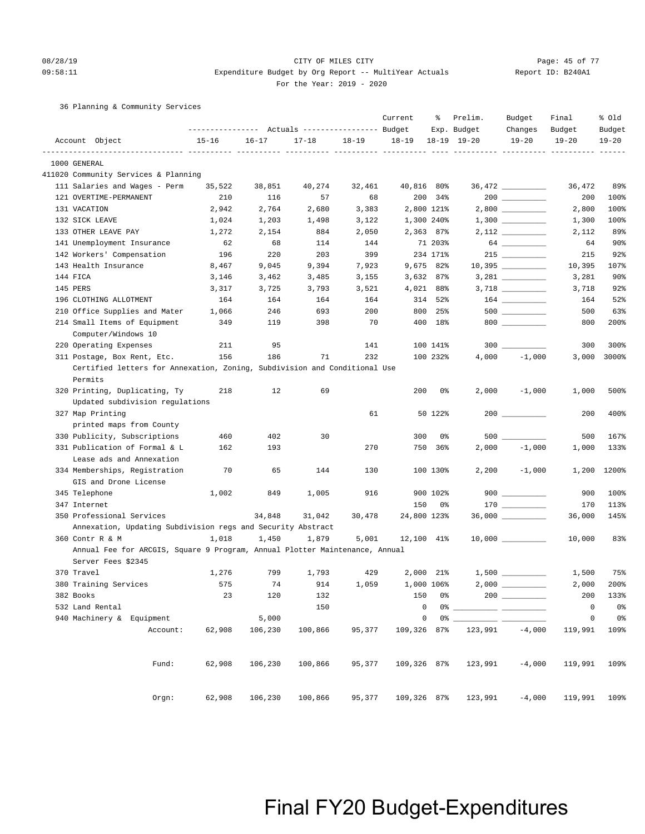#### 08/28/19 Page: 45 of 77 CITY OF MILES CITY CONTROL PAGE: 45 of 77 09:58:11 Expenditure Budget by Org Report -- MultiYear Actuals Report ID: B240A1

For the Year: 2019 - 2020

36 Planning & Community Services

|                                                                             | --------------- Actuals ---------------- Budget |           |                         |           | Current               | ႜ          | Prelim.<br>Exp. Budget | Budget<br>Changes  | Final<br>Budget | % old<br>Budget |
|-----------------------------------------------------------------------------|-------------------------------------------------|-----------|-------------------------|-----------|-----------------------|------------|------------------------|--------------------|-----------------|-----------------|
| Account Object                                                              | $15 - 16$                                       | $16 - 17$ | $17 - 18$<br>----- ---- | $18 - 19$ | $18 - 19$             |            | $18 - 19$ $19 - 20$    | $19 - 20$          | $19 - 20$       | $19 - 20$       |
| 1000 GENERAL                                                                |                                                 |           |                         |           | ----- ---------- ---- |            |                        |                    |                 |                 |
| 411020 Community Services & Planning                                        |                                                 |           |                         |           |                       |            |                        |                    |                 |                 |
| 111 Salaries and Wages - Perm                                               | 35,522                                          | 38,851    | 40,274                  | 32,461    | 40,816 80%            |            |                        |                    | 36,472          | 89%             |
| 121 OVERTIME-PERMANENT                                                      | 210                                             | 116       | 57                      | 68        | 200                   | 34%        |                        |                    | 200             | 100%            |
| 131 VACATION                                                                | 2,942                                           | 2,764     | 2,680                   | 3,383     |                       | 2,800 121% |                        |                    | 2,800           | 100%            |
| 132 SICK LEAVE                                                              | 1,024                                           | 1,203     | 1,498                   | 3,122     | 1,300 240%            |            |                        |                    | 1,300           | 100%            |
| 133 OTHER LEAVE PAY                                                         | 1,272                                           | 2,154     | 884                     | 2,050     |                       | 2,363 87%  |                        | $2,112$ _________  | 2,112           | 89%             |
| 141 Unemployment Insurance                                                  | 62                                              | 68        | 114                     | 144       |                       | 71 203%    |                        |                    | 64              | 90%             |
| 142 Workers' Compensation                                                   | 196                                             | 220       | 203                     | 399       |                       | 234 171%   |                        | 215                | 215             | 92%             |
| 143 Health Insurance                                                        | 8,467                                           | 9,045     | 9,394                   | 7,923     |                       | 9,675 82%  |                        |                    | 10,395          | 107%            |
| 144 FICA                                                                    | 3,146                                           | 3,462     | 3,485                   | 3,155     |                       | 3,632 87%  |                        |                    | 3,281           | 90%             |
| 145 PERS                                                                    | 3,317                                           | 3,725     | 3,793                   | 3,521     |                       | 4,021 88%  |                        | 3,718 _________    | 3,718           | 92%             |
| 196 CLOTHING ALLOTMENT                                                      | 164                                             | 164       | 164                     | 164       |                       | 314 52%    |                        |                    | 164             | 52%             |
| 210 Office Supplies and Mater                                               | 1,066                                           | 246       | 693                     | 200       | 800                   | 25%        |                        |                    | 500             | 63%             |
| 214 Small Items of Equipment                                                | 349                                             | 119       | 398                     | 70        | 400                   | 18%        |                        | $800$              | 800             | 200%            |
| Computer/Windows 10                                                         |                                                 |           |                         |           |                       |            |                        |                    |                 |                 |
| 220 Operating Expenses                                                      | 211                                             | 95        |                         | 141       |                       | 100 141%   |                        |                    | 300             | 300%            |
| 311 Postage, Box Rent, Etc.                                                 | 156                                             | 186       | 71                      | 232       |                       | 100 232%   | 4,000                  | $-1,000$           | 3,000           | 3000%           |
| Certified letters for Annexation, Zoning, Subdivision and Conditional Use   |                                                 |           |                         |           |                       |            |                        |                    |                 |                 |
| Permits                                                                     |                                                 |           |                         |           |                       |            |                        |                    |                 |                 |
| 320 Printing, Duplicating, Ty<br>Updated subdivision regulations            | 218                                             | 12        | 69                      |           | 200                   | 0%         | 2,000                  | $-1,000$           | 1,000           | 500%            |
| 327 Map Printing                                                            |                                                 |           |                         | 61        |                       | 50 122%    |                        |                    | 200             | 400%            |
| printed maps from County                                                    |                                                 |           |                         |           |                       |            |                        |                    |                 |                 |
| 330 Publicity, Subscriptions                                                | 460                                             | 402       | 30                      |           | 300                   | 0%         | 500                    |                    | 500             | 167%            |
| 331 Publication of Formal & L                                               | 162                                             | 193       |                         | 270       | 750                   | $36\%$     | 2,000                  | $-1,000$           | 1,000           | 133%            |
| Lease ads and Annexation                                                    |                                                 |           |                         |           |                       |            |                        |                    |                 |                 |
| 334 Memberships, Registration                                               | 70                                              | 65        | 144                     | 130       |                       | 100 130%   | 2,200                  | $-1,000$           | 1,200           | 1200%           |
| GIS and Drone License                                                       |                                                 |           |                         |           |                       |            |                        |                    |                 |                 |
| 345 Telephone                                                               | 1,002                                           | 849       | 1,005                   | 916       |                       | 900 102%   |                        | $900$              | 900             | 100%            |
| 347 Internet                                                                |                                                 |           |                         |           | 150                   | 0%         |                        |                    | 170             | 113%            |
| 350 Professional Services                                                   |                                                 | 34,848    | 31,042                  | 30,478    | 24,800 123%           |            |                        |                    | 36,000          | 145%            |
| Annexation, Updating Subdivision regs and Security Abstract                 |                                                 |           |                         |           |                       |            |                        |                    |                 |                 |
| 360 Contr R & M                                                             | 1,018                                           | 1,450     | 1,879                   | 5,001     | 12,100 41%            |            |                        | $10,000$ _________ | 10,000          | 83%             |
| Annual Fee for ARCGIS, Square 9 Program, Annual Plotter Maintenance, Annual |                                                 |           |                         |           |                       |            |                        |                    |                 |                 |
| Server Fees \$2345                                                          |                                                 |           |                         |           |                       |            |                        |                    |                 |                 |
| 370 Travel                                                                  | 1,276                                           | 799       | 1,793                   | 429       |                       | 2,000 21%  |                        | 1,500              | 1,500           | 75%             |
| 380 Training Services                                                       | 575                                             | 74        | 914                     | 1,059     | 1,000 106%            |            |                        |                    | 2,000           | 200%            |
| 382 Books                                                                   | 23                                              | 120       | 132                     |           | 150                   | 0%         |                        |                    | 200             | 133%            |
| 532 Land Rental                                                             |                                                 |           | 150                     |           | $\mathsf 0$           | 0%         |                        |                    | $\mathsf 0$     | 0%              |
| 940 Machinery & Equipment                                                   |                                                 | 5,000     |                         |           | $\mathsf 0$           | 0%         |                        |                    | $\mathsf 0$     | 0 <sup>°</sup>  |
| Account:                                                                    | 62,908                                          | 106,230   | 100,866                 | 95,377    | 109,326               | 87%        | 123,991                | $-4,000$           | 119,991         | 109%            |
| Fund:                                                                       | 62,908                                          | 106,230   | 100,866                 | 95,377    | 109,326 87%           |            | 123,991                | $-4,000$           | 119,991         | 109%            |
| Orgn:                                                                       | 62,908                                          | 106,230   | 100,866                 | 95,377    | 109,326 87%           |            | 123,991                | $-4,000$           | 119,991         | 109%            |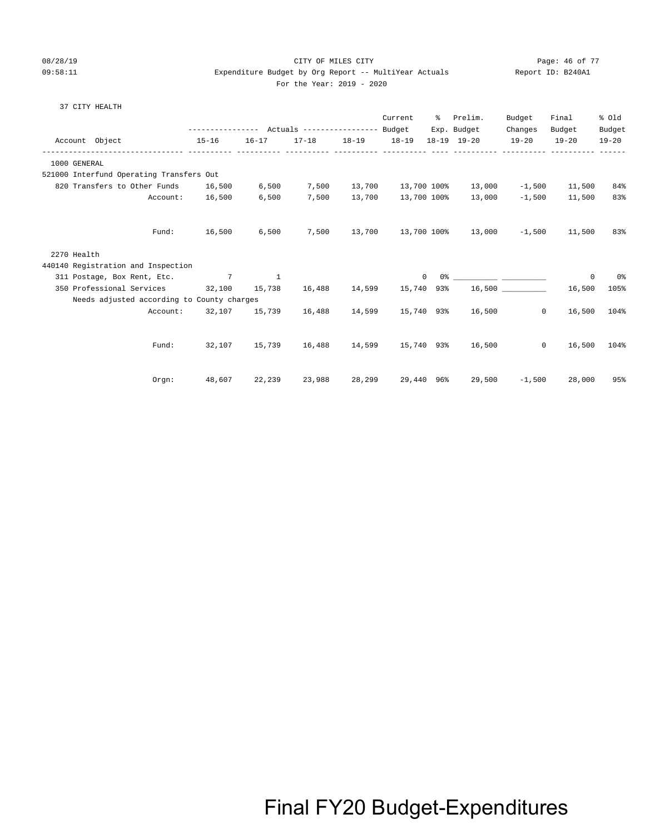#### 08/28/19 CITY OF MILES CITY Page: 46 of 77 09:58:11 Expenditure Budget by Org Report -- MultiYear Actuals Report ID: B240A1 For the Year: 2019 - 2020

#### 37 CITY HEALTH

| Account Object                             | --------------- Actuals ---------------- Budget<br>$15 - 16$ | $16 - 17$       |        | 17-18  18-19  18-19 | Current            | ႜႜ | Prelim.<br>Exp. Budget<br>18-19 19-20            | Budget<br>Changes<br>$19 - 20$ | Final<br>Budget<br>$19 - 20$ | % old<br>Budget<br>$19 - 20$ |
|--------------------------------------------|--------------------------------------------------------------|-----------------|--------|---------------------|--------------------|----|--------------------------------------------------|--------------------------------|------------------------------|------------------------------|
| 1000 GENERAL                               |                                                              |                 |        |                     |                    |    |                                                  |                                |                              |                              |
| 521000 Interfund Operating Transfers Out   |                                                              |                 |        |                     |                    |    |                                                  |                                |                              |                              |
| 820 Transfers to Other Funds               | 16,500                                                       | 6,500           | 7,500  |                     | 13,700 13,700 100% |    | 13,000                                           | $-1,500$                       | 11,500                       | 84%                          |
| Account:                                   | 16,500                                                       | 6,500           | 7,500  | 13,700              | 13,700 100%        |    | 13,000                                           | $-1,500$                       | 11,500                       | 83%                          |
| Fund:                                      | 16,500                                                       | 6,500           | 7,500  |                     | 13,700 13,700 100% |    | 13,000                                           | $-1,500$                       | 11,500                       | 83%                          |
| 2270 Health                                |                                                              |                 |        |                     |                    |    |                                                  |                                |                              |                              |
| 440140 Registration and Inspection         |                                                              |                 |        |                     |                    |    |                                                  |                                |                              |                              |
| 311 Postage, Box Rent, Etc. 7              |                                                              | $\sim$ $\sim$ 1 |        |                     | $\circ$            |    | $0$ 왕                                            |                                | 0                            | 0%                           |
| 350 Professional Services 32,100           |                                                              | 15,738          | 16,488 | 14,599              | 15,740 93%         |    |                                                  | 16,500                         | 16,500                       | 105%                         |
| Needs adjusted according to County charges |                                                              |                 |        |                     |                    |    |                                                  |                                |                              |                              |
| Account:                                   | 32,107                                                       | 15,739          | 16,488 | 14,599              |                    |    | 15,740 93% 16,500                                | $\circ$                        | 16,500                       | 104%                         |
| Fund:                                      |                                                              |                 |        |                     |                    |    | 15,739   16,488   14,599   15,740   93%   16,500 | $\mathbf{0}$                   |                              | 104%                         |
|                                            | 32,107                                                       |                 |        |                     |                    |    |                                                  |                                | 16,500                       |                              |
| Orgn:                                      | 48,607                                                       | 22,239          | 23,988 | 28,299              | 29,440 96%         |    | 29,500                                           | $-1,500$                       | 28,000                       | 95%                          |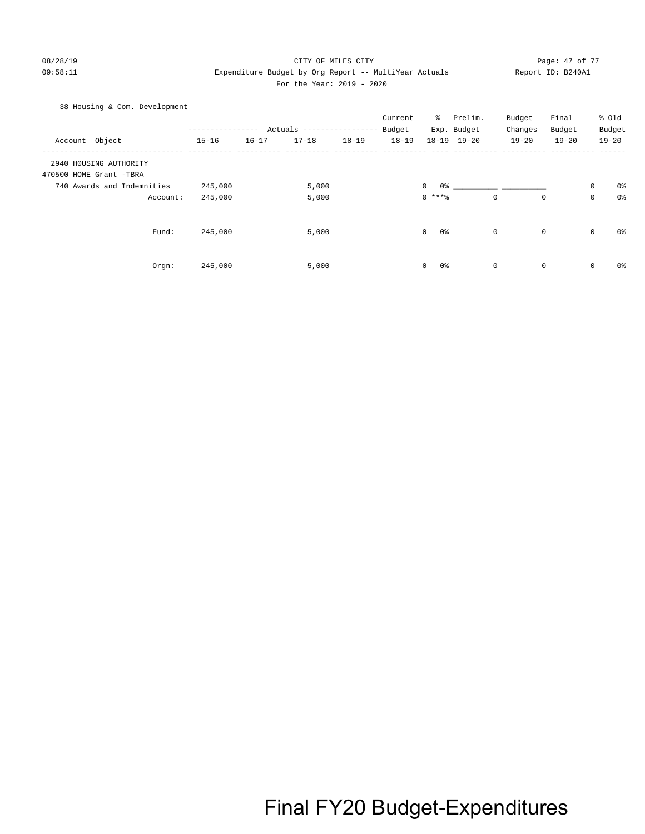#### 08/28/19 Page: 47 of 77 CITY OF MILES CITY 09:58:11 Expenditure Budget by Org Report -- MultiYear Actuals Report ID: B240A1 For the Year: 2019 - 2020

#### 38 Housing & Com. Development

|                            |           |           |                           |           | Current   | ိ                  | Prelim.     | Budget      | Final       |             | % Old          |
|----------------------------|-----------|-----------|---------------------------|-----------|-----------|--------------------|-------------|-------------|-------------|-------------|----------------|
|                            |           |           | Actuals ----------------- |           | Budget    |                    | Exp. Budget | Changes     | Budget      |             | Budget         |
| Account Object             | $15 - 16$ | $16 - 17$ | $17 - 18$                 | $18 - 19$ | $18 - 19$ |                    | 18-19 19-20 | $19 - 20$   | $19 - 20$   |             | $19 - 20$      |
| 2940 HOUSING AUTHORITY     |           |           |                           |           |           |                    |             |             |             |             |                |
| 470500 HOME Grant -TBRA    |           |           |                           |           |           |                    |             |             |             |             |                |
| 740 Awards and Indemnities | 245,000   |           | 5,000                     |           |           | 0%<br>$\mathbf{0}$ |             |             |             | $\mathbf 0$ | 0%             |
| Account:                   | 245,000   |           | 5,000                     |           |           | $0***8$            |             | $\mathbf 0$ | $\mathbf 0$ | $\mathbf 0$ | 0%             |
| Fund:                      | 245,000   |           | 5,000                     |           |           | $\mathbf 0$<br>0%  |             | 0           | $\mathbf 0$ | $\mathbf 0$ | 0%             |
| Orgn:                      | 245,000   |           | 5,000                     |           |           | $\mathbf 0$<br>0%  |             | 0           | $\mathbf 0$ | $\mathbf 0$ | 0 <sup>8</sup> |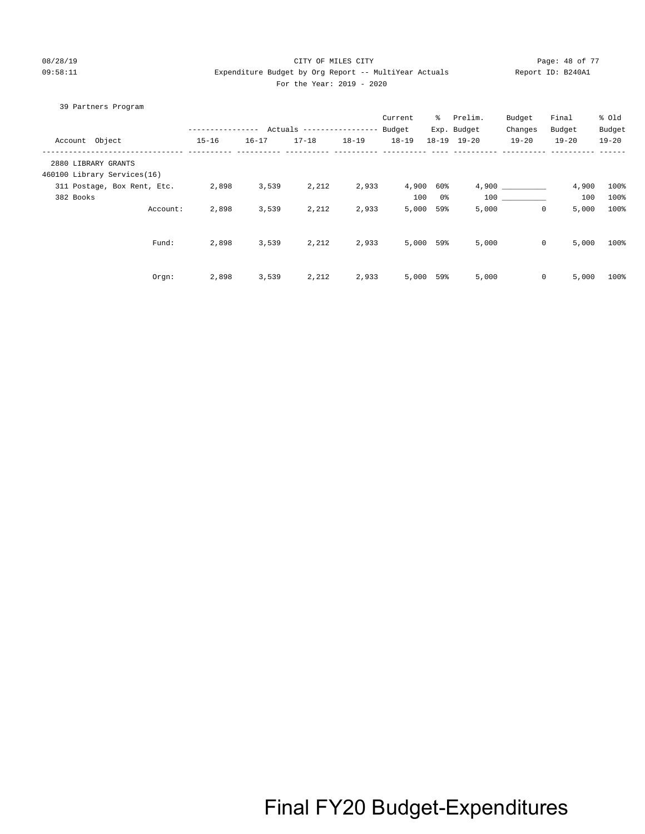#### 08/28/19 Page: 48 of 77 CITY OF MILES CITY CONTROL PAGE: 48 of 77 09:58:11 Expenditure Budget by Org Report -- MultiYear Actuals Report ID: B240A1 For the Year: 2019 - 2020

|                | 39 Partners Program         |                  |           |                           |           |           |           |             |              |           |           |
|----------------|-----------------------------|------------------|-----------|---------------------------|-----------|-----------|-----------|-------------|--------------|-----------|-----------|
|                |                             |                  |           |                           |           | Current   | ိ         | Prelim.     | Budget       | Final     | % old     |
|                |                             | ---------------- |           | Actuals ----------------- |           | Budget    |           | Exp. Budget | Changes      | Budget    | Budget    |
| Account Object |                             | $15 - 16$        | $16 - 17$ | $17 - 18$                 | $18 - 19$ | $18 - 19$ | $18 - 19$ | $19 - 20$   | $19 - 20$    | $19 - 20$ | $19 - 20$ |
|                | 2880 LIBRARY GRANTS         |                  |           |                           |           |           |           |             |              |           |           |
|                | 460100 Library Services(16) |                  |           |                           |           |           |           |             |              |           |           |
|                | 311 Postage, Box Rent, Etc. | 2,898            | 3,539     | 2,212                     | 2,933     | 4,900     | 60%       |             | 4,900        | 4,900     | 100%      |
| 382 Books      |                             |                  |           |                           |           | 100       | 0 %       |             | 100 000      | 100       | 100%      |
|                | Account:                    | 2,898            | 3,539     | 2,212                     | 2,933     | 5,000     | 59%       | 5,000       | $\mathbf 0$  | 5,000     | 100%      |
|                |                             |                  |           |                           |           |           |           |             |              |           |           |
|                | Fund:                       | 2,898            | 3,539     | 2,212                     | 2,933     | 5,000 59% |           | 5,000       | $\mathsf{O}$ | 5,000     | 100%      |
|                |                             |                  |           |                           |           |           |           |             |              |           |           |
|                | Orgn:                       | 2,898            | 3,539     | 2,212                     | 2,933     | 5,000     | 59%       | 5,000       | $\mathbf{0}$ | 5,000     | 100%      |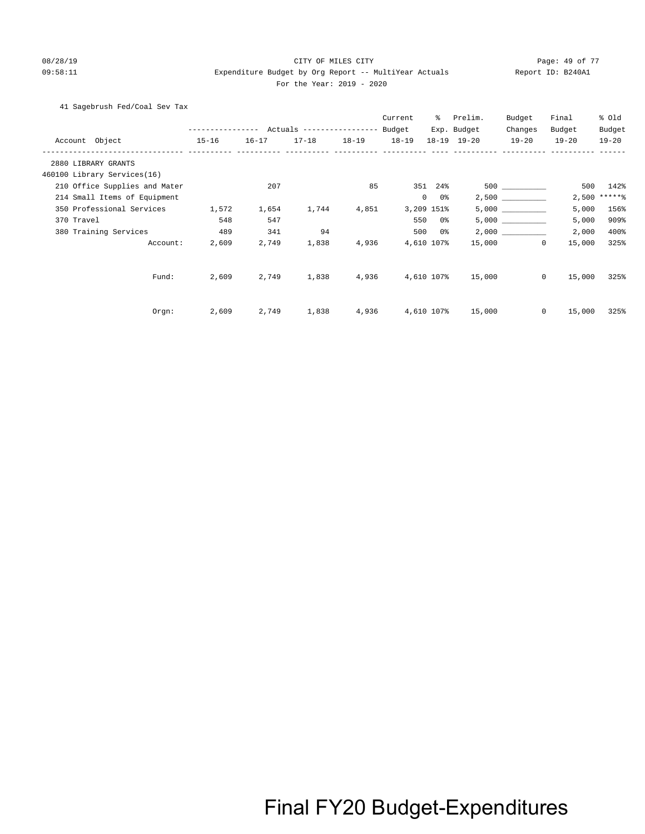#### 08/28/19 Page: 49 of 77 CITY OF MILES CITY CONTROL PAGE: 49 of 77 09:58:11 Expenditure Budget by Org Report -- MultiYear Actuals Report ID: B240A1 For the Year: 2019 - 2020

41 Sagebrush Fed/Coal Sev Tax

|                               | --------------- Actuals ---------------- Budget |           |       |                   | Current    | $\sim$               | Prelim.<br>Exp. Budget | Budget<br>Changes | Final<br>Budget        | % old<br>Budget |
|-------------------------------|-------------------------------------------------|-----------|-------|-------------------|------------|----------------------|------------------------|-------------------|------------------------|-----------------|
| Account Object                | $15 - 16$                                       | $16 - 17$ |       | 17-18 18-19 18-19 |            |                      | 18-19 19-20            | $19 - 20$         | $19 - 20$              | $19 - 20$       |
| 2880 LIBRARY GRANTS           |                                                 |           |       |                   |            |                      |                        |                   |                        |                 |
| 460100 Library Services(16)   |                                                 |           |       |                   |            |                      |                        |                   |                        |                 |
| 210 Office Supplies and Mater |                                                 | 207       |       | 85                |            | 351 24%              |                        |                   | 500                    | 142%            |
| 214 Small Items of Equipment  |                                                 |           |       |                   |            | $\overline{0}$<br>0% |                        |                   |                        | $2,500$ *****%  |
| 350 Professional Services     | 1,572                                           | 1,654     | 1,744 | 4,851             |            | 3,209 151%           |                        |                   | 5,000                  | 156%            |
| 370 Travel                    | 548                                             | 547       |       |                   |            | 550 0%               |                        |                   | 5,000                  | 909%            |
| 380 Training Services         | 489                                             | 341       | 94    |                   |            | 500 0%               |                        |                   | 2,000                  | 400%            |
| Account:                      | 2,609                                           | 2,749     | 1,838 | 4,936             |            | 4,610 107%           |                        | 15,000            | $\circ$<br>15,000      | 325%            |
| Fund:                         | 2,609                                           | 2,749     | 1,838 | 4,936             |            |                      | 4,610 107% 15,000      |                   | $\mathbf{0}$<br>15,000 | 325%            |
| Orgn:                         | 2,609                                           | 2,749     | 1,838 | 4,936             | 4,610 107% |                      | 15,000                 |                   | $\mathbf{0}$<br>15,000 | 325%            |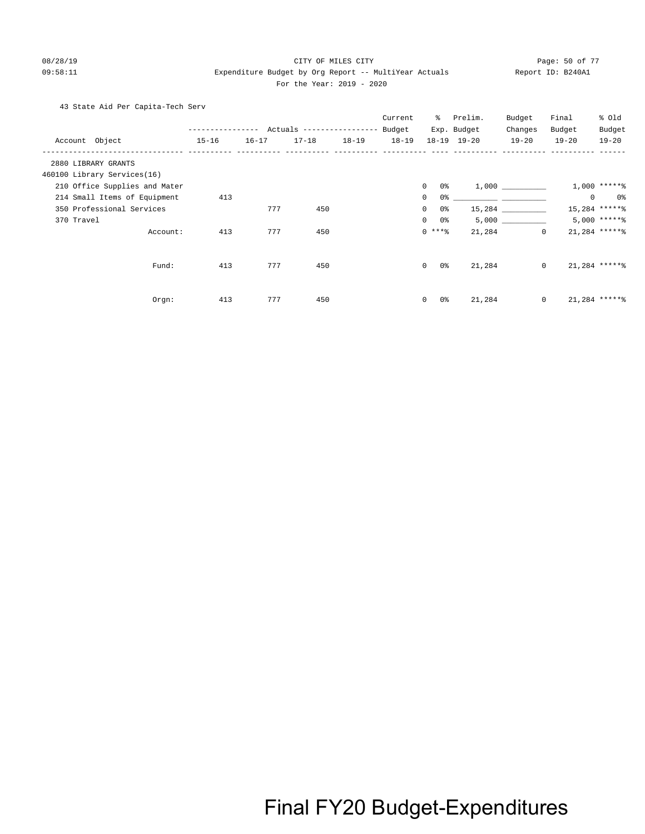#### 08/28/19 CITY OF MILES CITY Page: 50 of 77 09:58:11 Expenditure Budget by Org Report -- MultiYear Actuals Report ID: B240A1 For the Year: 2019 - 2020

43 State Aid Per Capita-Tech Serv

|                               |           |           |                                               |           | Current   | ွေ                               | Prelim.                                             | Budget       | Final     | % Old           |
|-------------------------------|-----------|-----------|-----------------------------------------------|-----------|-----------|----------------------------------|-----------------------------------------------------|--------------|-----------|-----------------|
|                               |           |           | ------------- Actuals ---------------- Budget |           |           |                                  | Exp. Budget                                         | Changes      | Budget    | Budget          |
| Account Object                | $15 - 16$ | $16 - 17$ | $17 - 18$                                     | $18 - 19$ | $18 - 19$ |                                  | 18-19 19-20                                         | $19 - 20$    | $19 - 20$ | $19 - 20$       |
| 2880 LIBRARY GRANTS           |           |           |                                               |           |           |                                  |                                                     |              |           |                 |
| 460100 Library Services(16)   |           |           |                                               |           |           |                                  |                                                     |              |           |                 |
| 210 Office Supplies and Mater |           |           |                                               |           |           | $\mathbf{0}$<br>0 %              |                                                     | 1,000        |           | $1,000$ ******  |
| 214 Small Items of Equipment  | 413       |           |                                               |           |           | $\mathbf{0}$<br>0 %              | <u> 1980 - Jan James James, president politik (</u> |              | $\circ$   | 0 %             |
| 350 Professional Services     |           | 777       | 450                                           |           |           | 0 <sup>°</sup><br>$\overline{0}$ |                                                     |              |           | 15,284 ******   |
| 370 Travel                    |           |           |                                               |           |           | 0 %<br>$\overline{0}$            |                                                     | 5,000        |           | $5,000$ ***** % |
| Account:                      | 413       | 777       | 450                                           |           |           | $0***$ $%$                       | 21,284                                              | $\Omega$     |           | $21,284$ ****** |
|                               |           |           |                                               |           |           |                                  |                                                     |              |           |                 |
| Fund:                         | 413       | 777       | 450                                           |           |           | $\Omega$<br>0 %                  | 21,284                                              | $\circ$      |           | $21,284$ ****** |
|                               |           |           |                                               |           |           |                                  |                                                     |              |           |                 |
| Orgn:                         | 413       | 777       | 450                                           |           |           | 0 %<br>$\mathbf{0}$              | 21,284                                              | $\mathbf{0}$ |           | $21,284$ *****% |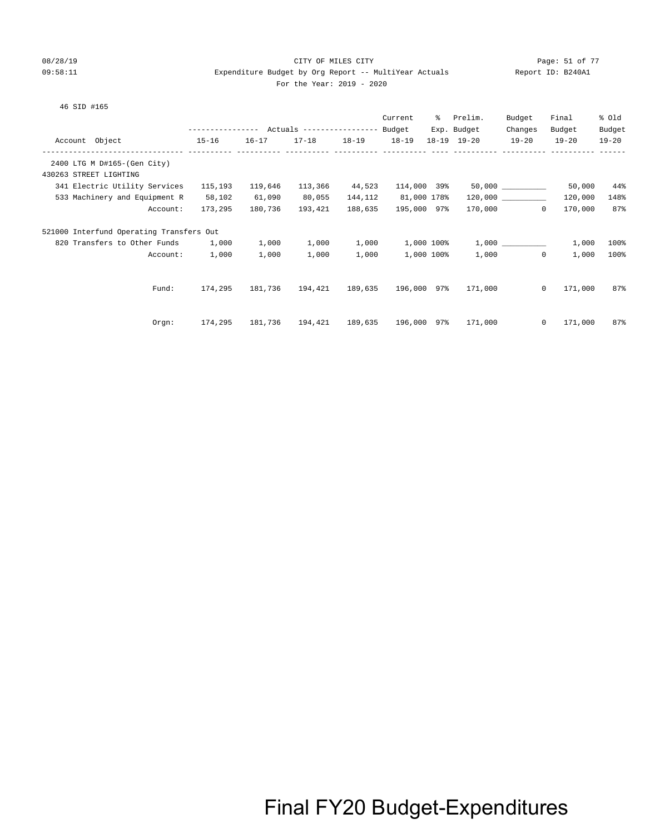#### 08/28/19 Page: 51 of 77 CITY OF MILES CITY CONTROL PAGE: 51 of 77 09:58:11 Expenditure Budget by Org Report -- MultiYear Actuals Report ID: B240A1 For the Year: 2019 - 2020

#### 46 SID #165

|                                          |                                                       |           |                                         |           | Current     | % Prelim.                       | Budget               | Final     | % old     |
|------------------------------------------|-------------------------------------------------------|-----------|-----------------------------------------|-----------|-------------|---------------------------------|----------------------|-----------|-----------|
|                                          | ---------------    Actuals ----------------    Budget |           |                                         |           |             | Exp. Budget                     | Changes              | Budget    | Budget    |
| Account Object<br>$15 - 16$              |                                                       | $16 - 17$ | $17 - 18$                               | $18 - 19$ | $18 - 19$   | 18-19 19-20                     | $19 - 20$            | $19 - 20$ | $19 - 20$ |
|                                          |                                                       |           |                                         |           |             |                                 |                      |           |           |
| 2400 LTG M D#165-(Gen City)              |                                                       |           |                                         |           |             |                                 |                      |           |           |
| 430263 STREET LIGHTING                   |                                                       |           |                                         |           |             |                                 |                      |           |           |
| 341 Electric Utility Services            | 115,193                                               | 119,646   | 113,366                                 | 44,523    |             | $114,000$ 39% 50,000 __________ |                      | 50,000    | 44%       |
| 533 Machinery and Equipment R            | 58,102                                                | 61,090    | 80,055                                  | 144,112   | 81,000 178% |                                 | $120,000$ __________ | 120,000   | 148%      |
| Account:                                 | 173,295                                               | 180,736   | 193,421                                 | 188,635   | 195,000 97% |                                 | 170,000<br>$\Omega$  | 170,000   | 87%       |
| 521000 Interfund Operating Transfers Out |                                                       |           |                                         |           |             |                                 |                      |           |           |
| 820 Transfers to Other Funds 1,000       |                                                       | 1,000     | 1,000                                   | 1,000     | 1,000 100%  |                                 | 1,000                | 1,000     | 100%      |
| Account:                                 | 1,000                                                 | 1,000     | 1,000                                   | 1,000     | 1,000 100%  |                                 | 1,000<br>$\circ$     | 1,000     | 100%      |
|                                          |                                                       |           |                                         |           |             |                                 |                      |           |           |
| Fund:                                    | 174,295                                               | 181,736   | 194,421 189,635 196,000 97%             |           |             | 171,000                         | $\mathbf{0}$         | 171,000   | 87%       |
|                                          |                                                       |           |                                         |           |             |                                 |                      |           |           |
| Orgn:                                    | 174,295                                               |           | 181,736  194,421  189,635  196,000  97% |           |             | 171,000                         | $\mathbf{0}$         | 171,000   | 87%       |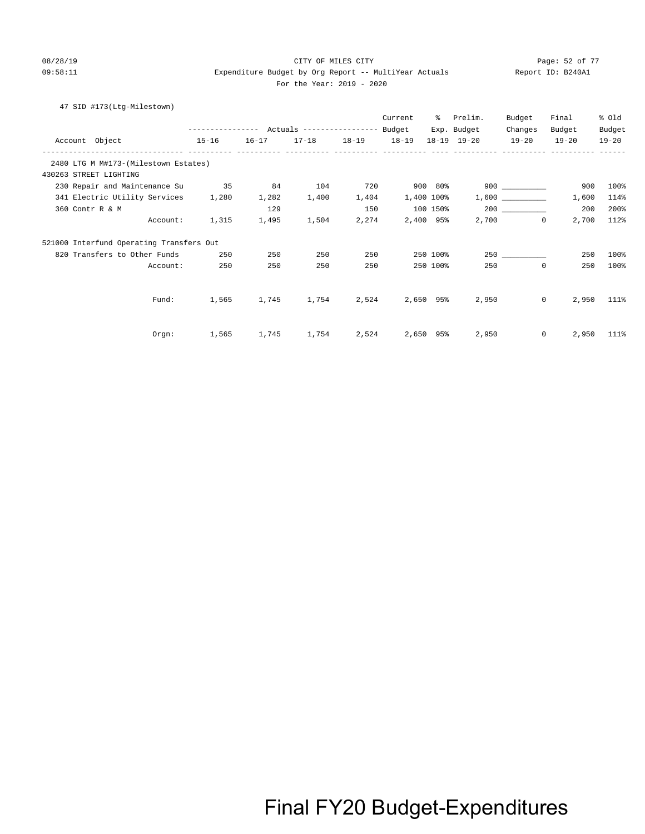#### 08/28/19 CITY OF MILES CITY Page: 52 of 77 09:58:11 Expenditure Budget by Org Report -- MultiYear Actuals Report ID: B240A1 For the Year: 2019 - 2020

### 47 SID #173(Ltg-Milestown)

|                                          |                                                 |       |                         |       | Current               | ႜႜၟ      | Prelim.            | Budget           | Final            | % Old      |
|------------------------------------------|-------------------------------------------------|-------|-------------------------|-------|-----------------------|----------|--------------------|------------------|------------------|------------|
|                                          | --------------- Actuals ---------------- Budget |       |                         |       |                       |          | Exp. Budget        | Changes          | Budget           | Budget     |
| $15 - 16$<br>Account Object              |                                                 |       | 16-17 17-18 18-19 18-19 |       |                       |          | 18-19 19-20 19-20  |                  | $19 - 20$        | $19 - 20$  |
| 2480 LTG M M#173-(Milestown Estates)     |                                                 |       |                         |       |                       |          |                    |                  |                  |            |
| 430263 STREET LIGHTING                   |                                                 |       |                         |       |                       |          |                    |                  |                  |            |
| 230 Repair and Maintenance Su 35         |                                                 | 84    | 104                     | 720   | 900 80%               |          | 900                |                  | 900              | 100%       |
| 341 Electric Utility Services            | 1,280                                           | 1,282 | 1,400                   | 1,404 | 1,400 100%            |          |                    | 1,600            | 1,600            | 114%       |
| 360 Contr R & M                          |                                                 | 129   |                         | 150   |                       |          | $100$ 150% 200 200 |                  | 200              | 200%       |
| Account:                                 | 1,315                                           | 1,495 | 1,504                   |       | 2,274 2,400 95%       |          |                    | 2,700<br>$\circ$ | 2,700            | 112%       |
| 521000 Interfund Operating Transfers Out |                                                 |       |                         |       |                       |          |                    |                  |                  |            |
| 820 Transfers to Other Funds             | 250                                             | 250   | 250                     | 250   |                       | 250 100% |                    | 250              | 250              | 100%       |
| Account:                                 | 250                                             | 250   | 250                     | 250   |                       | 250 100% | 250                | $\circ$          | 250              | 100%       |
|                                          |                                                 |       |                         |       |                       |          |                    |                  |                  |            |
| Fund:                                    | 1,565                                           | 1,745 | 1,754                   |       | 2,524 2,650 95%       |          | 2,950              |                  | $\circ$          | 2,950 111% |
|                                          |                                                 |       |                         |       |                       |          |                    |                  |                  |            |
| Orgn:                                    | 1,565                                           | 1,745 |                         |       | 1,754 2,524 2,650 95% |          | 2,950              |                  | $\circ$<br>2,950 | 111%       |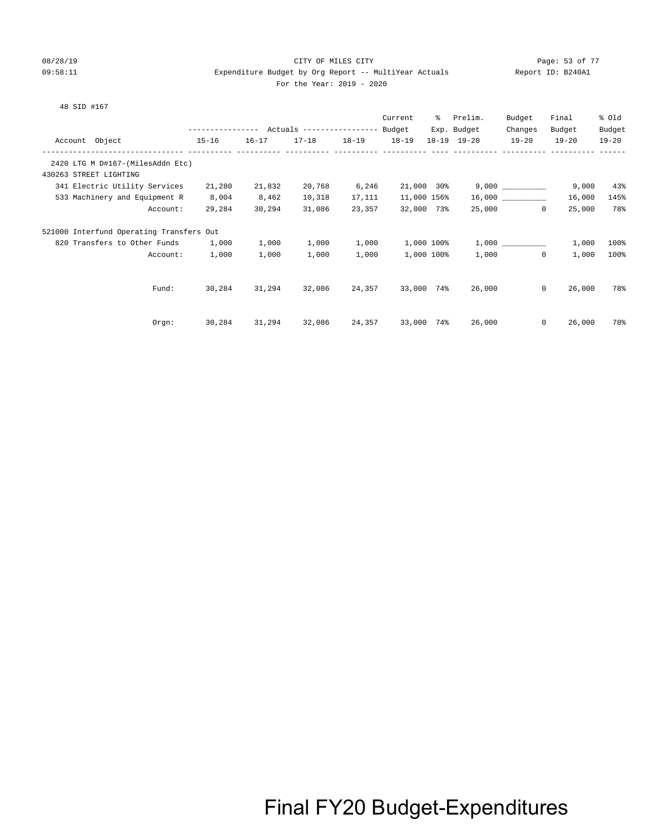#### 08/28/19 Page: 53 of 77 CITY OF MILES CITY CONTROL PAGE: 53 of 77 09:58:11 Expenditure Budget by Org Report -- MultiYear Actuals Report ID: B240A1 For the Year: 2019 - 2020

#### 48 SID #167

|                                          |           |           |                                                 |           | Current     | ႜၟ | Prelim.     | Budget             | Final     | % old     |
|------------------------------------------|-----------|-----------|-------------------------------------------------|-----------|-------------|----|-------------|--------------------|-----------|-----------|
|                                          |           |           | --------------- Actuals ---------------- Budget |           |             |    | Exp. Budget | Changes            | Budget    | Budget    |
| Account Object                           | $15 - 16$ | $16 - 17$ | $17 - 18$                                       | $18 - 19$ | $18 - 19$   |    | 18-19 19-20 | $19 - 20$          | $19 - 20$ | $19 - 20$ |
|                                          |           |           |                                                 |           |             |    |             |                    |           |           |
| 2420 LTG M D#167-(MilesAddn Etc)         |           |           |                                                 |           |             |    |             |                    |           |           |
| 430263 STREET LIGHTING                   |           |           |                                                 |           |             |    |             |                    |           |           |
| 341 Electric Utility Services            | 21,280    | 21,832    | 20,768                                          | 6,246     | 21,000 30%  |    |             | 9,000              | 9,000     | 43%       |
| 533 Machinery and Equipment R            | 8,004     | 8,462     | 10,318                                          | 17,111    | 11,000 156% |    |             |                    | 16,000    | 145%      |
| Account:                                 | 29,284    | 30,294    | 31,086                                          | 23,357    | 32,000 73%  |    |             | 25,000<br>$\Omega$ | 25,000    | 78%       |
| 521000 Interfund Operating Transfers Out |           |           |                                                 |           |             |    |             |                    |           |           |
| 820 Transfers to Other Funds             | 1,000     | 1,000     | 1,000                                           | 1,000     | 1,000 100%  |    |             |                    | 1,000     | 100%      |
| Account:                                 | 1,000     | 1,000     | 1,000                                           | 1,000     | 1,000 100%  |    | 1,000       | $\Omega$           | 1,000     | 100%      |
|                                          |           |           |                                                 |           |             |    |             |                    |           |           |
| Fund:                                    | 30,284    | 31,294    | 32,086                                          | 24,357    | 33,000 74%  |    | 26,000      | $\circ$            | 26,000    | 78%       |
|                                          |           |           |                                                 |           |             |    |             |                    |           |           |
| $0$ rgn:                                 | 30,284    | 31,294    | 32,086                                          | 24,357    | 33,000 74%  |    | 26,000      | $\mathbf{0}$       | 26,000    | 78%       |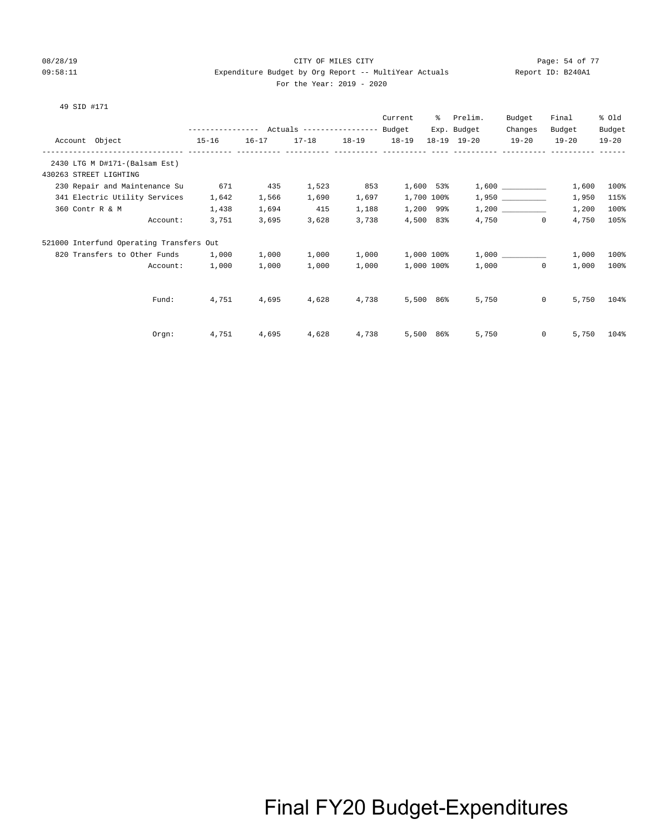#### 08/28/19 Page: 54 of 77 CHTY OF MILES CITY 09:58:11 Expenditure Budget by Org Report -- MultiYear Actuals Report ID: B240A1 For the Year: 2019 - 2020

#### 49 SID #171

|                                          |                          |           |           |                                                 |       | Current    | ႜႜၟ | Prelim.     | Budget                | Final     | % Old     |
|------------------------------------------|--------------------------|-----------|-----------|-------------------------------------------------|-------|------------|-----|-------------|-----------------------|-----------|-----------|
|                                          |                          |           |           | --------------- Actuals ---------------- Budget |       |            |     | Exp. Budget | Changes               | Budget    | Budget    |
| Account Object                           | ------------ ----------- | $15 - 16$ | $16 - 17$ | 17-18 18-19                                     |       | $18 - 19$  |     | 18-19 19-20 | $19 - 20$             | $19 - 20$ | $19 - 20$ |
| 2430 LTG M D#171-(Balsam Est)            |                          |           |           |                                                 |       |            |     |             |                       |           |           |
| 430263 STREET LIGHTING                   |                          |           |           |                                                 |       |            |     |             |                       |           |           |
| 230 Repair and Maintenance Su            |                          | 671       | 435       | 1,523                                           | 853   | 1,600 53%  |     |             |                       | 1,600     | 100%      |
| 341 Electric Utility Services            |                          | 1,642     | 1,566     | 1,690                                           | 1,697 | 1,700 100% |     |             | 1,950                 | 1,950     | 115%      |
| 360 Contr R & M                          |                          | 1,438     | 1,694     | 415                                             | 1,188 | 1,200 99%  |     |             |                       | 1,200     | 100%      |
|                                          | Account:                 | 3,751     | 3,695     | 3,628                                           | 3,738 | 4,500 83%  |     |             | 4,750<br>$\mathbf{0}$ | 4,750     | 105%      |
| 521000 Interfund Operating Transfers Out |                          |           |           |                                                 |       |            |     |             |                       |           |           |
| 820 Transfers to Other Funds             |                          | 1,000     | 1,000     | 1,000                                           | 1,000 | 1,000 100% |     |             | 1,000                 | 1,000     | 100%      |
|                                          | Account:                 | 1,000     | 1,000     | 1,000                                           | 1,000 | 1,000 100% |     | 1,000       | $\mathbf{0}$          | 1,000     | 100%      |
|                                          |                          |           |           |                                                 |       |            |     |             |                       |           |           |
|                                          | Fund:                    | 4,751     | 4,695     | 4,628                                           | 4,738 | 5,500 86%  |     | 5,750       | $\mathbf{0}$          | 5,750     | 104%      |
|                                          |                          |           |           |                                                 |       |            |     |             |                       |           |           |
|                                          | Orgn:                    | 4,751     | 4,695     | 4,628                                           | 4,738 | 5,500 86%  |     | 5,750       | $\mathbf{0}$          | 5,750     | 104%      |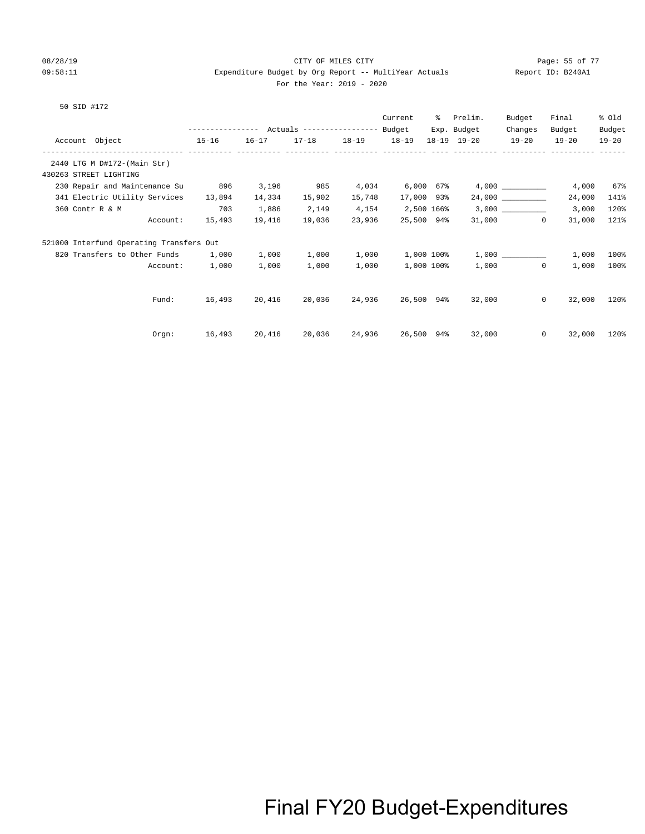#### 08/28/19 Page: 55 of 77 CITY OF MILES CITY CONTROL PAGE: 55 of 77 09:58:11 Expenditure Budget by Org Report -- MultiYear Actuals Report ID: B240A1 For the Year: 2019 - 2020

50 SID #172

|                                          |                                                 |        |                         |        | Current           | ႜႜၟ | Prelim.                                                       | Budget                   | Final               | % old               |
|------------------------------------------|-------------------------------------------------|--------|-------------------------|--------|-------------------|-----|---------------------------------------------------------------|--------------------------|---------------------|---------------------|
| Account Object<br>$15-16$                | --------------- Actuals ---------------- Budget |        | 16-17 17-18 18-19 18-19 |        |                   |     | Exp. Budget<br>18-19 19-20                                    | Changes<br>$19 - 20$     | Budget<br>$19 - 20$ | Budget<br>$19 - 20$ |
|                                          |                                                 |        |                         |        |                   |     |                                                               |                          |                     |                     |
| 2440 LTG M D#172-(Main Str)              |                                                 |        |                         |        |                   |     |                                                               |                          |                     |                     |
| 430263 STREET LIGHTING                   |                                                 |        |                         |        |                   |     |                                                               |                          |                     |                     |
| 230 Repair and Maintenance Su            | 896                                             | 3,196  | 985                     | 4,034  | $6,000$ $67\%$    |     |                                                               |                          | 4,000               | 67%                 |
| 341 Electric Utility Services            | 13,894                                          | 14,334 | 15,902                  | 15,748 | 17,000 93%        |     |                                                               | 24,000 __________        | 24,000              | 141%                |
| 360 Contr R & M                          | 703                                             | 1,886  | 2,149                   | 4,154  | 2,500 166%        |     |                                                               |                          | 3,000               | 120%                |
| Account:                                 | 15,493                                          | 19,416 | 19,036                  | 23,936 | 25,500 94%        |     |                                                               | 31,000<br>$\overline{0}$ | 31,000              | 121%                |
| 521000 Interfund Operating Transfers Out |                                                 |        |                         |        |                   |     |                                                               |                          |                     |                     |
| 820 Transfers to Other Funds             | 1,000                                           | 1,000  | 1,000                   | 1,000  |                   |     | $1,000$ $100$ $\frac{1}{000}$ $\frac{1}{000}$ $\frac{1}{000}$ |                          | 1,000               | 100%                |
| Account:                                 | 1,000                                           | 1,000  | 1,000                   | 1,000  | 1,000 100%        |     |                                                               | 1,000                    | $\circ$<br>1,000    | 100%                |
|                                          |                                                 |        |                         |        |                   |     |                                                               |                          |                     |                     |
| Fund:                                    | 16,493                                          | 20,416 | 20,036                  |        | 24,936 26,500 94% |     | 32,000                                                        |                          | $\circ$<br>32,000   | 120%                |
| Orgn:                                    |                                                 |        | 16,493 20,416 20,036    |        |                   |     | 24,936 26,500 94% 32,000                                      |                          | $\circ$<br>32,000   | 120%                |
|                                          |                                                 |        |                         |        |                   |     |                                                               |                          |                     |                     |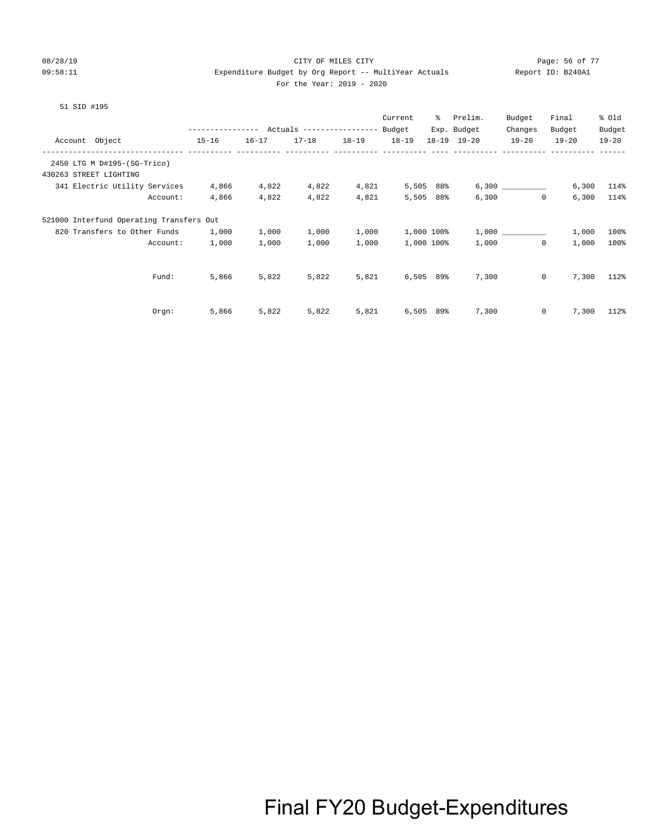#### 08/28/19 CITY OF MILES CITY Page: 56 of 77 09:58:11 Expenditure Budget by Org Report -- MultiYear Actuals Report ID: B240A1 For the Year: 2019 - 2020

#### 51 SID #195

|                        |                                              |                                            |           |           |           | Current     | ႜႜ        | Prelim.     | Budget       | Final     | % Old     |
|------------------------|----------------------------------------------|--------------------------------------------|-----------|-----------|-----------|-------------|-----------|-------------|--------------|-----------|-----------|
|                        |                                              | ---------------- Actuals ----------------- |           |           |           | Budget      |           | Exp. Budget | Changes      | Budget    | Budget    |
| Account Object         |                                              | $15 - 16$                                  | $16 - 17$ | $17 - 18$ | $18 - 19$ | $18 - 19$   |           | 18-19 19-20 | $19 - 20$    | $19 - 20$ | $19 - 20$ |
|                        | -------------<br>2450 LTG M D#195-(SG-Trico) |                                            |           |           |           |             |           |             |              |           |           |
| 430263 STREET LIGHTING |                                              |                                            |           |           |           |             |           |             |              |           |           |
|                        | 341 Electric Utility Services                | 4,866                                      | 4,822     | 4,822     | 4,821     | 5,505 88%   |           |             |              | 6,300     | 114%      |
|                        | Account:                                     | 4,866                                      | 4,822     | 4,822     | 4,821     |             | 5,505 88% | 6,300       | $\mathbf 0$  | 6,300     | 114%      |
|                        | 521000 Interfund Operating Transfers Out     |                                            |           |           |           |             |           |             |              |           |           |
|                        | 820 Transfers to Other Funds                 | 1,000                                      | 1,000     | 1,000     | 1,000     | 1,000 100%  |           |             | 1,000        | 1,000     | 100%      |
|                        | Account:                                     | 1,000                                      | 1,000     | 1,000     | 1,000     | 1,000 100%  |           | 1,000       | $\mathbf 0$  | 1,000     | 100%      |
|                        |                                              |                                            |           |           |           |             |           |             |              |           |           |
|                        | Fund:                                        | 5,866                                      | 5,822     | 5,822     | 5,821     | $6,505$ 89% |           | 7,300       | $\mathbf{0}$ | 7,300     | 112%      |
|                        |                                              |                                            |           |           |           |             |           |             |              |           |           |
|                        | Orgn:                                        | 5,866                                      | 5,822     | 5,822     | 5,821     | 6,505       | 89%       | 7,300       | 0            | 7,300     | 112%      |
|                        |                                              |                                            |           |           |           |             |           |             |              |           |           |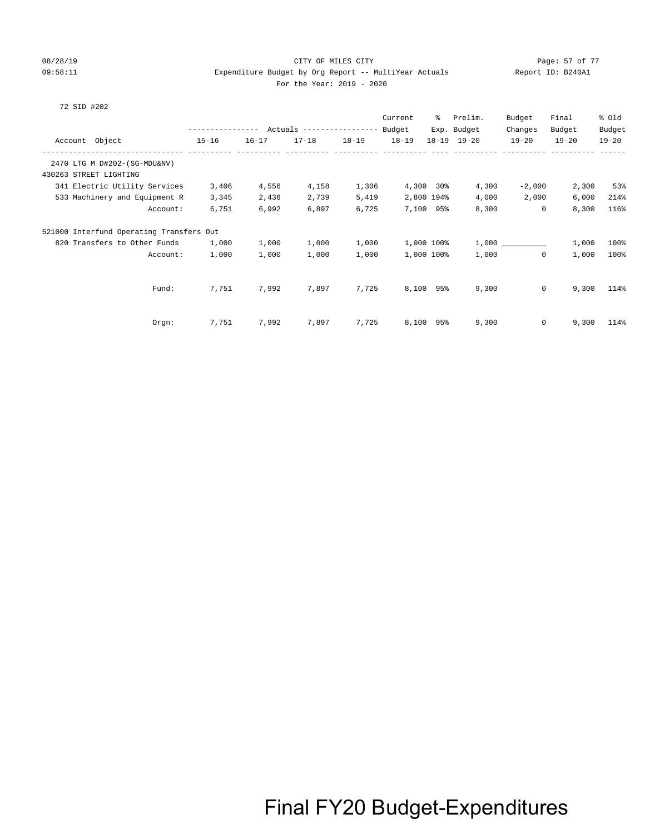#### 08/28/19 Page: 57 of 77 CITY OF MILES CITY CONTROL PAGE: 57 OF 77 09:58:11 Expenditure Budget by Org Report -- MultiYear Actuals Report ID: B240A1 For the Year: 2019 - 2020

#### 72 SID #202

|                                          |                  |           |                                  |           | Current   | နွ         | Prelim.     | Budget       | Final     | % Old     |
|------------------------------------------|------------------|-----------|----------------------------------|-----------|-----------|------------|-------------|--------------|-----------|-----------|
|                                          | ---------------- |           | Actuals ----------------- Budget |           |           |            | Exp. Budget | Changes      | Budget    | Budget    |
| Account Object                           | $15 - 16$        | $16 - 17$ | $17 - 18$                        | $18 - 19$ | $18 - 19$ |            | 18-19 19-20 | $19 - 20$    | $19 - 20$ | $19 - 20$ |
|                                          |                  |           |                                  |           |           |            |             |              |           |           |
| 2470 LTG M D#202-(SG-MDU&NV)             |                  |           |                                  |           |           |            |             |              |           |           |
| 430263 STREET LIGHTING                   |                  |           |                                  |           |           |            |             |              |           |           |
| 341 Electric Utility Services            | 3,406            | 4,556     | 4,158                            | 1,306     |           | 4,300 30%  | 4,300       | $-2,000$     | 2,300     | 53%       |
| 533 Machinery and Equipment R            | 3,345            | 2,436     | 2,739                            | 5,419     |           | 2,800 194% | 4,000       | 2,000        | 6,000     | 214%      |
| Account:                                 | 6,751            | 6,992     | 6,897                            | 6,725     |           | 7,100 95%  | 8,300       | $\mathbf 0$  | 8,300     | 116%      |
| 521000 Interfund Operating Transfers Out |                  |           |                                  |           |           |            |             |              |           |           |
| 820 Transfers to Other Funds             | 1,000            | 1,000     | 1,000                            | 1,000     |           | 1,000 100% |             |              | 1,000     | 100%      |
| Account:                                 | 1,000            | 1,000     | 1,000                            | 1,000     |           | 1,000 100% | 1,000       | $\mathbf 0$  | 1,000     | 100%      |
|                                          |                  |           |                                  |           |           |            |             |              |           |           |
| Fund:                                    | 7,751            | 7,992     | 7,897                            | 7,725     |           | 8,100 95%  | 9,300       | $\mathbf{0}$ | 9,300     | 114%      |
| Orgn:                                    | 7,751            | 7,992     | 7,897                            | 7,725     | 8,100     | 95%        | 9,300       | 0            | 9,300     | 114%      |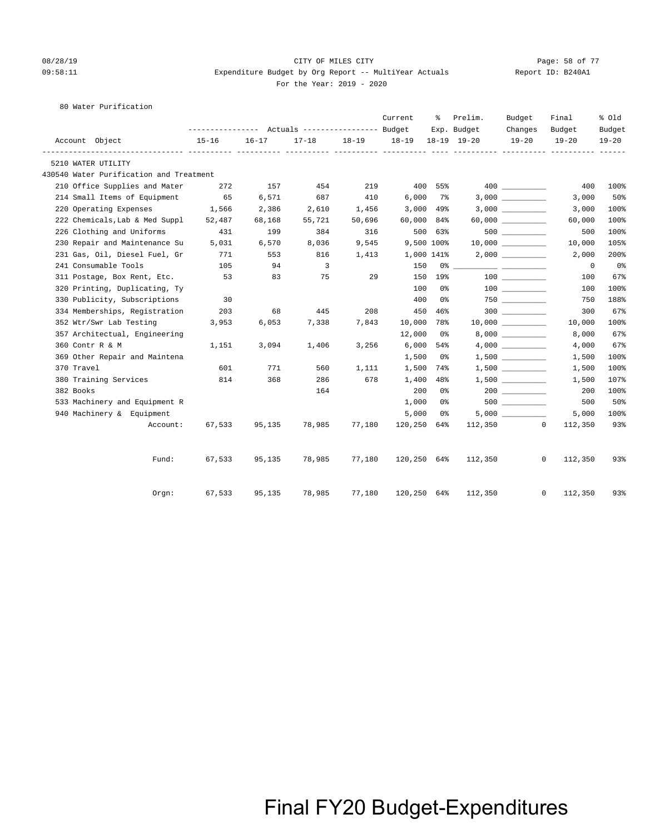#### 08/28/19 Page: 58 of 77 CITY OF MILES CITY CONTROL PAGE: 58 OF 77 09:58:11 Expenditure Budget by Org Report -- MultiYear Actuals Report ID: B240A1 For the Year: 2019 - 2020

80 Water Purification

|                                         |           |           |                                  |           | Current     | ႜ              | Prelim.     | Budget               | Final                   | % old          |
|-----------------------------------------|-----------|-----------|----------------------------------|-----------|-------------|----------------|-------------|----------------------|-------------------------|----------------|
|                                         |           |           | Actuals ----------------- Budget |           |             |                | Exp. Budget | Changes              | Budget                  | Budget         |
| Account Object                          | $15 - 16$ | $16 - 17$ | $17 - 18$                        | $18 - 19$ | 18-19       |                | 18-19 19-20 | $19 - 20$            | $19 - 20$               | $19 - 20$      |
| 5210 WATER UTILITY                      |           |           |                                  |           |             |                |             |                      |                         |                |
| 430540 Water Purification and Treatment |           |           |                                  |           |             |                |             |                      |                         |                |
| 210 Office Supplies and Mater           | 272       | 157       | 454                              | 219       |             | 400 55%        |             | 400 000              | 400                     | 100%           |
| 214 Small Items of Equipment            | 65        | 6,571     | 687                              | 410       | 6,000       | 7%             |             |                      | 3,000                   | 50%            |
| 220 Operating Expenses                  | 1,566     | 2,386     | 2,610                            | 1,456     | 3,000       | 49%            |             |                      | 3,000                   | 100%           |
| 222 Chemicals, Lab & Med Suppl          | 52,487    | 68,168    | 55,721                           | 50,696    | 60,000      | 84%            |             | $60,000$ ___________ | 60,000                  | 100%           |
| 226 Clothing and Uniforms               | 431       | 199       | 384                              | 316       |             | 500 63%        |             | $500$ __________     | 500                     | 100%           |
| 230 Repair and Maintenance Su           | 5,031     | 6,570     | 8,036                            | 9,545     | 9,500 100%  |                |             | 10,000               | 10,000                  | 105%           |
| 231 Gas, Oil, Diesel Fuel, Gr           | 771       | 553       | 816                              | 1,413     | 1,000 141%  |                |             |                      | 2,000                   | 200%           |
| 241 Consumable Tools                    | 105       | 94        | 3                                |           | 150         | 0 %            |             |                      | 0                       | 0 <sub>8</sub> |
| 311 Postage, Box Rent, Etc.             | 53        | 83        | 75                               | 29        | 150         | 19%            |             | 100 000              | 100                     | 67%            |
| 320 Printing, Duplicating, Ty           |           |           |                                  |           | 100         | 0 <sup>°</sup> |             | 100 000              | 100                     | 100%           |
| 330 Publicity, Subscriptions            | 30        |           |                                  |           | 400         | 0%             |             |                      | 750                     | 188%           |
| 334 Memberships, Registration           | 203       | 68        | 445                              | 208       | 450         | 46%            |             |                      | 300                     | 67%            |
| 352 Wtr/Swr Lab Testing                 | 3,953     | 6,053     | 7,338                            | 7,843     | 10,000      | 78%            |             |                      | 10,000                  | 100%           |
| 357 Architectual, Engineering           |           |           |                                  |           | 12,000      | 0 %            |             |                      | 8,000                   | 67%            |
| 360 Contr R & M                         | 1,151     | 3,094     | 1,406                            | 3,256     | 6,000       | 54%            |             | 4,000                | 4,000                   | 67%            |
| 369 Other Repair and Maintena           |           |           |                                  |           | 1,500       | 0%             |             |                      | 1,500                   | 100%           |
| 370 Travel                              | 601       | 771       | 560                              | 1,111     | 1,500       | 74%            |             |                      | 1,500                   | 100%           |
| 380 Training Services                   | 814       | 368       | 286                              | 678       | 1,400       | 48%            |             |                      | 1,500                   | 107%           |
| 382 Books                               |           |           | 164                              |           | 200         | 0 <sup>°</sup> |             |                      | 200                     | 100%           |
| 533 Machinery and Equipment R           |           |           |                                  |           | 1,000       | 0 %            |             |                      | 500                     | 50%            |
| 940 Machinery & Equipment               |           |           |                                  |           | 5,000       | 0 %            |             |                      | 5,000                   | 100%           |
| Account:                                | 67,533    | 95,135    | 78,985                           | 77,180    | 120,250     | 64%            | 112,350     |                      | $\circ$<br>112,350      | 93%            |
| Fund:                                   | 67,533    | 95,135    | 78,985                           | 77,180    | 120,250 64% |                | 112,350     |                      | $\mathbf{0}$<br>112,350 | 93%            |
| $0$ rgn:                                | 67,533    | 95,135    | 78,985                           | 77,180    | 120,250 64% |                | 112,350     |                      | $\mathbf{0}$<br>112,350 | 93%            |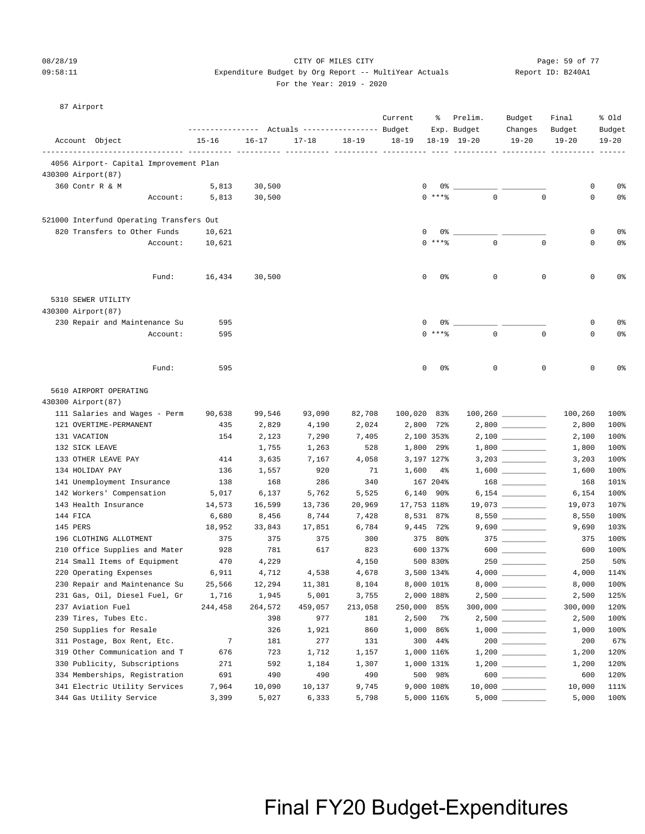#### 08/28/19 Page: 59 of 77 CITY OF MILES CITY CONTROL PAGE: 59 of 77 09:58:11 Expenditure Budget by Org Report -- MultiYear Actuals Report ID: B240A1 For the Year: 2019 - 2020

#### 87 Airport

|          |                                                        | ------------- |                | Actuals ----------------- Budget |                | Current   | ႜ                        | Prelim.<br>Exp. Budget | Budget<br>Changes         | Final<br>Budget            | % old<br>Budget |
|----------|--------------------------------------------------------|---------------|----------------|----------------------------------|----------------|-----------|--------------------------|------------------------|---------------------------|----------------------------|-----------------|
|          | Account Object                                         | $15 - 16$     | $16 - 17$      | $17 - 18$                        | $18 - 19$      | $18 - 19$ |                          | $18 - 19$ $19 - 20$    | $19 - 20$                 | $19 - 20$                  | $19 - 20$       |
|          | 4056 Airport- Capital Improvement Plan                 |               |                |                                  |                |           |                          |                        |                           |                            |                 |
|          | 430300 Airport (87)                                    |               |                |                                  |                |           |                          |                        |                           |                            |                 |
|          | 360 Contr R & M                                        | 5,813         | 30,500         |                                  |                |           | 0<br>0%                  |                        |                           | 0                          | 0 <sup>8</sup>  |
|          | Account:                                               | 5,813         | 30,500         |                                  |                |           | $0$ ****                 | $\mathbf 0$            |                           | $\mathbf 0$<br>$\mathbf 0$ | 0%              |
|          | 521000 Interfund Operating Transfers Out               |               |                |                                  |                |           |                          |                        |                           |                            |                 |
|          | 820 Transfers to Other Funds                           | 10,621        |                |                                  |                |           | 0%<br>0                  |                        |                           | 0                          | 0 <sup>8</sup>  |
|          | Account:                                               | 10,621        |                |                                  |                |           | $0***8$                  | $\mathbf 0$            |                           | $\mathbf 0$<br>0           | 0%              |
|          | Fund:                                                  | 16,434        | 30,500         |                                  |                |           | 0<br>0%                  | 0                      |                           | 0<br>0                     | 0%              |
|          |                                                        |               |                |                                  |                |           |                          |                        |                           |                            |                 |
|          | 5310 SEWER UTILITY                                     |               |                |                                  |                |           |                          |                        |                           |                            |                 |
|          | 430300 Airport (87)<br>230 Repair and Maintenance Su   | 595           |                |                                  |                |           | 0<br>0%                  |                        |                           | 0                          | 0%              |
|          | Account:                                               | 595           |                |                                  |                |           | $\Omega$<br>$***$ $%$    | $\mathbf 0$            | $\mathbf 0$               | 0                          | 0%              |
|          |                                                        |               |                |                                  |                |           |                          |                        |                           |                            |                 |
|          | Fund:                                                  | 595           |                |                                  |                |           | 0<br>0%                  | 0                      |                           | 0<br>$\mathbf 0$           | 0%              |
|          | 5610 AIRPORT OPERATING                                 |               |                |                                  |                |           |                          |                        |                           |                            |                 |
|          | 430300 Airport (87)                                    |               |                |                                  |                |           |                          |                        |                           |                            |                 |
|          | 111 Salaries and Wages - Perm                          | 90,638        | 99,546         | 93,090                           | 82,708         |           | 100,020 83%              |                        |                           | 100,260                    | 100%            |
|          | 121 OVERTIME-PERMANENT                                 | 435           | 2,829          | 4,190                            | 2,024          |           | 2,800 72%                |                        |                           | 2,800                      | 100%            |
|          | 131 VACATION                                           | 154           | 2,123          | 7,290                            | 7,405          |           | 2,100 353%               |                        | $2,100$ _________         | 2,100                      | 100%            |
|          | 132 SICK LEAVE                                         |               | 1,755          | 1,263                            | 528            |           | 1,800 29%                |                        | $1,800$ __________        | 1,800                      | 100%            |
|          | 133 OTHER LEAVE PAY                                    | 414           | 3,635          | 7,167                            | 4,058          |           | 3,197 127%               |                        |                           | 3,203                      | 100%            |
|          | 134 HOLIDAY PAY                                        | 136           | 1,557          | 920                              | 71             | 1,600     | $4\%$                    |                        |                           | 1,600                      | 100%            |
|          | 141 Unemployment Insurance                             | 138           | 168            | 286                              | 340            |           | 167 204%                 |                        |                           | 168                        | 101%            |
|          | 142 Workers' Compensation                              | 5,017         | 6,137          | 5,762                            | 5,525          |           | 6,140 90%                |                        |                           | 6,154                      | 100%            |
|          | 143 Health Insurance                                   | 14,573        | 16,599         | 13,736                           | 20,969         |           | 17,753 118%              |                        | 19,073 __________         | 19,073                     | 107%            |
| 144 FICA |                                                        | 6,680         | 8,456          | 8,744                            | 7,428          |           | 8,531 87%                |                        | 8,550 __________          | 8,550                      | 100%            |
| 145 PERS |                                                        | 18,952        | 33,843         | 17,851                           | 6,784          |           | 9,445 72%                |                        |                           | 9,690                      | 103%            |
|          | 196 CLOTHING ALLOTMENT                                 | 375           | 375            | 375                              | 300            |           | 375 80%                  |                        | $375$ __________<br>$600$ | 375                        | 100%            |
|          | 210 Office Supplies and Mater                          | 928           | 781            | 617                              | 823            |           | 600 137%<br>500 830%     |                        |                           | 600                        | 100%<br>50%     |
|          | 214 Small Items of Equipment<br>220 Operating Expenses | 470<br>6,911  | 4,229<br>4,712 | 4,538                            | 4,150<br>4,678 |           |                          |                        |                           | 250<br>4,000               | 114%            |
|          | 230 Repair and Maintenance Su                          | 25,566        | 12,294         | 11,381                           | 8,104          |           | 3,500 134%<br>8,000 101% | $8,000$ $\_\_$         |                           | 8,000                      | 100%            |
|          | 231 Gas, Oil, Diesel Fuel, Gr                          | 1,716         | 1,945          | 5,001                            | 3,755          |           | 2,000 188%               |                        |                           | 2,500                      | 125%            |
|          | 237 Aviation Fuel                                      | 244,458       | 264,572        | 459,057                          | 213,058        |           | 250,000 85%              |                        |                           | 300,000                    | 120%            |
|          | 239 Tires, Tubes Etc.                                  |               | 398            | 977                              | 181            | 2,500     | 7%                       |                        |                           | 2,500                      | 100%            |
|          | 250 Supplies for Resale                                |               | 326            | 1,921                            | 860            | 1,000     | 86%                      |                        |                           | 1,000                      | 100%            |
|          | 311 Postage, Box Rent, Etc.                            | 7             | 181            | 277                              | 131            |           | 300 44%                  |                        | $200$                     | 200                        | 67%             |
|          | 319 Other Communication and T                          | 676           | 723            | 1,712                            | 1,157          |           | 1,000 116%               |                        |                           | 1,200                      | 120%            |
|          | 330 Publicity, Subscriptions                           | 271           | 592            | 1,184                            | 1,307          |           | 1,000 131%               |                        |                           | 1,200                      | 120%            |
|          | 334 Memberships, Registration                          | 691           | 490            | 490                              | 490            |           | 500 98%                  |                        | $600$                     | 600                        | 120%            |
|          | 341 Electric Utility Services                          | 7,964         | 10,090         | 10,137                           | 9,745          |           | 9,000 108%               |                        |                           | 10,000                     | 111%            |
|          | 344 Gas Utility Service                                | 3,399         | 5,027          | 6,333                            | 5,798          |           | 5,000 116%               | $5,000$ $\_\_$         |                           | 5,000                      | 100%            |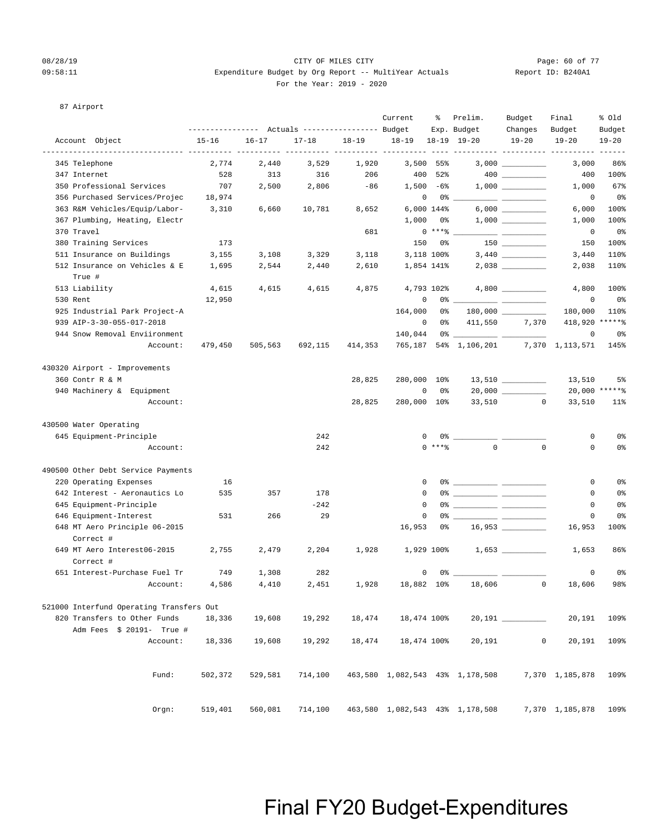#### 08/28/19 CITY OF MILES CITY Page: 60 of 77 09:58:11 Expenditure Budget by Org Report -- MultiYear Actuals Report ID: B240A1 For the Year: 2019 - 2020

#### 87 Airport

|                                            |           | --------------- Actuals ---------------- Budget |           |           | Current               | ႜ           | Prelim.                                                                                                                                                                                                                                                                                                                | Budget                      | Final               | % old               |
|--------------------------------------------|-----------|-------------------------------------------------|-----------|-----------|-----------------------|-------------|------------------------------------------------------------------------------------------------------------------------------------------------------------------------------------------------------------------------------------------------------------------------------------------------------------------------|-----------------------------|---------------------|---------------------|
| Account Object                             | $15 - 16$ | $16 - 17$                                       | $17 - 18$ | $18 - 19$ | $18 - 19$             |             | Exp. Budget<br>18-19 19-20                                                                                                                                                                                                                                                                                             | Changes<br>$19 - 20$        | Budget<br>$19 - 20$ | Budget<br>$19 - 20$ |
| 345 Telephone                              | 2,774     | 2,440                                           | 3,529     | 1,920     | ----- ---------- ---- | $3,500$ 55% |                                                                                                                                                                                                                                                                                                                        | ----------- ---------- ---- | 3,000               | $- - - -$<br>86%    |
| 347 Internet                               | 528       | 313                                             | 316       | 206       | 400                   | 52%         |                                                                                                                                                                                                                                                                                                                        | $400$ _________             | 400                 | 100%                |
| 350 Professional Services                  | 707       | 2,500                                           | 2,806     | $-86$     |                       | $1,500 -68$ |                                                                                                                                                                                                                                                                                                                        |                             | 1,000               | 67%                 |
| 356 Purchased Services/Projec              | 18,974    |                                                 |           |           | $\mathbf{0}$          | 0 %         |                                                                                                                                                                                                                                                                                                                        |                             | 0                   | 0%                  |
| 363 R&M Vehicles/Equip/Labor-              | 3,310     | 6,660                                           | 10,781    | 8,652     |                       | 6,000 144%  |                                                                                                                                                                                                                                                                                                                        |                             | 6,000               | 100%                |
| 367 Plumbing, Heating, Electr              |           |                                                 |           |           | 1,000                 | 0%          |                                                                                                                                                                                                                                                                                                                        |                             | 1,000               | 100%                |
| 370 Travel                                 |           |                                                 |           | 681       |                       | $0***$ $*$  |                                                                                                                                                                                                                                                                                                                        |                             | 0                   | 0%                  |
| 380 Training Services                      | 173       |                                                 |           |           | 150                   | 0 %         |                                                                                                                                                                                                                                                                                                                        |                             | 150                 | 100%                |
| 511 Insurance on Buildings                 | 3,155     | 3,108                                           | 3,329     | 3,118     |                       | 3,118 100%  |                                                                                                                                                                                                                                                                                                                        |                             | 3,440               | 110%                |
| 512 Insurance on Vehicles & E              | 1,695     | 2,544                                           | 2,440     | 2,610     |                       | 1,854 141%  |                                                                                                                                                                                                                                                                                                                        |                             | 2,038               | 110%                |
| True #                                     |           |                                                 |           |           |                       |             |                                                                                                                                                                                                                                                                                                                        |                             |                     |                     |
| 513 Liability                              | 4,615     | 4,615                                           | 4,615     | 4,875     |                       | 4,793 102%  |                                                                                                                                                                                                                                                                                                                        |                             | 4,800               | 100%                |
| 530 Rent                                   | 12,950    |                                                 |           |           | 0                     | $0\%$ _     |                                                                                                                                                                                                                                                                                                                        |                             | 0                   | 0 <sup>8</sup>      |
| 925 Industrial Park Project-A              |           |                                                 |           |           | 164,000               | 0 %         |                                                                                                                                                                                                                                                                                                                        |                             | 180,000             | 110%                |
| 939 AIP-3-30-055-017-2018                  |           |                                                 |           |           | $\mathbf 0$           | 0 %         | 411,550                                                                                                                                                                                                                                                                                                                | 7,370                       | 418,920 ******      |                     |
| 944 Snow Removal Enviironment              |           |                                                 |           |           | 140,044               |             | $0$ $\frac{1}{2}$ $\frac{1}{2}$ $\frac{1}{2}$ $\frac{1}{2}$ $\frac{1}{2}$ $\frac{1}{2}$ $\frac{1}{2}$ $\frac{1}{2}$ $\frac{1}{2}$ $\frac{1}{2}$ $\frac{1}{2}$ $\frac{1}{2}$ $\frac{1}{2}$ $\frac{1}{2}$ $\frac{1}{2}$ $\frac{1}{2}$ $\frac{1}{2}$ $\frac{1}{2}$ $\frac{1}{2}$ $\frac{1}{2}$ $\frac{1}{2}$ $\frac{1}{2$ |                             | $\mathbf 0$         | 0 <sup>8</sup>      |
| Account:                                   | 479,450   | 505,563                                         | 692,115   | 414,353   |                       |             | 765,187 54% 1,106,201                                                                                                                                                                                                                                                                                                  |                             | 7,370 1,113,571     | 145%                |
| 430320 Airport - Improvements              |           |                                                 |           |           |                       |             |                                                                                                                                                                                                                                                                                                                        |                             |                     |                     |
| 360 Contr R & M                            |           |                                                 |           | 28,825    | 280,000 10%           |             |                                                                                                                                                                                                                                                                                                                        |                             | 13,510              | 5%                  |
| 940 Machinery & Equipment                  |           |                                                 |           |           | 0                     | 0%          |                                                                                                                                                                                                                                                                                                                        |                             |                     | 20,000 ******       |
| Account:                                   |           |                                                 |           | 28,825    | 280,000 10%           |             | 33,510                                                                                                                                                                                                                                                                                                                 | $\circ$                     | 33,510              | $11$ %              |
| 430500 Water Operating                     |           |                                                 |           |           |                       |             |                                                                                                                                                                                                                                                                                                                        |                             |                     |                     |
| 645 Equipment-Principle                    |           |                                                 | 242       |           | 0                     |             | $0$ $\frac{1}{2}$ $\frac{1}{2}$ $\frac{1}{2}$ $\frac{1}{2}$ $\frac{1}{2}$ $\frac{1}{2}$ $\frac{1}{2}$ $\frac{1}{2}$ $\frac{1}{2}$ $\frac{1}{2}$ $\frac{1}{2}$ $\frac{1}{2}$ $\frac{1}{2}$ $\frac{1}{2}$ $\frac{1}{2}$ $\frac{1}{2}$ $\frac{1}{2}$ $\frac{1}{2}$ $\frac{1}{2}$ $\frac{1}{2}$ $\frac{1}{2}$ $\frac{1}{2$ |                             | 0                   | 0 <sup>8</sup>      |
| Account:                                   |           |                                                 | 242       |           |                       | $0$ ****    | $\mathbf 0$                                                                                                                                                                                                                                                                                                            | $\mathbf 0$                 | $\mathbf 0$         | 0 <sup>8</sup>      |
| 490500 Other Debt Service Payments         |           |                                                 |           |           |                       |             |                                                                                                                                                                                                                                                                                                                        |                             |                     |                     |
| 220 Operating Expenses                     | 16        |                                                 |           |           | 0                     |             |                                                                                                                                                                                                                                                                                                                        |                             | 0                   | 0 <sup>8</sup>      |
| 642 Interest - Aeronautics Lo              | 535       | 357                                             | 178       |           | $\mathbf 0$           |             |                                                                                                                                                                                                                                                                                                                        |                             | 0                   | 0 <sup>8</sup>      |
| 645 Equipment-Principle                    |           |                                                 | $-242$    |           | 0                     |             |                                                                                                                                                                                                                                                                                                                        |                             | 0                   | 0%                  |
| 646 Equipment-Interest                     | 531       | 266                                             | 29        |           | 0                     |             |                                                                                                                                                                                                                                                                                                                        |                             | 0                   | 0%                  |
| 648 MT Aero Principle 06-2015<br>Correct # |           |                                                 |           |           | 16,953                | 0%          |                                                                                                                                                                                                                                                                                                                        |                             | 16,953              | 100%                |
| 649 MT Aero Interest06-2015<br>Correct #   | 2,755     | 2,479                                           | 2,204     | 1,928     |                       | 1,929 100%  |                                                                                                                                                                                                                                                                                                                        |                             | 1,653               | 86%                 |
| 651 Interest-Purchase Fuel Tr              | 749       | 1,308                                           | 282       |           | 0                     | 0%          |                                                                                                                                                                                                                                                                                                                        |                             | 0                   | 0%                  |
| Account:                                   | 4,586     | 4,410                                           | 2,451     | 1,928     | 18,882 10%            |             | 18,606                                                                                                                                                                                                                                                                                                                 | $\Omega$                    | 18,606              | 98%                 |
| 521000 Interfund Operating Transfers Out   |           |                                                 |           |           |                       |             |                                                                                                                                                                                                                                                                                                                        |                             |                     |                     |
| 820 Transfers to Other Funds               | 18,336    | 19,608                                          | 19,292    | 18,474    | 18,474 100%           |             |                                                                                                                                                                                                                                                                                                                        |                             | 20,191              | 109%                |
| Adm Fees \$ 20191- True #                  |           |                                                 |           |           |                       |             |                                                                                                                                                                                                                                                                                                                        |                             |                     |                     |
| Account:                                   | 18,336    | 19,608                                          | 19,292    | 18,474    | 18,474 100%           |             | 20,191                                                                                                                                                                                                                                                                                                                 | 0                           | 20,191              | 109%                |
|                                            |           |                                                 |           |           |                       |             |                                                                                                                                                                                                                                                                                                                        |                             |                     |                     |
| Fund:                                      | 502,372   | 529,581                                         | 714,100   |           |                       |             | 463,580 1,082,543 43% 1,178,508                                                                                                                                                                                                                                                                                        |                             | 7,370 1,185,878     | 109%                |
| Orgn:                                      | 519,401   | 560,081                                         | 714,100   |           |                       |             | 463,580 1,082,543 43% 1,178,508                                                                                                                                                                                                                                                                                        |                             | 7,370 1,185,878     | 109%                |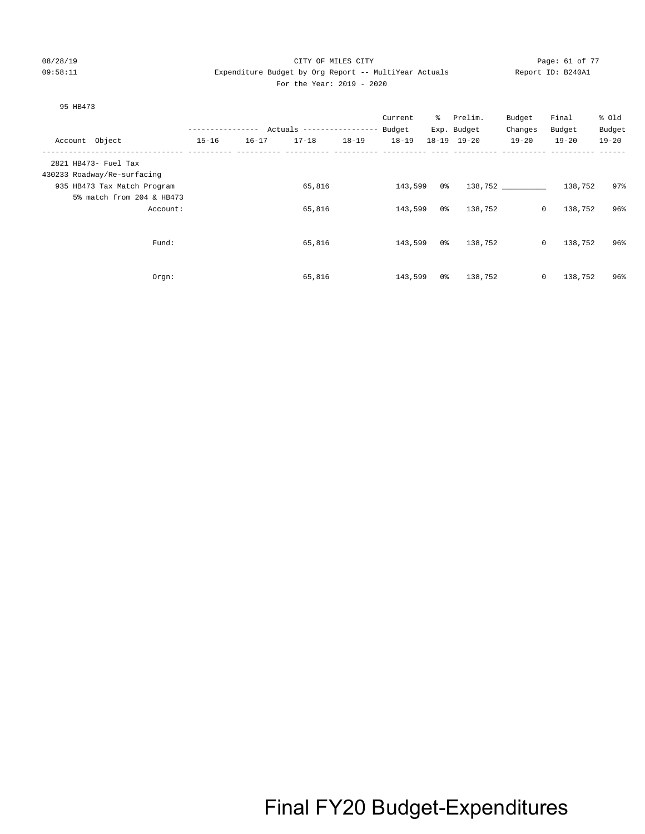#### 08/28/19 CITY OF MILES CITY Page: 61 of 77 09:58:11 Expenditure Budget by Org Report -- MultiYear Actuals Report ID: B240A1 For the Year: 2019 - 2020

#### 95 HB473

|                             |           |            |                           |           | Current   | ွေ  | Prelim.     | Budget    | Final                   | % Old     |
|-----------------------------|-----------|------------|---------------------------|-----------|-----------|-----|-------------|-----------|-------------------------|-----------|
|                             |           | ---------- | Actuals ----------------- |           | Budget    |     | Exp. Budget | Changes   | Budget                  | Budget    |
| Account Object              | $15 - 16$ | $16 - 17$  | $17 - 18$                 | $18 - 19$ | $18 - 19$ |     | 18-19 19-20 | $19 - 20$ | $19 - 20$               | $19 - 20$ |
| 2821 HB473- Fuel Tax        |           |            |                           |           |           |     |             |           |                         |           |
| 430233 Roadway/Re-surfacing |           |            |                           |           |           |     |             |           |                         |           |
| 935 HB473 Tax Match Program |           |            | 65,816                    |           | 143,599   | 0 % |             | 138,752   | 138,752                 | 97%       |
| 5% match from 204 & HB473   |           |            |                           |           |           |     |             |           |                         |           |
| Account:                    |           |            | 65,816                    |           | 143,599   | 0%  | 138,752     |           | $\mathsf{O}$<br>138,752 | 96%       |
|                             |           |            |                           |           |           |     |             |           |                         |           |
| Fund:                       |           |            | 65,816                    |           | 143,599   | 0 % | 138,752     |           | $\mathsf{O}$<br>138,752 | 96%       |
|                             |           |            |                           |           |           |     |             |           |                         |           |
|                             |           |            |                           |           |           |     |             |           |                         |           |
| Orgn:                       |           |            | 65,816                    |           | 143,599   | 0%  | 138,752     |           | $\mathsf{O}$<br>138,752 | 96%       |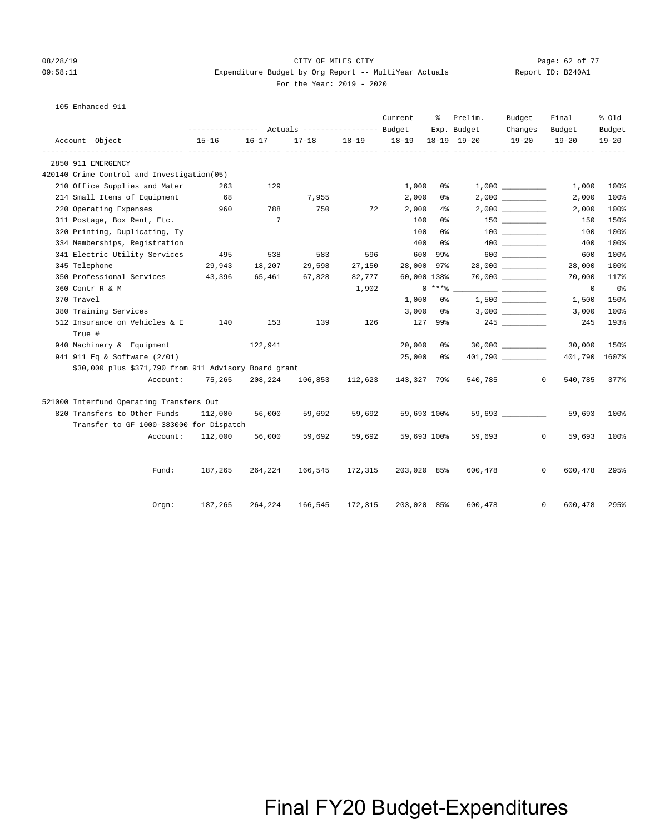#### 08/28/19 CITY OF MILES CITY Page: 62 of 77 09:58:11 Expenditure Budget by Org Report -- MultiYear Actuals Report ID: B240A1 For the Year: 2019 - 2020

|  | 105 Enhanced 911 |  |
|--|------------------|--|
|--|------------------|--|

|                                                       |          |                                      |                 |                                                     |           | Current     | ႜ       | Prelim.     | Budget    | Final                   | % old                     |
|-------------------------------------------------------|----------|--------------------------------------|-----------------|-----------------------------------------------------|-----------|-------------|---------|-------------|-----------|-------------------------|---------------------------|
|                                                       |          |                                      |                 |                                                     |           |             |         | Exp. Budget | Changes   | Budget                  | Budget                    |
| Account Object                                        |          | $15 - 16$<br>----------- ----------- | $16 - 17$       | $17 - 18$<br>----------- ---------- ---------- ---- | $18 - 19$ | $18 - 19$   |         | 18-19 19-20 | $19 - 20$ | $19 - 20$               | $19 - 20$<br>----- ------ |
| 2850 911 EMERGENCY                                    |          |                                      |                 |                                                     |           |             |         |             |           |                         |                           |
| 420140 Crime Control and Investigation(05)            |          |                                      |                 |                                                     |           |             |         |             |           |                         |                           |
| 210 Office Supplies and Mater                         |          | 263                                  | 129             |                                                     |           | 1,000       | 0 %     |             | 1,000     | 1,000                   | 100%                      |
| 214 Small Items of Equipment                          |          | 68                                   |                 | 7,955                                               |           | 2,000       | 0%      |             |           | 2,000                   | 100%                      |
| 220 Operating Expenses                                |          | 960                                  | 788             | 750                                                 | 72        | 2,000       | $4\%$   |             |           | 2,000                   | 100%                      |
| 311 Postage, Box Rent, Etc.                           |          |                                      | $7\phantom{.0}$ |                                                     |           | 100         | 0 %     |             |           | 150                     | 150%                      |
| 320 Printing, Duplicating, Ty                         |          |                                      |                 |                                                     |           | 100         | 0 %     |             |           | 100                     | 100%                      |
| 334 Memberships, Registration                         |          |                                      |                 |                                                     |           | 400         | 0 %     |             |           | 400                     | 100%                      |
| 341 Electric Utility Services                         |          | 495                                  | 538             | 583                                                 | 596       | 600         | 99%     |             | 600       | 600                     | 100%                      |
| 345 Telephone                                         |          | 29,943                               | 18,207          | 29,598                                              | 27,150    | 28,000      | 97%     |             |           | 28,000                  | 100%                      |
| 350 Professional Services                             |          | 43,396                               | 65,461          | 67,828                                              | 82,777    | 60,000 138% |         |             |           | 70,000                  | 117%                      |
| 360 Contr R & M                                       |          |                                      |                 |                                                     | 1,902     |             | $0***8$ |             |           | $\mathbf 0$             | $0\,$ s                   |
| 370 Travel                                            |          |                                      |                 |                                                     |           | 1,000       | 0%      |             | 1,500     | 1,500                   | 150%                      |
| 380 Training Services                                 |          |                                      |                 |                                                     |           | 3,000       | 0%      |             |           | 3,000                   | 100%                      |
| 512 Insurance on Vehicles & E                         |          | 140                                  | 153             | 139                                                 | 126       |             | 127 99% |             |           | 245                     | 193%                      |
| True #                                                |          |                                      |                 |                                                     |           |             |         |             |           |                         |                           |
| 940 Machinery & Equipment                             |          |                                      | 122,941         |                                                     |           | 20,000      | 0 %     |             |           | 30,000                  | 150%                      |
| 941 911 Eq & Software (2/01)                          |          |                                      |                 |                                                     |           | 25,000      | 0%      |             |           | 401,790                 | 1607%                     |
| \$30,000 plus \$371,790 from 911 Advisory Board grant |          |                                      |                 |                                                     |           |             |         |             |           |                         |                           |
|                                                       | Account: | 75,265                               | 208,224         | 106,853                                             | 112,623   | 143,327 79% |         | 540,785     |           | $\mathbf{0}$<br>540,785 | 377%                      |
| 521000 Interfund Operating Transfers Out              |          |                                      |                 |                                                     |           |             |         |             |           |                         |                           |
| 820 Transfers to Other Funds                          |          | 112,000                              | 56,000          | 59,692                                              | 59,692    | 59,693 100% |         |             | 59,693    | 59,693                  | 100%                      |
| Transfer to GF 1000-383000 for Dispatch               |          |                                      |                 |                                                     |           |             |         |             |           |                         |                           |
|                                                       | Account: | 112,000                              | 56,000          | 59,692                                              | 59,692    | 59,693 100% |         | 59,693      |           | $\mathbf{0}$<br>59,693  | 100%                      |
|                                                       | Fund:    | 187,265                              | 264,224         | 166,545                                             | 172,315   | 203,020 85% |         | 600,478     |           | $\mathbf{0}$<br>600,478 | 295%                      |
|                                                       |          |                                      |                 |                                                     |           |             |         |             |           |                         |                           |
|                                                       | Orgn:    | 187,265                              | 264,224         | 166,545                                             | 172,315   | 203,020 85% |         | 600,478     |           | $\mathbf{0}$<br>600,478 | 295%                      |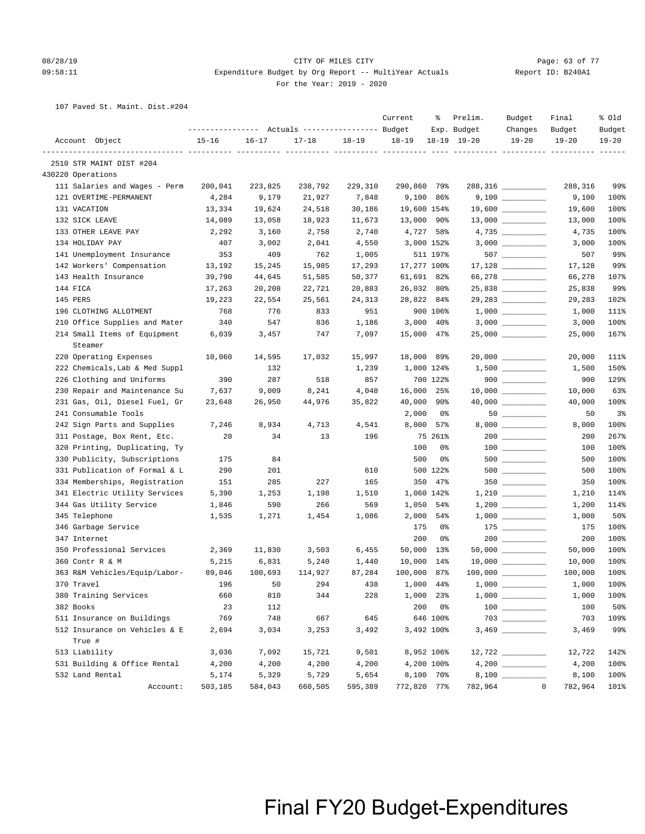#### 08/28/19 CITY OF MILES CITY Page: 63 of 77 09:58:11 Expenditure Budget by Org Report -- MultiYear Actuals Report ID: B240A1 For the Year: 2019 - 2020

107 Paved St. Maint. Dist.#204

|          |                                | ---------------- |           | Actuals ----------------- Budget |           | Current     | ႜ           | Prelim.<br>Exp. Budget | Budget<br>Changes                                                                           | Final<br>Budget        | % old<br>Budget |
|----------|--------------------------------|------------------|-----------|----------------------------------|-----------|-------------|-------------|------------------------|---------------------------------------------------------------------------------------------|------------------------|-----------------|
|          | Account Object                 | $15 - 16$        | $16 - 17$ | $17 - 18$                        | $18 - 19$ | $18 - 19$   |             | $18-19$ $19-20$        | $19 - 20$                                                                                   | $19 - 20$              | $19 - 20$       |
|          | 2510 STR MAINT DIST #204       |                  |           |                                  |           |             |             |                        |                                                                                             |                        |                 |
|          | 430220 Operations              |                  |           |                                  |           |             |             |                        |                                                                                             |                        |                 |
|          | 111 Salaries and Wages - Perm  | 200,041          | 223,825   | 238,792                          | 229,310   | 290,860 79% |             |                        |                                                                                             | 288,316                | 99%             |
|          | 121 OVERTIME-PERMANENT         | 4,284            | 9,179     | 21,927                           | 7,848     |             | $9,100$ 86% |                        |                                                                                             | 9,100                  | 100%            |
|          | 131 VACATION                   | 13,334           | 19,624    | 24,518                           | 30,186    | 19,600 154% |             |                        | $19,600$ _________                                                                          | 19,600                 | 100%            |
|          | 132 SICK LEAVE                 | 14,089           | 13,058    | 18,923                           | 11,673    | 13,000 90%  |             |                        | $13,000$ __________                                                                         | 13,000                 | 100%            |
|          | 133 OTHER LEAVE PAY            | 2,292            | 3,160     | 2,758                            | 2,740     | 4,727 58%   |             |                        | $4,735$ ___________                                                                         | 4,735                  | 100%            |
|          | 134 HOLIDAY PAY                | 407              | 3,002     | 2,041                            | 4,550     | 3,000 152%  |             |                        |                                                                                             | 3,000                  | 100%            |
|          | 141 Unemployment Insurance     | 353              | 409       | 762                              | 1,005     |             | 511 197%    |                        | $507$ __________                                                                            | 507                    | 99%             |
|          | 142 Workers' Compensation      | 13,192           | 15,245    | 15,985                           | 17,293    | 17,277 100% |             |                        | $17,128$ _________                                                                          | 17,128                 | 99%             |
|          | 143 Health Insurance           | 39,790           | 44,645    | 51,585                           | 50,377    | 61,691 82%  |             |                        | 66,278 __________                                                                           | 66,278                 | 107%            |
| 144 FICA |                                | 17,263           | 20,208    | 22,721                           | 20,883    | 26,032 80%  |             |                        |                                                                                             | 25,838                 | 99%             |
| 145 PERS |                                | 19,223           | 22,554    | 25,561                           | 24,313    | 28,822 84%  |             |                        | 29,283 _________                                                                            | 29,283                 | 102%            |
|          | 196 CLOTHING ALLOTMENT         | 768              | 776       | 833                              | 951       |             | 900 106%    |                        |                                                                                             | 1,000                  | 111%            |
|          | 210 Office Supplies and Mater  | 340              | 547       | 836                              | 1,186     |             | $3,000$ 40% |                        |                                                                                             | 3,000                  | 100%            |
|          | 214 Small Items of Equipment   | 6,039            | 3,457     | 747                              | 7,097     | 15,000 47%  |             |                        | $25,000$ ___________                                                                        | 25,000                 | 167%            |
|          | Steamer                        |                  |           |                                  |           |             |             |                        |                                                                                             |                        |                 |
|          | 220 Operating Expenses         | 10,060           | 14,595    | 17,032                           | 15,997    | 18,000 89%  |             |                        |                                                                                             | 20,000                 | 111%            |
|          | 222 Chemicals, Lab & Med Suppl |                  | 132       |                                  | 1,239     | 1,000 124%  |             |                        | $1,500$ _________                                                                           | 1,500                  | 150%            |
|          | 226 Clothing and Uniforms      | 390              | 287       | 518                              | 857       |             | 700 122%    |                        | $900$                                                                                       | 900                    | 129%            |
|          | 230 Repair and Maintenance Su  | 7,637            | 9,009     | 8,241                            | 4,048     | 16,000 25%  |             |                        |                                                                                             | 10,000                 | 63%             |
|          | 231 Gas, Oil, Diesel Fuel, Gr  | 23,648           | 26,950    | 44,976                           | 35,822    | 40,000 90%  |             |                        | 40,000 __________                                                                           | 40,000                 | 100%            |
|          | 241 Consumable Tools           |                  |           |                                  |           | 2,000       | 0 %         |                        |                                                                                             | 50                     | 3 <sup>°</sup>  |
|          | 242 Sign Parts and Supplies    | 7,246            | 8,934     | 4,713                            | 4,541     | 8,000       | 57%         |                        |                                                                                             | 8,000                  | 100%            |
|          | 311 Postage, Box Rent, Etc.    | 20               | 34        | 13                               | 196       |             | 75 261%     |                        | $200$ ________                                                                              | 200                    | 267%            |
|          | 320 Printing, Duplicating, Ty  |                  |           |                                  |           | 100         | 0%          |                        |                                                                                             | 100                    | 100%            |
|          | 330 Publicity, Subscriptions   | 175              | 84        |                                  |           | 500         | 0%          |                        | $500$                                                                                       | 500                    | 100%            |
|          | 331 Publication of Formal & L  | 290              | 201       |                                  | 610       |             | 500 122%    |                        |                                                                                             | 500                    | 100%            |
|          | 334 Memberships, Registration  | 151              | 285       | 227                              | 165       | 350         | 47%         |                        |                                                                                             | 350                    | 100%            |
|          | 341 Electric Utility Services  | 5,390            | 1,253     | 1,198                            | 1,510     |             | 1,060 142%  |                        |                                                                                             | 1,210                  | 114%            |
|          | 344 Gas Utility Service        | 1,846            | 590       | 266                              | 569       | 1,050 54%   |             |                        |                                                                                             | 1,200                  | 114%            |
|          | 345 Telephone                  | 1,535            | 1,271     | 1,454                            | 1,086     | 2,000       | 54%         |                        | $1\, , \, 0\, 0\, 0 \quad \underline{\hspace{1cm}} \rule{2.5cm}{0.4cm} \rule{2.5cm}{0.4cm}$ | 1,000                  | 50%             |
|          | 346 Garbage Service            |                  |           |                                  |           | 175         | 0%          |                        |                                                                                             | 175                    | 100%            |
|          | 347 Internet                   |                  |           |                                  |           | 200         | 0%          |                        | $200$ ________                                                                              | 200                    | 100%            |
|          | 350 Professional Services      | 2,369            | 11,830    | 3,503                            | 6,455     | 50,000 13%  |             |                        |                                                                                             | 50,000                 | 100%            |
|          | 360 Contr R & M                | 5,215            | 6,831     | 5,240                            | 1,440     | 10,000 14%  |             |                        | $10,000$ __________                                                                         | 10,000                 | 100%            |
|          | 363 R&M Vehicles/Equip/Labor-  | 89,046           | 100,693   | 114,927                          | 87,284    | 100,000 87% |             |                        |                                                                                             | 100,000                | 100%            |
|          | 370 Travel                     | 196              | 50        | 294                              | 438       | 1,000 44%   |             | $1,000$ $\_\_$         |                                                                                             | 1,000                  | 100%            |
|          | 380 Training Services          | 660              | 810       | 344                              | 228       |             | 1,000 23%   |                        |                                                                                             | 1,000                  | 100%            |
|          | 382 Books                      | 23               | 112       |                                  |           | 200         | $0\,$ s     |                        | $\begin{tabular}{c} 100 \end{tabular}$                                                      | 100                    | 50%             |
|          | 511 Insurance on Buildings     | 769              | 748       | 667                              | 645       |             | 646 100%    |                        |                                                                                             | 703                    | 109%            |
|          | 512 Insurance on Vehicles & E  | 2,694            | 3,034     | 3,253                            | 3,492     |             | 3,492 100%  |                        |                                                                                             | 3,469                  | 99%             |
|          | True #                         |                  |           |                                  |           |             |             |                        |                                                                                             |                        |                 |
|          | 513 Liability                  | 3,036            | 7,092     | 15,721                           | 9,501     |             | 8,952 106%  |                        |                                                                                             | 12,722                 | 142%            |
|          | 531 Building & Office Rental   | 4,200            | 4,200     | 4,200                            | 4,200     |             | 4,200 100%  |                        |                                                                                             | 4,200                  | 100%            |
|          | 532 Land Rental                | 5,174            | 5,329     | 5,729                            | 5,654     |             | 8,100 70%   |                        |                                                                                             | 8,100                  | 100%            |
|          | Account:                       | 503,185          | 584,043   | 660,505                          | 595,389   | 772,820 77% |             | 782,964                |                                                                                             | $\mathbf 0$<br>782,964 | 101%            |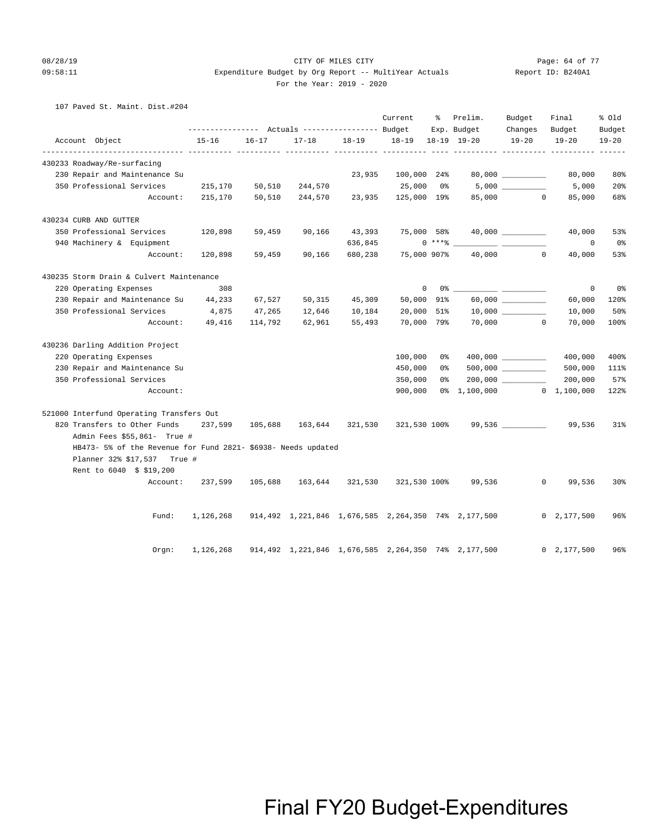### 08/28/19 Page: 64 of 77 CHTY OF MILES CITY 09:58:11 Expenditure Budget by Org Report -- MultiYear Actuals Report ID: B240A1

#### For the Year: 2019 - 2020

107 Paved St. Maint. Dist.#204

|                                                               |           |           |           |           | Current      | ៖       | Prelim.                                                  | Budget                | Final          | % old           |
|---------------------------------------------------------------|-----------|-----------|-----------|-----------|--------------|---------|----------------------------------------------------------|-----------------------|----------------|-----------------|
|                                                               |           |           |           |           |              |         | Exp. Budget                                              | Changes               | Budget         | Budget          |
| Account Object                                                | $15 - 16$ | $16 - 17$ | $17 - 18$ | $18 - 19$ | $18 - 19$    |         | 18-19 19-20                                              | $19 - 20$             | $19 - 20$      | $19 - 20$       |
| 430233 Roadway/Re-surfacing                                   |           |           |           |           |              |         |                                                          |                       |                |                 |
| 230 Repair and Maintenance Su                                 |           |           |           | 23,935    | 100,000 24%  |         |                                                          | $80,000$ _________    | 80,000         | 80%             |
| 350 Professional Services                                     | 215,170   | 50,510    | 244,570   |           | 25,000       | 0%      |                                                          |                       | 5,000          | 20%             |
| Account:                                                      | 215,170   | 50,510    | 244,570   | 23,935    | 125,000 19%  |         |                                                          | 85,000 0              | 85,000         | 68%             |
| 430234 CURB AND GUTTER                                        |           |           |           |           |              |         |                                                          |                       |                |                 |
| 350 Professional Services                                     | 120,898   | 59,459    | 90,166    | 43,393    | 75,000 58%   |         |                                                          |                       | 40,000         | 53%             |
| 940 Machinery & Equipment                                     |           |           |           | 636,845   |              | $0***8$ |                                                          |                       | $\circ$        | 0%              |
| Account:                                                      | 120,898   | 59,459    | 90,166    | 680,238   | 75,000 907%  |         |                                                          | 40,000<br>$\circ$     | 40,000         | 53%             |
| 430235 Storm Drain & Culvert Maintenance                      |           |           |           |           |              |         |                                                          |                       |                |                 |
| 220 Operating Expenses                                        | 308       |           |           |           | $\mathbf 0$  |         | 0 %                                                      |                       | $\mathbf 0$    | 0%              |
| 230 Repair and Maintenance Su 44,233                          |           | 67,527    | 50,315    | 45,309    | 50,000 91%   |         |                                                          | $60,000$ ____________ | 60,000         | 120%            |
| 350 Professional Services                                     | 4,875     | 47,265    | 12,646    | 10,184    | 20,000       | 51%     |                                                          |                       | 10,000         | 50%             |
| Account:                                                      | 49,416    | 114,792   | 62,961    | 55,493    | 70,000 79%   |         |                                                          | 70,000 0              | 70,000         | 100%            |
| 430236 Darling Addition Project                               |           |           |           |           |              |         |                                                          |                       |                |                 |
| 220 Operating Expenses                                        |           |           |           |           | 100,000      | 0 %     |                                                          | $400,000$ __________  | 400,000        | 400%            |
| 230 Repair and Maintenance Su                                 |           |           |           |           | 450,000      | 0 %     |                                                          | $500,000$ ___________ | 500,000        | 111%            |
| 350 Professional Services                                     |           |           |           |           | 350,000      | 0 %     |                                                          |                       | 200,000        | 57%             |
| Account:                                                      |           |           |           |           | 900,000      |         | 0% 1,100,000 0 1,100,000                                 |                       |                | 122%            |
| 521000 Interfund Operating Transfers Out                      |           |           |           |           |              |         |                                                          |                       |                |                 |
| 820 Transfers to Other Funds                                  | 237,599   | 105,688   | 163,644   | 321,530   |              |         | 321,530 100% 99,536 _________                            |                       | 99,536         | 31%             |
| Admin Fees \$55,861- True #                                   |           |           |           |           |              |         |                                                          |                       |                |                 |
| HB473- 5% of the Revenue for Fund 2821- \$6938- Needs updated |           |           |           |           |              |         |                                                          |                       |                |                 |
| Planner 32% \$17,537 True #                                   |           |           |           |           |              |         |                                                          |                       |                |                 |
| Rent to 6040 \$ \$19,200                                      |           |           |           |           |              |         |                                                          |                       |                |                 |
| Account:                                                      | 237,599   | 105,688   | 163,644   | 321,530   | 321,530 100% |         | 99,536                                                   | $\mathbf{0}$          | 99,536         | 30 <sub>8</sub> |
| Fund:                                                         | 1,126,268 |           |           |           |              |         | 914,492  1,221,846  1,676,585  2,264,350  74%  2,177,500 |                       | 0, 2, 177, 500 | 96%             |
| Orgn:                                                         | 1,126,268 |           |           |           |              |         | 914,492 1,221,846 1,676,585 2,264,350 74% 2,177,500      |                       | 0, 2, 177, 500 | 96%             |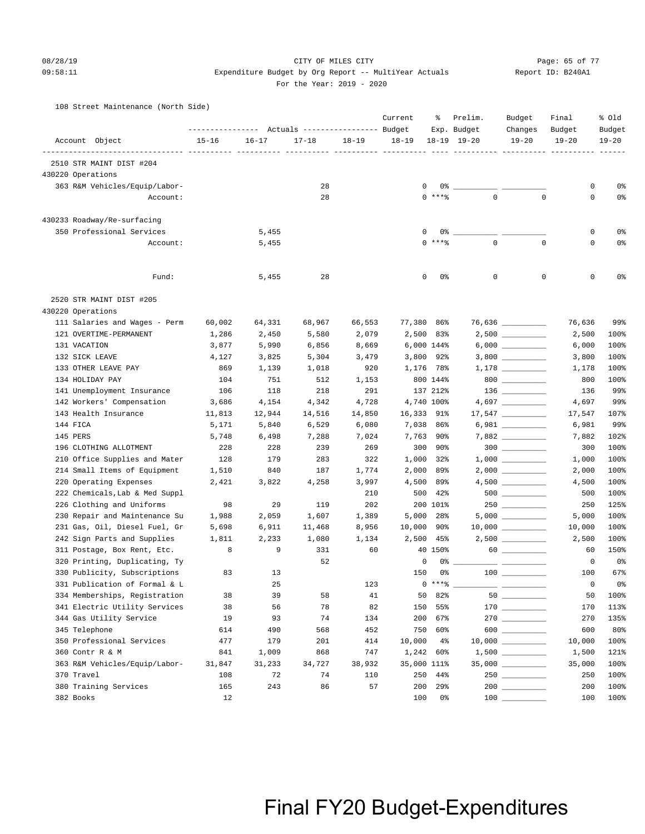#### 08/28/19 Page: 65 of 77 CITY OF MILES CITY CONTROL PAGE: 65 of 77

#### 09:58:11 Expenditure Budget by Org Report -- MultiYear Actuals Report ID: B240A1 For the Year: 2019 - 2020

108 Street Maintenance (North Side)

|                                |           |           | Actuals ----------------- Budget |           | Current     | ႜ           | Prelim.<br>Exp. Budget | Budget<br>Changes                      | Final<br>Budget | % old<br>Budget |
|--------------------------------|-----------|-----------|----------------------------------|-----------|-------------|-------------|------------------------|----------------------------------------|-----------------|-----------------|
| Account Object                 | $15 - 16$ | $16 - 17$ | $17 - 18$                        | $18 - 19$ | $18 - 19$   |             | 18-19 19-20            | $19 - 20$                              | $19 - 20$       | $19 - 20$       |
| 2510 STR MAINT DIST #204       |           |           | -----------------------          |           |             |             | ----------- ---------- |                                        |                 |                 |
| 430220 Operations              |           |           |                                  |           |             |             |                        |                                        |                 |                 |
| 363 R&M Vehicles/Equip/Labor-  |           |           | 28                               |           | 0           | 0%          |                        |                                        | 0               | 0%              |
| Account:                       |           |           | 28                               |           |             | $0***$      | $\mathbf 0$            | $\mathbf 0$                            | 0               | 0%              |
|                                |           |           |                                  |           |             |             |                        |                                        |                 |                 |
| 430233 Roadway/Re-surfacing    |           |           |                                  |           |             |             |                        |                                        |                 |                 |
| 350 Professional Services      |           | 5,455     |                                  |           | 0           |             | 0 %                    |                                        | 0               | 0%              |
| Account:                       |           | 5,455     |                                  |           |             | $0***$      | $\mathbf 0$            | $\mathbf 0$                            | $\mathbf 0$     | 0%              |
| Fund:                          |           | 5,455     | 28                               |           | 0           | 0%          | 0                      | 0                                      | $\mathbf 0$     | 0%              |
| 2520 STR MAINT DIST #205       |           |           |                                  |           |             |             |                        |                                        |                 |                 |
| 430220 Operations              |           |           |                                  |           |             |             |                        |                                        |                 |                 |
| 111 Salaries and Wages - Perm  | 60,002    | 64,331    | 68,967                           | 66,553    | 77,380 86%  |             |                        | 76,636                                 | 76,636          | 99%             |
| 121 OVERTIME-PERMANENT         | 1,286     | 2,450     | 5,580                            | 2,079     |             | 2,500 83%   |                        |                                        | 2,500           | 100%            |
| 131 VACATION                   | 3,877     | 5,990     | 6,856                            | 8,669     |             | 6,000 144%  |                        |                                        | 6,000           | 100%            |
| 132 SICK LEAVE                 | 4,127     | 3,825     | 5,304                            | 3,479     |             | $3,800$ 92% |                        |                                        | 3,800           | 100%            |
| 133 OTHER LEAVE PAY            | 869       | 1,139     | 1,018                            | 920       |             | 1,176 78%   |                        | $1,178 \ \ \underline{\hspace{1.5cm}}$ | 1,178           | 100%            |
| 134 HOLIDAY PAY                | 104       | 751       | 512                              | 1,153     |             | 800 144%    |                        | $800$                                  | 800             | 100%            |
| 141 Unemployment Insurance     | 106       | 118       | 218                              | 291       |             | 137 212%    |                        |                                        | 136             | 99%             |
| 142 Workers' Compensation      | 3,686     | 4,154     | 4,342                            | 4,728     |             | 4,740 100%  |                        |                                        | 4,697           | 99%             |
| 143 Health Insurance           | 11,813    | 12,944    | 14,516                           | 14,850    | 16,333 91%  |             |                        | $17,547$ _________                     | 17,547          | 107%            |
| 144 FICA                       | 5,171     | 5,840     | 6,529                            | 6,080     | 7,038       | 86%         |                        |                                        | 6,981           | 99%             |
| 145 PERS                       | 5,748     | 6,498     | 7,288                            | 7,024     |             | 7,763 90%   |                        |                                        | 7,882           | 102%            |
| 196 CLOTHING ALLOTMENT         | 228       | 228       | 239                              | 269       | 300         | 90%         |                        |                                        | 300             | 100%            |
| 210 Office Supplies and Mater  | 128       | 179       | 283                              | 322       | 1,000       | 32%         |                        |                                        | 1,000           | 100%            |
| 214 Small Items of Equipment   | 1,510     | 840       | 187                              | 1,774     | 2,000       | 89%         |                        |                                        | 2,000           | 100%            |
| 220 Operating Expenses         | 2,421     | 3,822     | 4,258                            | 3,997     | 4,500       | 89%         |                        |                                        | 4,500           | 100%            |
| 222 Chemicals, Lab & Med Suppl |           |           |                                  | 210       | 500         | 42%         |                        |                                        | 500             | 100%            |
| 226 Clothing and Uniforms      | 98        | 29        | 119                              | 202       |             | 200 101%    |                        |                                        | 250             | 125%            |
| 230 Repair and Maintenance Su  | 1,988     | 2,059     | 1,607                            | 1,389     | 5,000       | 28%         |                        | $5,000$ __________                     | 5,000           | 100%            |
| 231 Gas, Oil, Diesel Fuel, Gr  | 5,698     | 6,911     | 11,468                           | 8,956     | 10,000      | 90%         |                        | $10,000$ _________                     | 10,000          | 100%            |
| 242 Sign Parts and Supplies    | 1,811     | 2,233     | 1,080                            | 1,134     | 2,500       | 45%         |                        | $2,500$ __________                     | 2,500           | 100%            |
| 311 Postage, Box Rent, Etc.    | 8         | 9         | 331                              | 60        |             | 40 150%     |                        | 60                                     | 60              | 150%            |
| 320 Printing, Duplicating, Ty  |           |           | 52                               |           | 0           | 0%          |                        |                                        | 0               | 0 <sup>o</sup>  |
| 330 Publicity, Subscriptions   | 83        | 13        |                                  |           | 150         | 0%          |                        |                                        | 100             | 67%             |
| 331 Publication of Formal & L  |           | 25        |                                  | 123       |             | $0***8$     |                        |                                        | 0               | 0 <sup>°</sup>  |
| 334 Memberships, Registration  | 38        | 39        | 58                               | 41        | 50          | 82%         |                        |                                        | 50              | 100%            |
| 341 Electric Utility Services  | 38        | 56        | 78                               | 82        | 150         | 55%         |                        |                                        | 170             | 113%            |
| 344 Gas Utility Service        | 19        | 93        | 74                               | 134       | 200         | 67%         |                        | 270                                    | 270             | 135%            |
| 345 Telephone                  | 614       | 490       | 568                              | 452       | 750         | 60%         |                        | $600$                                  | 600             | 80%             |
| 350 Professional Services      | 477       | 179       | 201                              | 414       | 10,000      | $4\%$       |                        | $10,000$ _________                     | 10,000          | 100%            |
| 360 Contr R & M                | 841       | 1,009     | 868                              | 747       | 1,242       | 60%         |                        |                                        | 1,500           | 121%            |
| 363 R&M Vehicles/Equip/Labor-  | 31,847    | 31,233    | 34,727                           | 38,932    | 35,000 111% |             |                        | $35,000$ _________                     | 35,000          | 100%            |
| 370 Travel                     | 108       | 72        | 74                               | 110       | 250         | 44%         |                        | $250$ _________                        | 250             | 100%            |
| 380 Training Services          | 165       | 243       | 86                               | 57        | 200         | 29%         |                        | $200$ _________                        | 200             | 100%            |
| 382 Books                      | 12        |           |                                  |           | 100         | 0%          |                        |                                        | 100             | 100%            |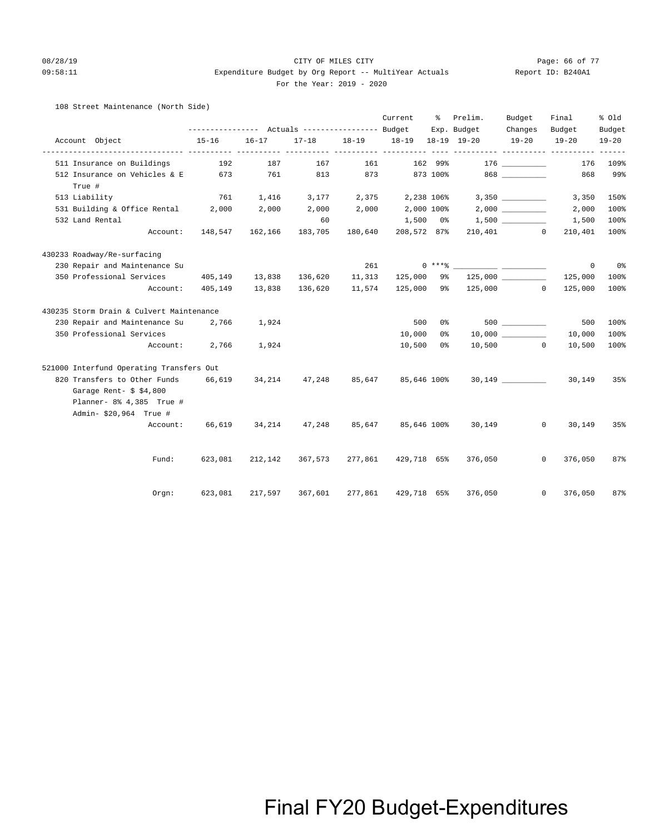#### 08/28/19 CITY OF MILES CITY Page: 66 of 77 09:58:11 Expenditure Budget by Org Report -- MultiYear Actuals Report ID: B240A1 For the Year: 2019 - 2020

#### 108 Street Maintenance (North Side)

|                                          |                                                 |                |                                 |         | Current                            | ႜႜၟ      | Prelim.                                  | Budget      | Final                                         | % Old     |
|------------------------------------------|-------------------------------------------------|----------------|---------------------------------|---------|------------------------------------|----------|------------------------------------------|-------------|-----------------------------------------------|-----------|
|                                          | --------------- Actuals ---------------- Budget |                |                                 |         |                                    |          | Exp. Budget                              | Changes     | Budget                                        | Budget    |
| Account Object                           | $15 - 16$                                       | $16 - 17$      |                                 |         | 17-18 18-19 18-19 18-19 19-20<br>. |          |                                          | $19 - 20$   | $19 - 20$<br>----------- ---------- --------- | $19 - 20$ |
| 511 Insurance on Buildings               | 192                                             | 187            | 167                             | 161     |                                    | 162 99%  |                                          | 176         | 176                                           | 109%      |
| 512 Insurance on Vehicles & E 673        |                                                 | 761            | 813                             | 873     |                                    | 873 100% |                                          | 868 300     | 868                                           | 99%       |
| True #                                   |                                                 |                |                                 |         |                                    |          |                                          |             |                                               |           |
| 513 Liability                            | 761                                             |                | 1,416 3,177 2,375 2,238 106%    |         |                                    |          |                                          |             | 3,350                                         | 150%      |
| 531 Building & Office Rental 2,000       |                                                 | 2,000          | $2,000$ $2,000$ $2,000$ $100\%$ |         |                                    |          |                                          | 2,000       | 2,000                                         | 100%      |
| 532 Land Rental                          |                                                 |                | 60                              |         |                                    |          | $1,500$ 0% $1,500$ <u>______________</u> |             | 1,500                                         | 100%      |
|                                          | Account: 148,547 162,166 183,705                |                |                                 | 180,640 | 208,572 87%                        |          |                                          | $210,401$ 0 | 210,401                                       | 100%      |
| 430233 Roadway/Re-surfacing              |                                                 |                |                                 |         |                                    |          |                                          |             |                                               |           |
| 230 Repair and Maintenance Su            |                                                 |                |                                 | 261     |                                    |          | $0***$ $\frac{1}{1}$                     |             | $\circ$                                       | 0%        |
| 350 Professional Services                | 405,149                                         | 13,838 136,620 |                                 | 11,313  | 125,000                            | 9%       |                                          | 125,000     | 125,000                                       | 100%      |
| Account:                                 | 405,149                                         | 13,838         | 136,620                         | 11,574  |                                    |          | 125,000 9% 125,000 0                     |             | 125,000                                       | 100%      |
| 430235 Storm Drain & Culvert Maintenance |                                                 |                |                                 |         |                                    |          |                                          |             |                                               |           |
| 230 Repair and Maintenance Su 2,766      |                                                 | 1,924          |                                 |         | 500                                | 0%       |                                          | 500 000     | 500                                           | 100%      |
| 350 Professional Services                |                                                 |                |                                 |         | 10,000                             | 0 %      |                                          |             | 10,000                                        | 100%      |
| Account:                                 | 2,766                                           | 1,924          |                                 |         | 10,500                             | 0 응      |                                          | 10,500 0    | 10,500                                        | 100%      |
| 521000 Interfund Operating Transfers Out |                                                 |                |                                 |         |                                    |          |                                          |             |                                               |           |
| 820 Transfers to Other Funds             | 66,619                                          | 34,214         | 47,248                          | 85,647  | 85,646 100%                        |          |                                          |             | 30,149                                        | 35%       |
| Garage Rent- $$ 4,800$                   |                                                 |                |                                 |         |                                    |          |                                          |             |                                               |           |
| Planner- 8% 4,385 True #                 |                                                 |                |                                 |         |                                    |          |                                          |             |                                               |           |
| Admin- \$20,964 True #                   |                                                 |                |                                 |         |                                    |          |                                          |             |                                               |           |
| Account:                                 | 66,619                                          | 34,214         | 47,248                          | 85,647  | 85,646 100%                        |          | 30,149                                   | $\circ$     | 30,149                                        | 35%       |
|                                          |                                                 |                |                                 |         |                                    |          |                                          |             |                                               |           |
| Fund:                                    | 623,081                                         | 212,142        | 367,573                         |         | 277,861 429,718 65%                |          | 376,050                                  |             | 376,050<br>$\mathbf{0}$                       | 87%       |
| Orgn:                                    | 623,081                                         | 217,597        | 367,601                         | 277,861 | 429,718 65%                        |          | 376,050                                  | $\mathbf 0$ | 376,050                                       | 87%       |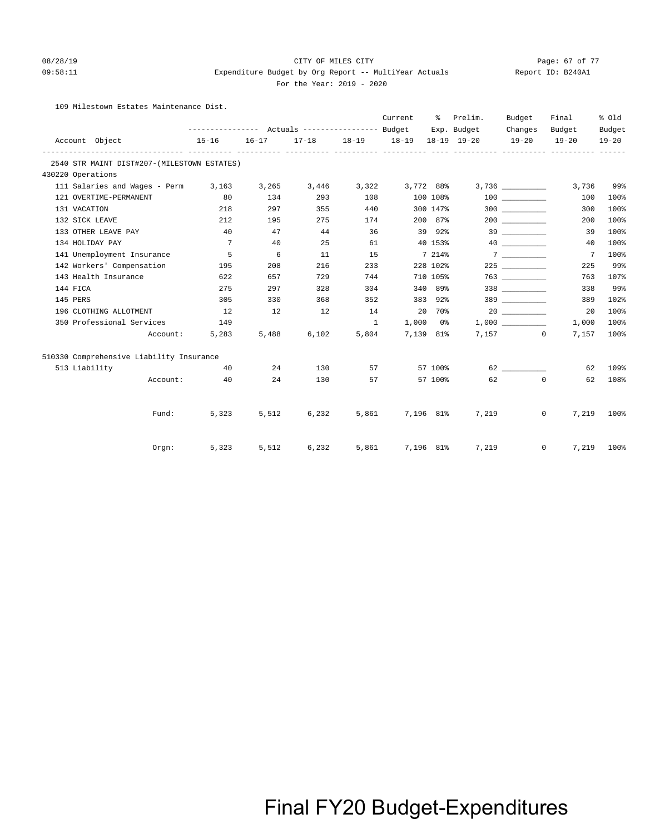### 08/28/19 CITY OF MILES CITY Page: 67 of 77

#### 09:58:11 Expenditure Budget by Org Report -- MultiYear Actuals Report ID: B240A1 For the Year: 2019 - 2020

109 Milestown Estates Maintenance Dist.

|                   |                                             |                 |           |             |               | Current                       |          | % Prelim.   | Budget                                                                                                                                                                                                                                                                                                                                                                                                                                                                                                                                                                                                          | Final                      | % Old     |
|-------------------|---------------------------------------------|-----------------|-----------|-------------|---------------|-------------------------------|----------|-------------|-----------------------------------------------------------------------------------------------------------------------------------------------------------------------------------------------------------------------------------------------------------------------------------------------------------------------------------------------------------------------------------------------------------------------------------------------------------------------------------------------------------------------------------------------------------------------------------------------------------------|----------------------------|-----------|
|                   |                                             |                 |           |             |               |                               |          | Exp. Budget | Changes                                                                                                                                                                                                                                                                                                                                                                                                                                                                                                                                                                                                         | Budget                     | Budget    |
| Account Object    |                                             | $15 - 16$       | $16 - 17$ |             |               | 17-18 18-19 18-19 18-19 19-20 |          |             | $19 - 20$                                                                                                                                                                                                                                                                                                                                                                                                                                                                                                                                                                                                       | $19 - 20$                  | $19 - 20$ |
|                   | 2540 STR MAINT DIST#207-(MILESTOWN ESTATES) |                 |           |             |               |                               |          |             |                                                                                                                                                                                                                                                                                                                                                                                                                                                                                                                                                                                                                 |                            |           |
| 430220 Operations |                                             |                 |           |             |               |                               |          |             |                                                                                                                                                                                                                                                                                                                                                                                                                                                                                                                                                                                                                 |                            |           |
|                   | 111 Salaries and Wages - Perm 3,163         |                 | 3,265     |             |               | 3,446 3,322 3,772 88%         |          |             |                                                                                                                                                                                                                                                                                                                                                                                                                                                                                                                                                                                                                 | 3,736                      | 99%       |
|                   | 121 OVERTIME-PERMANENT                      | 80              | 134       | 293         | 108           |                               | 100 108% |             |                                                                                                                                                                                                                                                                                                                                                                                                                                                                                                                                                                                                                 | 100                        | 100%      |
| 131 VACATION      |                                             | 218             | 297       | 355         | 440           |                               | 300 147% |             | 300                                                                                                                                                                                                                                                                                                                                                                                                                                                                                                                                                                                                             | 300                        | 100%      |
| 132 SICK LEAVE    |                                             | 212             | 195       | 275         | 174           |                               | 200 87%  |             |                                                                                                                                                                                                                                                                                                                                                                                                                                                                                                                                                                                                                 | 200                        | 100%      |
|                   | 133 OTHER LEAVE PAY                         | 40              | 47        | 44          | 36            |                               | 39 92%   |             | 39                                                                                                                                                                                                                                                                                                                                                                                                                                                                                                                                                                                                              | 39                         | 100%      |
| 134 HOLIDAY PAY   |                                             | $7\overline{ }$ | 40        | 25          | 61            |                               | 40 153%  |             | 40                                                                                                                                                                                                                                                                                                                                                                                                                                                                                                                                                                                                              | 40                         | 100%      |
|                   | 141 Unemployment Insurance                  | $5^{\circ}$     | 6         | 11          | 15            |                               | 7 214%   |             | 7                                                                                                                                                                                                                                                                                                                                                                                                                                                                                                                                                                                                               | $\overline{7}$             | 100%      |
|                   | 142 Workers' Compensation                   | 195             | 208       | 216         | 233           |                               | 228 102% |             | 225 and $\sim$                                                                                                                                                                                                                                                                                                                                                                                                                                                                                                                                                                                                  | 225                        | 99%       |
|                   | 143 Health Insurance                        | 622             | 657       | 729         | 744           |                               | 710 105% |             |                                                                                                                                                                                                                                                                                                                                                                                                                                                                                                                                                                                                                 | 763                        | 107%      |
| 144 FICA          |                                             | 275             | 297       | 328         | 304           |                               | 340 89%  |             |                                                                                                                                                                                                                                                                                                                                                                                                                                                                                                                                                                                                                 | 338                        | 99%       |
| 145 PERS          |                                             | 305             | 330       | 368         | 352           |                               | 383 92%  |             | $\begin{array}{c}\n 389 \quad \textcolor{red}{\overline{\qquad \qquad }} \quad \textcolor{red}{\overline{\qquad \qquad }} \quad \textcolor{red}{\overline{\qquad \qquad }} \quad \textcolor{red}{\overline{\qquad \qquad }} \quad \textcolor{red}{\overline{\qquad \qquad }} \quad \textcolor{red}{\overline{\qquad \qquad }} \quad \textcolor{red}{\overline{\qquad \qquad }} \quad \textcolor{red}{\overline{\qquad \qquad }} \quad \textcolor{red}{\overline{\qquad \qquad }} \quad \textcolor{red}{\overline{\qquad \qquad }} \quad \textcolor{red}{\overline{\qquad \qquad }} \quad \textcolor{red}{\over$ | 389                        | 102%      |
|                   | 196 CLOTHING ALLOTMENT                      | 12              | 12        | 12          | 14            | 20 70%                        |          |             |                                                                                                                                                                                                                                                                                                                                                                                                                                                                                                                                                                                                                 | 20                         | 100%      |
|                   | 350 Professional Services                   | 149             |           |             | $\frac{1}{2}$ | $1,000$ 0%                    |          |             |                                                                                                                                                                                                                                                                                                                                                                                                                                                                                                                                                                                                                 | 1,000                      | 100%      |
|                   | Account:                                    | 5,283           | 5,488     | 6,102       | 5,804         | 7,139 81%                     |          |             | 7,157 0                                                                                                                                                                                                                                                                                                                                                                                                                                                                                                                                                                                                         | 7,157                      | 100%      |
|                   | 510330 Comprehensive Liability Insurance    |                 |           |             |               |                               |          |             |                                                                                                                                                                                                                                                                                                                                                                                                                                                                                                                                                                                                                 |                            |           |
| 513 Liability     |                                             | 40              | 24        | 130         |               |                               | 57 100%  |             |                                                                                                                                                                                                                                                                                                                                                                                                                                                                                                                                                                                                                 | 62                         | 109%      |
|                   | Account:                                    | 40              | 24        | 130         |               |                               | 57 100%  |             | 62 0                                                                                                                                                                                                                                                                                                                                                                                                                                                                                                                                                                                                            | 62                         | 108%      |
|                   | Fund:                                       | 5,323           | 5,512     | 6,232       |               | 5,861 7,196 81%               |          | 7,219       |                                                                                                                                                                                                                                                                                                                                                                                                                                                                                                                                                                                                                 | 7,219<br>$0 \qquad \qquad$ | 100%      |
|                   |                                             |                 |           |             |               |                               |          |             |                                                                                                                                                                                                                                                                                                                                                                                                                                                                                                                                                                                                                 |                            |           |
|                   | $Orgn$ :                                    | 5,323           |           | 5,512 6,232 |               | 5,861 7,196 81%               |          | 7,219       |                                                                                                                                                                                                                                                                                                                                                                                                                                                                                                                                                                                                                 | $\overline{0}$<br>7,219    | 100%      |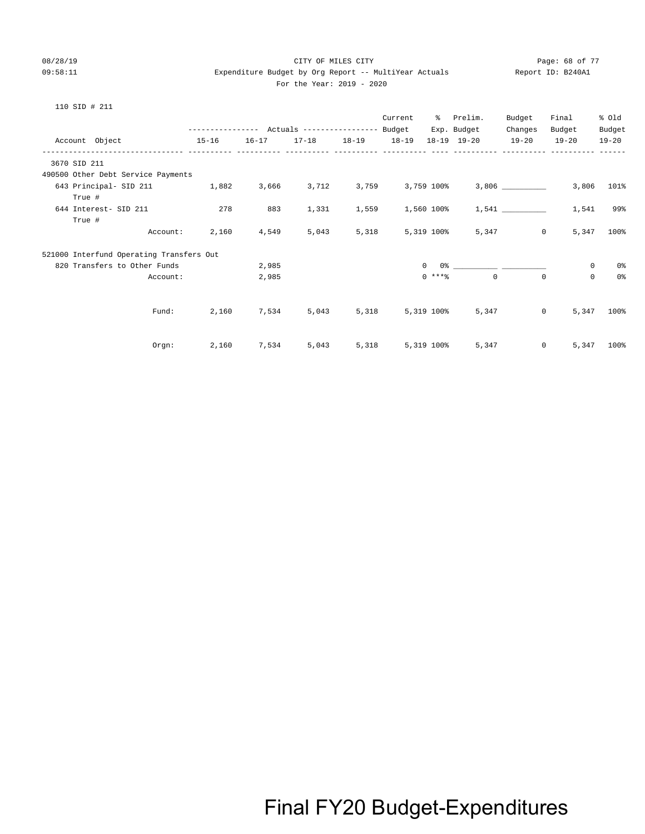#### 08/28/19 CITY OF MILES CITY Page: 68 of 77 09:58:11 Expenditure Budget by Org Report -- MultiYear Actuals Report ID: B240A1  $2019 - 2020$

| 10<br>$\sim$ | STD |  | 21 |  |
|--------------|-----|--|----|--|
|--------------|-----|--|----|--|

|                                          |           |       | --------------- Actuals ---------------- Budget |                        | Current          |              | % Prelim.<br>Exp. Budget                  | Budget<br>Changes | Final<br>Budget         | % old<br>Budget |
|------------------------------------------|-----------|-------|-------------------------------------------------|------------------------|------------------|--------------|-------------------------------------------|-------------------|-------------------------|-----------------|
| Account Object                           | $15 - 16$ |       |                                                 |                        |                  |              | 16-17 17-18 18-19 18-19 18-19 19-20 19-20 |                   | $19 - 20$               | $19 - 20$       |
| 3670 SID 211                             |           |       |                                                 |                        |                  |              |                                           |                   |                         |                 |
| 490500 Other Debt Service Payments       |           |       |                                                 |                        |                  |              |                                           |                   |                         |                 |
| 643 Principal- SID 211 1,882             |           |       | 3,666 3,712 3,759 3,759 100%                    |                        |                  |              |                                           |                   | 3,806                   | 101%            |
| True #                                   |           |       |                                                 |                        |                  |              |                                           |                   |                         |                 |
| 644 Interest- SID 211                    | 278       | 883   | 1,331                                           | 1,559                  |                  |              | $1,560$ 100% $1,541$ _________            |                   | 1,541                   | 99%             |
| True #                                   |           |       |                                                 |                        |                  |              |                                           |                   |                         |                 |
| Account:                                 | 2,160     | 4,549 | 5,043                                           | 5,318                  |                  | 5,319 100%   |                                           | 5,347             | $\circ$<br>5,347        | 100%            |
| 521000 Interfund Operating Transfers Out |           |       |                                                 |                        |                  |              |                                           |                   |                         |                 |
| 820 Transfers to Other Funds             |           | 2,985 |                                                 |                        |                  | $\mathbf{0}$ |                                           |                   | $\mathbf{0}$            | 0%              |
| Account:                                 |           | 2,985 |                                                 |                        |                  | $0$ ****     | $\Omega$                                  | $\circ$           | $\Omega$                | 0%              |
|                                          |           |       |                                                 |                        |                  |              |                                           |                   |                         |                 |
| Fund:                                    | 2,160     | 7,534 |                                                 | 5,043 5,318 5,319 100% |                  |              | 5,347                                     |                   | $\overline{0}$<br>5,347 | 100%            |
|                                          |           |       |                                                 |                        |                  |              |                                           |                   |                         |                 |
| Orem:                                    | 2,160     | 7,534 | 5,043                                           |                        | 5,318 5,319 100% |              | 5,347                                     |                   | $\circ$<br>5,347        | 100%            |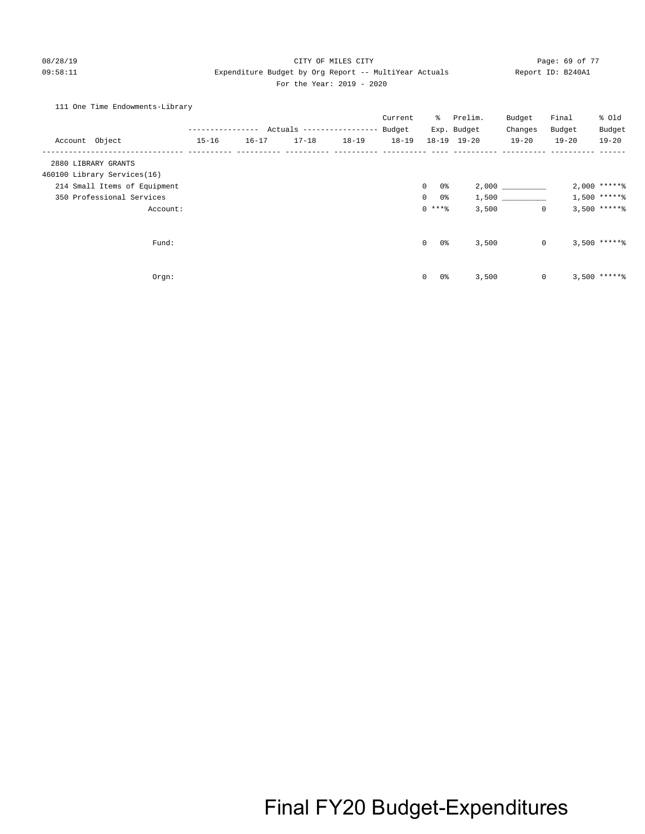#### 08/28/19 CITY OF MILES CITY Page: 69 of 77 09:58:11 Expenditure Budget by Org Report -- MultiYear Actuals Report ID: B240A1 For the Year: 2019 - 2020

### 111 One Time Endowments-Library

|                              | ---------------- |           | Actuals ---------------- |           | Current<br>Budget | ိ                    | Prelim.<br>Exp. Budget | Budget<br>Changes | Final<br>Budget | % Old<br>Budget |
|------------------------------|------------------|-----------|--------------------------|-----------|-------------------|----------------------|------------------------|-------------------|-----------------|-----------------|
| Account Object               | $15 - 16$        | $16 - 17$ | $17 - 18$                | $18 - 19$ | $18 - 19$         |                      | 18-19 19-20            | $19 - 20$         | $19 - 20$       | $19 - 20$       |
| 2880 LIBRARY GRANTS          |                  |           |                          |           |                   |                      |                        |                   |                 |                 |
| 460100 Library Services(16)  |                  |           |                          |           |                   |                      |                        |                   |                 |                 |
| 214 Small Items of Equipment |                  |           |                          |           |                   | 0%<br>$\mathbf{0}$   |                        | 2,000             |                 | $2,000$ ***** % |
| 350 Professional Services    |                  |           |                          |           |                   | $\overline{0}$<br>0% |                        | 1,500             |                 | $1,500$ ******  |
| Account:                     |                  |           |                          |           |                   | $0$ ****             | 3,500                  | $\mathbf{0}$      |                 | $3,500$ *****%  |
| Fund:                        |                  |           |                          |           |                   | $\mathbf{0}$<br>0%   | 3,500                  | $\circ$           |                 | $3,500$ ***** \ |
|                              |                  |           |                          |           |                   |                      |                        |                   |                 |                 |
| Orgn:                        |                  |           |                          |           |                   | $\mathbf 0$<br>0%    | 3,500                  | $\mathbf{0}$      |                 | $3,500$ ***** \ |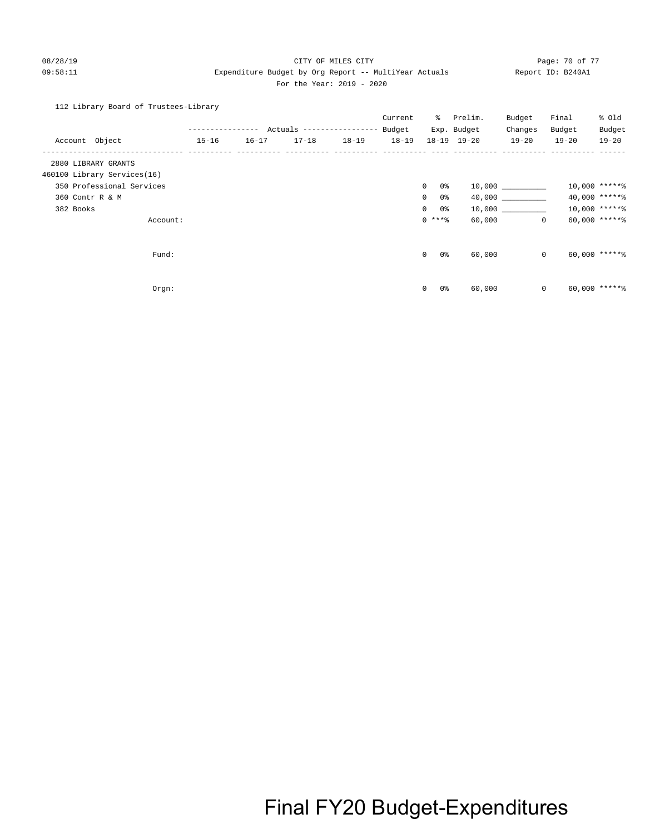#### 08/28/19 Page: 70 of 77 CITY OF MILES CITY CONTROL PAGE: 70 of 77 09:58:11 Expenditure Budget by Org Report -- MultiYear Actuals Report ID: B240A1 For the Year: 2019 - 2020

112 Library Board of Trustees-Library

|                             |           | ------------ | Actuals ----------------- |           | Current<br>Budget |                       | % Prelim.<br>Exp. Budget | Budget<br>Changes | Final<br>Budget | % old<br>Budget   |
|-----------------------------|-----------|--------------|---------------------------|-----------|-------------------|-----------------------|--------------------------|-------------------|-----------------|-------------------|
| Account Object              | $15 - 16$ | $16 - 17$    | $17 - 18$                 | $18 - 19$ | $18 - 19$         |                       | 18-19 19-20              | $19 - 20$         | $19 - 20$       | $19 - 20$         |
| 2880 LIBRARY GRANTS         |           |              |                           |           |                   |                       |                          |                   |                 |                   |
| 460100 Library Services(16) |           |              |                           |           |                   |                       |                          |                   |                 |                   |
| 350 Professional Services   |           |              |                           |           |                   | $\circ$<br>0 %        |                          | 10,000            |                 | 10,000 ******     |
| 360 Contr R & M             |           |              |                           |           |                   | 0 %<br>$\overline{0}$ |                          | 40,000            |                 | 40,000 ******     |
| 382 Books                   |           |              |                           |           |                   | $\overline{0}$<br>0 % |                          | 10,000 000        |                 | $10,000$ *****%   |
| Account:                    |           |              |                           |           |                   | $0***$ $*$            | 60,000                   | $\circ$           |                 | $60,000$ ***** \$ |
| Fund:                       |           |              |                           |           |                   | 0 %<br>$\overline{0}$ | 60,000                   | $\mathbf{0}$      |                 | $60,000$ *****%   |
| Orgn:                       |           |              |                           |           |                   | 0<br>0%               | 60,000                   | $\mathbf{0}$      |                 | $60,000$ *****%   |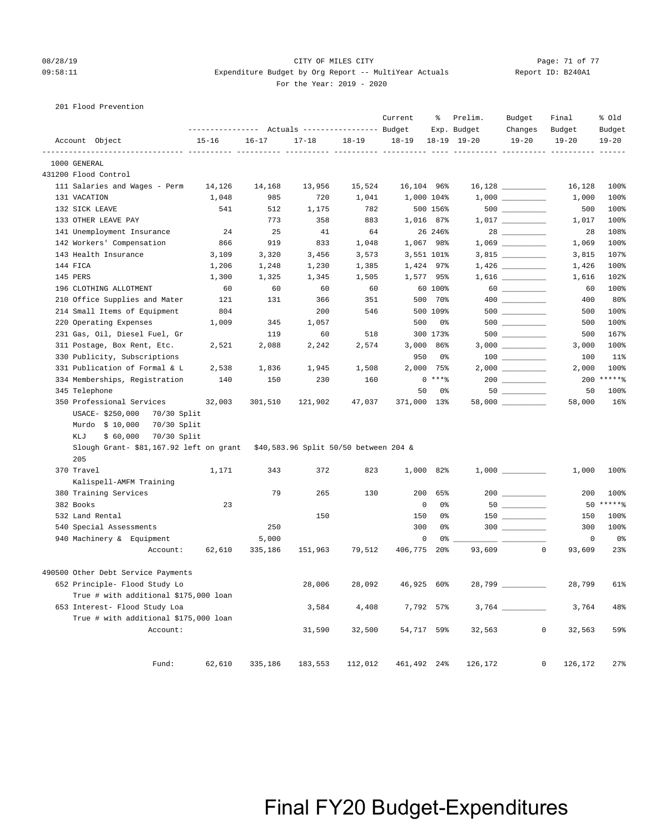#### 08/28/19 Page: 71 of 77 CITY OF MILES CITY CONTROL PAGE: 71 of 77 Page: 71 of 77 09:58:11 Expenditure Budget by Org Report -- MultiYear Actuals Report ID: B240A1 For the Year: 2019 - 2020

#### 201 Flood Prevention

|          |                                         | ---------------- |              | Actuals ----------------- Budget      |           | Current         | ႜ               | Prelim.<br>Exp. Budget | Budget<br>Changes                   | Final<br>Budget | % old<br>Budget   |
|----------|-----------------------------------------|------------------|--------------|---------------------------------------|-----------|-----------------|-----------------|------------------------|-------------------------------------|-----------------|-------------------|
|          | Account Object                          | $15 - 16$        | $16 - 17$    | $17 - 18$                             | $18 - 19$ | $18 - 19$       |                 | 18-19 19-20            | $19 - 20$                           | $19 - 20$       | $19 - 20$         |
|          | ------------- ---<br>1000 GENERAL       | ------- ----     | ------- ---- |                                       |           | ---- ---------- |                 |                        |                                     |                 |                   |
|          | 431200 Flood Control                    |                  |              |                                       |           |                 |                 |                        |                                     |                 |                   |
|          | 111 Salaries and Wages - Perm           | 14,126           | 14,168       | 13,956                                | 15,524    | 16,104 96%      |                 |                        |                                     | 16,128          | 100%              |
|          | 131 VACATION                            | 1,048            | 985          | 720                                   | 1,041     |                 | 1,000 104%      |                        |                                     | 1,000           | 100%              |
|          | 132 SICK LEAVE                          | 541              | 512          | 1,175                                 | 782       |                 | 500 156%        |                        |                                     | 500             | 100%              |
|          | 133 OTHER LEAVE PAY                     |                  | 773          | 358                                   | 883       |                 | 1,016 87%       |                        | $1,017$ _________                   | 1,017           | 100%              |
|          | 141 Unemployment Insurance              | 24               | 25           | 41                                    | 64        |                 | 26 246%         |                        | $28 \ \ \underline{\hspace{1.5cm}}$ | 28              | 108%              |
|          | 142 Workers' Compensation               | 866              | 919          | 833                                   | 1,048     |                 | 1,067 98%       |                        |                                     | 1,069           | 100%              |
|          | 143 Health Insurance                    | 3,109            | 3,320        | 3,456                                 | 3,573     |                 | 3,551 101%      |                        |                                     | 3,815           | 107%              |
| 144 FICA |                                         | 1,206            | 1,248        | 1,230                                 | 1,385     |                 | 1,424 97%       |                        | 1,426                               | 1,426           | 100%              |
| 145 PERS |                                         | 1,300            | 1,325        | 1,345                                 | 1,505     |                 | 1,577 95%       |                        |                                     | 1,616           | 102%              |
|          | 196 CLOTHING ALLOTMENT                  | 60               | 60           | 60                                    | 60        |                 | 60 100%         |                        | $60$                                | 60              | 100%              |
|          | 210 Office Supplies and Mater           | 121              | 131          | 366                                   | 351       |                 | 500 70%         |                        |                                     | 400             | 80%               |
|          | 214 Small Items of Equipment            | 804              |              | 200                                   | 546       |                 | 500 109%        |                        |                                     | 500             | 100%              |
|          | 220 Operating Expenses                  | 1,009            | 345          | 1,057                                 |           | 500             | 0%              |                        |                                     | 500             | 100%              |
|          | 231 Gas, Oil, Diesel Fuel, Gr           |                  | 119          | 60                                    | 518       |                 | 300 173%        |                        |                                     | 500             | 167%              |
|          | 311 Postage, Box Rent, Etc.             | 2,521            | 2,088        | 2,242                                 | 2,574     | 3,000           | 86%             |                        | $3,000$ _________                   | 3,000           | 100%              |
|          | 330 Publicity, Subscriptions            |                  |              |                                       |           | 950             | 0%              |                        |                                     | 100             | 11%               |
|          | 331 Publication of Formal & L           | 2,538            | 1,836        | 1,945                                 | 1,508     | 2,000           | 75%             |                        |                                     | 2,000           | 100%              |
|          | 334 Memberships, Registration           | 140              | 150          | 230                                   | 160       |                 | $0***8$         |                        |                                     | 200             | $*****$           |
|          | 345 Telephone                           |                  |              |                                       |           | 50              | 0%              |                        |                                     | 50              | 100%              |
|          | 350 Professional Services               | 32,003           | 301,510      | 121,902                               | 47,037    | 371,000 13%     |                 |                        |                                     | 58,000          | 16%               |
|          | USACE- \$250,000<br>70/30 Split         |                  |              |                                       |           |                 |                 |                        |                                     |                 |                   |
|          | Murdo \$ 10,000<br>70/30 Split          |                  |              |                                       |           |                 |                 |                        |                                     |                 |                   |
|          | KLJ<br>\$60,000<br>70/30 Split          |                  |              |                                       |           |                 |                 |                        |                                     |                 |                   |
|          | Slough Grant- \$81,167.92 left on grant |                  |              | \$40,583.96 Split 50/50 between 204 & |           |                 |                 |                        |                                     |                 |                   |
|          | 205                                     |                  |              |                                       |           |                 |                 |                        |                                     |                 |                   |
|          | 370 Travel                              | 1,171            | 343          | 372                                   | 823       |                 | 1,000 82%       |                        |                                     | 1,000           | 100%              |
|          | Kalispell-AMFM Training                 |                  |              |                                       |           |                 |                 |                        |                                     |                 |                   |
|          | 380 Training Services                   |                  | 79           | 265                                   | 130       | 200             | 65%             |                        |                                     | 200             | 100%              |
|          | 382 Books                               | 23               |              |                                       |           | 0               | 0%              |                        |                                     | 50              | $***$ * * * * $-$ |
|          | 532 Land Rental                         |                  |              | 150                                   |           | 150             | 0%              |                        | $150$ ________                      | 150             | 100%              |
|          | 540 Special Assessments                 |                  | 250          |                                       |           | 300             | 0%              |                        | $300$                               | 300             | 100%              |
|          | 940 Machinery & Equipment               |                  | 5,000        |                                       |           | $\mathbf 0$     | 0%              |                        |                                     | $\mathbf 0$     | 0%                |
|          | Account:                                | 62,610           | 335,186      | 151,963                               | 79,512    | 406,775         | 20 <sub>8</sub> | 93,609                 | $\mathbf 0$                         | 93,609          | 23%               |
|          | 490500 Other Debt Service Payments      |                  |              |                                       |           |                 |                 |                        |                                     |                 |                   |
|          | 652 Principle- Flood Study Lo           |                  |              | 28,006                                | 28,092    | 46,925 60%      |                 | 28,799 _____           |                                     | 28,799          | 61%               |
|          | True # with additional \$175,000 loan   |                  |              |                                       |           |                 |                 |                        |                                     |                 |                   |
|          | 653 Interest- Flood Study Loa           |                  |              | 3,584                                 | 4,408     |                 | 7,792 57%       |                        |                                     | 3,764           | 48%               |
|          | True # with additional \$175,000 loan   |                  |              |                                       |           |                 |                 |                        |                                     |                 |                   |
|          | Account:                                |                  |              | 31,590                                | 32,500    | 54,717 59%      |                 | 32,563                 | 0                                   | 32,563          | 59%               |
|          |                                         |                  |              |                                       |           |                 |                 |                        |                                     |                 |                   |
|          | Fund:                                   | 62,610           | 335,186      | 183,553                               | 112,012   | 461,492 24%     |                 | 126,172                | 0                                   | 126,172         | 27%               |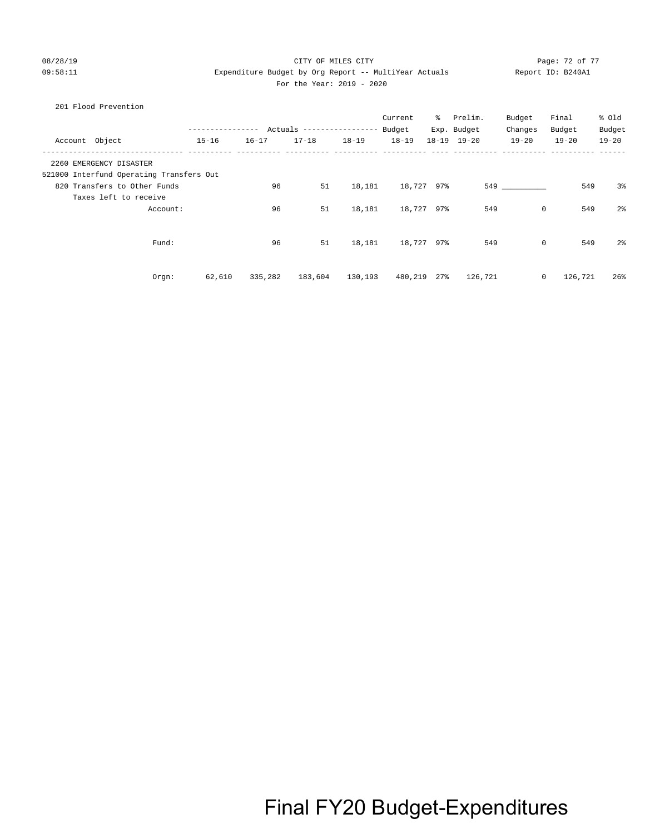#### 08/28/19 Page: 72 of 77 CITY OF MILES CITY 09:58:11 Expenditure Budget by Org Report -- MultiYear Actuals Report ID: B240A1 For the Year: 2019 - 2020

#### 201 Flood Prevention

|                                          |           | -------   | Actuals ----------------- |           | Current<br>Budget | ိ         | Prelim.<br>Exp. Budget | Budget<br>Changes | Final<br>Budget | % old<br>Budget |
|------------------------------------------|-----------|-----------|---------------------------|-----------|-------------------|-----------|------------------------|-------------------|-----------------|-----------------|
| Account Object                           | $15 - 16$ | $16 - 17$ | $17 - 18$                 | $18 - 19$ | $18 - 19$         | $18 - 19$ | $19 - 20$              | $19 - 20$         | $19 - 20$       | $19 - 20$       |
| 2260 EMERGENCY DISASTER                  |           |           |                           |           |                   |           |                        |                   |                 |                 |
| 521000 Interfund Operating Transfers Out |           |           |                           |           |                   |           |                        |                   |                 |                 |
| 820 Transfers to Other Funds             |           | 96        | 51                        | 18,181    | 18,727            | 97%       | 549                    |                   | 549             | 3 <sup>°</sup>  |
| Taxes left to receive                    |           |           |                           |           |                   |           |                        |                   |                 |                 |
| Account:                                 |           | 96        | 51                        | 18,181    | 18,727 97%        |           | 549                    | $\mathbf 0$       | 549             | 2 <sup>°</sup>  |
|                                          |           |           |                           |           |                   |           |                        |                   |                 |                 |
| Fund:                                    |           | 96        | 51                        | 18,181    | 18,727 97%        |           | 549                    | $\mathbf 0$       | 549             | 2 <sup>°</sup>  |
|                                          |           |           |                           |           |                   |           |                        |                   |                 |                 |
| Orgn:                                    | 62,610    | 335,282   | 183,604                   | 130,193   | 480,219           | 27%       | 126,721                | 0                 | 126,721         | 26%             |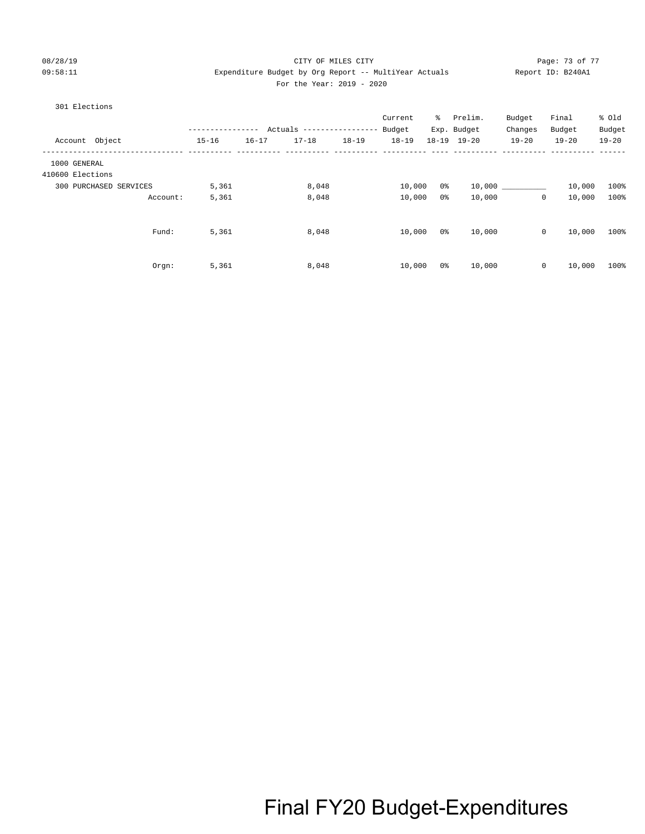# 08/28/19 Page: 73 of 77 CITY OF MILES CITY CONTROL PAGE: 73 of 77 Page: 73 of 77 09:58:11 Expenditure Budget by Org Report -- MultiYear Actuals Report ID: B240A1 For the Year: 2019 - 2020

## 301 Elections

|                  |                        | . <u>.</u> . |           | Actuals ----------------- |           | Current<br>Budget | ႜႜ             | Prelim.<br>Exp. Budget | Budget<br>Changes | Final<br>Budget | % Old<br>Budget |
|------------------|------------------------|--------------|-----------|---------------------------|-----------|-------------------|----------------|------------------------|-------------------|-----------------|-----------------|
| Account Object   |                        | $15 - 16$    | $16 - 17$ | $17 - 18$                 | $18 - 19$ | $18 - 19$         |                | 18-19 19-20            | $19 - 20$         | $19 - 20$       | $19 - 20$       |
| 1000 GENERAL     |                        |              |           |                           |           |                   |                |                        |                   |                 |                 |
| 410600 Elections |                        |              |           |                           |           |                   |                |                        |                   |                 |                 |
|                  | 300 PURCHASED SERVICES | 5,361        |           | 8,048                     |           | 10,000            | 0%             |                        |                   | 10,000          | 100%            |
|                  | Account:               | 5,361        |           | 8,048                     |           | 10,000            | 0%             | 10,000                 | $\circ$           | 10,000          | 100%            |
|                  | Fund:                  | 5,361        |           | 8,048                     |           | 10,000            | 0 %            | 10,000                 | $\circ$           | 10,000          | 100%            |
|                  | Orgn:                  | 5,361        |           | 8,048                     |           | 10,000            | 0 <sup>o</sup> | 10,000                 | $\mathbf 0$       | 10,000          | 100%            |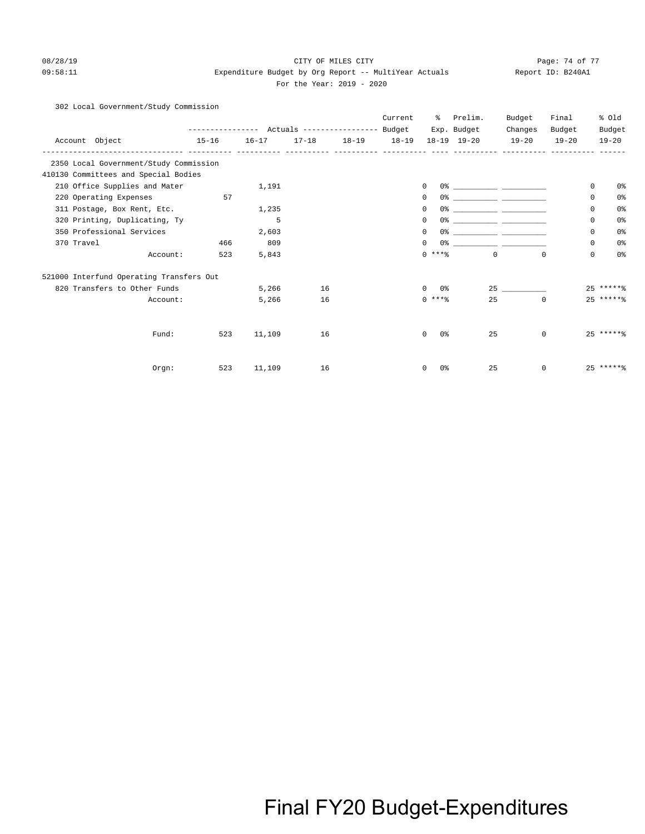## 08/28/19 Page: 74 of 77 CHTY OF MILES CITY 09:58:11 Expenditure Budget by Org Report -- MultiYear Actuals Report ID: B240A1 For the Year: 2019 - 2020

## 302 Local Government/Study Commission

|                                          |                                                 |           |    |                         | Current | ႜ                          | Prelim.                                                                                                                | Budget      | Final     | % 01d                         |
|------------------------------------------|-------------------------------------------------|-----------|----|-------------------------|---------|----------------------------|------------------------------------------------------------------------------------------------------------------------|-------------|-----------|-------------------------------|
|                                          | --------------- Actuals ---------------- Budget |           |    |                         |         |                            | Exp. Budget                                                                                                            | Changes     | Budget    | Budget                        |
| Account Object                           | $15 - 16$                                       | $16 - 17$ |    | $17-18$ $18-19$ $18-19$ |         |                            | $18-19$ $19-20$                                                                                                        | $19 - 20$   | $19 - 20$ | $19 - 20$                     |
| 2350 Local Government/Study Commission   |                                                 |           |    |                         |         |                            |                                                                                                                        |             |           |                               |
| 410130 Committees and Special Bodies     |                                                 |           |    |                         |         |                            |                                                                                                                        |             |           |                               |
| 210 Office Supplies and Mater            |                                                 | 1,191     |    |                         |         | 0                          |                                                                                                                        |             |           | $\mathbf 0$<br>0 <sup>°</sup> |
| 220 Operating Expenses                   | 57                                              |           |    |                         |         | 0<br>0%                    | <u> 1999 - Johann John Harry Harry Harry Harry Harry Harry Harry Harry Harry Harry Harry Harry Harry Harry Harry H</u> |             |           | 0 <sup>8</sup><br>0           |
| 311 Postage, Box Rent, Etc.              |                                                 | 1,235     |    |                         |         | 0%<br>0                    | <u> 1990 - Johann John Harry Harry Harry Harry Harry Harry Harry Harry Harry Harry Harry Harry Harry Harry Harry</u>   |             |           | 0 <sup>°</sup><br>$\Omega$    |
| 320 Printing, Duplicating, Ty            |                                                 | 5         |    |                         |         | 0<br>በ*                    | <u> 1990 - Johann John Harry John Harry Harry Harry Harry Harry Harry Harry Harry Harry Harry Harry Harry Harry H</u>  |             |           | 0 <sup>8</sup><br>$\Omega$    |
| 350 Professional Services                |                                                 | 2,603     |    |                         |         | 0<br>0%                    |                                                                                                                        |             |           | 0 <sup>°</sup><br>0           |
| 370 Travel                               | 466                                             | 809       |    |                         |         | 0<br>0 <sup>°</sup>        |                                                                                                                        |             |           | 0 <sup>°</sup><br>0           |
| Account:                                 | 523                                             | 5,843     |    |                         |         | $0$ ****                   | $\Omega$                                                                                                               | $\Omega$    |           | $\mathbf 0$<br>0 <sup>8</sup> |
| 521000 Interfund Operating Transfers Out |                                                 |           |    |                         |         |                            |                                                                                                                        |             |           |                               |
| 820 Transfers to Other Funds             |                                                 | 5,266     | 16 |                         |         | $\Omega$<br>0응             |                                                                                                                        | 25          |           | $25****$                      |
| Account:                                 |                                                 | 5,266     | 16 |                         |         | $0$ ****                   | 25                                                                                                                     | $\mathbf 0$ |           | $25****$                      |
|                                          |                                                 |           |    |                         |         |                            |                                                                                                                        |             |           |                               |
| Fund:                                    | 523                                             | 11,109    | 16 |                         |         | 0 <sup>o</sup><br>$\Omega$ | 25                                                                                                                     | $\Omega$    |           | $25$ ******                   |
|                                          |                                                 |           |    |                         |         |                            |                                                                                                                        |             |           |                               |
| Orgn:                                    | 523                                             | 11,109    | 16 |                         |         | 0 <sup>8</sup><br>0        | 25                                                                                                                     | 0           |           | $25****$                      |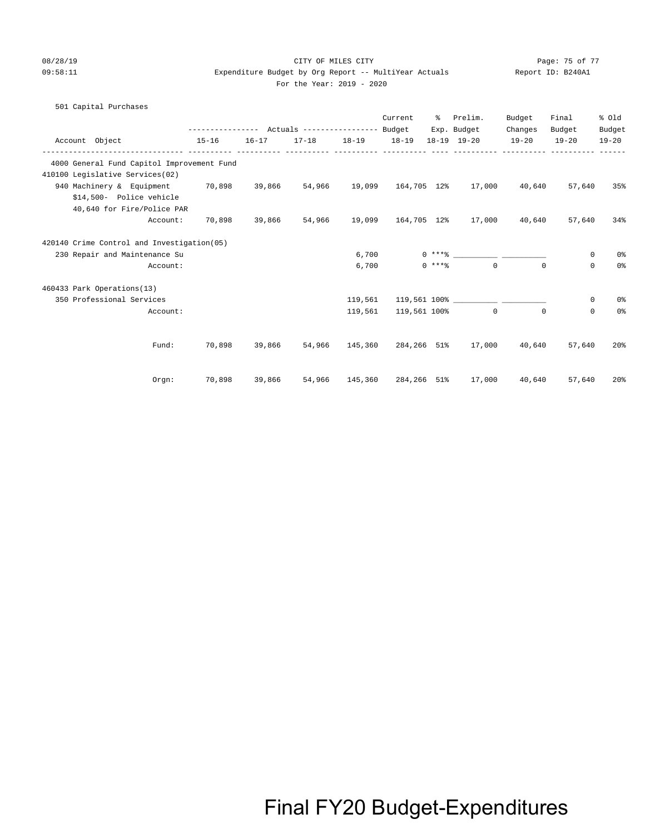## 08/28/19 Page: 75 of 77 CHTY OF MILES CITY 09:58:11 Expenditure Budget by Org Report -- MultiYear Actuals Report ID: B240A1 For the Year: 2019 - 2020

# 501 Capital Purchases Current % Prelim. Budget Final % Old ---------------- Actuals ----------------- Budget Exp. Budget Changes Budget Budget Account Object 15-16 16-17 17-18 18-19 18-19 18-19 19-20 19-20 19-20 19-20

| Account opject                             | ⊥J ⊥∪  |        |        |         |              |                    |                               |             |             |                |
|--------------------------------------------|--------|--------|--------|---------|--------------|--------------------|-------------------------------|-------------|-------------|----------------|
| 4000 General Fund Capitol Improvement Fund |        |        |        |         |              |                    |                               |             |             |                |
| 410100 Legislative Services(02)            |        |        |        |         |              |                    |                               |             |             |                |
| 940 Machinery & Equipment                  | 70,898 | 39,866 | 54,966 | 19,099  | 164,705 12%  |                    | 17,000                        | 40,640      | 57,640      | 35%            |
| \$14,500- Police vehicle                   |        |        |        |         |              |                    |                               |             |             |                |
| 40,640 for Fire/Police PAR                 |        |        |        |         |              |                    |                               |             |             |                |
| Account:                                   | 70,898 | 39,866 | 54,966 | 19,099  | 164,705 12%  |                    | 17,000                        | 40,640      | 57,640      | 34%            |
| 420140 Crime Control and Investigation(05) |        |        |        |         |              |                    |                               |             |             |                |
| 230 Repair and Maintenance Su              |        |        |        | 6,700   |              | $0 \times + *$ $*$ |                               |             | 0           | 0 <sup>8</sup> |
| Account:                                   |        |        |        | 6,700   |              | $0***$             | $\mathbf 0$                   | $\Omega$    | $\mathbf 0$ | 0 <sup>°</sup> |
| 460433 Park Operations(13)                 |        |        |        |         |              |                    |                               |             |             |                |
| 350 Professional Services                  |        |        |        | 119,561 |              |                    | 119,561 100% ________________ |             | $\mathbf 0$ | 0 <sup>8</sup> |
| Account:                                   |        |        |        | 119,561 | 119,561 100% |                    | $\mathbf 0$                   | $\mathbf 0$ | $\mathbf 0$ | 0 <sup>°</sup> |
|                                            |        |        |        |         |              |                    |                               |             |             |                |
| Fund:                                      | 70,898 | 39,866 | 54,966 | 145,360 | 284,266 51%  |                    | 17,000                        | 40,640      | 57,640      | 20%            |
| Orgn:                                      | 70,898 | 39,866 | 54,966 | 145,360 | 284,266 51%  |                    | 17,000                        | 40,640      | 57,640      | 20%            |
|                                            |        |        |        |         |              |                    |                               |             |             |                |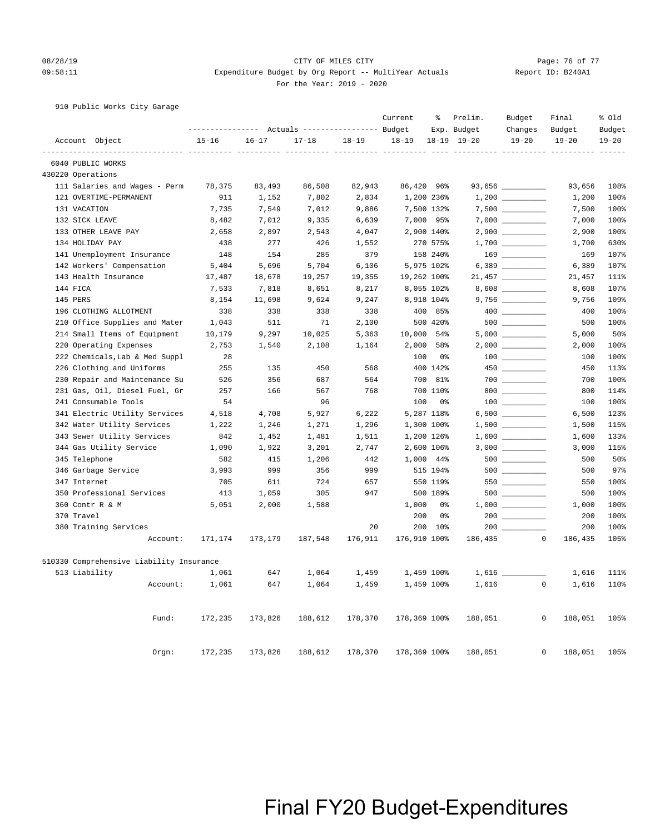# 08/28/19 Page: 76 of 77 CHTY OF MILES CITY 09:58:11 Expenditure Budget by Org Report -- MultiYear Actuals Report ID: B240A1 For the Year: 2019 - 2020

910 Public Works City Garage

|                                          |           | ---------------    Actuals ----------------    Budget |           |            | Current      | ್ಠಿ            | Prelim.<br>Exp. Budget | Budget<br>Changes                                       | Final<br>Budget        | % old<br>Budget |
|------------------------------------------|-----------|-------------------------------------------------------|-----------|------------|--------------|----------------|------------------------|---------------------------------------------------------|------------------------|-----------------|
| Account Object                           | $15 - 16$ | $16 - 17$                                             | $17 - 18$ | $18 - 19$  | $18 - 19$    |                | $18 - 19$ $19 - 20$    | $19 - 20$                                               | $19 - 20$              | $19 - 20$       |
| ----------------<br>6040 PUBLIC WORKS    |           |                                                       |           | ------ --- |              |                |                        |                                                         | $---$                  | $- - - -$       |
| 430220 Operations                        |           |                                                       |           |            |              |                |                        |                                                         |                        |                 |
| 111 Salaries and Wages - Perm            | 78,375    | 83,493                                                | 86,508    | 82,943     | 86,420 96%   |                |                        |                                                         | 93,656                 | 108%            |
| 121 OVERTIME-PERMANENT                   | 911       | 1,152                                                 | 7,802     | 2,834      |              | 1,200 236%     |                        |                                                         | 1,200                  | 100%            |
| 131 VACATION                             | 7,735     | 7,549                                                 | 7,012     | 9,886      |              | 7,500 132%     |                        |                                                         | 7,500                  | 100%            |
| 132 SICK LEAVE                           | 8,482     | 7,012                                                 | 9,335     | 6,639      |              | 7,000 95%      |                        |                                                         | 7,000                  | 100%            |
| 133 OTHER LEAVE PAY                      | 2,658     | 2,897                                                 | 2,543     | 4,047      |              | 2,900 140%     |                        |                                                         | 2,900                  | 100%            |
| 134 HOLIDAY PAY                          | 438       | 277                                                   | 426       | 1,552      |              | 270 575%       |                        |                                                         | 1,700                  | 630%            |
| 141 Unemployment Insurance               | 148       | 154                                                   | 285       | 379        |              | 158 240%       |                        | $169$                                                   | 169                    | 107%            |
| 142 Workers' Compensation                | 5,404     | 5,696                                                 | 5,704     | 6,106      |              | 5,975 102%     |                        |                                                         | 6,389                  | 107%            |
| 143 Health Insurance                     | 17,487    | 18,678                                                | 19,257    | 19,355     | 19,262 100%  |                |                        | $21,457$ _________                                      | 21,457                 | 111%            |
| 144 FICA                                 | 7,533     | 7,818                                                 | 8,651     | 8,217      |              | 8,055 102%     |                        |                                                         | 8,608                  | 107%            |
| 145 PERS                                 | 8,154     | 11,698                                                | 9,624     | 9,247      |              | 8,918 104%     |                        |                                                         | 9,756                  | 109%            |
| 196 CLOTHING ALLOTMENT                   | 338       | 338                                                   | 338       | 338        |              | 400 85%        |                        |                                                         | 400                    | 100%            |
| 210 Office Supplies and Mater            | 1,043     | 511                                                   | 71        | 2,100      |              | 500 420%       |                        |                                                         | 500                    | 100%            |
| 214 Small Items of Equipment             | 10,179    | 9,297                                                 | 10,025    | 5,363      | 10,000 54%   |                |                        |                                                         | 5,000                  | 50%             |
| 220 Operating Expenses                   | 2,753     | 1,540                                                 | 2,108     | 1,164      | 2,000        | 58%            |                        |                                                         | 2,000                  | 100%            |
| 222 Chemicals, Lab & Med Suppl           | 28        |                                                       |           |            | 100          | 0 <sup>°</sup> |                        | $\begin{tabular}{c} 100 \end{tabular}$                  | 100                    | 100%            |
| 226 Clothing and Uniforms                | 255       | 135                                                   | 450       | 568        |              | 400 142%       |                        | 450 and $\sim$                                          | 450                    | 113%            |
| 230 Repair and Maintenance Su            | 526       | 356                                                   | 687       | 564        | 700          | 81%            |                        | $\begin{array}{c}\n700 \quad \text{---} \\ \end{array}$ | 700                    | 100%            |
| 231 Gas, Oil, Diesel Fuel, Gr            | 257       | 166                                                   | 567       | 768        |              | 700 110%       |                        | $800$                                                   | 800                    | 114%            |
| 241 Consumable Tools                     | 54        |                                                       | 96        |            | 100          | 0 <sup>o</sup> |                        | $\begin{array}{c} 100 \\ - \end{array}$                 | 100                    | 100%            |
| 341 Electric Utility Services            | 4,518     | 4,708                                                 | 5,927     | 6,222      |              | 5,287 118%     |                        |                                                         | 6,500                  | 123%            |
| 342 Water Utility Services               | 1,222     | 1,246                                                 | 1,271     | 1,296      |              | 1,300 100%     |                        |                                                         | 1,500                  | 115%            |
| 343 Sewer Utility Services               | 842       | 1,452                                                 | 1,481     | 1,511      |              | 1,200 126%     |                        |                                                         | 1,600                  | 133%            |
| 344 Gas Utility Service                  | 1,090     | 1,922                                                 | 3,201     | 2,747      |              | 2,600 106%     |                        |                                                         | 3,000                  | 115%            |
| 345 Telephone                            | 582       | 415                                                   | 1,206     | 442        |              | 1,000 44%      |                        |                                                         | 500                    | 50%             |
| 346 Garbage Service                      | 3,993     | 999                                                   | 356       | 999        |              | 515 194%       |                        | 500 000                                                 | 500                    | 97%             |
| 347 Internet                             | 705       | 611                                                   | 724       | 657        |              | 550 119%       |                        | 550                                                     | 550                    | 100%            |
| 350 Professional Services                | 413       | 1,059                                                 | 305       | 947        |              | 500 189%       |                        | $500$ _________                                         | 500                    | 100%            |
| 360 Contr R & M                          | 5,051     | 2,000                                                 | 1,588     |            | 1,000        | 0%             |                        |                                                         | 1,000                  | 100%            |
| 370 Travel                               |           |                                                       |           |            | 200          | 0%             |                        |                                                         | 200                    | 100%            |
| 380 Training Services                    |           |                                                       |           | 20         |              | 200 10%        | $200$ $\phantom{0}$    |                                                         | 200                    | 100%            |
| Account:                                 | 171,174   | 173,179                                               | 187,548   | 176,911    | 176,910 100% |                | 186,435                |                                                         | $\Omega$<br>186,435    | 105%            |
| 510330 Comprehensive Liability Insurance |           |                                                       |           |            |              |                |                        |                                                         |                        |                 |
| 513 Liability                            | 1,061     | 647                                                   | 1,064     | 1,459      |              | 1,459 100%     | $1,616$ $-$            |                                                         | 1,616                  | 111%            |
| Account:                                 | 1,061     | 647                                                   | 1,064     | 1,459      |              | 1,459 100%     | 1,616                  |                                                         | $\mathbf{0}$<br>1,616  | 110%            |
|                                          |           |                                                       |           |            |              |                |                        |                                                         |                        |                 |
| Fund:                                    | 172,235   | 173,826                                               | 188,612   | 178,370    | 178,369 100% |                | 188,051                |                                                         | $\mathbf 0$<br>188,051 | 105%            |
| Orgn:                                    | 172,235   | 173,826                                               | 188,612   | 178,370    | 178,369 100% |                | 188,051                |                                                         | $\mathbf 0$<br>188,051 | 105%            |